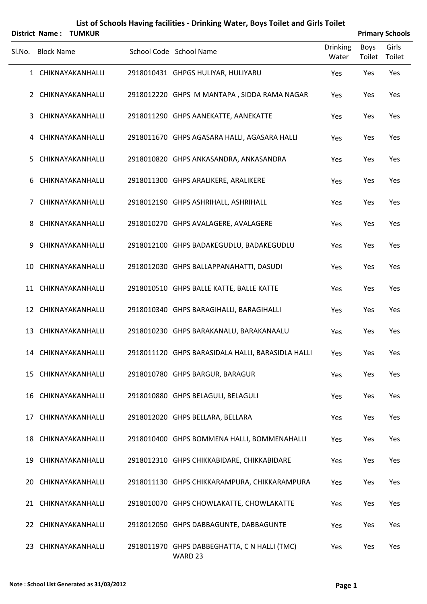|        |                   | District Name: TUMKUR |                                                         |                          |                | <b>Primary Schools</b> |
|--------|-------------------|-----------------------|---------------------------------------------------------|--------------------------|----------------|------------------------|
| SI.No. | <b>Block Name</b> |                       | School Code School Name                                 | <b>Drinking</b><br>Water | Boys<br>Toilet | Girls<br>Toilet        |
|        |                   | 1 CHIKNAYAKANHALLI    | 2918010431 GHPGS HULIYAR, HULIYARU                      | Yes                      | Yes            | Yes                    |
|        |                   | 2 CHIKNAYAKANHALLI    | 2918012220 GHPS M MANTAPA, SIDDA RAMA NAGAR             | Yes                      | Yes            | Yes                    |
| 3      |                   | CHIKNAYAKANHALLI      | 2918011290 GHPS AANEKATTE, AANEKATTE                    | Yes                      | Yes            | Yes                    |
|        |                   | 4 CHIKNAYAKANHALLI    | 2918011670 GHPS AGASARA HALLI, AGASARA HALLI            | Yes                      | Yes            | Yes                    |
| 5      |                   | CHIKNAYAKANHALLI      | 2918010820 GHPS ANKASANDRA, ANKASANDRA                  | Yes                      | Yes            | Yes                    |
| 6      |                   | CHIKNAYAKANHALLI      | 2918011300 GHPS ARALIKERE, ARALIKERE                    | Yes                      | Yes            | Yes                    |
| 7      |                   | CHIKNAYAKANHALLI      | 2918012190 GHPS ASHRIHALL, ASHRIHALL                    | Yes                      | Yes            | Yes                    |
| 8      |                   | CHIKNAYAKANHALLI      | 2918010270 GHPS AVALAGERE, AVALAGERE                    | Yes                      | Yes            | Yes                    |
| 9      |                   | CHIKNAYAKANHALLI      | 2918012100 GHPS BADAKEGUDLU, BADAKEGUDLU                | Yes                      | Yes            | Yes                    |
| 10     |                   | CHIKNAYAKANHALLI      | 2918012030 GHPS BALLAPPANAHATTI, DASUDI                 | Yes                      | Yes            | Yes                    |
|        |                   | 11 CHIKNAYAKANHALLI   | 2918010510 GHPS BALLE KATTE, BALLE KATTE                | Yes                      | Yes            | Yes                    |
|        |                   | 12 CHIKNAYAKANHALLI   | 2918010340 GHPS BARAGIHALLI, BARAGIHALLI                | Yes                      | Yes            | Yes                    |
|        |                   | 13 CHIKNAYAKANHALLI   | 2918010230 GHPS BARAKANALU, BARAKANAALU                 | Yes                      | Yes            | Yes                    |
|        |                   | 14 CHIKNAYAKANHALLI   | 2918011120 GHPS BARASIDALA HALLI, BARASIDLA HALLI       | Yes                      | Yes            | Yes                    |
|        |                   | 15 CHIKNAYAKANHALLI   | 2918010780 GHPS BARGUR, BARAGUR                         | Yes                      | Yes            | Yes                    |
|        |                   | 16 CHIKNAYAKANHALLI   | 2918010880 GHPS BELAGULI, BELAGULI                      | Yes                      | Yes            | Yes                    |
| 17     |                   | CHIKNAYAKANHALLI      | 2918012020 GHPS BELLARA, BELLARA                        | Yes                      | Yes            | Yes                    |
|        |                   | 18 CHIKNAYAKANHALLI   | 2918010400 GHPS BOMMENA HALLI, BOMMENAHALLI             | Yes                      | Yes            | Yes                    |
| 19     |                   | CHIKNAYAKANHALLI      | 2918012310 GHPS CHIKKABIDARE, CHIKKABIDARE              | Yes                      | Yes            | Yes                    |
| 20     |                   | CHIKNAYAKANHALLI      | 2918011130 GHPS CHIKKARAMPURA, CHIKKARAMPURA            | Yes                      | Yes            | Yes                    |
|        |                   | 21 CHIKNAYAKANHALLI   | 2918010070 GHPS CHOWLAKATTE, CHOWLAKATTE                | Yes                      | Yes            | Yes                    |
|        |                   | 22 CHIKNAYAKANHALLI   | 2918012050 GHPS DABBAGUNTE, DABBAGUNTE                  | Yes                      | Yes            | Yes                    |
| 23     |                   | CHIKNAYAKANHALLI      | 2918011970 GHPS DABBEGHATTA, C N HALLI (TMC)<br>WARD 23 | Yes                      | Yes            | Yes                    |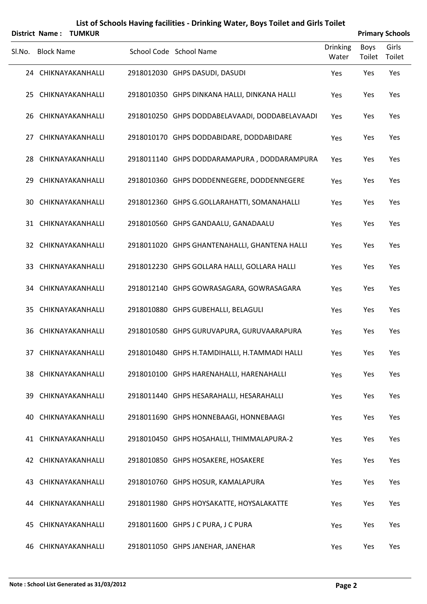|        | <b>District Name:</b><br>TUMKUR |  |                                                |                   |                       | <b>Primary Schools</b> |
|--------|---------------------------------|--|------------------------------------------------|-------------------|-----------------------|------------------------|
| SI.No. | <b>Block Name</b>               |  | School Code School Name                        | Drinking<br>Water | <b>Boys</b><br>Toilet | Girls<br>Toilet        |
|        | 24 CHIKNAYAKANHALLI             |  | 2918012030 GHPS DASUDI, DASUDI                 | Yes               | Yes                   | Yes                    |
|        | 25 CHIKNAYAKANHALLI             |  | 2918010350 GHPS DINKANA HALLI, DINKANA HALLI   | Yes               | Yes                   | Yes                    |
|        | 26 CHIKNAYAKANHALLI             |  | 2918010250 GHPS DODDABELAVAADI, DODDABELAVAADI | Yes               | Yes                   | Yes                    |
| 27     | CHIKNAYAKANHALLI                |  | 2918010170 GHPS DODDABIDARE, DODDABIDARE       | Yes               | Yes                   | Yes                    |
|        | 28 CHIKNAYAKANHALLI             |  | 2918011140 GHPS DODDARAMAPURA, DODDARAMPURA    | Yes               | Yes                   | Yes                    |
| 29     | CHIKNAYAKANHALLI                |  | 2918010360 GHPS DODDENNEGERE, DODDENNEGERE     | Yes               | Yes                   | Yes                    |
|        | 30 CHIKNAYAKANHALLI             |  | 2918012360 GHPS G.GOLLARAHATTI, SOMANAHALLI    | Yes               | Yes                   | Yes                    |
|        | 31 CHIKNAYAKANHALLI             |  | 2918010560 GHPS GANDAALU, GANADAALU            | Yes               | Yes                   | Yes                    |
|        | 32 CHIKNAYAKANHALLI             |  | 2918011020 GHPS GHANTENAHALLI, GHANTENA HALLI  | Yes               | Yes                   | Yes                    |
|        | 33 CHIKNAYAKANHALLI             |  | 2918012230 GHPS GOLLARA HALLI, GOLLARA HALLI   | Yes               | Yes                   | Yes                    |
|        | 34 CHIKNAYAKANHALLI             |  | 2918012140 GHPS GOWRASAGARA, GOWRASAGARA       | Yes               | Yes                   | Yes                    |
|        | 35 CHIKNAYAKANHALLI             |  | 2918010880 GHPS GUBEHALLI, BELAGULI            | Yes               | Yes                   | Yes                    |
| 36     | CHIKNAYAKANHALLI                |  | 2918010580 GHPS GURUVAPURA, GURUVAARAPURA      | Yes               | Yes                   | Yes                    |
|        | 37 CHIKNAYAKANHALLI             |  | 2918010480 GHPS H.TAMDIHALLI, H.TAMMADI HALLI  | Yes               | Yes                   | Yes                    |
|        | 38 CHIKNAYAKANHALLI             |  | 2918010100 GHPS HARENAHALLI, HARENAHALLI       | Yes               | Yes                   | Yes                    |
|        | 39 CHIKNAYAKANHALLI             |  | 2918011440 GHPS HESARAHALLI, HESARAHALLI       | Yes               | Yes                   | Yes                    |
| 40     | CHIKNAYAKANHALLI                |  | 2918011690 GHPS HONNEBAAGI, HONNEBAAGI         | Yes               | Yes                   | Yes                    |
|        | 41 CHIKNAYAKANHALLI             |  | 2918010450 GHPS HOSAHALLI, THIMMALAPURA-2      | Yes               | Yes                   | Yes                    |
|        | 42 CHIKNAYAKANHALLI             |  | 2918010850 GHPS HOSAKERE, HOSAKERE             | Yes               | Yes                   | Yes                    |
|        | 43 CHIKNAYAKANHALLI             |  | 2918010760 GHPS HOSUR, KAMALAPURA              | Yes               | Yes                   | Yes                    |
|        | 44 CHIKNAYAKANHALLI             |  | 2918011980 GHPS HOYSAKATTE, HOYSALAKATTE       | Yes               | Yes                   | Yes                    |
|        | 45 CHIKNAYAKANHALLI             |  | 2918011600 GHPS J C PURA, J C PURA             | Yes               | Yes                   | Yes                    |
|        | 46 CHIKNAYAKANHALLI             |  | 2918011050 GHPS JANEHAR, JANEHAR               | Yes               | Yes                   | Yes                    |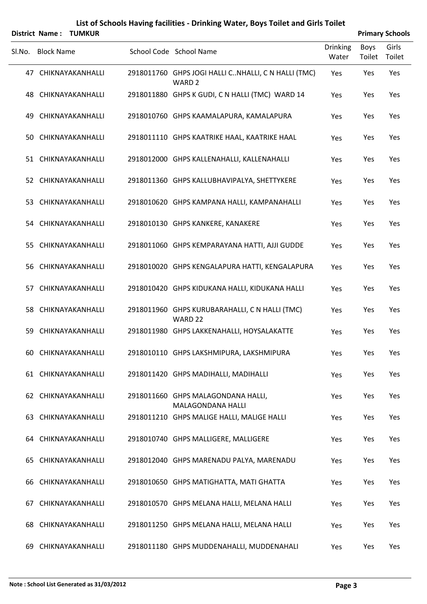|        | <b>District Name:</b> | <b>TUMKUR</b>       |                                                                          |                          |                       | <b>Primary Schools</b> |
|--------|-----------------------|---------------------|--------------------------------------------------------------------------|--------------------------|-----------------------|------------------------|
| SI.No. | <b>Block Name</b>     |                     | School Code School Name                                                  | <b>Drinking</b><br>Water | <b>Boys</b><br>Toilet | Girls<br>Toilet        |
|        |                       | 47 CHIKNAYAKANHALLI | 2918011760 GHPS JOGI HALLI CNHALLI, C N HALLI (TMC)<br>WARD <sub>2</sub> | Yes                      | Yes                   | Yes                    |
|        |                       | 48 CHIKNAYAKANHALLI | 2918011880 GHPS K GUDI, C N HALLI (TMC) WARD 14                          | Yes                      | Yes                   | Yes                    |
| 49.    |                       | CHIKNAYAKANHALLI    | 2918010760 GHPS KAAMALAPURA, KAMALAPURA                                  | Yes                      | Yes                   | Yes                    |
|        |                       | 50 CHIKNAYAKANHALLI | 2918011110 GHPS KAATRIKE HAAL, KAATRIKE HAAL                             | Yes                      | Yes                   | Yes                    |
|        |                       | 51 CHIKNAYAKANHALLI | 2918012000 GHPS KALLENAHALLI, KALLENAHALLI                               | Yes                      | Yes                   | Yes                    |
|        |                       | 52 CHIKNAYAKANHALLI | 2918011360 GHPS KALLUBHAVIPALYA, SHETTYKERE                              | Yes                      | Yes                   | Yes                    |
|        |                       | 53 CHIKNAYAKANHALLI | 2918010620 GHPS KAMPANA HALLI, KAMPANAHALLI                              | Yes                      | Yes                   | Yes                    |
|        |                       | 54 CHIKNAYAKANHALLI | 2918010130 GHPS KANKERE, KANAKERE                                        | Yes                      | Yes                   | Yes                    |
|        |                       | 55 CHIKNAYAKANHALLI | 2918011060 GHPS KEMPARAYANA HATTI, AJJI GUDDE                            | Yes                      | Yes                   | Yes                    |
|        |                       | 56 CHIKNAYAKANHALLI | 2918010020 GHPS KENGALAPURA HATTI, KENGALAPURA                           | Yes                      | Yes                   | Yes                    |
|        |                       | 57 CHIKNAYAKANHALLI | 2918010420 GHPS KIDUKANA HALLI, KIDUKANA HALLI                           | Yes                      | Yes                   | Yes                    |
|        |                       | 58 CHIKNAYAKANHALLI | 2918011960 GHPS KURUBARAHALLI, C N HALLI (TMC)<br>WARD 22                | Yes                      | Yes                   | Yes                    |
| 59     |                       | CHIKNAYAKANHALLI    | 2918011980 GHPS LAKKENAHALLI, HOYSALAKATTE                               | Yes                      | Yes                   | Yes                    |
|        |                       | 60 CHIKNAYAKANHALLI | 2918010110 GHPS LAKSHMIPURA, LAKSHMIPURA                                 | Yes                      | Yes                   | Yes                    |
|        |                       | 61 CHIKNAYAKANHALLI | 2918011420 GHPS MADIHALLI, MADIHALLI                                     | Yes                      | Yes                   | Yes                    |
|        |                       | 62 CHIKNAYAKANHALLI | 2918011660 GHPS MALAGONDANA HALLI,<br>MALAGONDANA HALLI                  | Yes                      | Yes                   | Yes                    |
|        |                       | 63 CHIKNAYAKANHALLI | 2918011210 GHPS MALIGE HALLI, MALIGE HALLI                               | Yes                      | Yes                   | Yes                    |
|        |                       | 64 CHIKNAYAKANHALLI | 2918010740 GHPS MALLIGERE, MALLIGERE                                     | Yes                      | Yes                   | Yes                    |
|        |                       | 65 CHIKNAYAKANHALLI | 2918012040 GHPS MARENADU PALYA, MARENADU                                 | Yes                      | Yes                   | Yes                    |
|        |                       | 66 CHIKNAYAKANHALLI | 2918010650 GHPS MATIGHATTA, MATI GHATTA                                  | Yes                      | Yes                   | Yes                    |
|        |                       | 67 CHIKNAYAKANHALLI | 2918010570 GHPS MELANA HALLI, MELANA HALLI                               | Yes                      | Yes                   | Yes                    |
|        |                       | 68 CHIKNAYAKANHALLI | 2918011250 GHPS MELANA HALLI, MELANA HALLI                               | Yes                      | Yes                   | Yes                    |
|        |                       | 69 CHIKNAYAKANHALLI | 2918011180 GHPS MUDDENAHALLI, MUDDENAHALI                                | Yes                      | Yes                   | Yes                    |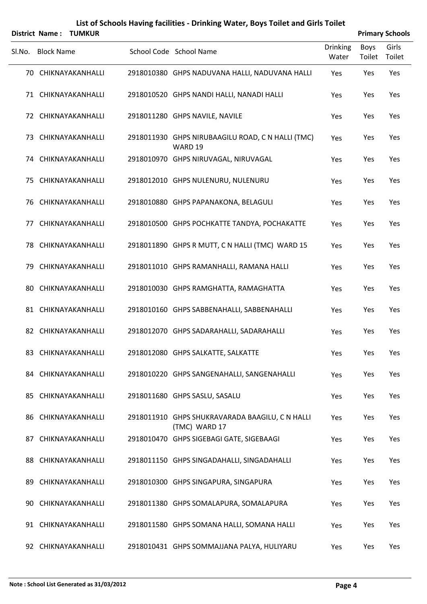|        |                   | District Name: TUMKUR |                                                                  |                   |                | <b>Primary Schools</b> |
|--------|-------------------|-----------------------|------------------------------------------------------------------|-------------------|----------------|------------------------|
| Sl.No. | <b>Block Name</b> |                       | School Code School Name                                          | Drinking<br>Water | Boys<br>Toilet | Girls<br>Toilet        |
|        |                   | 70 CHIKNAYAKANHALLI   | 2918010380 GHPS NADUVANA HALLI, NADUVANA HALLI                   | Yes               | Yes            | Yes                    |
|        |                   | 71 CHIKNAYAKANHALLI   | 2918010520 GHPS NANDI HALLI, NANADI HALLI                        | Yes               | Yes            | Yes                    |
|        |                   | 72 CHIKNAYAKANHALLI   | 2918011280 GHPS NAVILE, NAVILE                                   | Yes               | Yes            | Yes                    |
| 73     |                   | CHIKNAYAKANHALLI      | 2918011930 GHPS NIRUBAAGILU ROAD, C N HALLI (TMC)<br>WARD 19     | Yes               | Yes            | Yes                    |
|        |                   | 74 CHIKNAYAKANHALLI   | 2918010970 GHPS NIRUVAGAL, NIRUVAGAL                             | Yes               | Yes            | Yes                    |
| 75     |                   | CHIKNAYAKANHALLI      | 2918012010 GHPS NULENURU, NULENURU                               | Yes               | Yes            | Yes                    |
|        |                   | 76 CHIKNAYAKANHALLI   | 2918010880 GHPS PAPANAKONA, BELAGULI                             | Yes               | Yes            | Yes                    |
| 77     |                   | CHIKNAYAKANHALLI      | 2918010500 GHPS POCHKATTE TANDYA, POCHAKATTE                     | Yes               | Yes            | Yes                    |
| 78     |                   | CHIKNAYAKANHALLI      | 2918011890 GHPS R MUTT, C N HALLI (TMC) WARD 15                  | Yes               | Yes            | Yes                    |
| 79     |                   | CHIKNAYAKANHALLI      | 2918011010 GHPS RAMANHALLI, RAMANA HALLI                         | Yes               | Yes            | Yes                    |
| 80     |                   | CHIKNAYAKANHALLI      | 2918010030 GHPS RAMGHATTA, RAMAGHATTA                            | Yes               | Yes            | Yes                    |
|        |                   | 81 CHIKNAYAKANHALLI   | 2918010160 GHPS SABBENAHALLI, SABBENAHALLI                       | Yes               | Yes            | Yes                    |
|        |                   | 82 CHIKNAYAKANHALLI   | 2918012070 GHPS SADARAHALLI, SADARAHALLI                         | Yes               | Yes            | Yes                    |
|        |                   | 83 CHIKNAYAKANHALLI   | 2918012080 GHPS SALKATTE, SALKATTE                               | Yes               | Yes            | Yes                    |
|        |                   | 84 CHIKNAYAKANHALLI   | 2918010220 GHPS SANGENAHALLI, SANGENAHALLI                       | Yes               | Yes            | Yes                    |
|        |                   | 85 CHIKNAYAKANHALLI   | 2918011680 GHPS SASLU, SASALU                                    | Yes               | Yes            | Yes                    |
|        |                   | 86 CHIKNAYAKANHALLI   | 2918011910 GHPS SHUKRAVARADA BAAGILU, C N HALLI<br>(TMC) WARD 17 | Yes               | Yes            | Yes                    |
|        |                   | 87 CHIKNAYAKANHALLI   | 2918010470 GHPS SIGEBAGI GATE, SIGEBAAGI                         | Yes               | Yes            | Yes                    |
|        |                   | 88 CHIKNAYAKANHALLI   | 2918011150 GHPS SINGADAHALLI, SINGADAHALLI                       | Yes               | Yes            | Yes                    |
| 89.    |                   | CHIKNAYAKANHALLI      | 2918010300 GHPS SINGAPURA, SINGAPURA                             | Yes               | Yes            | Yes                    |
| 90.    |                   | CHIKNAYAKANHALLI      | 2918011380 GHPS SOMALAPURA, SOMALAPURA                           | Yes               | Yes            | Yes                    |
|        |                   | 91 CHIKNAYAKANHALLI   | 2918011580 GHPS SOMANA HALLI, SOMANA HALLI                       | Yes               | Yes            | Yes                    |
|        |                   | 92 CHIKNAYAKANHALLI   | 2918010431 GHPS SOMMAJJANA PALYA, HULIYARU                       | Yes               | Yes            | Yes                    |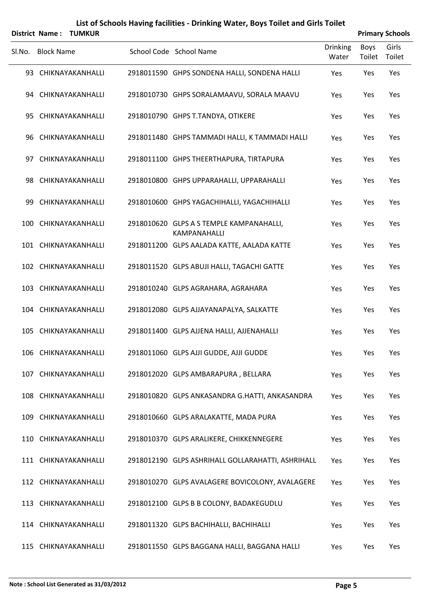|        |                   | District Name: TUMKUR |                                                                 |                          |                | <b>Primary Schools</b> |
|--------|-------------------|-----------------------|-----------------------------------------------------------------|--------------------------|----------------|------------------------|
| SI.No. | <b>Block Name</b> |                       | School Code School Name                                         | <b>Drinking</b><br>Water | Boys<br>Toilet | Girls<br>Toilet        |
|        |                   | 93 CHIKNAYAKANHALLI   | 2918011590 GHPS SONDENA HALLI, SONDENA HALLI                    | Yes                      | Yes            | Yes                    |
|        |                   | 94 CHIKNAYAKANHALLI   | 2918010730 GHPS SORALAMAAVU, SORALA MAAVU                       | Yes                      | Yes            | Yes                    |
|        |                   | 95 CHIKNAYAKANHALLI   | 2918010790 GHPS T.TANDYA, OTIKERE                               | Yes                      | Yes            | Yes                    |
|        |                   | 96 CHIKNAYAKANHALLI   | 2918011480 GHPS TAMMADI HALLI, K TAMMADI HALLI                  | Yes                      | Yes            | Yes                    |
|        |                   | 97 CHIKNAYAKANHALLI   | 2918011100 GHPS THEERTHAPURA, TIRTAPURA                         | Yes                      | Yes            | Yes                    |
| 98.    |                   | CHIKNAYAKANHALLI      | 2918010800 GHPS UPPARAHALLI, UPPARAHALLI                        | Yes                      | Yes            | Yes                    |
| 99.    |                   | CHIKNAYAKANHALLI      | 2918010600 GHPS YAGACHIHALLI, YAGACHIHALLI                      | Yes                      | Yes            | Yes                    |
|        |                   | 100 CHIKNAYAKANHALLI  | 2918010620 GLPS A S TEMPLE KAMPANAHALLI,<br><b>KAMPANAHALLI</b> | Yes                      | Yes            | Yes                    |
|        |                   | 101 CHIKNAYAKANHALLI  | 2918011200 GLPS AALADA KATTE, AALADA KATTE                      | Yes                      | Yes            | Yes                    |
|        |                   | 102 CHIKNAYAKANHALLI  | 2918011520 GLPS ABUJI HALLI, TAGACHI GATTE                      | Yes                      | Yes            | Yes                    |
|        |                   | 103 CHIKNAYAKANHALLI  | 2918010240 GLPS AGRAHARA, AGRAHARA                              | Yes                      | Yes            | Yes                    |
|        |                   | 104 CHIKNAYAKANHALLI  | 2918012080 GLPS AJJAYANAPALYA, SALKATTE                         | Yes                      | Yes            | Yes                    |
|        |                   | 105 CHIKNAYAKANHALLI  | 2918011400 GLPS AJJENA HALLI, AJJENAHALLI                       | Yes                      | Yes            | Yes                    |
|        |                   | 106 CHIKNAYAKANHALLI  | 2918011060 GLPS AJJI GUDDE, AJJI GUDDE                          | Yes                      | Yes            | Yes                    |
|        |                   | 107 CHIKNAYAKANHALLI  | 2918012020 GLPS AMBARAPURA, BELLARA                             | Yes                      | Yes            | Yes                    |
|        |                   | 108 CHIKNAYAKANHALLI  | 2918010820 GLPS ANKASANDRA G.HATTI, ANKASANDRA                  | Yes                      | Yes            | Yes                    |
|        |                   | 109 CHIKNAYAKANHALLI  | 2918010660 GLPS ARALAKATTE, MADA PURA                           | Yes                      | Yes            | Yes                    |
|        |                   | 110 CHIKNAYAKANHALLI  | 2918010370 GLPS ARALIKERE, CHIKKENNEGERE                        | Yes                      | Yes            | Yes                    |
|        |                   | 111 CHIKNAYAKANHALLI  | 2918012190 GLPS ASHRIHALL GOLLARAHATTI, ASHRIHALL               | Yes                      | Yes            | Yes                    |
|        |                   | 112 CHIKNAYAKANHALLI  | 2918010270 GLPS AVALAGERE BOVICOLONY, AVALAGERE                 | Yes                      | Yes            | Yes                    |
|        |                   | 113 CHIKNAYAKANHALLI  | 2918012100 GLPS B B COLONY, BADAKEGUDLU                         | Yes                      | Yes            | Yes                    |
|        |                   | 114 CHIKNAYAKANHALLI  | 2918011320 GLPS BACHIHALLI, BACHIHALLI                          | Yes                      | Yes            | Yes                    |
|        |                   | 115 CHIKNAYAKANHALLI  | 2918011550 GLPS BAGGANA HALLI, BAGGANA HALLI                    | Yes                      | Yes            | Yes                    |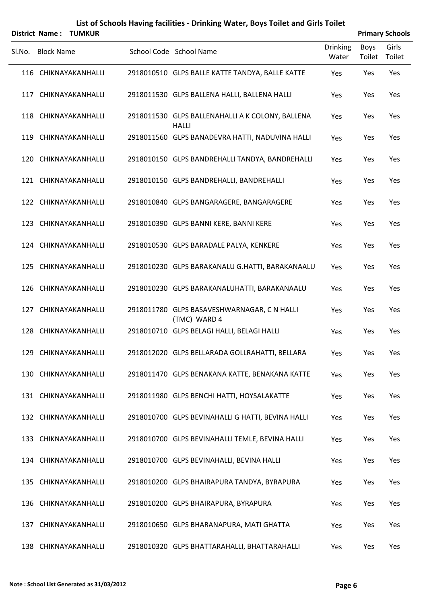|        | <b>District Name:</b> | TUMKUR               |                                                                  |                   |                       | <b>Primary Schools</b> |
|--------|-----------------------|----------------------|------------------------------------------------------------------|-------------------|-----------------------|------------------------|
| SI.No. | <b>Block Name</b>     |                      | School Code School Name                                          | Drinking<br>Water | <b>Boys</b><br>Toilet | Girls<br>Toilet        |
|        |                       | 116 CHIKNAYAKANHALLI | 2918010510 GLPS BALLE KATTE TANDYA, BALLE KATTE                  | Yes               | Yes                   | Yes                    |
|        |                       | 117 CHIKNAYAKANHALLI | 2918011530 GLPS BALLENA HALLI, BALLENA HALLI                     | Yes               | Yes                   | Yes                    |
|        |                       | 118 CHIKNAYAKANHALLI | 2918011530 GLPS BALLENAHALLI A K COLONY, BALLENA<br><b>HALLI</b> | Yes               | Yes                   | Yes                    |
|        |                       | 119 CHIKNAYAKANHALLI | 2918011560 GLPS BANADEVRA HATTI, NADUVINA HALLI                  | Yes               | Yes                   | Yes                    |
|        |                       | 120 CHIKNAYAKANHALLI | 2918010150 GLPS BANDREHALLI TANDYA, BANDREHALLI                  | Yes               | Yes                   | Yes                    |
|        |                       | 121 CHIKNAYAKANHALLI | 2918010150 GLPS BANDREHALLI, BANDREHALLI                         | Yes               | Yes                   | Yes                    |
|        |                       | 122 CHIKNAYAKANHALLI | 2918010840 GLPS BANGARAGERE, BANGARAGERE                         | Yes               | Yes                   | Yes                    |
|        |                       | 123 CHIKNAYAKANHALLI | 2918010390 GLPS BANNI KERE, BANNI KERE                           | Yes               | Yes                   | Yes                    |
|        |                       | 124 CHIKNAYAKANHALLI | 2918010530 GLPS BARADALE PALYA, KENKERE                          | Yes               | Yes                   | Yes                    |
|        |                       | 125 CHIKNAYAKANHALLI | 2918010230 GLPS BARAKANALU G.HATTI, BARAKANAALU                  | Yes               | Yes                   | Yes                    |
|        |                       | 126 CHIKNAYAKANHALLI | 2918010230 GLPS BARAKANALUHATTI, BARAKANAALU                     | Yes               | Yes                   | Yes                    |
|        |                       | 127 CHIKNAYAKANHALLI | 2918011780 GLPS BASAVESHWARNAGAR, C N HALLI<br>(TMC) WARD 4      | Yes               | Yes                   | Yes                    |
|        |                       | 128 CHIKNAYAKANHALLI | 2918010710 GLPS BELAGI HALLI, BELAGI HALLI                       | Yes               | Yes                   | Yes                    |
|        |                       | 129 CHIKNAYAKANHALLI | 2918012020 GLPS BELLARADA GOLLRAHATTI, BELLARA                   | Yes               | Yes                   | Yes                    |
|        |                       | 130 CHIKNAYAKANHALLI | 2918011470 GLPS BENAKANA KATTE, BENAKANA KATTE                   | Yes               | Yes                   | Yes                    |
|        |                       | 131 CHIKNAYAKANHALLI | 2918011980 GLPS BENCHI HATTI, HOYSALAKATTE                       | Yes               | Yes                   | Yes                    |
|        |                       | 132 CHIKNAYAKANHALLI | 2918010700 GLPS BEVINAHALLI G HATTI, BEVINA HALLI                | Yes               | Yes                   | Yes                    |
|        |                       | 133 CHIKNAYAKANHALLI | 2918010700 GLPS BEVINAHALLI TEMLE, BEVINA HALLI                  | Yes               | Yes                   | Yes                    |
|        |                       | 134 CHIKNAYAKANHALLI | 2918010700 GLPS BEVINAHALLI, BEVINA HALLI                        | Yes               | Yes                   | Yes                    |
|        |                       | 135 CHIKNAYAKANHALLI | 2918010200 GLPS BHAIRAPURA TANDYA, BYRAPURA                      | Yes               | Yes                   | Yes                    |
|        |                       | 136 CHIKNAYAKANHALLI | 2918010200 GLPS BHAIRAPURA, BYRAPURA                             | Yes               | Yes                   | Yes                    |
|        |                       | 137 CHIKNAYAKANHALLI | 2918010650 GLPS BHARANAPURA, MATI GHATTA                         | Yes               | Yes                   | Yes                    |
|        |                       | 138 CHIKNAYAKANHALLI | 2918010320 GLPS BHATTARAHALLI, BHATTARAHALLI                     | Yes               | Yes                   | Yes                    |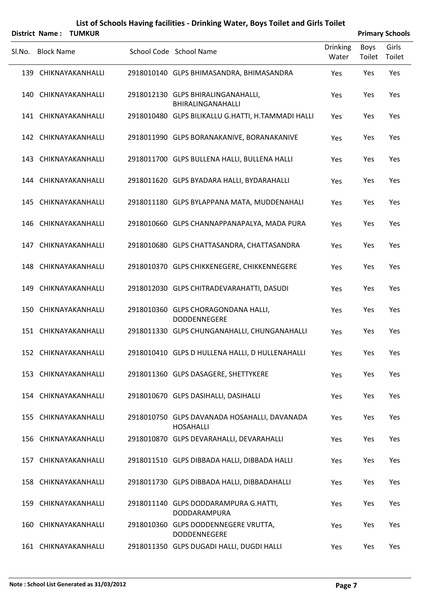|        | <b>District Name:</b><br><b>TUMKUR</b> |                                                                  |                   |                       | <b>Primary Schools</b> |
|--------|----------------------------------------|------------------------------------------------------------------|-------------------|-----------------------|------------------------|
| SI.No. | <b>Block Name</b>                      | School Code School Name                                          | Drinking<br>Water | <b>Boys</b><br>Toilet | Girls<br>Toilet        |
|        | 139 CHIKNAYAKANHALLI                   | 2918010140 GLPS BHIMASANDRA, BHIMASANDRA                         | Yes               | Yes                   | Yes                    |
|        | 140 CHIKNAYAKANHALLI                   | 2918012130 GLPS BHIRALINGANAHALLI,<br>BHIRALINGANAHALLI          | Yes               | Yes                   | Yes                    |
|        | 141 CHIKNAYAKANHALLI                   | 2918010480 GLPS BILIKALLU G.HATTI, H.TAMMADI HALLI               | Yes               | Yes                   | Yes                    |
|        | 142 CHIKNAYAKANHALLI                   | 2918011990 GLPS BORANAKANIVE, BORANAKANIVE                       | Yes               | Yes                   | Yes                    |
|        | 143 CHIKNAYAKANHALLI                   | 2918011700 GLPS BULLENA HALLI, BULLENA HALLI                     | Yes               | Yes                   | Yes                    |
|        | 144 CHIKNAYAKANHALLI                   | 2918011620 GLPS BYADARA HALLI, BYDARAHALLI                       | Yes               | Yes                   | Yes                    |
|        | 145 CHIKNAYAKANHALLI                   | 2918011180 GLPS BYLAPPANA MATA, MUDDENAHALI                      | Yes               | Yes                   | Yes                    |
|        | 146 CHIKNAYAKANHALLI                   | 2918010660 GLPS CHANNAPPANAPALYA, MADA PURA                      | Yes               | Yes                   | Yes                    |
|        | 147 CHIKNAYAKANHALLI                   | 2918010680 GLPS CHATTASANDRA, CHATTASANDRA                       | Yes               | Yes                   | Yes                    |
|        | 148 CHIKNAYAKANHALLI                   | 2918010370 GLPS CHIKKENEGERE, CHIKKENNEGERE                      | Yes               | Yes                   | Yes                    |
| 149    | CHIKNAYAKANHALLI                       | 2918012030 GLPS CHITRADEVARAHATTI, DASUDI                        | Yes               | Yes                   | Yes                    |
|        | 150 CHIKNAYAKANHALLI                   | 2918010360 GLPS CHORAGONDANA HALLI,<br>DODDENNEGERE              | Yes               | Yes                   | Yes                    |
|        | 151 CHIKNAYAKANHALLI                   | 2918011330 GLPS CHUNGANAHALLI, CHUNGANAHALLI                     | Yes               | Yes                   | Yes                    |
|        | 152 CHIKNAYAKANHALLI                   | 2918010410 GLPS D HULLENA HALLI, D HULLENAHALLI                  | Yes               | Yes                   | Yes                    |
|        | 153 CHIKNAYAKANHALLI                   | 2918011360 GLPS DASAGERE, SHETTYKERE                             | Yes               | Yes                   | Yes                    |
|        | 154 CHIKNAYAKANHALLI                   | 2918010670 GLPS DASIHALLI, DASIHALLI                             | Yes               | Yes                   | Yes                    |
|        | 155 CHIKNAYAKANHALLI                   | 2918010750 GLPS DAVANADA HOSAHALLI, DAVANADA<br><b>HOSAHALLI</b> | Yes               | Yes                   | Yes                    |
|        | 156 CHIKNAYAKANHALLI                   | 2918010870 GLPS DEVARAHALLI, DEVARAHALLI                         | Yes               | Yes                   | Yes                    |
|        | 157 CHIKNAYAKANHALLI                   | 2918011510 GLPS DIBBADA HALLI, DIBBADA HALLI                     | Yes               | Yes                   | Yes                    |
|        | 158 CHIKNAYAKANHALLI                   | 2918011730 GLPS DIBBADA HALLI, DIBBADAHALLI                      | Yes               | Yes                   | Yes                    |
|        | 159 CHIKNAYAKANHALLI                   | 2918011140 GLPS DODDARAMPURA G.HATTI,<br>DODDARAMPURA            | Yes               | Yes                   | Yes                    |
|        | 160 CHIKNAYAKANHALLI                   | 2918010360 GLPS DODDENNEGERE VRUTTA,<br>DODDENNEGERE             | Yes               | Yes                   | Yes                    |
|        | 161 CHIKNAYAKANHALLI                   | 2918011350 GLPS DUGADI HALLI, DUGDI HALLI                        | Yes               | Yes                   | Yes                    |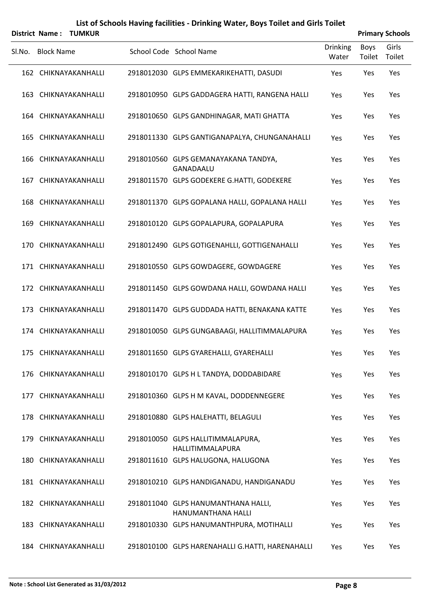|        | <b>District Name:</b><br><b>TUMKUR</b> |                                                           |                          |                       | <b>Primary Schools</b> |
|--------|----------------------------------------|-----------------------------------------------------------|--------------------------|-----------------------|------------------------|
| SI.No. | <b>Block Name</b>                      | School Code School Name                                   | <b>Drinking</b><br>Water | <b>Boys</b><br>Toilet | Girls<br>Toilet        |
|        | 162 CHIKNAYAKANHALLI                   | 2918012030 GLPS EMMEKARIKEHATTI, DASUDI                   | Yes                      | Yes                   | Yes                    |
|        | 163 CHIKNAYAKANHALLI                   | 2918010950 GLPS GADDAGERA HATTI, RANGENA HALLI            | Yes                      | Yes                   | Yes                    |
|        | 164 CHIKNAYAKANHALLI                   | 2918010650 GLPS GANDHINAGAR, MATI GHATTA                  | Yes                      | Yes                   | Yes                    |
|        | 165 CHIKNAYAKANHALLI                   | 2918011330 GLPS GANTIGANAPALYA, CHUNGANAHALLI             | Yes                      | Yes                   | Yes                    |
|        | 166 CHIKNAYAKANHALLI                   | 2918010560 GLPS GEMANAYAKANA TANDYA,<br>GANADAALU         | Yes                      | Yes                   | Yes                    |
|        | 167 CHIKNAYAKANHALLI                   | 2918011570 GLPS GODEKERE G.HATTI, GODEKERE                | Yes                      | Yes                   | Yes                    |
|        | 168 CHIKNAYAKANHALLI                   | 2918011370 GLPS GOPALANA HALLI, GOPALANA HALLI            | Yes                      | Yes                   | Yes                    |
|        | 169 CHIKNAYAKANHALLI                   | 2918010120 GLPS GOPALAPURA, GOPALAPURA                    | Yes                      | Yes                   | Yes                    |
|        | 170 CHIKNAYAKANHALLI                   | 2918012490 GLPS GOTIGENAHLLI, GOTTIGENAHALLI              | Yes                      | Yes                   | Yes                    |
|        | 171 CHIKNAYAKANHALLI                   | 2918010550 GLPS GOWDAGERE, GOWDAGERE                      | Yes                      | Yes                   | Yes                    |
|        | 172 CHIKNAYAKANHALLI                   | 2918011450 GLPS GOWDANA HALLI, GOWDANA HALLI              | Yes                      | Yes                   | Yes                    |
|        | 173 CHIKNAYAKANHALLI                   | 2918011470 GLPS GUDDADA HATTI, BENAKANA KATTE             | Yes                      | Yes                   | Yes                    |
|        | 174 CHIKNAYAKANHALLI                   | 2918010050 GLPS GUNGABAAGI, HALLITIMMALAPURA              | Yes                      | Yes                   | Yes                    |
|        | 175 CHIKNAYAKANHALLI                   | 2918011650 GLPS GYAREHALLI, GYAREHALLI                    | Yes                      | Yes                   | Yes                    |
|        | 176 CHIKNAYAKANHALLI                   | 2918010170 GLPS H L TANDYA, DODDABIDARE                   | Yes                      | Yes                   | Yes                    |
|        | 177 CHIKNAYAKANHALLI                   | 2918010360 GLPS H M KAVAL, DODDENNEGERE                   | Yes                      | Yes                   | Yes                    |
|        | 178 CHIKNAYAKANHALLI                   | 2918010880 GLPS HALEHATTI, BELAGULI                       | Yes                      | Yes                   | Yes                    |
|        | 179 CHIKNAYAKANHALLI                   | 2918010050 GLPS HALLITIMMALAPURA,<br>HALLITIMMALAPURA     | Yes                      | Yes                   | Yes                    |
|        | 180 CHIKNAYAKANHALLI                   | 2918011610 GLPS HALUGONA, HALUGONA                        | Yes                      | Yes                   | Yes                    |
|        | 181 CHIKNAYAKANHALLI                   | 2918010210 GLPS HANDIGANADU, HANDIGANADU                  | Yes                      | Yes                   | Yes                    |
|        | 182 CHIKNAYAKANHALLI                   | 2918011040 GLPS HANUMANTHANA HALLI,<br>HANUMANTHANA HALLI | Yes                      | Yes                   | Yes                    |
|        | 183 CHIKNAYAKANHALLI                   | 2918010330 GLPS HANUMANTHPURA, MOTIHALLI                  | Yes                      | Yes                   | Yes                    |
|        | 184 CHIKNAYAKANHALLI                   | 2918010100 GLPS HARENAHALLI G.HATTI, HARENAHALLI          | Yes                      | Yes                   | Yes                    |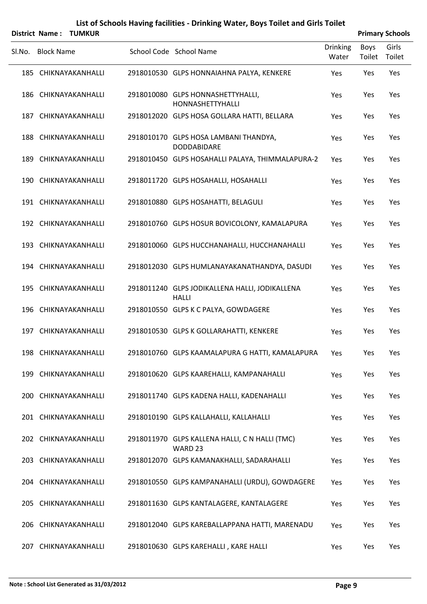|        | <b>District Name:</b> | <b>TUMKUR</b>        |                                                                |                          |                | <b>Primary Schools</b> |
|--------|-----------------------|----------------------|----------------------------------------------------------------|--------------------------|----------------|------------------------|
| Sl.No. | <b>Block Name</b>     |                      | School Code School Name                                        | <b>Drinking</b><br>Water | Boys<br>Toilet | Girls<br>Toilet        |
|        |                       | 185 CHIKNAYAKANHALLI | 2918010530 GLPS HONNAIAHNA PALYA, KENKERE                      | Yes                      | Yes            | Yes                    |
|        |                       | 186 CHIKNAYAKANHALLI | 2918010080 GLPS HONNASHETTYHALLI,<br>HONNASHETTYHALLI          | Yes                      | Yes            | Yes                    |
|        |                       | 187 CHIKNAYAKANHALLI | 2918012020 GLPS HOSA GOLLARA HATTI, BELLARA                    | Yes                      | Yes            | Yes                    |
|        |                       | 188 CHIKNAYAKANHALLI | 2918010170 GLPS HOSA LAMBANI THANDYA,<br><b>DODDABIDARE</b>    | Yes                      | Yes            | Yes                    |
|        |                       | 189 CHIKNAYAKANHALLI | 2918010450 GLPS HOSAHALLI PALAYA, THIMMALAPURA-2               | Yes                      | Yes            | Yes                    |
|        |                       | 190 CHIKNAYAKANHALLI | 2918011720 GLPS HOSAHALLI, HOSAHALLI                           | Yes                      | Yes            | Yes                    |
|        |                       | 191 CHIKNAYAKANHALLI | 2918010880 GLPS HOSAHATTI, BELAGULI                            | Yes                      | Yes            | Yes                    |
|        |                       | 192 CHIKNAYAKANHALLI | 2918010760 GLPS HOSUR BOVICOLONY, KAMALAPURA                   | Yes                      | Yes            | Yes                    |
|        |                       | 193 CHIKNAYAKANHALLI | 2918010060 GLPS HUCCHANAHALLI, HUCCHANAHALLI                   | Yes                      | Yes            | Yes                    |
|        |                       | 194 CHIKNAYAKANHALLI | 2918012030 GLPS HUMLANAYAKANATHANDYA, DASUDI                   | Yes                      | Yes            | Yes                    |
|        |                       | 195 CHIKNAYAKANHALLI | 2918011240 GLPS JODIKALLENA HALLI, JODIKALLENA<br><b>HALLI</b> | Yes                      | Yes            | Yes                    |
|        |                       | 196 CHIKNAYAKANHALLI | 2918010550 GLPS K C PALYA, GOWDAGERE                           | Yes                      | Yes            | Yes                    |
|        |                       | 197 CHIKNAYAKANHALLI | 2918010530 GLPS K GOLLARAHATTI, KENKERE                        | Yes                      | Yes            | Yes                    |
|        |                       | 198 CHIKNAYAKANHALLI | 2918010760 GLPS KAAMALAPURA G HATTI, KAMALAPURA                | Yes                      | Yes            | Yes                    |
|        |                       | 199 CHIKNAYAKANHALLI | 2918010620 GLPS KAAREHALLI, KAMPANAHALLI                       | Yes                      | Yes            | Yes                    |
|        |                       | 200 CHIKNAYAKANHALLI | 2918011740 GLPS KADENA HALLI, KADENAHALLI                      | Yes                      | Yes            | Yes                    |
|        |                       | 201 CHIKNAYAKANHALLI | 2918010190 GLPS KALLAHALLI, KALLAHALLI                         | Yes                      | Yes            | Yes                    |
|        |                       | 202 CHIKNAYAKANHALLI | 2918011970 GLPS KALLENA HALLI, C N HALLI (TMC)<br>WARD 23      | Yes                      | Yes            | Yes                    |
|        |                       | 203 CHIKNAYAKANHALLI | 2918012070 GLPS KAMANAKHALLI, SADARAHALLI                      | Yes                      | Yes            | Yes                    |
|        |                       | 204 CHIKNAYAKANHALLI | 2918010550 GLPS KAMPANAHALLI (URDU), GOWDAGERE                 | Yes                      | Yes            | Yes                    |
|        |                       | 205 CHIKNAYAKANHALLI | 2918011630 GLPS KANTALAGERE, KANTALAGERE                       | Yes                      | Yes            | Yes                    |
|        |                       | 206 CHIKNAYAKANHALLI | 2918012040 GLPS KAREBALLAPPANA HATTI, MARENADU                 | Yes                      | Yes            | Yes                    |
|        |                       | 207 CHIKNAYAKANHALLI | 2918010630 GLPS KAREHALLI, KARE HALLI                          | Yes                      | Yes            | Yes                    |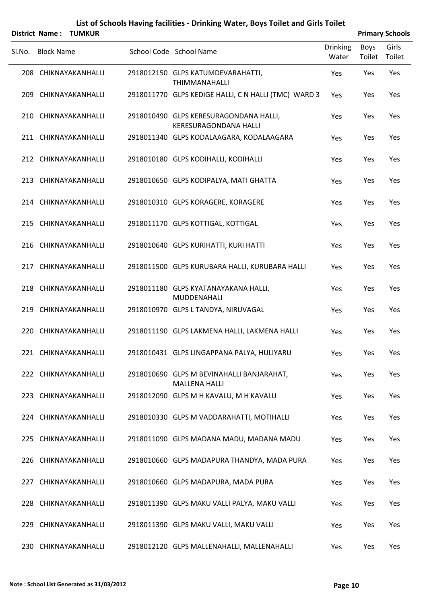|        | <b>District Name:</b> | <b>TUMKUR</b>        |                                                                        |                          |                | <b>Primary Schools</b> |
|--------|-----------------------|----------------------|------------------------------------------------------------------------|--------------------------|----------------|------------------------|
| SI.No. | <b>Block Name</b>     |                      | School Code School Name                                                | <b>Drinking</b><br>Water | Boys<br>Toilet | Girls<br>Toilet        |
|        |                       | 208 CHIKNAYAKANHALLI | 2918012150 GLPS KATUMDEVARAHATTI,<br><b>THIMMANAHALLI</b>              | Yes                      | Yes            | Yes                    |
|        |                       | 209 CHIKNAYAKANHALLI | 2918011770 GLPS KEDIGE HALLI, C N HALLI (TMC) WARD 3                   | Yes                      | Yes            | Yes                    |
|        |                       | 210 CHIKNAYAKANHALLI | 2918010490 GLPS KERESURAGONDANA HALLI,<br><b>KERESURAGONDANA HALLI</b> | Yes                      | Yes            | Yes                    |
|        |                       | 211 CHIKNAYAKANHALLI | 2918011340 GLPS KODALAAGARA, KODALAAGARA                               | Yes                      | Yes            | Yes                    |
|        |                       | 212 CHIKNAYAKANHALLI | 2918010180 GLPS KODIHALLI, KODIHALLI                                   | Yes                      | Yes            | Yes                    |
|        |                       | 213 CHIKNAYAKANHALLI | 2918010650 GLPS KODIPALYA, MATI GHATTA                                 | Yes                      | Yes            | Yes                    |
|        |                       | 214 CHIKNAYAKANHALLI | 2918010310 GLPS KORAGERE, KORAGERE                                     | Yes                      | Yes            | Yes                    |
|        |                       | 215 CHIKNAYAKANHALLI | 2918011170 GLPS KOTTIGAL, KOTTIGAL                                     | Yes                      | Yes            | Yes                    |
|        |                       | 216 CHIKNAYAKANHALLI | 2918010640 GLPS KURIHATTI, KURI HATTI                                  | Yes                      | Yes            | Yes                    |
|        |                       | 217 CHIKNAYAKANHALLI | 2918011500 GLPS KURUBARA HALLI, KURUBARA HALLI                         | Yes                      | Yes            | Yes                    |
|        |                       | 218 CHIKNAYAKANHALLI | 2918011180 GLPS KYATANAYAKANA HALLI,<br>MUDDENAHALI                    | Yes                      | Yes            | Yes                    |
|        |                       | 219 CHIKNAYAKANHALLI | 2918010970 GLPS L TANDYA, NIRUVAGAL                                    | Yes                      | Yes            | Yes                    |
|        |                       | 220 CHIKNAYAKANHALLI | 2918011190 GLPS LAKMENA HALLI, LAKMENA HALLI                           | Yes                      | Yes            | Yes                    |
|        |                       | 221 CHIKNAYAKANHALLI | 2918010431 GLPS LINGAPPANA PALYA, HULIYARU                             | Yes                      | Yes            | Yes                    |
|        |                       | 222 CHIKNAYAKANHALLI | 2918010690 GLPS M BEVINAHALLI BANJARAHAT,<br><b>MALLENA HALLI</b>      | Yes                      | Yes            | Yes                    |
|        |                       | 223 CHIKNAYAKANHALLI | 2918012090 GLPS M H KAVALU, M H KAVALU                                 | Yes                      | Yes            | Yes                    |
|        |                       | 224 CHIKNAYAKANHALLI | 2918010330 GLPS M VADDARAHATTI, MOTIHALLI                              | Yes                      | Yes            | Yes                    |
|        |                       | 225 CHIKNAYAKANHALLI | 2918011090 GLPS MADANA MADU, MADANA MADU                               | Yes                      | Yes            | Yes                    |
|        |                       | 226 CHIKNAYAKANHALLI | 2918010660 GLPS MADAPURA THANDYA, MADA PURA                            | Yes                      | Yes            | Yes                    |
|        |                       | 227 CHIKNAYAKANHALLI | 2918010660 GLPS MADAPURA, MADA PURA                                    | Yes                      | Yes            | Yes                    |
|        |                       | 228 CHIKNAYAKANHALLI | 2918011390 GLPS MAKU VALLI PALYA, MAKU VALLI                           | Yes                      | Yes            | Yes                    |
|        |                       | 229 CHIKNAYAKANHALLI | 2918011390 GLPS MAKU VALLI, MAKU VALLI                                 | Yes                      | Yes            | Yes                    |
|        |                       | 230 CHIKNAYAKANHALLI | 2918012120 GLPS MALLENAHALLI, MALLENAHALLI                             | Yes                      | Yes            | Yes                    |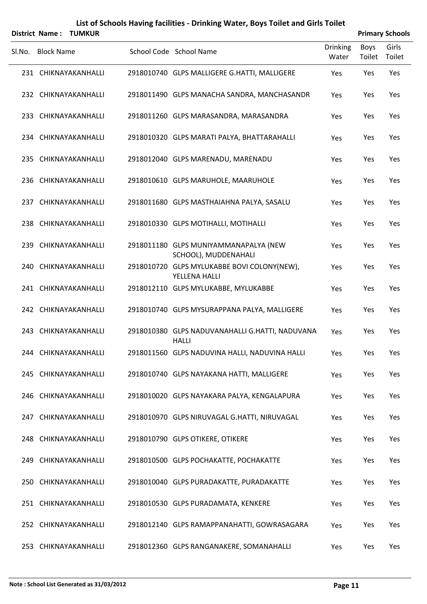|        | <b>District Name:</b> | <b>TUMKUR</b> |                                                                 |                   |                       | <b>Primary Schools</b> |
|--------|-----------------------|---------------|-----------------------------------------------------------------|-------------------|-----------------------|------------------------|
| SI.No. | <b>Block Name</b>     |               | School Code School Name                                         | Drinking<br>Water | <b>Boys</b><br>Toilet | Girls<br>Toilet        |
|        | 231 CHIKNAYAKANHALLI  |               | 2918010740 GLPS MALLIGERE G.HATTI, MALLIGERE                    | Yes               | Yes                   | Yes                    |
|        | 232 CHIKNAYAKANHALLI  |               | 2918011490 GLPS MANACHA SANDRA, MANCHASANDR                     | Yes               | Yes                   | Yes                    |
|        | 233 CHIKNAYAKANHALLI  |               | 2918011260 GLPS MARASANDRA, MARASANDRA                          | Yes               | Yes                   | Yes                    |
|        | 234 CHIKNAYAKANHALLI  |               | 2918010320 GLPS MARATI PALYA, BHATTARAHALLI                     | Yes               | Yes                   | Yes                    |
|        | 235 CHIKNAYAKANHALLI  |               | 2918012040 GLPS MARENADU, MARENADU                              | Yes               | Yes                   | Yes                    |
|        | 236 CHIKNAYAKANHALLI  |               | 2918010610 GLPS MARUHOLE, MAARUHOLE                             | Yes               | Yes                   | Yes                    |
|        | 237 CHIKNAYAKANHALLI  |               | 2918011680 GLPS MASTHAIAHNA PALYA, SASALU                       | Yes               | Yes                   | Yes                    |
|        | 238 CHIKNAYAKANHALLI  |               | 2918010330 GLPS MOTIHALLI, MOTIHALLI                            | Yes               | Yes                   | Yes                    |
|        | 239 CHIKNAYAKANHALLI  |               | 2918011180 GLPS MUNIYAMMANAPALYA (NEW<br>SCHOOL), MUDDENAHALI   | Yes               | Yes                   | Yes                    |
|        | 240 CHIKNAYAKANHALLI  |               | 2918010720 GLPS MYLUKABBE BOVI COLONY(NEW),<br>YELLENA HALLI    | Yes               | Yes                   | Yes                    |
|        | 241 CHIKNAYAKANHALLI  |               | 2918012110 GLPS MYLUKABBE, MYLUKABBE                            | Yes               | Yes                   | Yes                    |
|        | 242 CHIKNAYAKANHALLI  |               | 2918010740 GLPS MYSURAPPANA PALYA, MALLIGERE                    | Yes               | Yes                   | Yes                    |
|        | 243 CHIKNAYAKANHALLI  |               | 2918010380 GLPS NADUVANAHALLI G.HATTI, NADUVANA<br><b>HALLI</b> | Yes               | Yes                   | Yes                    |
|        | 244 CHIKNAYAKANHALLI  |               | 2918011560 GLPS NADUVINA HALLI, NADUVINA HALLI                  | Yes               | Yes                   | Yes                    |
|        | 245 CHIKNAYAKANHALLI  |               | 2918010740 GLPS NAYAKANA HATTI, MALLIGERE                       | Yes               | Yes                   | Yes                    |
|        | 246 CHIKNAYAKANHALLI  |               | 2918010020 GLPS NAYAKARA PALYA, KENGALAPURA                     | Yes               | Yes                   | Yes                    |
|        | 247 CHIKNAYAKANHALLI  |               | 2918010970 GLPS NIRUVAGAL G.HATTI, NIRUVAGAL                    | Yes               | Yes                   | Yes                    |
|        | 248 CHIKNAYAKANHALLI  |               | 2918010790 GLPS OTIKERE, OTIKERE                                | Yes               | Yes                   | Yes                    |
|        | 249 CHIKNAYAKANHALLI  |               | 2918010500 GLPS POCHAKATTE, POCHAKATTE                          | Yes               | Yes                   | Yes                    |
|        | 250 CHIKNAYAKANHALLI  |               | 2918010040 GLPS PURADAKATTE, PURADAKATTE                        | Yes               | Yes                   | Yes                    |
|        | 251 CHIKNAYAKANHALLI  |               | 2918010530 GLPS PURADAMATA, KENKERE                             | Yes               | Yes                   | Yes                    |
|        | 252 CHIKNAYAKANHALLI  |               | 2918012140 GLPS RAMAPPANAHATTI, GOWRASAGARA                     | Yes               | Yes                   | Yes                    |
|        | 253 CHIKNAYAKANHALLI  |               | 2918012360 GLPS RANGANAKERE, SOMANAHALLI                        | Yes               | Yes                   | Yes                    |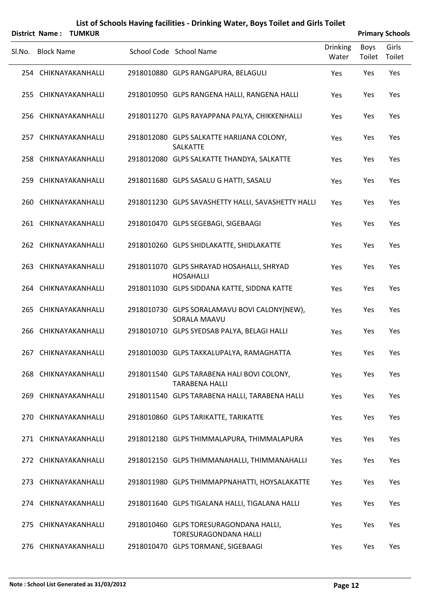|        | <b>District Name:</b> | <b>TUMKUR</b> |                                                                        |                   |                | <b>Primary Schools</b> |
|--------|-----------------------|---------------|------------------------------------------------------------------------|-------------------|----------------|------------------------|
| Sl.No. | <b>Block Name</b>     |               | School Code School Name                                                | Drinking<br>Water | Boys<br>Toilet | Girls<br>Toilet        |
|        | 254 CHIKNAYAKANHALLI  |               | 2918010880 GLPS RANGAPURA, BELAGULI                                    | Yes               | Yes            | Yes                    |
|        | 255 CHIKNAYAKANHALLI  |               | 2918010950 GLPS RANGENA HALLI, RANGENA HALLI                           | Yes               | Yes            | Yes                    |
|        | 256 CHIKNAYAKANHALLI  |               | 2918011270 GLPS RAYAPPANA PALYA, CHIKKENHALLI                          | Yes               | Yes            | Yes                    |
|        | 257 CHIKNAYAKANHALLI  |               | 2918012080 GLPS SALKATTE HARIJANA COLONY,<br>SALKATTE                  | Yes               | Yes            | Yes                    |
|        | 258 CHIKNAYAKANHALLI  |               | 2918012080 GLPS SALKATTE THANDYA, SALKATTE                             | Yes               | Yes            | Yes                    |
|        | 259 CHIKNAYAKANHALLI  |               | 2918011680 GLPS SASALU G HATTI, SASALU                                 | Yes               | Yes            | Yes                    |
|        | 260 CHIKNAYAKANHALLI  |               | 2918011230 GLPS SAVASHETTY HALLI, SAVASHETTY HALLI                     | Yes               | Yes            | Yes                    |
|        | 261 CHIKNAYAKANHALLI  |               | 2918010470 GLPS SEGEBAGI, SIGEBAAGI                                    | Yes               | Yes            | Yes                    |
|        | 262 CHIKNAYAKANHALLI  |               | 2918010260 GLPS SHIDLAKATTE, SHIDLAKATTE                               | Yes               | Yes            | Yes                    |
|        | 263 CHIKNAYAKANHALLI  |               | 2918011070 GLPS SHRAYAD HOSAHALLI, SHRYAD<br><b>HOSAHALLI</b>          | Yes               | Yes            | Yes                    |
|        | 264 CHIKNAYAKANHALLI  |               | 2918011030 GLPS SIDDANA KATTE, SIDDNA KATTE                            | Yes               | Yes            | Yes                    |
|        | 265 CHIKNAYAKANHALLI  |               | 2918010730 GLPS SORALAMAVU BOVI CALONY(NEW),<br>SORALA MAAVU           | Yes               | Yes            | Yes                    |
|        | 266 CHIKNAYAKANHALLI  |               | 2918010710 GLPS SYEDSAB PALYA, BELAGI HALLI                            | Yes               | Yes            | Yes                    |
|        | 267 CHIKNAYAKANHALLI  |               | 2918010030 GLPS TAKKALUPALYA, RAMAGHATTA                               | Yes               | Yes            | Yes                    |
|        | 268 CHIKNAYAKANHALLI  |               | 2918011540 GLPS TARABENA HALI BOVI COLONY,<br><b>TARABENA HALLI</b>    | Yes               | Yes            | Yes                    |
|        | 269 CHIKNAYAKANHALLI  |               | 2918011540 GLPS TARABENA HALLI, TARABENA HALLI                         | Yes               | Yes            | Yes                    |
|        | 270 CHIKNAYAKANHALLI  |               | 2918010860 GLPS TARIKATTE, TARIKATTE                                   | Yes               | Yes            | Yes                    |
|        | 271 CHIKNAYAKANHALLI  |               | 2918012180 GLPS THIMMALAPURA, THIMMALAPURA                             | Yes               | Yes            | Yes                    |
|        | 272 CHIKNAYAKANHALLI  |               | 2918012150 GLPS THIMMANAHALLI, THIMMANAHALLI                           | Yes               | Yes            | Yes                    |
|        | 273 CHIKNAYAKANHALLI  |               | 2918011980 GLPS THIMMAPPNAHATTI, HOYSALAKATTE                          | Yes               | Yes            | Yes                    |
|        | 274 CHIKNAYAKANHALLI  |               | 2918011640 GLPS TIGALANA HALLI, TIGALANA HALLI                         | Yes               | Yes            | Yes                    |
|        | 275 CHIKNAYAKANHALLI  |               | 2918010460 GLPS TORESURAGONDANA HALLI,<br><b>TORESURAGONDANA HALLI</b> | Yes               | Yes            | Yes                    |
|        | 276 CHIKNAYAKANHALLI  |               | 2918010470 GLPS TORMANE, SIGEBAAGI                                     | Yes               | Yes            | Yes                    |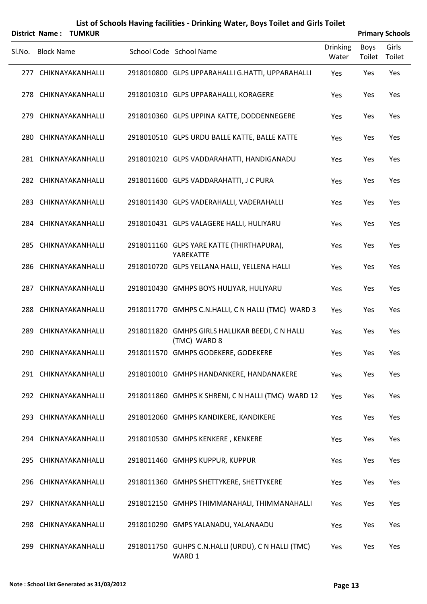| <b>District Name:</b> | TUMKUR               |                                                                  |                          |                | <b>Primary Schools</b> |
|-----------------------|----------------------|------------------------------------------------------------------|--------------------------|----------------|------------------------|
| SI.No. Block Name     |                      | School Code School Name                                          | <b>Drinking</b><br>Water | Boys<br>Toilet | Girls<br>Toilet        |
|                       | 277 CHIKNAYAKANHALLI | 2918010800 GLPS UPPARAHALLI G.HATTI, UPPARAHALLI                 | Yes                      | Yes            | Yes                    |
|                       | 278 CHIKNAYAKANHALLI | 2918010310 GLPS UPPARAHALLI, KORAGERE                            | Yes                      | Yes            | Yes                    |
|                       | 279 CHIKNAYAKANHALLI | 2918010360 GLPS UPPINA KATTE, DODDENNEGERE                       | Yes                      | Yes            | Yes                    |
|                       | 280 CHIKNAYAKANHALLI | 2918010510 GLPS URDU BALLE KATTE, BALLE KATTE                    | Yes                      | Yes            | Yes                    |
|                       | 281 CHIKNAYAKANHALLI | 2918010210 GLPS VADDARAHATTI, HANDIGANADU                        | Yes                      | Yes            | Yes                    |
|                       | 282 CHIKNAYAKANHALLI | 2918011600 GLPS VADDARAHATTI, J C PURA                           | Yes                      | Yes            | Yes                    |
|                       | 283 CHIKNAYAKANHALLI | 2918011430 GLPS VADERAHALLI, VADERAHALLI                         | Yes                      | Yes            | Yes                    |
|                       | 284 CHIKNAYAKANHALLI | 2918010431 GLPS VALAGERE HALLI, HULIYARU                         | Yes                      | Yes            | Yes                    |
|                       | 285 CHIKNAYAKANHALLI | 2918011160 GLPS YARE KATTE (THIRTHAPURA),<br>YAREKATTE           | Yes                      | Yes            | Yes                    |
|                       | 286 CHIKNAYAKANHALLI | 2918010720 GLPS YELLANA HALLI, YELLENA HALLI                     | Yes                      | Yes            | Yes                    |
|                       | 287 CHIKNAYAKANHALLI | 2918010430 GMHPS BOYS HULIYAR, HULIYARU                          | Yes                      | Yes            | Yes                    |
|                       | 288 CHIKNAYAKANHALLI | 2918011770 GMHPS C.N.HALLI, C N HALLI (TMC) WARD 3               | Yes                      | Yes            | Yes                    |
|                       | 289 CHIKNAYAKANHALLI | 2918011820 GMHPS GIRLS HALLIKAR BEEDI, C N HALLI<br>(TMC) WARD 8 | Yes                      | Yes            | Yes                    |
|                       | 290 CHIKNAYAKANHALLI | 2918011570 GMHPS GODEKERE, GODEKERE                              | Yes                      | Yes            | Yes                    |
|                       | 291 CHIKNAYAKANHALLI | 2918010010 GMHPS HANDANKERE, HANDANAKERE                         | Yes                      | Yes            | Yes                    |
|                       | 292 CHIKNAYAKANHALLI | 2918011860 GMHPS K SHRENI, C N HALLI (TMC) WARD 12               | Yes                      | Yes            | Yes                    |
|                       | 293 CHIKNAYAKANHALLI | 2918012060 GMHPS KANDIKERE, KANDIKERE                            | Yes                      | Yes            | Yes                    |
|                       | 294 CHIKNAYAKANHALLI | 2918010530 GMHPS KENKERE, KENKERE                                | Yes                      | Yes            | Yes                    |
|                       | 295 CHIKNAYAKANHALLI | 2918011460 GMHPS KUPPUR, KUPPUR                                  | Yes                      | Yes            | Yes                    |
|                       | 296 CHIKNAYAKANHALLI | 2918011360 GMHPS SHETTYKERE, SHETTYKERE                          | Yes                      | Yes            | Yes                    |
|                       | 297 CHIKNAYAKANHALLI | 2918012150 GMHPS THIMMANAHALI, THIMMANAHALLI                     | Yes                      | Yes            | Yes                    |
|                       | 298 CHIKNAYAKANHALLI | 2918010290 GMPS YALANADU, YALANAADU                              | Yes                      | Yes            | Yes                    |
|                       | 299 CHIKNAYAKANHALLI | 2918011750 GUHPS C.N.HALLI (URDU), C N HALLI (TMC)<br>WARD 1     | Yes                      | Yes            | Yes                    |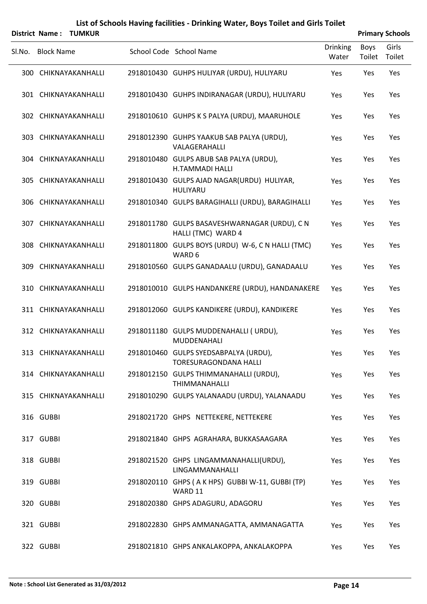|        | District Name:    | <b>TUMKUR</b>        |                                                                       |                          |                       | <b>Primary Schools</b> |
|--------|-------------------|----------------------|-----------------------------------------------------------------------|--------------------------|-----------------------|------------------------|
| Sl.No. | <b>Block Name</b> |                      | School Code School Name                                               | <b>Drinking</b><br>Water | <b>Boys</b><br>Toilet | Girls<br>Toilet        |
|        |                   | 300 CHIKNAYAKANHALLI | 2918010430 GUHPS HULIYAR (URDU), HULIYARU                             | Yes                      | Yes                   | Yes                    |
|        |                   | 301 CHIKNAYAKANHALLI | 2918010430 GUHPS INDIRANAGAR (URDU), HULIYARU                         | Yes                      | Yes                   | Yes                    |
|        |                   | 302 CHIKNAYAKANHALLI | 2918010610 GUHPS K S PALYA (URDU), MAARUHOLE                          | Yes                      | Yes                   | Yes                    |
|        |                   | 303 CHIKNAYAKANHALLI | 2918012390 GUHPS YAAKUB SAB PALYA (URDU),<br>VALAGERAHALLI            | Yes                      | Yes                   | Yes                    |
|        |                   | 304 CHIKNAYAKANHALLI | 2918010480 GULPS ABUB SAB PALYA (URDU),<br><b>H.TAMMADI HALLI</b>     | Yes                      | Yes                   | Yes                    |
|        |                   | 305 CHIKNAYAKANHALLI | 2918010430 GULPS AJAD NAGAR(URDU) HULIYAR,<br>HULIYARU                | Yes                      | Yes                   | Yes                    |
| 306    |                   | CHIKNAYAKANHALLI     | 2918010340 GULPS BARAGIHALLI (URDU), BARAGIHALLI                      | Yes                      | Yes                   | Yes                    |
|        |                   | 307 CHIKNAYAKANHALLI | 2918011780 GULPS BASAVESHWARNAGAR (URDU), C N<br>HALLI (TMC) WARD 4   | Yes                      | Yes                   | Yes                    |
| 308    |                   | CHIKNAYAKANHALLI     | 2918011800 GULPS BOYS (URDU) W-6, C N HALLI (TMC)<br>WARD 6           | Yes                      | Yes                   | Yes                    |
| 309    |                   | CHIKNAYAKANHALLI     | 2918010560 GULPS GANADAALU (URDU), GANADAALU                          | Yes                      | Yes                   | Yes                    |
| 310    |                   | CHIKNAYAKANHALLI     | 2918010010 GULPS HANDANKERE (URDU), HANDANAKERE                       | Yes                      | Yes                   | Yes                    |
|        |                   | 311 CHIKNAYAKANHALLI | 2918012060 GULPS KANDIKERE (URDU), KANDIKERE                          | Yes                      | Yes                   | Yes                    |
| 312    |                   | CHIKNAYAKANHALLI     | 2918011180 GULPS MUDDENAHALLI ( URDU),<br>MUDDENAHALI                 | Yes                      | Yes                   | Yes                    |
|        |                   | 313 CHIKNAYAKANHALLI | 2918010460 GULPS SYEDSABPALYA (URDU),<br><b>TORESURAGONDANA HALLI</b> | Yes                      | Yes                   | Yes                    |
|        |                   | 314 CHIKNAYAKANHALLI | 2918012150 GULPS THIMMANAHALLI (URDU),<br>THIMMANAHALLI               | Yes                      | Yes                   | Yes                    |
|        |                   | 315 CHIKNAYAKANHALLI | 2918010290 GULPS YALANAADU (URDU), YALANAADU                          | Yes                      | Yes                   | Yes                    |
|        | 316 GUBBI         |                      | 2918021720 GHPS NETTEKERE, NETTEKERE                                  | Yes                      | Yes                   | Yes                    |
|        | 317 GUBBI         |                      | 2918021840 GHPS AGRAHARA, BUKKASAAGARA                                | Yes                      | Yes                   | Yes                    |
|        | 318 GUBBI         |                      | 2918021520 GHPS LINGAMMANAHALLI(URDU),<br>LINGAMMANAHALLI             | Yes                      | Yes                   | Yes                    |
|        | 319 GUBBI         |                      | 2918020110 GHPS (A K HPS) GUBBI W-11, GUBBI (TP)<br>WARD 11           | Yes                      | Yes                   | Yes                    |
|        | 320 GUBBI         |                      | 2918020380 GHPS ADAGURU, ADAGORU                                      | Yes                      | Yes                   | Yes                    |
|        | 321 GUBBI         |                      | 2918022830 GHPS AMMANAGATTA, AMMANAGATTA                              | Yes                      | Yes                   | Yes                    |
|        | 322 GUBBI         |                      | 2918021810 GHPS ANKALAKOPPA, ANKALAKOPPA                              | Yes                      | Yes                   | Yes                    |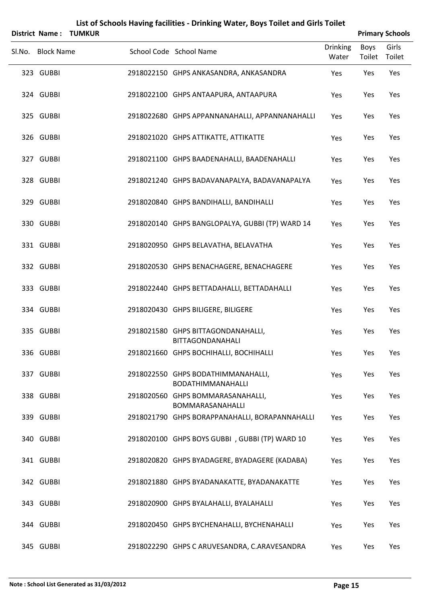| <b>District Name:</b> | <b>TUMKUR</b> |                                                               |                          |                       | <b>Primary Schools</b> |
|-----------------------|---------------|---------------------------------------------------------------|--------------------------|-----------------------|------------------------|
| Sl.No. Block Name     |               | School Code School Name                                       | <b>Drinking</b><br>Water | <b>Boys</b><br>Toilet | Girls<br>Toilet        |
| 323 GUBBI             |               | 2918022150 GHPS ANKASANDRA, ANKASANDRA                        | Yes                      | Yes                   | Yes                    |
| 324 GUBBI             |               | 2918022100 GHPS ANTAAPURA, ANTAAPURA                          | Yes                      | Yes                   | Yes                    |
| 325 GUBBI             |               | 2918022680 GHPS APPANNANAHALLI, APPANNANAHALLI                | Yes                      | Yes                   | Yes                    |
| 326 GUBBI             |               | 2918021020 GHPS ATTIKATTE, ATTIKATTE                          | Yes                      | Yes                   | Yes                    |
| 327 GUBBI             |               | 2918021100 GHPS BAADENAHALLI, BAADENAHALLI                    | Yes                      | Yes                   | Yes                    |
| 328 GUBBI             |               | 2918021240 GHPS BADAVANAPALYA, BADAVANAPALYA                  | Yes                      | Yes                   | Yes                    |
| 329 GUBBI             |               | 2918020840 GHPS BANDIHALLI, BANDIHALLI                        | Yes                      | Yes                   | Yes                    |
| 330 GUBBI             |               | 2918020140 GHPS BANGLOPALYA, GUBBI (TP) WARD 14               | Yes                      | Yes                   | Yes                    |
| 331 GUBBI             |               | 2918020950 GHPS BELAVATHA, BELAVATHA                          | Yes                      | Yes                   | Yes                    |
| 332 GUBBI             |               | 2918020530 GHPS BENACHAGERE, BENACHAGERE                      | Yes                      | Yes                   | Yes                    |
| 333 GUBBI             |               | 2918022440 GHPS BETTADAHALLI, BETTADAHALLI                    | Yes                      | Yes                   | Yes                    |
| 334 GUBBI             |               | 2918020430 GHPS BILIGERE, BILIGERE                            | Yes                      | Yes                   | Yes                    |
| 335 GUBBI             |               | 2918021580 GHPS BITTAGONDANAHALLI,<br><b>BITTAGONDANAHALI</b> | Yes                      | Yes                   | Yes                    |
| 336 GUBBI             |               | 2918021660 GHPS BOCHIHALLI, BOCHIHALLI                        | Yes                      | Yes                   | Yes                    |
| 337 GUBBI             |               | 2918022550 GHPS BODATHIMMANAHALLI,<br>BODATHIMMANAHALLI       | Yes                      | Yes                   | Yes                    |
| 338 GUBBI             |               | 2918020560 GHPS BOMMARASANAHALLI,<br>BOMMARASANAHALLI         | Yes                      | Yes                   | Yes                    |
| 339 GUBBI             |               | 2918021790 GHPS BORAPPANAHALLI, BORAPANNAHALLI                | Yes                      | Yes                   | Yes                    |
| 340 GUBBI             |               | 2918020100 GHPS BOYS GUBBI, GUBBI (TP) WARD 10                | Yes                      | Yes                   | Yes                    |
| 341 GUBBI             |               | 2918020820 GHPS BYADAGERE, BYADAGERE (KADABA)                 | Yes                      | Yes                   | Yes                    |
| 342 GUBBI             |               | 2918021880 GHPS BYADANAKATTE, BYADANAKATTE                    | Yes                      | Yes                   | Yes                    |
| 343 GUBBI             |               | 2918020900 GHPS BYALAHALLI, BYALAHALLI                        | Yes                      | Yes                   | Yes                    |
| 344 GUBBI             |               | 2918020450 GHPS BYCHENAHALLI, BYCHENAHALLI                    | Yes                      | Yes                   | Yes                    |
| 345 GUBBI             |               | 2918022290 GHPS C ARUVESANDRA, C.ARAVESANDRA                  | Yes                      | Yes                   | Yes                    |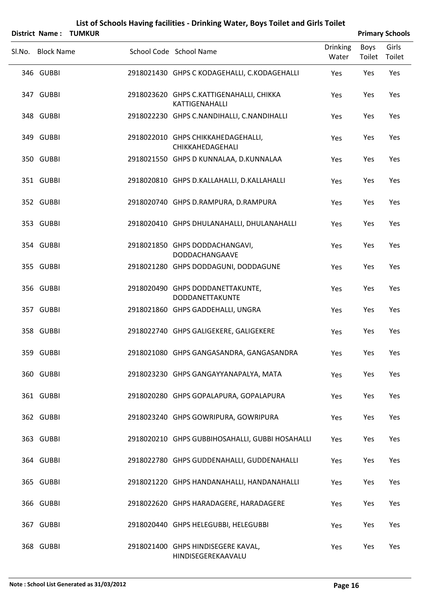|                   | District Name: TUMKUR |                                                            |                          |                | <b>Primary Schools</b> |
|-------------------|-----------------------|------------------------------------------------------------|--------------------------|----------------|------------------------|
| Sl.No. Block Name |                       | School Code School Name                                    | <b>Drinking</b><br>Water | Boys<br>Toilet | Girls<br>Toilet        |
| 346 GUBBI         |                       | 2918021430 GHPS C KODAGEHALLI, C.KODAGEHALLI               | Yes                      | Yes            | Yes                    |
| 347 GUBBI         |                       | 2918023620 GHPS C.KATTIGENAHALLI, CHIKKA<br>KATTIGENAHALLI | Yes                      | Yes            | Yes                    |
| 348 GUBBI         |                       | 2918022230 GHPS C.NANDIHALLI, C.NANDIHALLI                 | Yes                      | Yes            | Yes                    |
| 349 GUBBI         |                       | 2918022010 GHPS CHIKKAHEDAGEHALLI,<br>CHIKKAHEDAGEHALI     | Yes                      | Yes            | Yes                    |
| 350 GUBBI         |                       | 2918021550 GHPS D KUNNALAA, D.KUNNALAA                     | Yes                      | Yes            | Yes                    |
| 351 GUBBI         |                       | 2918020810 GHPS D.KALLAHALLI, D.KALLAHALLI                 | Yes                      | Yes            | Yes                    |
| 352 GUBBI         |                       | 2918020740 GHPS D.RAMPURA, D.RAMPURA                       | Yes                      | Yes            | Yes                    |
| 353 GUBBI         |                       | 2918020410 GHPS DHULANAHALLI, DHULANAHALLI                 | Yes                      | Yes            | Yes                    |
| 354 GUBBI         |                       | 2918021850 GHPS DODDACHANGAVI,<br>DODDACHANGAAVE           | Yes                      | Yes            | Yes                    |
| 355 GUBBI         |                       | 2918021280 GHPS DODDAGUNI, DODDAGUNE                       | Yes                      | Yes            | Yes                    |
| 356 GUBBI         |                       | 2918020490 GHPS DODDANETTAKUNTE,<br>DODDANETTAKUNTE        | Yes                      | Yes            | Yes                    |
| 357 GUBBI         |                       | 2918021860 GHPS GADDEHALLI, UNGRA                          | Yes                      | Yes            | Yes                    |
| 358 GUBBI         |                       | 2918022740 GHPS GALIGEKERE, GALIGEKERE                     | Yes                      | Yes            | Yes                    |
| 359 GUBBI         |                       | 2918021080 GHPS GANGASANDRA, GANGASANDRA                   | Yes                      | Yes            | Yes                    |
| 360 GUBBI         |                       | 2918023230 GHPS GANGAYYANAPALYA, MATA                      | Yes                      | Yes            | Yes                    |
| 361 GUBBI         |                       | 2918020280 GHPS GOPALAPURA, GOPALAPURA                     | Yes                      | Yes            | Yes                    |
| 362 GUBBI         |                       | 2918023240 GHPS GOWRIPURA, GOWRIPURA                       | Yes                      | Yes            | Yes                    |
| 363 GUBBI         |                       | 2918020210 GHPS GUBBIHOSAHALLI, GUBBI HOSAHALLI            | Yes                      | Yes            | Yes                    |
| 364 GUBBI         |                       | 2918022780 GHPS GUDDENAHALLI, GUDDENAHALLI                 | Yes                      | Yes            | Yes                    |
| 365 GUBBI         |                       | 2918021220 GHPS HANDANAHALLI, HANDANAHALLI                 | Yes                      | Yes            | Yes                    |
| 366 GUBBI         |                       | 2918022620 GHPS HARADAGERE, HARADAGERE                     | Yes                      | Yes            | Yes                    |
| 367 GUBBI         |                       | 2918020440 GHPS HELEGUBBI, HELEGUBBI                       | Yes                      | Yes            | Yes                    |
| 368 GUBBI         |                       | 2918021400 GHPS HINDISEGERE KAVAL,<br>HINDISEGEREKAAVALU   | Yes                      | Yes            | Yes                    |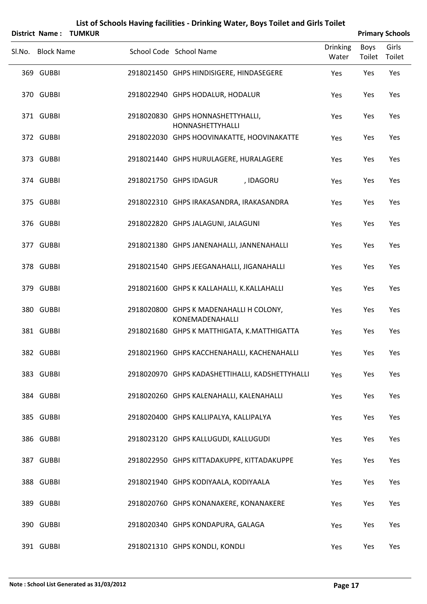|                   | District Name: TUMKUR |                                                            |                          |                | <b>Primary Schools</b> |
|-------------------|-----------------------|------------------------------------------------------------|--------------------------|----------------|------------------------|
| Sl.No. Block Name |                       | School Code School Name                                    | <b>Drinking</b><br>Water | Boys<br>Toilet | Girls<br>Toilet        |
| 369 GUBBI         |                       | 2918021450 GHPS HINDISIGERE, HINDASEGERE                   | Yes                      | Yes            | Yes                    |
| 370 GUBBI         |                       | 2918022940 GHPS HODALUR, HODALUR                           | Yes                      | Yes            | Yes                    |
| 371 GUBBI         |                       | 2918020830 GHPS HONNASHETTYHALLI,<br>HONNASHETTYHALLI      | Yes                      | Yes            | Yes                    |
| 372 GUBBI         |                       | 2918022030 GHPS HOOVINAKATTE, HOOVINAKATTE                 | Yes                      | Yes            | Yes                    |
| 373 GUBBI         |                       | 2918021440 GHPS HURULAGERE, HURALAGERE                     | Yes                      | Yes            | Yes                    |
| 374 GUBBI         |                       | 2918021750 GHPS IDAGUR<br>, IDAGORU                        | Yes                      | Yes            | Yes                    |
| 375 GUBBI         |                       | 2918022310 GHPS IRAKASANDRA, IRAKASANDRA                   | Yes                      | Yes            | Yes                    |
| 376 GUBBI         |                       | 2918022820 GHPS JALAGUNI, JALAGUNI                         | Yes                      | Yes            | Yes                    |
| 377 GUBBI         |                       | 2918021380 GHPS JANENAHALLI, JANNENAHALLI                  | Yes                      | Yes            | Yes                    |
| 378 GUBBI         |                       | 2918021540 GHPS JEEGANAHALLI, JIGANAHALLI                  | Yes                      | Yes            | Yes                    |
| 379 GUBBI         |                       | 2918021600 GHPS K KALLAHALLI, K.KALLAHALLI                 | Yes                      | Yes            | Yes                    |
| 380 GUBBI         |                       | 2918020800 GHPS K MADENAHALLI H COLONY,<br>KONEMADENAHALLI | Yes                      | Yes            | Yes                    |
| 381 GUBBI         |                       | 2918021680 GHPS K MATTHIGATA, K.MATTHIGATTA                | Yes                      | Yes            | Yes                    |
| 382 GUBBI         |                       | 2918021960 GHPS KACCHENAHALLI, KACHENAHALLI                | Yes                      | Yes            | Yes                    |
| 383 GUBBI         |                       | 2918020970 GHPS KADASHETTIHALLI, KADSHETTYHALLI            | Yes                      | Yes            | Yes                    |
| 384 GUBBI         |                       | 2918020260 GHPS KALENAHALLI, KALENAHALLI                   | Yes                      | Yes            | Yes                    |
| 385 GUBBI         |                       | 2918020400 GHPS KALLIPALYA, KALLIPALYA                     | Yes                      | Yes            | Yes                    |
| 386 GUBBI         |                       | 2918023120 GHPS KALLUGUDI, KALLUGUDI                       | Yes                      | Yes            | Yes                    |
| 387 GUBBI         |                       | 2918022950 GHPS KITTADAKUPPE, KITTADAKUPPE                 | Yes                      | Yes            | Yes                    |
| 388 GUBBI         |                       | 2918021940 GHPS KODIYAALA, KODIYAALA                       | Yes                      | Yes            | Yes                    |
| 389 GUBBI         |                       | 2918020760 GHPS KONANAKERE, KONANAKERE                     | Yes                      | Yes            | Yes                    |
| 390 GUBBI         |                       | 2918020340 GHPS KONDAPURA, GALAGA                          | Yes                      | Yes            | Yes                    |
| 391 GUBBI         |                       | 2918021310 GHPS KONDLI, KONDLI                             | Yes                      | Yes            | Yes                    |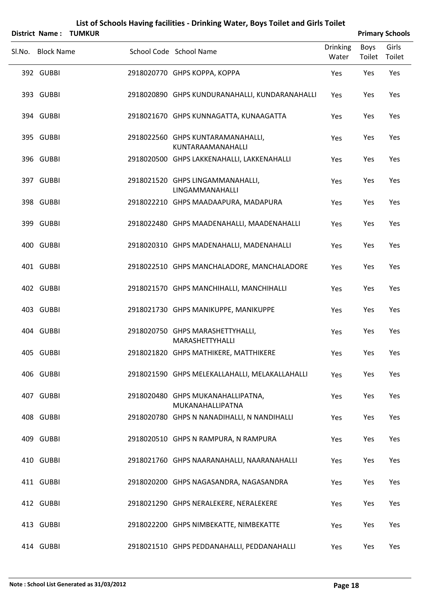|                   | District Name: TUMKUR |                                                        |                          |                | <b>Primary Schools</b> |
|-------------------|-----------------------|--------------------------------------------------------|--------------------------|----------------|------------------------|
| Sl.No. Block Name |                       | School Code School Name                                | <b>Drinking</b><br>Water | Boys<br>Toilet | Girls<br>Toilet        |
| 392 GUBBI         |                       | 2918020770 GHPS KOPPA, KOPPA                           | Yes                      | Yes            | Yes                    |
| 393 GUBBI         |                       | 2918020890 GHPS KUNDURANAHALLI, KUNDARANAHALLI         | Yes                      | Yes            | Yes                    |
| 394 GUBBI         |                       | 2918021670 GHPS KUNNAGATTA, KUNAAGATTA                 | Yes                      | Yes            | Yes                    |
| 395 GUBBI         |                       | 2918022560 GHPS KUNTARAMANAHALLI,<br>KUNTARAAMANAHALLI | Yes                      | Yes            | Yes                    |
| 396 GUBBI         |                       | 2918020500 GHPS LAKKENAHALLI, LAKKENAHALLI             | Yes                      | Yes            | Yes                    |
| 397 GUBBI         |                       | 2918021520 GHPS LINGAMMANAHALLI,<br>LINGAMMANAHALLI    | Yes                      | Yes            | Yes                    |
| 398 GUBBI         |                       | 2918022210 GHPS MAADAAPURA, MADAPURA                   | Yes                      | Yes            | Yes                    |
| 399 GUBBI         |                       | 2918022480 GHPS MAADENAHALLI, MAADENAHALLI             | Yes                      | Yes            | Yes                    |
| 400 GUBBI         |                       | 2918020310 GHPS MADENAHALLI, MADENAHALLI               | Yes                      | Yes            | Yes                    |
| 401 GUBBI         |                       | 2918022510 GHPS MANCHALADORE, MANCHALADORE             | Yes                      | Yes            | Yes                    |
| 402 GUBBI         |                       | 2918021570 GHPS MANCHIHALLI, MANCHIHALLI               | Yes                      | Yes            | Yes                    |
| 403 GUBBI         |                       | 2918021730 GHPS MANIKUPPE, MANIKUPPE                   | Yes                      | Yes            | Yes                    |
| 404 GUBBI         |                       | 2918020750 GHPS MARASHETTYHALLI,<br>MARASHETTYHALLI    | Yes                      | Yes            | Yes                    |
| 405 GUBBI         |                       | 2918021820 GHPS MATHIKERE, MATTHIKERE                  | Yes                      | Yes            | Yes                    |
| 406 GUBBI         |                       | 2918021590 GHPS MELEKALLAHALLI, MELAKALLAHALLI         | Yes                      | Yes            | Yes                    |
| 407 GUBBI         |                       | 2918020480 GHPS MUKANAHALLIPATNA,<br>MUKANAHALLIPATNA  | Yes                      | Yes            | Yes                    |
| 408 GUBBI         |                       | 2918020780 GHPS N NANADIHALLI, N NANDIHALLI            | Yes                      | Yes            | Yes                    |
| 409 GUBBI         |                       | 2918020510 GHPS N RAMPURA, N RAMPURA                   | Yes                      | Yes            | Yes                    |
| 410 GUBBI         |                       | 2918021760 GHPS NAARANAHALLI, NAARANAHALLI             | Yes                      | Yes            | Yes                    |
| 411 GUBBI         |                       | 2918020200 GHPS NAGASANDRA, NAGASANDRA                 | Yes                      | Yes            | Yes                    |
| 412 GUBBI         |                       | 2918021290 GHPS NERALEKERE, NERALEKERE                 | Yes                      | Yes            | Yes                    |
| 413 GUBBI         |                       | 2918022200 GHPS NIMBEKATTE, NIMBEKATTE                 | Yes                      | Yes            | Yes                    |
| 414 GUBBI         |                       | 2918021510 GHPS PEDDANAHALLI, PEDDANAHALLI             | Yes                      | Yes            | Yes                    |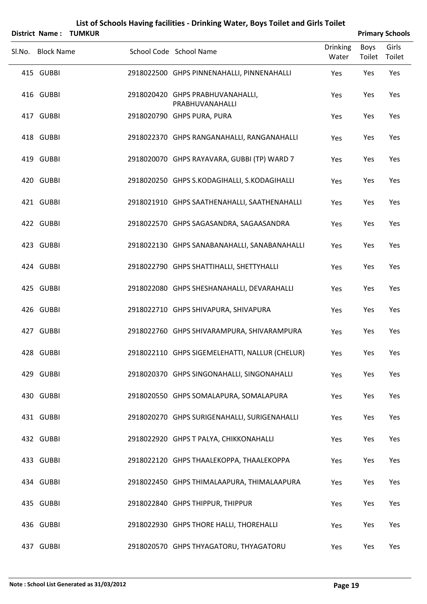|                   | <b>District Name: TUMKUR</b> |                                                     |                          |                | <b>Primary Schools</b> |
|-------------------|------------------------------|-----------------------------------------------------|--------------------------|----------------|------------------------|
| Sl.No. Block Name |                              | School Code School Name                             | <b>Drinking</b><br>Water | Boys<br>Toilet | Girls<br>Toilet        |
| 415 GUBBI         |                              | 2918022500 GHPS PINNENAHALLI, PINNENAHALLI          | Yes                      | Yes            | Yes                    |
| 416 GUBBI         |                              | 2918020420 GHPS PRABHUVANAHALLI,<br>PRABHUVANAHALLI | Yes                      | Yes            | Yes                    |
| 417 GUBBI         |                              | 2918020790 GHPS PURA, PURA                          | Yes                      | Yes            | Yes                    |
| 418 GUBBI         |                              | 2918022370 GHPS RANGANAHALLI, RANGANAHALLI          | Yes                      | Yes            | Yes                    |
| 419 GUBBI         |                              | 2918020070 GHPS RAYAVARA, GUBBI (TP) WARD 7         | Yes                      | Yes            | Yes                    |
| 420 GUBBI         |                              | 2918020250 GHPS S.KODAGIHALLI, S.KODAGIHALLI        | Yes                      | Yes            | Yes                    |
| 421 GUBBI         |                              | 2918021910 GHPS SAATHENAHALLI, SAATHENAHALLI        | Yes                      | Yes            | Yes                    |
| 422 GUBBI         |                              | 2918022570 GHPS SAGASANDRA, SAGAASANDRA             | Yes                      | Yes            | Yes                    |
| 423 GUBBI         |                              | 2918022130 GHPS SANABANAHALLI, SANABANAHALLI        | Yes                      | Yes            | Yes                    |
| 424 GUBBI         |                              | 2918022790 GHPS SHATTIHALLI, SHETTYHALLI            | Yes                      | Yes            | Yes                    |
| 425 GUBBI         |                              | 2918022080 GHPS SHESHANAHALLI, DEVARAHALLI          | Yes                      | Yes            | Yes                    |
| 426 GUBBI         |                              | 2918022710 GHPS SHIVAPURA, SHIVAPURA                | Yes                      | Yes            | Yes                    |
| 427 GUBBI         |                              | 2918022760 GHPS SHIVARAMPURA, SHIVARAMPURA          | Yes                      | Yes            | Yes                    |
| 428 GUBBI         |                              | 2918022110 GHPS SIGEMELEHATTI, NALLUR (CHELUR)      | Yes                      | Yes            | Yes                    |
| 429 GUBBI         |                              | 2918020370 GHPS SINGONAHALLI, SINGONAHALLI          | Yes                      | Yes            | Yes                    |
| 430 GUBBI         |                              | 2918020550 GHPS SOMALAPURA, SOMALAPURA              | Yes                      | Yes            | Yes                    |
| 431 GUBBI         |                              | 2918020270 GHPS SURIGENAHALLI, SURIGENAHALLI        | Yes                      | Yes            | Yes                    |
| 432 GUBBI         |                              | 2918022920 GHPS T PALYA, CHIKKONAHALLI              | Yes                      | Yes            | Yes                    |
| 433 GUBBI         |                              | 2918022120 GHPS THAALEKOPPA, THAALEKOPPA            | Yes                      | Yes            | Yes                    |
| 434 GUBBI         |                              | 2918022450 GHPS THIMALAAPURA, THIMALAAPURA          | Yes                      | Yes            | Yes                    |
| 435 GUBBI         |                              | 2918022840 GHPS THIPPUR, THIPPUR                    | Yes                      | Yes            | Yes                    |
| 436 GUBBI         |                              | 2918022930 GHPS THORE HALLI, THOREHALLI             | Yes                      | Yes            | Yes                    |
| 437 GUBBI         |                              | 2918020570 GHPS THYAGATORU, THYAGATORU              | Yes                      | Yes            | Yes                    |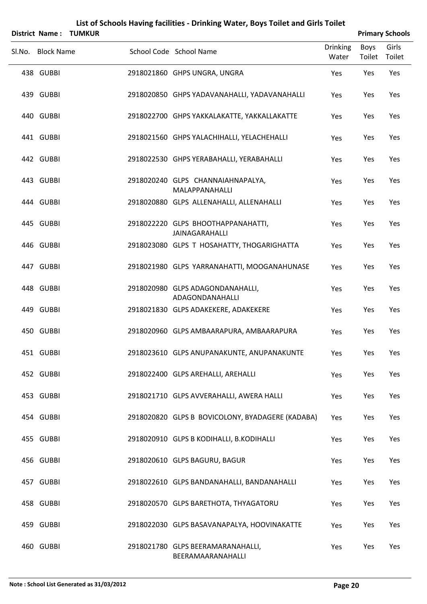|        | <b>District Name:</b> | <b>TUMKUR</b> |                                                             |                          |                       | <b>Primary Schools</b> |
|--------|-----------------------|---------------|-------------------------------------------------------------|--------------------------|-----------------------|------------------------|
| Sl.No. | <b>Block Name</b>     |               | School Code School Name                                     | <b>Drinking</b><br>Water | <b>Boys</b><br>Toilet | Girls<br>Toilet        |
|        | 438 GUBBI             |               | 2918021860 GHPS UNGRA, UNGRA                                | Yes                      | Yes                   | Yes                    |
|        | 439 GUBBI             |               | 2918020850 GHPS YADAVANAHALLI, YADAVANAHALLI                | Yes                      | Yes                   | Yes                    |
|        | 440 GUBBI             |               | 2918022700 GHPS YAKKALAKATTE, YAKKALLAKATTE                 | Yes                      | Yes                   | Yes                    |
|        | 441 GUBBI             |               | 2918021560 GHPS YALACHIHALLI, YELACHEHALLI                  | Yes                      | Yes                   | Yes                    |
|        | 442 GUBBI             |               | 2918022530 GHPS YERABAHALLI, YERABAHALLI                    | Yes                      | Yes                   | Yes                    |
|        | 443 GUBBI             |               | 2918020240 GLPS CHANNAIAHNAPALYA,<br>MALAPPANAHALLI         | Yes                      | Yes                   | Yes                    |
|        | 444 GUBBI             |               | 2918020880 GLPS ALLENAHALLI, ALLENAHALLI                    | Yes                      | Yes                   | Yes                    |
|        | 445 GUBBI             |               | 2918022220 GLPS BHOOTHAPPANAHATTI,<br><b>JAINAGARAHALLI</b> | Yes                      | Yes                   | Yes                    |
|        | 446 GUBBI             |               | 2918023080 GLPS T HOSAHATTY, THOGARIGHATTA                  | Yes                      | Yes                   | Yes                    |
|        | 447 GUBBI             |               | 2918021980 GLPS YARRANAHATTI, MOOGANAHUNASE                 | Yes                      | Yes                   | Yes                    |
|        | 448 GUBBI             |               | 2918020980 GLPS ADAGONDANAHALLI,<br>ADAGONDANAHALLI         | Yes                      | Yes                   | Yes                    |
|        | 449 GUBBI             |               | 2918021830 GLPS ADAKEKERE, ADAKEKERE                        | Yes                      | Yes                   | Yes                    |
|        | 450 GUBBI             |               | 2918020960 GLPS AMBAARAPURA, AMBAARAPURA                    | Yes                      | Yes                   | Yes                    |
|        | 451 GUBBI             |               | 2918023610 GLPS ANUPANAKUNTE, ANUPANAKUNTE                  | Yes                      | Yes                   | Yes                    |
|        | 452 GUBBI             |               | 2918022400 GLPS AREHALLI, AREHALLI                          | Yes                      | Yes                   | Yes                    |
|        | 453 GUBBI             |               | 2918021710 GLPS AVVERAHALLI, AWERA HALLI                    | Yes                      | Yes                   | Yes                    |
|        | 454 GUBBI             |               | 2918020820 GLPS B BOVICOLONY, BYADAGERE (KADABA)            | Yes                      | Yes                   | Yes                    |
|        | 455 GUBBI             |               | 2918020910 GLPS B KODIHALLI, B.KODIHALLI                    | Yes                      | Yes                   | Yes                    |
|        | 456 GUBBI             |               | 2918020610 GLPS BAGURU, BAGUR                               | Yes                      | Yes                   | Yes                    |
|        | 457 GUBBI             |               | 2918022610 GLPS BANDANAHALLI, BANDANAHALLI                  | Yes                      | Yes                   | Yes                    |
|        | 458 GUBBI             |               | 2918020570 GLPS BARETHOTA, THYAGATORU                       | Yes                      | Yes                   | Yes                    |
|        | 459 GUBBI             |               | 2918022030 GLPS BASAVANAPALYA, HOOVINAKATTE                 | Yes                      | Yes                   | Yes                    |
|        | 460 GUBBI             |               | 2918021780 GLPS BEERAMARANAHALLI,<br>BEERAMAARANAHALLI      | Yes                      | Yes                   | Yes                    |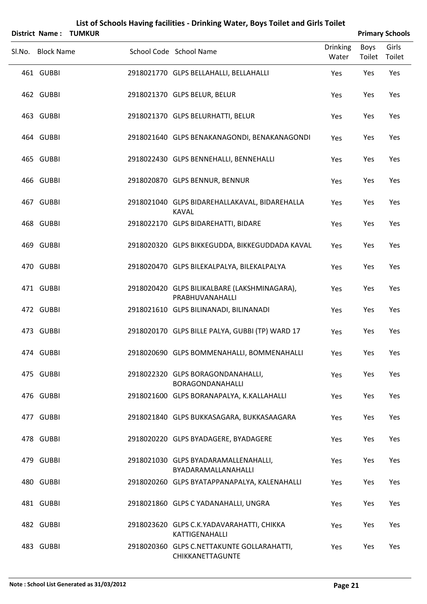|                   | <b>District Name: TUMKUR</b> |                                                                 |                          |                       | <b>Primary Schools</b> |
|-------------------|------------------------------|-----------------------------------------------------------------|--------------------------|-----------------------|------------------------|
| Sl.No. Block Name |                              | School Code School Name                                         | <b>Drinking</b><br>Water | <b>Boys</b><br>Toilet | Girls<br>Toilet        |
| 461 GUBBI         |                              | 2918021770 GLPS BELLAHALLI, BELLAHALLI                          | Yes                      | Yes                   | Yes                    |
| 462 GUBBI         |                              | 2918021370 GLPS BELUR, BELUR                                    | Yes                      | Yes                   | Yes                    |
| 463 GUBBI         |                              | 2918021370 GLPS BELURHATTI, BELUR                               | Yes                      | Yes                   | Yes                    |
| 464 GUBBI         |                              | 2918021640 GLPS BENAKANAGONDI, BENAKANAGONDI                    | Yes                      | Yes                   | Yes                    |
| 465 GUBBI         |                              | 2918022430 GLPS BENNEHALLI, BENNEHALLI                          | Yes                      | Yes                   | Yes                    |
| 466 GUBBI         |                              | 2918020870 GLPS BENNUR, BENNUR                                  | Yes                      | Yes                   | Yes                    |
| 467 GUBBI         |                              | 2918021040 GLPS BIDAREHALLAKAVAL, BIDAREHALLA<br><b>KAVAL</b>   | Yes                      | Yes                   | Yes                    |
| 468 GUBBI         |                              | 2918022170 GLPS BIDAREHATTI, BIDARE                             | Yes                      | Yes                   | Yes                    |
| 469 GUBBI         |                              | 2918020320 GLPS BIKKEGUDDA, BIKKEGUDDADA KAVAL                  | Yes                      | Yes                   | Yes                    |
| 470 GUBBI         |                              | 2918020470 GLPS BILEKALPALYA, BILEKALPALYA                      | Yes                      | Yes                   | Yes                    |
| 471 GUBBI         |                              | 2918020420 GLPS BILIKALBARE (LAKSHMINAGARA),<br>PRABHUVANAHALLI | Yes                      | Yes                   | Yes                    |
| 472 GUBBI         |                              | 2918021610 GLPS BILINANADI, BILINANADI                          | Yes                      | Yes                   | Yes                    |
| 473 GUBBI         |                              | 2918020170 GLPS BILLE PALYA, GUBBI (TP) WARD 17                 | Yes                      | Yes                   | Yes                    |
| 474 GUBBI         |                              | 2918020690 GLPS BOMMENAHALLI, BOMMENAHALLI                      | Yes                      | Yes                   | Yes                    |
| 475 GUBBI         |                              | 2918022320 GLPS BORAGONDANAHALLI,<br>BORAGONDANAHALLI           | Yes                      | Yes                   | Yes                    |
| 476 GUBBI         |                              | 2918021600 GLPS BORANAPALYA, K.KALLAHALLI                       | Yes                      | Yes                   | Yes                    |
| 477 GUBBI         |                              | 2918021840 GLPS BUKKASAGARA, BUKKASAAGARA                       | Yes                      | Yes                   | Yes                    |
| 478 GUBBI         |                              | 2918020220 GLPS BYADAGERE, BYADAGERE                            | Yes                      | Yes                   | Yes                    |
| 479 GUBBI         |                              | 2918021030 GLPS BYADARAMALLENAHALLI,<br>BYADARAMALLANAHALLI     | Yes                      | Yes                   | Yes                    |
| 480 GUBBI         |                              | 2918020260 GLPS BYATAPPANAPALYA, KALENAHALLI                    | Yes                      | Yes                   | Yes                    |
| 481 GUBBI         |                              | 2918021860 GLPS C YADANAHALLI, UNGRA                            | Yes                      | Yes                   | Yes                    |
| 482 GUBBI         |                              | 2918023620 GLPS C.K.YADAVARAHATTI, CHIKKA<br>KATTIGENAHALLI     | Yes                      | Yes                   | Yes                    |
| 483 GUBBI         |                              | 2918020360 GLPS C.NETTAKUNTE GOLLARAHATTI,<br>CHIKKANETTAGUNTE  | Yes                      | Yes                   | Yes                    |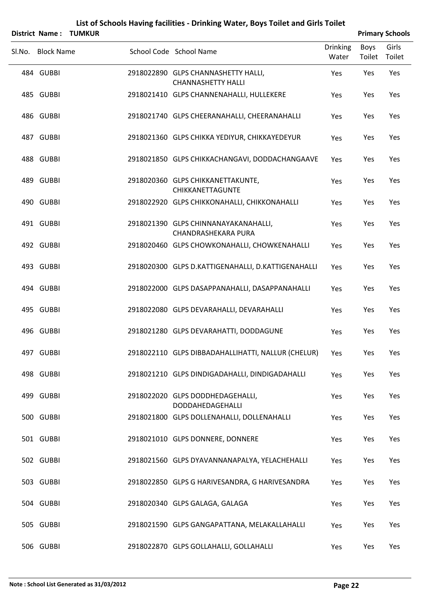|                   | District Name: TUMKUR |                                                                  |                          |                | <b>Primary Schools</b> |
|-------------------|-----------------------|------------------------------------------------------------------|--------------------------|----------------|------------------------|
| Sl.No. Block Name |                       | School Code School Name                                          | <b>Drinking</b><br>Water | Boys<br>Toilet | Girls<br>Toilet        |
| 484 GUBBI         |                       | 2918022890 GLPS CHANNASHETTY HALLI,<br><b>CHANNASHETTY HALLI</b> | Yes                      | Yes            | Yes                    |
| 485 GUBBI         |                       | 2918021410 GLPS CHANNENAHALLI, HULLEKERE                         | Yes                      | Yes            | Yes                    |
| 486 GUBBI         |                       | 2918021740 GLPS CHEERANAHALLI, CHEERANAHALLI                     | Yes                      | Yes            | Yes                    |
| 487 GUBBI         |                       | 2918021360 GLPS CHIKKA YEDIYUR, CHIKKAYEDEYUR                    | Yes                      | Yes            | Yes                    |
| 488 GUBBI         |                       | 2918021850 GLPS CHIKKACHANGAVI, DODDACHANGAAVE                   | Yes                      | Yes            | Yes                    |
| 489 GUBBI         |                       | 2918020360 GLPS CHIKKANETTAKUNTE,<br>CHIKKANETTAGUNTE            | Yes                      | Yes            | Yes                    |
| 490 GUBBI         |                       | 2918022920 GLPS CHIKKONAHALLI, CHIKKONAHALLI                     | Yes                      | Yes            | Yes                    |
| 491 GUBBI         |                       | 2918021390 GLPS CHINNANAYAKANAHALLI,<br>CHANDRASHEKARA PURA      | Yes                      | Yes            | Yes                    |
| 492 GUBBI         |                       | 2918020460 GLPS CHOWKONAHALLI, CHOWKENAHALLI                     | Yes                      | Yes            | Yes                    |
| 493 GUBBI         |                       | 2918020300 GLPS D.KATTIGENAHALLI, D.KATTIGENAHALLI               | Yes                      | Yes            | Yes                    |
| 494 GUBBI         |                       | 2918022000 GLPS DASAPPANAHALLI, DASAPPANAHALLI                   | Yes                      | Yes            | Yes                    |
| 495 GUBBI         |                       | 2918022080 GLPS DEVARAHALLI, DEVARAHALLI                         | Yes                      | Yes            | Yes                    |
| 496 GUBBI         |                       | 2918021280 GLPS DEVARAHATTI, DODDAGUNE                           | Yes                      | Yes            | Yes                    |
| 497 GUBBI         |                       | 2918022110 GLPS DIBBADAHALLIHATTI, NALLUR (CHELUR)               | Yes                      | Yes            | Yes                    |
| 498 GUBBI         |                       | 2918021210 GLPS DINDIGADAHALLI, DINDIGADAHALLI                   | Yes                      | Yes            | Yes                    |
| 499 GUBBI         |                       | 2918022020 GLPS DODDHEDAGEHALLI,<br>DODDAHEDAGEHALLI             | Yes                      | Yes            | Yes                    |
| 500 GUBBI         |                       | 2918021800 GLPS DOLLENAHALLI, DOLLENAHALLI                       | Yes                      | Yes            | Yes                    |
| 501 GUBBI         |                       | 2918021010 GLPS DONNERE, DONNERE                                 | Yes                      | Yes            | Yes                    |
| 502 GUBBI         |                       | 2918021560 GLPS DYAVANNANAPALYA, YELACHEHALLI                    | Yes                      | Yes            | Yes                    |
| 503 GUBBI         |                       | 2918022850 GLPS G HARIVESANDRA, G HARIVESANDRA                   | Yes                      | Yes            | Yes                    |
| 504 GUBBI         |                       | 2918020340 GLPS GALAGA, GALAGA                                   | Yes                      | Yes            | Yes                    |
| 505 GUBBI         |                       | 2918021590 GLPS GANGAPATTANA, MELAKALLAHALLI                     | Yes                      | Yes            | Yes                    |
| 506 GUBBI         |                       | 2918022870 GLPS GOLLAHALLI, GOLLAHALLI                           | Yes                      | Yes            | Yes                    |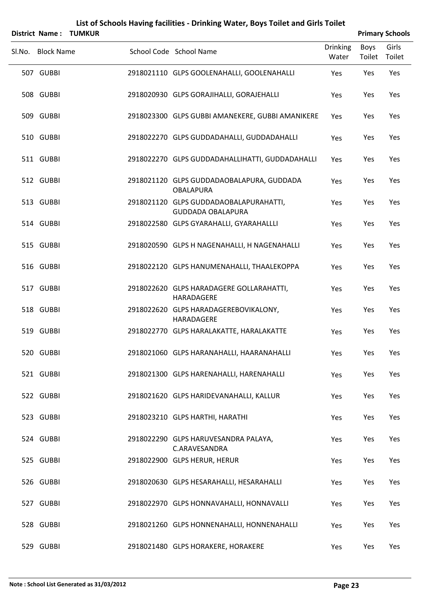|                   | District Name: TUMKUR |                                                                    |                          |                | <b>Primary Schools</b> |
|-------------------|-----------------------|--------------------------------------------------------------------|--------------------------|----------------|------------------------|
| Sl.No. Block Name |                       | School Code School Name                                            | <b>Drinking</b><br>Water | Boys<br>Toilet | Girls<br>Toilet        |
| 507 GUBBI         |                       | 2918021110 GLPS GOOLENAHALLI, GOOLENAHALLI                         | Yes                      | Yes            | Yes                    |
| 508 GUBBI         |                       | 2918020930 GLPS GORAJIHALLI, GORAJEHALLI                           | Yes                      | Yes            | Yes                    |
| 509 GUBBI         |                       | 2918023300 GLPS GUBBI AMANEKERE, GUBBI AMANIKERE                   | Yes                      | Yes            | Yes                    |
| 510 GUBBI         |                       | 2918022270 GLPS GUDDADAHALLI, GUDDADAHALLI                         | Yes                      | Yes            | Yes                    |
| 511 GUBBI         |                       | 2918022270 GLPS GUDDADAHALLIHATTI, GUDDADAHALLI                    | Yes                      | Yes            | Yes                    |
| 512 GUBBI         |                       | 2918021120 GLPS GUDDADAOBALAPURA, GUDDADA<br><b>OBALAPURA</b>      | Yes                      | Yes            | Yes                    |
| 513 GUBBI         |                       | 2918021120 GLPS GUDDADAOBALAPURAHATTI,<br><b>GUDDADA OBALAPURA</b> | Yes                      | Yes            | Yes                    |
| 514 GUBBI         |                       | 2918022580 GLPS GYARAHALLI, GYARAHALLLI                            | Yes                      | Yes            | Yes                    |
| 515 GUBBI         |                       | 2918020590 GLPS H NAGENAHALLI, H NAGENAHALLI                       | Yes                      | Yes            | Yes                    |
| 516 GUBBI         |                       | 2918022120 GLPS HANUMENAHALLI, THAALEKOPPA                         | Yes                      | Yes            | Yes                    |
| 517 GUBBI         |                       | 2918022620 GLPS HARADAGERE GOLLARAHATTI,<br>HARADAGERE             | Yes                      | Yes            | Yes                    |
| 518 GUBBI         |                       | 2918022620 GLPS HARADAGEREBOVIKALONY,<br>HARADAGERE                | Yes                      | Yes            | Yes                    |
| 519 GUBBI         |                       | 2918022770 GLPS HARALAKATTE, HARALAKATTE                           | Yes                      | Yes            | Yes                    |
| 520 GUBBI         |                       | 2918021060 GLPS HARANAHALLI, HAARANAHALLI                          | Yes                      | Yes            | Yes                    |
| 521 GUBBI         |                       | 2918021300 GLPS HARENAHALLI, HARENAHALLI                           | Yes                      | Yes            | Yes                    |
| 522 GUBBI         |                       | 2918021620 GLPS HARIDEVANAHALLI, KALLUR                            | Yes                      | Yes            | Yes                    |
| 523 GUBBI         |                       | 2918023210 GLPS HARTHI, HARATHI                                    | Yes                      | Yes            | Yes                    |
| 524 GUBBI         |                       | 2918022290 GLPS HARUVESANDRA PALAYA,<br>C.ARAVESANDRA              | Yes                      | Yes            | Yes                    |
| 525 GUBBI         |                       | 2918022900 GLPS HERUR, HERUR                                       | Yes                      | Yes            | Yes                    |
| 526 GUBBI         |                       | 2918020630 GLPS HESARAHALLI, HESARAHALLI                           | Yes                      | Yes            | Yes                    |
| 527 GUBBI         |                       | 2918022970 GLPS HONNAVAHALLI, HONNAVALLI                           | Yes                      | Yes            | Yes                    |
| 528 GUBBI         |                       | 2918021260 GLPS HONNENAHALLI, HONNENAHALLI                         | Yes                      | Yes            | Yes                    |
| 529 GUBBI         |                       | 2918021480 GLPS HORAKERE, HORAKERE                                 | Yes                      | Yes            | Yes                    |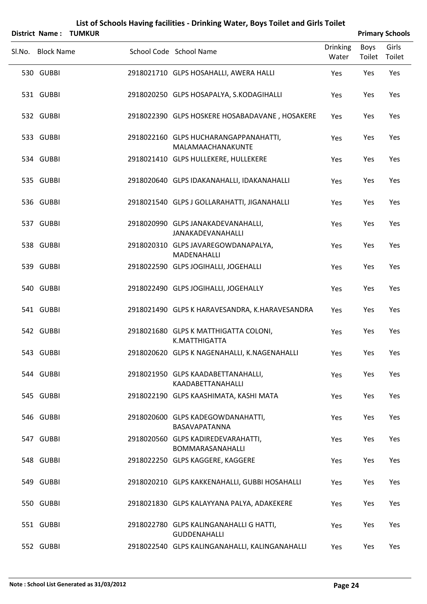|                   | <b>District Name: TUMKUR</b> |                                                                |                          |                | <b>Primary Schools</b> |
|-------------------|------------------------------|----------------------------------------------------------------|--------------------------|----------------|------------------------|
| Sl.No. Block Name |                              | School Code School Name                                        | <b>Drinking</b><br>Water | Boys<br>Toilet | Girls<br>Toilet        |
| 530 GUBBI         |                              | 2918021710 GLPS HOSAHALLI, AWERA HALLI                         | Yes                      | Yes            | Yes                    |
| 531 GUBBI         |                              | 2918020250 GLPS HOSAPALYA, S.KODAGIHALLI                       | Yes                      | Yes            | Yes                    |
| 532 GUBBI         |                              | 2918022390 GLPS HOSKERE HOSABADAVANE, HOSAKERE                 | Yes                      | Yes            | Yes                    |
| 533 GUBBI         |                              | 2918022160 GLPS HUCHARANGAPPANAHATTI,<br>MALAMAACHANAKUNTE     | Yes                      | Yes            | Yes                    |
| 534 GUBBI         |                              | 2918021410 GLPS HULLEKERE, HULLEKERE                           | Yes                      | Yes            | Yes                    |
| 535 GUBBI         |                              | 2918020640 GLPS IDAKANAHALLI, IDAKANAHALLI                     | Yes                      | Yes            | Yes                    |
| 536 GUBBI         |                              | 2918021540 GLPS J GOLLARAHATTI, JIGANAHALLI                    | Yes                      | Yes            | Yes                    |
| 537 GUBBI         |                              | 2918020990 GLPS JANAKADEVANAHALLI,<br><b>JANAKADEVANAHALLI</b> | Yes                      | Yes            | Yes                    |
| 538 GUBBI         |                              | 2918020310 GLPS JAVAREGOWDANAPALYA,<br>MADENAHALLI             | Yes                      | Yes            | Yes                    |
| 539 GUBBI         |                              | 2918022590 GLPS JOGIHALLI, JOGEHALLI                           | Yes                      | Yes            | Yes                    |
| 540 GUBBI         |                              | 2918022490 GLPS JOGIHALLI, JOGEHALLY                           | Yes                      | Yes            | Yes                    |
| 541 GUBBI         |                              | 2918021490 GLPS K HARAVESANDRA, K.HARAVESANDRA                 | Yes                      | Yes            | Yes                    |
| 542 GUBBI         |                              | 2918021680 GLPS K MATTHIGATTA COLONI,<br>K.MATTHIGATTA         | Yes                      | Yes            | Yes                    |
| 543 GUBBI         |                              | 2918020620 GLPS K NAGENAHALLI, K.NAGENAHALLI                   | Yes                      | Yes            | Yes                    |
| 544 GUBBI         |                              | 2918021950 GLPS KAADABETTANAHALLI,<br>KAADABETTANAHALLI        | Yes                      | Yes            | Yes                    |
| 545 GUBBI         |                              | 2918022190 GLPS KAASHIMATA, KASHI MATA                         | Yes                      | Yes            | Yes                    |
| 546 GUBBI         |                              | 2918020600 GLPS KADEGOWDANAHATTI,<br>BASAVAPATANNA             | Yes                      | Yes            | Yes                    |
| 547 GUBBI         |                              | 2918020560 GLPS KADIREDEVARAHATTI,<br>BOMMARASANAHALLI         | Yes                      | Yes            | Yes                    |
| 548 GUBBI         |                              | 2918022250 GLPS KAGGERE, KAGGERE                               | Yes                      | Yes            | Yes                    |
| 549 GUBBI         |                              | 2918020210 GLPS KAKKENAHALLI, GUBBI HOSAHALLI                  | Yes                      | Yes            | Yes                    |
| 550 GUBBI         |                              | 2918021830 GLPS KALAYYANA PALYA, ADAKEKERE                     | Yes                      | Yes            | Yes                    |
| 551 GUBBI         |                              | 2918022780 GLPS KALINGANAHALLI G HATTI,<br><b>GUDDENAHALLI</b> | Yes                      | Yes            | Yes                    |
| 552 GUBBI         |                              | 2918022540 GLPS KALINGANAHALLI, KALINGANAHALLI                 | Yes                      | Yes            | Yes                    |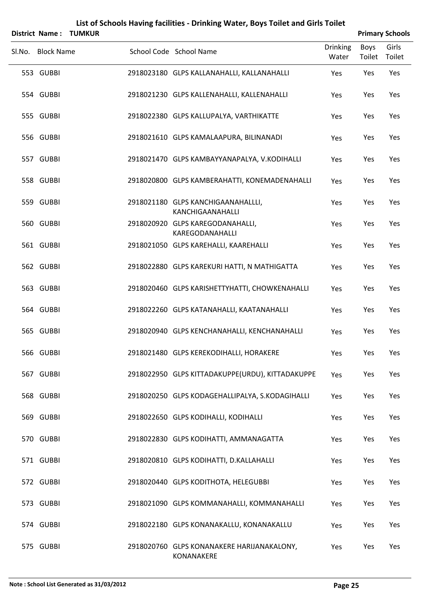|        |                   | <b>District Name: TUMKUR</b> |                                                          |                          |                       | <b>Primary Schools</b> |
|--------|-------------------|------------------------------|----------------------------------------------------------|--------------------------|-----------------------|------------------------|
| Sl.No. | <b>Block Name</b> |                              | School Code School Name                                  | <b>Drinking</b><br>Water | <b>Boys</b><br>Toilet | Girls<br>Toilet        |
|        | 553 GUBBI         |                              | 2918023180 GLPS KALLANAHALLI, KALLANAHALLI               | Yes                      | Yes                   | Yes                    |
|        | 554 GUBBI         |                              | 2918021230 GLPS KALLENAHALLI, KALLENAHALLI               | Yes                      | Yes                   | Yes                    |
|        | 555 GUBBI         |                              | 2918022380 GLPS KALLUPALYA, VARTHIKATTE                  | Yes                      | Yes                   | Yes                    |
|        | 556 GUBBI         |                              | 2918021610 GLPS KAMALAAPURA, BILINANADI                  | Yes                      | Yes                   | Yes                    |
|        | 557 GUBBI         |                              | 2918021470 GLPS KAMBAYYANAPALYA, V.KODIHALLI             | Yes                      | Yes                   | Yes                    |
|        | 558 GUBBI         |                              | 2918020800 GLPS KAMBERAHATTI, KONEMADENAHALLI            | Yes                      | Yes                   | Yes                    |
|        | 559 GUBBI         |                              | 2918021180 GLPS KANCHIGAANAHALLLI,<br>KANCHIGAANAHALLI   | Yes                      | Yes                   | Yes                    |
|        | 560 GUBBI         |                              | 2918020920 GLPS KAREGODANAHALLI,<br>KAREGODANAHALLI      | Yes                      | Yes                   | Yes                    |
|        | 561 GUBBI         |                              | 2918021050 GLPS KAREHALLI, KAAREHALLI                    | Yes                      | Yes                   | Yes                    |
|        | 562 GUBBI         |                              | 2918022880 GLPS KAREKURI HATTI, N MATHIGATTA             | Yes                      | Yes                   | Yes                    |
|        | 563 GUBBI         |                              | 2918020460 GLPS KARISHETTYHATTI, CHOWKENAHALLI           | Yes                      | Yes                   | Yes                    |
|        | 564 GUBBI         |                              | 2918022260 GLPS KATANAHALLI, KAATANAHALLI                | Yes                      | Yes                   | Yes                    |
|        | 565 GUBBI         |                              | 2918020940 GLPS KENCHANAHALLI, KENCHANAHALLI             | Yes                      | Yes                   | Yes                    |
|        | 566 GUBBI         |                              | 2918021480 GLPS KEREKODIHALLI, HORAKERE                  | Yes                      | Yes                   | Yes                    |
|        | 567 GUBBI         |                              | 2918022950 GLPS KITTADAKUPPE(URDU), KITTADAKUPPE         | Yes                      | Yes                   | Yes                    |
|        | 568 GUBBI         |                              | 2918020250 GLPS KODAGEHALLIPALYA, S.KODAGIHALLI          | Yes                      | Yes                   | Yes                    |
|        | 569 GUBBI         |                              | 2918022650 GLPS KODIHALLI, KODIHALLI                     | Yes                      | Yes                   | Yes                    |
|        | 570 GUBBI         |                              | 2918022830 GLPS KODIHATTI, AMMANAGATTA                   | Yes                      | Yes                   | Yes                    |
|        | 571 GUBBI         |                              | 2918020810 GLPS KODIHATTI, D.KALLAHALLI                  | Yes                      | Yes                   | Yes                    |
|        | 572 GUBBI         |                              | 2918020440 GLPS KODITHOTA, HELEGUBBI                     | Yes                      | Yes                   | Yes                    |
|        | 573 GUBBI         |                              | 2918021090 GLPS KOMMANAHALLI, KOMMANAHALLI               | Yes                      | Yes                   | Yes                    |
|        | 574 GUBBI         |                              | 2918022180 GLPS KONANAKALLU, KONANAKALLU                 | Yes                      | Yes                   | Yes                    |
|        | 575 GUBBI         |                              | 2918020760 GLPS KONANAKERE HARIJANAKALONY,<br>KONANAKERE | Yes                      | Yes                   | Yes                    |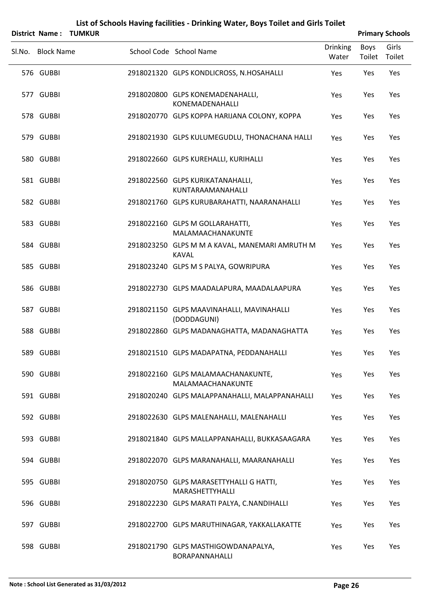|                   | District Name: TUMKUR |                                                                |                          |                       | <b>Primary Schools</b> |
|-------------------|-----------------------|----------------------------------------------------------------|--------------------------|-----------------------|------------------------|
| Sl.No. Block Name |                       | School Code School Name                                        | <b>Drinking</b><br>Water | <b>Boys</b><br>Toilet | Girls<br>Toilet        |
| 576 GUBBI         |                       | 2918021320 GLPS KONDLICROSS, N.HOSAHALLI                       | Yes                      | Yes                   | Yes                    |
| 577 GUBBI         |                       | 2918020800 GLPS KONEMADENAHALLI,<br>KONEMADENAHALLI            | Yes                      | Yes                   | Yes                    |
| 578 GUBBI         |                       | 2918020770 GLPS KOPPA HARIJANA COLONY, KOPPA                   | Yes                      | Yes                   | Yes                    |
| 579 GUBBI         |                       | 2918021930 GLPS KULUMEGUDLU, THONACHANA HALLI                  | Yes                      | Yes                   | Yes                    |
| 580 GUBBI         |                       | 2918022660 GLPS KUREHALLI, KURIHALLI                           | Yes                      | Yes                   | Yes                    |
| 581 GUBBI         |                       | 2918022560 GLPS KURIKATANAHALLI,<br>KUNTARAAMANAHALLI          | Yes                      | Yes                   | Yes                    |
| 582 GUBBI         |                       | 2918021760 GLPS KURUBARAHATTI, NAARANAHALLI                    | Yes                      | Yes                   | Yes                    |
| 583 GUBBI         |                       | 2918022160 GLPS M GOLLARAHATTI,<br>MALAMAACHANAKUNTE           | Yes                      | Yes                   | Yes                    |
| 584 GUBBI         |                       | 2918023250 GLPS M M A KAVAL, MANEMARI AMRUTH M<br><b>KAVAL</b> | Yes                      | Yes                   | Yes                    |
| 585 GUBBI         |                       | 2918023240 GLPS M S PALYA, GOWRIPURA                           | Yes                      | Yes                   | Yes                    |
| 586 GUBBI         |                       | 2918022730 GLPS MAADALAPURA, MAADALAAPURA                      | Yes                      | Yes                   | Yes                    |
| 587 GUBBI         |                       | 2918021150 GLPS MAAVINAHALLI, MAVINAHALLI<br>(DODDAGUNI)       | Yes                      | Yes                   | Yes                    |
| 588 GUBBI         |                       | 2918022860 GLPS MADANAGHATTA, MADANAGHATTA                     | Yes                      | Yes                   | Yes                    |
| 589 GUBBI         |                       | 2918021510 GLPS MADAPATNA, PEDDANAHALLI                        | Yes                      | Yes                   | Yes                    |
| 590 GUBBI         |                       | 2918022160 GLPS MALAMAACHANAKUNTE,<br>MALAMAACHANAKUNTE        | Yes                      | Yes                   | Yes                    |
| 591 GUBBI         |                       | 2918020240 GLPS MALAPPANAHALLI, MALAPPANAHALLI                 | Yes                      | Yes                   | Yes                    |
| 592 GUBBI         |                       | 2918022630 GLPS MALENAHALLI, MALENAHALLI                       | Yes                      | Yes                   | Yes                    |
| 593 GUBBI         |                       | 2918021840 GLPS MALLAPPANAHALLI, BUKKASAAGARA                  | Yes                      | Yes                   | Yes                    |
| 594 GUBBI         |                       | 2918022070 GLPS MARANAHALLI, MAARANAHALLI                      | Yes                      | Yes                   | Yes                    |
| 595 GUBBI         |                       | 2918020750 GLPS MARASETTYHALLI G HATTI,<br>MARASHETTYHALLI     | Yes                      | Yes                   | Yes                    |
| 596 GUBBI         |                       | 2918022230 GLPS MARATI PALYA, C.NANDIHALLI                     | Yes                      | Yes                   | Yes                    |
| 597 GUBBI         |                       | 2918022700 GLPS MARUTHINAGAR, YAKKALLAKATTE                    | Yes                      | Yes                   | Yes                    |
| 598 GUBBI         |                       | 2918021790 GLPS MASTHIGOWDANAPALYA,<br>BORAPANNAHALLI          | Yes                      | Yes                   | Yes                    |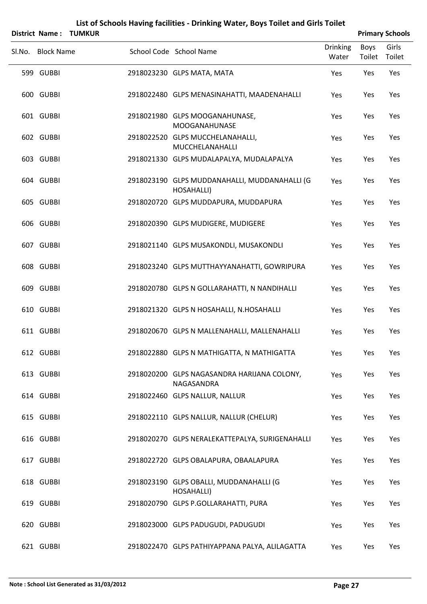|                   | <b>District Name: TUMKUR</b> |                                                             |                          |                | <b>Primary Schools</b> |
|-------------------|------------------------------|-------------------------------------------------------------|--------------------------|----------------|------------------------|
| Sl.No. Block Name |                              | School Code School Name                                     | <b>Drinking</b><br>Water | Boys<br>Toilet | Girls<br>Toilet        |
| 599 GUBBI         |                              | 2918023230 GLPS MATA, MATA                                  | Yes                      | Yes            | Yes                    |
| 600 GUBBI         |                              | 2918022480 GLPS MENASINAHATTI, MAADENAHALLI                 | Yes                      | Yes            | Yes                    |
| 601 GUBBI         |                              | 2918021980 GLPS MOOGANAHUNASE,<br><b>MOOGANAHUNASE</b>      | Yes                      | Yes            | Yes                    |
| 602 GUBBI         |                              | 2918022520 GLPS MUCCHELANAHALLI,<br>MUCCHELANAHALLI         | Yes                      | Yes            | Yes                    |
| 603 GUBBI         |                              | 2918021330 GLPS MUDALAPALYA, MUDALAPALYA                    | Yes                      | Yes            | Yes                    |
| 604 GUBBI         |                              | 2918023190 GLPS MUDDANAHALLI, MUDDANAHALLI (G<br>HOSAHALLI) | Yes                      | Yes            | Yes                    |
| 605 GUBBI         |                              | 2918020720 GLPS MUDDAPURA, MUDDAPURA                        | Yes                      | Yes            | Yes                    |
| 606 GUBBI         |                              | 2918020390 GLPS MUDIGERE, MUDIGERE                          | Yes                      | Yes            | Yes                    |
| 607 GUBBI         |                              | 2918021140 GLPS MUSAKONDLI, MUSAKONDLI                      | Yes                      | Yes            | Yes                    |
| 608 GUBBI         |                              | 2918023240 GLPS MUTTHAYYANAHATTI, GOWRIPURA                 | Yes                      | Yes            | Yes                    |
| 609 GUBBI         |                              | 2918020780 GLPS N GOLLARAHATTI, N NANDIHALLI                | Yes                      | Yes            | Yes                    |
| 610 GUBBI         |                              | 2918021320 GLPS N HOSAHALLI, N.HOSAHALLI                    | Yes                      | Yes            | Yes                    |
| 611 GUBBI         |                              | 2918020670 GLPS N MALLENAHALLI, MALLENAHALLI                | Yes                      | Yes            | Yes                    |
| 612 GUBBI         |                              | 2918022880 GLPS N MATHIGATTA, N MATHIGATTA                  | Yes                      | Yes            | Yes                    |
| 613 GUBBI         |                              | 2918020200 GLPS NAGASANDRA HARIJANA COLONY,<br>NAGASANDRA   | Yes                      | Yes            | Yes                    |
| 614 GUBBI         |                              | 2918022460 GLPS NALLUR, NALLUR                              | Yes                      | Yes            | Yes                    |
| 615 GUBBI         |                              | 2918022110 GLPS NALLUR, NALLUR (CHELUR)                     | Yes                      | Yes            | Yes                    |
| 616 GUBBI         |                              | 2918020270 GLPS NERALEKATTEPALYA, SURIGENAHALLI             | Yes                      | Yes            | Yes                    |
| 617 GUBBI         |                              | 2918022720 GLPS OBALAPURA, OBAALAPURA                       | Yes                      | Yes            | Yes                    |
| 618 GUBBI         |                              | 2918023190 GLPS OBALLI, MUDDANAHALLI (G<br>HOSAHALLI)       | Yes                      | Yes            | Yes                    |
| 619 GUBBI         |                              | 2918020790 GLPS P.GOLLARAHATTI, PURA                        | Yes                      | Yes            | Yes                    |
| 620 GUBBI         |                              | 2918023000 GLPS PADUGUDI, PADUGUDI                          | Yes                      | Yes            | Yes                    |
| 621 GUBBI         |                              | 2918022470 GLPS PATHIYAPPANA PALYA, ALILAGATTA              | Yes                      | Yes            | Yes                    |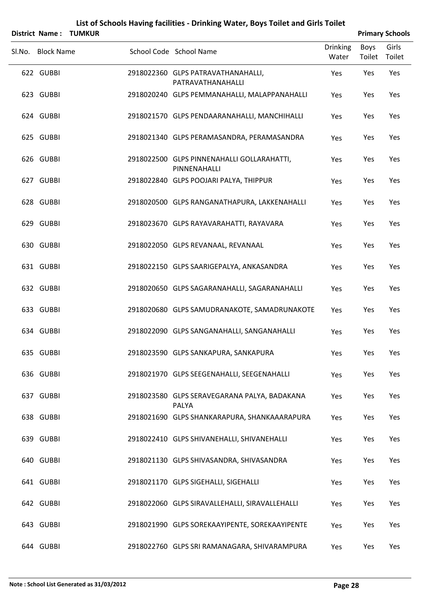|        |                   | <b>District Name: TUMKUR</b> |                                                            |                          |                       | <b>Primary Schools</b> |
|--------|-------------------|------------------------------|------------------------------------------------------------|--------------------------|-----------------------|------------------------|
| Sl.No. | <b>Block Name</b> |                              | School Code School Name                                    | <b>Drinking</b><br>Water | <b>Boys</b><br>Toilet | Girls<br>Toilet        |
|        | 622 GUBBI         |                              | 2918022360 GLPS PATRAVATHANAHALLI,<br>PATRAVATHANAHALLI    | Yes                      | Yes                   | Yes                    |
|        | 623 GUBBI         |                              | 2918020240 GLPS PEMMANAHALLI, MALAPPANAHALLI               | Yes                      | Yes                   | Yes                    |
|        | 624 GUBBI         |                              | 2918021570 GLPS PENDAARANAHALLI, MANCHIHALLI               | Yes                      | Yes                   | Yes                    |
|        | 625 GUBBI         |                              | 2918021340 GLPS PERAMASANDRA, PERAMASANDRA                 | Yes                      | Yes                   | Yes                    |
|        | 626 GUBBI         |                              | 2918022500 GLPS PINNENAHALLI GOLLARAHATTI,<br>PINNENAHALLI | Yes                      | Yes                   | Yes                    |
|        | 627 GUBBI         |                              | 2918022840 GLPS POOJARI PALYA, THIPPUR                     | Yes                      | Yes                   | Yes                    |
|        | 628 GUBBI         |                              | 2918020500 GLPS RANGANATHAPURA, LAKKENAHALLI               | Yes                      | Yes                   | Yes                    |
|        | 629 GUBBI         |                              | 2918023670 GLPS RAYAVARAHATTI, RAYAVARA                    | Yes                      | Yes                   | Yes                    |
|        | 630 GUBBI         |                              | 2918022050 GLPS REVANAAL, REVANAAL                         | Yes                      | Yes                   | Yes                    |
|        | 631 GUBBI         |                              | 2918022150 GLPS SAARIGEPALYA, ANKASANDRA                   | Yes                      | Yes                   | Yes                    |
|        | 632 GUBBI         |                              | 2918020650 GLPS SAGARANAHALLI, SAGARANAHALLI               | Yes                      | Yes                   | Yes                    |
|        | 633 GUBBI         |                              | 2918020680 GLPS SAMUDRANAKOTE, SAMADRUNAKOTE               | Yes                      | Yes                   | Yes                    |
|        | 634 GUBBI         |                              | 2918022090 GLPS SANGANAHALLI, SANGANAHALLI                 | Yes                      | Yes                   | Yes                    |
|        | 635 GUBBI         |                              | 2918023590 GLPS SANKAPURA, SANKAPURA                       | Yes                      | Yes                   | Yes                    |
|        | 636 GUBBI         |                              | 2918021970 GLPS SEEGENAHALLI, SEEGENAHALLI                 | Yes                      | Yes                   | Yes                    |
|        | 637 GUBBI         |                              | 2918023580 GLPS SERAVEGARANA PALYA, BADAKANA<br>PALYA      | Yes                      | Yes                   | Yes                    |
|        | 638 GUBBI         |                              | 2918021690 GLPS SHANKARAPURA, SHANKAAARAPURA               | Yes                      | Yes                   | Yes                    |
|        | 639 GUBBI         |                              | 2918022410 GLPS SHIVANEHALLI, SHIVANEHALLI                 | Yes                      | Yes                   | Yes                    |
|        | 640 GUBBI         |                              | 2918021130 GLPS SHIVASANDRA, SHIVASANDRA                   | Yes                      | Yes                   | Yes                    |
|        | 641 GUBBI         |                              | 2918021170 GLPS SIGEHALLI, SIGEHALLI                       | Yes                      | Yes                   | Yes                    |
|        | 642 GUBBI         |                              | 2918022060 GLPS SIRAVALLEHALLI, SIRAVALLEHALLI             | Yes                      | Yes                   | Yes                    |
|        | 643 GUBBI         |                              | 2918021990 GLPS SOREKAAYIPENTE, SOREKAAYIPENTE             | Yes                      | Yes                   | Yes                    |
|        | 644 GUBBI         |                              | 2918022760 GLPS SRI RAMANAGARA, SHIVARAMPURA               | Yes                      | Yes                   | Yes                    |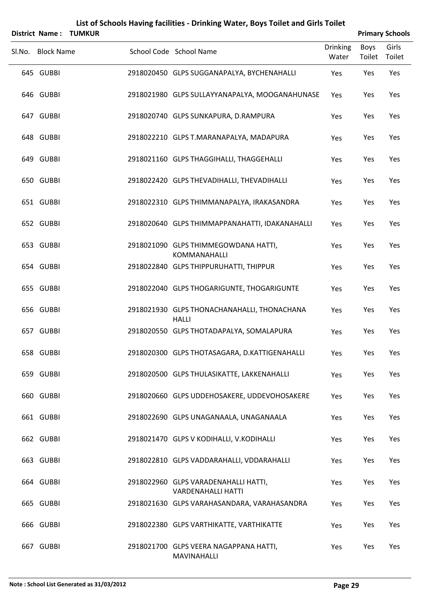| <b>District Name:</b> | <b>TUMKUR</b> | List of Schools Having facilities - Drinking Water, Boys Toilet and Girls Toilet |                          |                | <b>Primary Schools</b> |
|-----------------------|---------------|----------------------------------------------------------------------------------|--------------------------|----------------|------------------------|
| Sl.No. Block Name     |               | School Code School Name                                                          | <b>Drinking</b><br>Water | Boys<br>Toilet | Girls<br>Toilet        |
| 645 GUBBI             |               | 2918020450 GLPS SUGGANAPALYA, BYCHENAHALLI                                       | Yes                      | Yes            | Yes                    |
| 646 GUBBI             |               | 2918021980 GLPS SULLAYYANAPALYA, MOOGANAHUNASE                                   | Yes                      | Yes            | Yes                    |
| 647 GUBBI             |               | 2918020740 GLPS SUNKAPURA, D.RAMPURA                                             | Yes                      | Yes            | Yes                    |
| 648 GUBBI             |               | 2918022210 GLPS T.MARANAPALYA, MADAPURA                                          | Yes                      | Yes            | Yes                    |
| 649 GUBBI             |               | 2918021160 GLPS THAGGIHALLI, THAGGEHALLI                                         | Yes                      | Yes            | Yes                    |
| 650 GUBBI             |               | 2918022420 GLPS THEVADIHALLI, THEVADIHALLI                                       | Yes                      | Yes            | Yes                    |
| 651 GUBBI             |               | 2918022310 GLPS THIMMANAPALYA, IRAKASANDRA                                       | Yes                      | Yes            | Yes                    |
| 652 GUBBI             |               | 2918020640 GLPS THIMMAPPANAHATTI, IDAKANAHALLI                                   | Yes                      | Yes            | Yes                    |
| 653 GUBBI             |               | 2918021090 GLPS THIMMEGOWDANA HATTI,<br><b>KOMMANAHALLI</b>                      | Yes                      | Yes            | Yes                    |
| 654 GUBBI             |               | 2918022840 GLPS THIPPURUHATTI, THIPPUR                                           | Yes                      | Yes            | Yes                    |
| 655 GUBBI             |               | 2918022040 GLPS THOGARIGUNTE, THOGARIGUNTE                                       | Yes                      | Yes            | Yes                    |
| 656 GUBBI             |               | 2918021930 GLPS THONACHANAHALLI, THONACHANA<br><b>HALLI</b>                      | Yes                      | Yes            | Yes                    |
| 657 GUBBI             |               | 2918020550 GLPS THOTADAPALYA, SOMALAPURA                                         | Yes                      | Yes            | Yes                    |
| 658 GUBBI             |               | 2918020300 GLPS THOTASAGARA, D.KATTIGENAHALLI                                    | Yes                      | Yes            | Yes                    |
| 659 GUBBI             |               | 2918020500 GLPS THULASIKATTE, LAKKENAHALLI                                       | Yes                      | Yes            | Yes                    |
| 660 GUBBI             |               | 2918020660 GLPS UDDEHOSAKERE, UDDEVOHOSAKERE                                     | Yes                      | Yes            | Yes                    |
| 661 GUBBI             |               | 2918022690 GLPS UNAGANAALA, UNAGANAALA                                           | Yes                      | Yes            | Yes                    |
| 662 GUBBI             |               | 2918021470 GLPS V KODIHALLI, V.KODIHALLI                                         | Yes                      | Yes            | Yes                    |
| 663 GUBBI             |               | 2918022810 GLPS VADDARAHALLI, VDDARAHALLI                                        | Yes                      | Yes            | Yes                    |
| 664 GUBBI             |               | 2918022960 GLPS VARADENAHALLI HATTI,<br><b>VARDENAHALLI HATTI</b>                | Yes                      | Yes            | Yes                    |
| 665 GUBBI             |               | 2918021630 GLPS VARAHASANDARA, VARAHASANDRA                                      | Yes                      | Yes            | Yes                    |
| 666 GUBBI             |               | 2918022380 GLPS VARTHIKATTE, VARTHIKATTE                                         | Yes                      | Yes            | Yes                    |
| 667 GUBBI             |               | 2918021700 GLPS VEERA NAGAPPANA HATTI,<br>MAVINAHALLI                            | Yes                      | Yes            | Yes                    |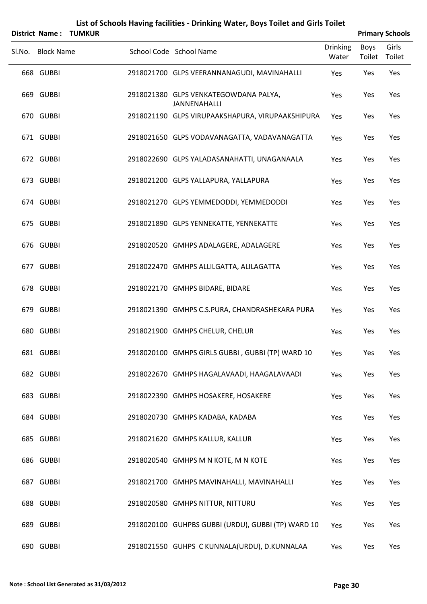|        | District Name:    | <b>TUMKUR</b> |                                                              |                          |                       | <b>Primary Schools</b> |
|--------|-------------------|---------------|--------------------------------------------------------------|--------------------------|-----------------------|------------------------|
| Sl.No. | <b>Block Name</b> |               | School Code School Name                                      | <b>Drinking</b><br>Water | <b>Boys</b><br>Toilet | Girls<br>Toilet        |
|        | 668 GUBBI         |               | 2918021700 GLPS VEERANNANAGUDI, MAVINAHALLI                  | Yes                      | Yes                   | Yes                    |
|        | 669 GUBBI         |               | 2918021380 GLPS VENKATEGOWDANA PALYA,<br><b>JANNENAHALLI</b> | Yes                      | Yes                   | Yes                    |
|        | 670 GUBBI         |               | 2918021190 GLPS VIRUPAAKSHAPURA, VIRUPAAKSHIPURA             | Yes                      | Yes                   | Yes                    |
|        | 671 GUBBI         |               | 2918021650 GLPS VODAVANAGATTA, VADAVANAGATTA                 | Yes                      | Yes                   | Yes                    |
|        | 672 GUBBI         |               | 2918022690 GLPS YALADASANAHATTI, UNAGANAALA                  | Yes                      | Yes                   | Yes                    |
|        | 673 GUBBI         |               | 2918021200 GLPS YALLAPURA, YALLAPURA                         | Yes                      | Yes                   | Yes                    |
|        | 674 GUBBI         |               | 2918021270 GLPS YEMMEDODDI, YEMMEDODDI                       | Yes                      | Yes                   | Yes                    |
|        | 675 GUBBI         |               | 2918021890 GLPS YENNEKATTE, YENNEKATTE                       | Yes                      | Yes                   | Yes                    |
|        | 676 GUBBI         |               | 2918020520 GMHPS ADALAGERE, ADALAGERE                        | Yes                      | Yes                   | Yes                    |
|        | 677 GUBBI         |               | 2918022470 GMHPS ALLILGATTA, ALILAGATTA                      | Yes                      | Yes                   | Yes                    |
|        | 678 GUBBI         |               | 2918022170 GMHPS BIDARE, BIDARE                              | Yes                      | Yes                   | Yes                    |
|        | 679 GUBBI         |               | 2918021390 GMHPS C.S.PURA, CHANDRASHEKARA PURA               | Yes                      | Yes                   | Yes                    |
|        | 680 GUBBI         |               | 2918021900 GMHPS CHELUR, CHELUR                              | Yes                      | Yes                   | Yes                    |
|        | 681 GUBBI         |               | 2918020100 GMHPS GIRLS GUBBI, GUBBI (TP) WARD 10             | Yes                      | Yes                   | Yes                    |
|        | 682 GUBBI         |               | 2918022670 GMHPS HAGALAVAADI, HAAGALAVAADI                   | Yes                      | Yes                   | Yes                    |
|        | 683 GUBBI         |               | 2918022390 GMHPS HOSAKERE, HOSAKERE                          | Yes                      | Yes                   | Yes                    |
|        | 684 GUBBI         |               | 2918020730 GMHPS KADABA, KADABA                              | Yes                      | Yes                   | Yes                    |
|        | 685 GUBBI         |               | 2918021620 GMHPS KALLUR, KALLUR                              | Yes                      | Yes                   | Yes                    |
|        | 686 GUBBI         |               | 2918020540 GMHPS M N KOTE, M N KOTE                          | Yes                      | Yes                   | Yes                    |
|        | 687 GUBBI         |               | 2918021700 GMHPS MAVINAHALLI, MAVINAHALLI                    | Yes                      | Yes                   | Yes                    |
|        | 688 GUBBI         |               | 2918020580 GMHPS NITTUR, NITTURU                             | Yes                      | Yes                   | Yes                    |
|        | 689 GUBBI         |               | 2918020100 GUHPBS GUBBI (URDU), GUBBI (TP) WARD 10           | Yes                      | Yes                   | Yes                    |
|        | 690 GUBBI         |               | 2918021550 GUHPS C KUNNALA(URDU), D.KUNNALAA                 | Yes                      | Yes                   | Yes                    |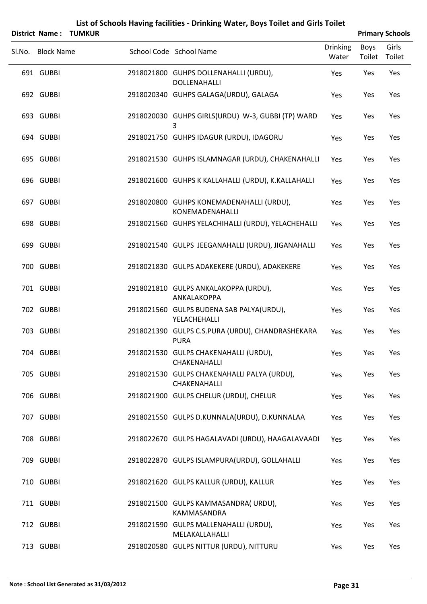|        | <b>District Name:</b> | <b>TUMKUR</b> |                                                                 |                          |                       | <b>Primary Schools</b> |
|--------|-----------------------|---------------|-----------------------------------------------------------------|--------------------------|-----------------------|------------------------|
| Sl.No. | <b>Block Name</b>     |               | School Code School Name                                         | <b>Drinking</b><br>Water | <b>Boys</b><br>Toilet | Girls<br>Toilet        |
|        | 691 GUBBI             |               | 2918021800 GUHPS DOLLENAHALLI (URDU),<br>DOLLENAHALLI           | Yes                      | Yes                   | Yes                    |
|        | 692 GUBBI             |               | 2918020340 GUHPS GALAGA(URDU), GALAGA                           | Yes                      | Yes                   | Yes                    |
|        | 693 GUBBI             |               | 2918020030 GUHPS GIRLS(URDU) W-3, GUBBI (TP) WARD<br>3          | Yes                      | Yes                   | Yes                    |
|        | 694 GUBBI             |               | 2918021750 GUHPS IDAGUR (URDU), IDAGORU                         | Yes                      | Yes                   | Yes                    |
|        | 695 GUBBI             |               | 2918021530 GUHPS ISLAMNAGAR (URDU), CHAKENAHALLI                | Yes                      | Yes                   | Yes                    |
|        | 696 GUBBI             |               | 2918021600 GUHPS K KALLAHALLI (URDU), K.KALLAHALLI              | Yes                      | Yes                   | Yes                    |
|        | 697 GUBBI             |               | 2918020800 GUHPS KONEMADENAHALLI (URDU),<br>KONEMADENAHALLI     | Yes                      | Yes                   | Yes                    |
|        | 698 GUBBI             |               | 2918021560 GUHPS YELACHIHALLI (URDU), YELACHEHALLI              | Yes                      | Yes                   | Yes                    |
|        | 699 GUBBI             |               | 2918021540 GULPS JEEGANAHALLI (URDU), JIGANAHALLI               | Yes                      | Yes                   | Yes                    |
|        | 700 GUBBI             |               | 2918021830 GULPS ADAKEKERE (URDU), ADAKEKERE                    | Yes                      | Yes                   | Yes                    |
|        | 701 GUBBI             |               | 2918021810 GULPS ANKALAKOPPA (URDU),<br>ANKALAKOPPA             | Yes                      | Yes                   | Yes                    |
|        | 702 GUBBI             |               | 2918021560 GULPS BUDENA SAB PALYA(URDU),<br>YELACHEHALLI        | Yes                      | Yes                   | Yes                    |
|        | 703 GUBBI             |               | 2918021390 GULPS C.S.PURA (URDU), CHANDRASHEKARA<br><b>PURA</b> | Yes                      | Yes                   | Yes                    |
|        | 704 GUBBI             |               | 2918021530 GULPS CHAKENAHALLI (URDU),<br>CHAKENAHALLI           | Yes                      | Yes                   | Yes                    |
|        | 705 GUBBI             |               | 2918021530 GULPS CHAKENAHALLI PALYA (URDU),<br>CHAKENAHALLI     | Yes                      | Yes                   | Yes                    |
|        | 706 GUBBI             |               | 2918021900 GULPS CHELUR (URDU), CHELUR                          | Yes                      | Yes                   | Yes                    |
|        | 707 GUBBI             |               | 2918021550 GULPS D.KUNNALA(URDU), D.KUNNALAA                    | Yes                      | Yes                   | Yes                    |
|        | 708 GUBBI             |               | 2918022670 GULPS HAGALAVADI (URDU), HAAGALAVAADI                | Yes                      | Yes                   | Yes                    |
|        | 709 GUBBI             |               | 2918022870 GULPS ISLAMPURA(URDU), GOLLAHALLI                    | Yes                      | Yes                   | Yes                    |
|        | 710 GUBBI             |               | 2918021620 GULPS KALLUR (URDU), KALLUR                          | Yes                      | Yes                   | Yes                    |
|        | 711 GUBBI             |               | 2918021500 GULPS KAMMASANDRA(URDU),<br>KAMMASANDRA              | Yes                      | Yes                   | Yes                    |
|        | 712 GUBBI             |               | 2918021590 GULPS MALLENAHALLI (URDU),<br>MELAKALLAHALLI         | Yes                      | Yes                   | Yes                    |
|        | 713 GUBBI             |               | 2918020580 GULPS NITTUR (URDU), NITTURU                         | Yes                      | Yes                   | Yes                    |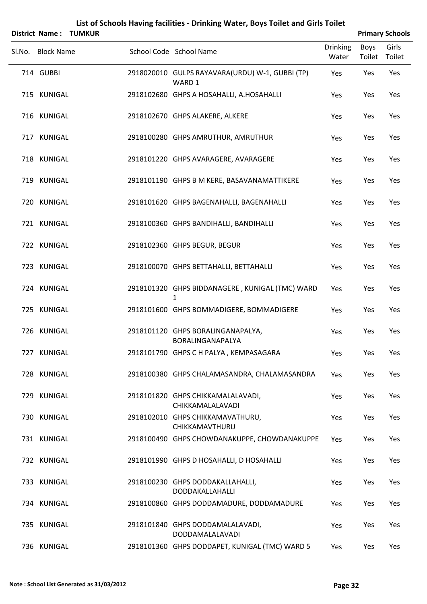|        |                   | <b>District Name: TUMKUR</b> |                                                           |                          |                | <b>Primary Schools</b> |
|--------|-------------------|------------------------------|-----------------------------------------------------------|--------------------------|----------------|------------------------|
| SI.No. | <b>Block Name</b> |                              | School Code School Name                                   | <b>Drinking</b><br>Water | Boys<br>Toilet | Girls<br>Toilet        |
|        | 714 GUBBI         |                              | 2918020010 GULPS RAYAVARA(URDU) W-1, GUBBI (TP)<br>WARD 1 | Yes                      | Yes            | Yes                    |
|        | 715 KUNIGAL       |                              | 2918102680 GHPS A HOSAHALLI, A.HOSAHALLI                  | Yes                      | Yes            | Yes                    |
|        | 716 KUNIGAL       |                              | 2918102670 GHPS ALAKERE, ALKERE                           | Yes                      | Yes            | Yes                    |
|        | 717 KUNIGAL       |                              | 2918100280 GHPS AMRUTHUR, AMRUTHUR                        | Yes                      | Yes            | Yes                    |
|        | 718 KUNIGAL       |                              | 2918101220 GHPS AVARAGERE, AVARAGERE                      | Yes                      | Yes            | Yes                    |
|        | 719 KUNIGAL       |                              | 2918101190 GHPS B M KERE, BASAVANAMATTIKERE               | Yes                      | Yes            | Yes                    |
|        | 720 KUNIGAL       |                              | 2918101620 GHPS BAGENAHALLI, BAGENAHALLI                  | Yes                      | Yes            | Yes                    |
|        | 721 KUNIGAL       |                              | 2918100360 GHPS BANDIHALLI, BANDIHALLI                    | Yes                      | Yes            | Yes                    |
|        | 722 KUNIGAL       |                              | 2918102360 GHPS BEGUR, BEGUR                              | Yes                      | Yes            | Yes                    |
|        | 723 KUNIGAL       |                              | 2918100070 GHPS BETTAHALLI, BETTAHALLI                    | Yes                      | Yes            | Yes                    |
|        | 724 KUNIGAL       |                              | 2918101320 GHPS BIDDANAGERE, KUNIGAL (TMC) WARD<br>1      | Yes                      | Yes            | Yes                    |
|        | 725 KUNIGAL       |                              | 2918101600 GHPS BOMMADIGERE, BOMMADIGERE                  | Yes                      | Yes            | Yes                    |
|        | 726 KUNIGAL       |                              | 2918101120 GHPS BORALINGANAPALYA,<br>BORALINGANAPALYA     | Yes                      | Yes            | Yes                    |
|        | 727 KUNIGAL       |                              | 2918101790 GHPS C H PALYA, KEMPASAGARA                    | Yes                      | Yes            | Yes                    |
|        | 728 KUNIGAL       |                              | 2918100380 GHPS CHALAMASANDRA, CHALAMASANDRA              | Yes                      | Yes            | Yes                    |
|        | 729 KUNIGAL       |                              | 2918101820 GHPS CHIKKAMALALAVADI,<br>CHIKKAMALALAVADI     | Yes                      | Yes            | Yes                    |
|        | 730 KUNIGAL       |                              | 2918102010 GHPS CHIKKAMAVATHURU,<br>CHIKKAMAVTHURU        | Yes                      | Yes            | Yes                    |
|        | 731 KUNIGAL       |                              | 2918100490 GHPS CHOWDANAKUPPE, CHOWDANAKUPPE              | Yes                      | Yes            | Yes                    |
|        | 732 KUNIGAL       |                              | 2918101990 GHPS D HOSAHALLI, D HOSAHALLI                  | Yes                      | Yes            | Yes                    |
|        | 733 KUNIGAL       |                              | 2918100230 GHPS DODDAKALLAHALLI,<br>DODDAKALLAHALLI       | Yes                      | Yes            | Yes                    |
|        | 734 KUNIGAL       |                              | 2918100860 GHPS DODDAMADURE, DODDAMADURE                  | Yes                      | Yes            | Yes                    |
|        | 735 KUNIGAL       |                              | 2918101840 GHPS DODDAMALALAVADI,<br>DODDAMALALAVADI       | Yes                      | Yes            | Yes                    |
|        | 736 KUNIGAL       |                              | 2918101360 GHPS DODDAPET, KUNIGAL (TMC) WARD 5            | Yes                      | Yes            | Yes                    |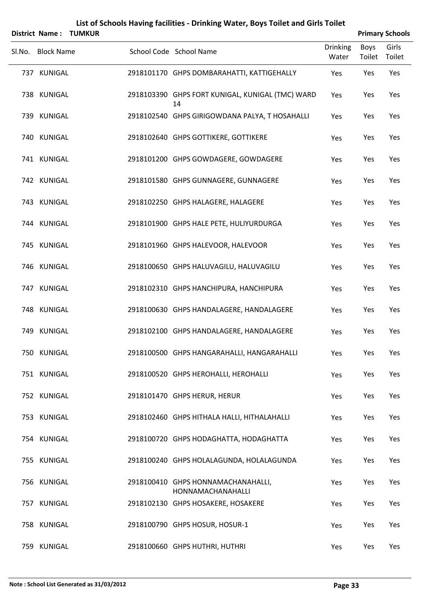|        | <b>District Name:</b> | <b>TUMKUR</b> |                                                         |                          |                | <b>Primary Schools</b> |
|--------|-----------------------|---------------|---------------------------------------------------------|--------------------------|----------------|------------------------|
| Sl.No. | <b>Block Name</b>     |               | School Code School Name                                 | <b>Drinking</b><br>Water | Boys<br>Toilet | Girls<br>Toilet        |
|        | 737 KUNIGAL           |               | 2918101170 GHPS DOMBARAHATTI, KATTIGEHALLY              | Yes                      | Yes            | Yes                    |
|        | 738 KUNIGAL           |               | 2918103390 GHPS FORT KUNIGAL, KUNIGAL (TMC) WARD<br>14  | Yes                      | Yes            | Yes                    |
|        | 739 KUNIGAL           |               | 2918102540 GHPS GIRIGOWDANA PALYA, T HOSAHALLI          | Yes                      | Yes            | Yes                    |
|        | 740 KUNIGAL           |               | 2918102640 GHPS GOTTIKERE, GOTTIKERE                    | Yes                      | Yes            | Yes                    |
|        | 741 KUNIGAL           |               | 2918101200 GHPS GOWDAGERE, GOWDAGERE                    | Yes                      | Yes            | Yes                    |
|        | 742 KUNIGAL           |               | 2918101580 GHPS GUNNAGERE, GUNNAGERE                    | Yes                      | Yes            | Yes                    |
|        | 743 KUNIGAL           |               | 2918102250 GHPS HALAGERE, HALAGERE                      | Yes                      | Yes            | Yes                    |
|        | 744 KUNIGAL           |               | 2918101900 GHPS HALE PETE, HULIYURDURGA                 | Yes                      | Yes            | Yes                    |
|        | 745 KUNIGAL           |               | 2918101960 GHPS HALEVOOR, HALEVOOR                      | Yes                      | Yes            | Yes                    |
|        | 746 KUNIGAL           |               | 2918100650 GHPS HALUVAGILU, HALUVAGILU                  | Yes                      | Yes            | Yes                    |
|        | 747 KUNIGAL           |               | 2918102310 GHPS HANCHIPURA, HANCHIPURA                  | Yes                      | Yes            | Yes                    |
|        | 748 KUNIGAL           |               | 2918100630 GHPS HANDALAGERE, HANDALAGERE                | Yes                      | Yes            | Yes                    |
|        | 749 KUNIGAL           |               | 2918102100 GHPS HANDALAGERE, HANDALAGERE                | Yes                      | Yes            | Yes                    |
|        | 750 KUNIGAL           |               | 2918100500 GHPS HANGARAHALLI, HANGARAHALLI              | Yes                      | Yes            | Yes                    |
|        | 751 KUNIGAL           |               | 2918100520 GHPS HEROHALLI, HEROHALLI                    | Yes                      | Yes            | Yes                    |
|        | 752 KUNIGAL           |               | 2918101470 GHPS HERUR, HERUR                            | Yes                      | Yes            | Yes                    |
|        | 753 KUNIGAL           |               | 2918102460 GHPS HITHALA HALLI, HITHALAHALLI             | Yes                      | Yes            | Yes                    |
|        | 754 KUNIGAL           |               | 2918100720 GHPS HODAGHATTA, HODAGHATTA                  | Yes                      | Yes            | Yes                    |
|        | 755 KUNIGAL           |               | 2918100240 GHPS HOLALAGUNDA, HOLALAGUNDA                | Yes                      | Yes            | Yes                    |
|        | 756 KUNIGAL           |               | 2918100410 GHPS HONNAMACHANAHALLI,<br>HONNAMACHANAHALLI | Yes                      | Yes            | Yes                    |
|        | 757 KUNIGAL           |               | 2918102130 GHPS HOSAKERE, HOSAKERE                      | Yes                      | Yes            | Yes                    |
|        | 758 KUNIGAL           |               | 2918100790 GHPS HOSUR, HOSUR-1                          | Yes                      | Yes            | Yes                    |
|        | 759 KUNIGAL           |               | 2918100660 GHPS HUTHRI, HUTHRI                          | Yes                      | Yes            | Yes                    |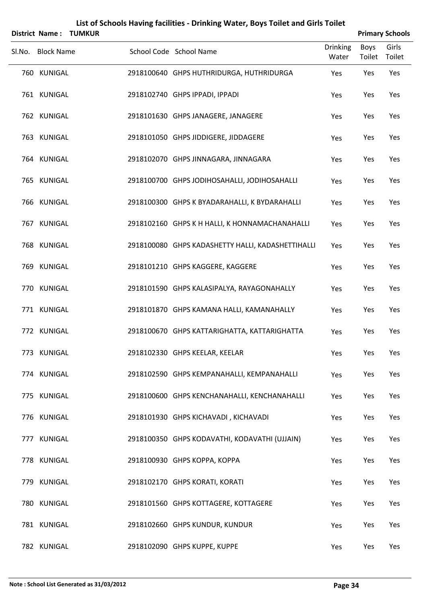|        | <b>District Name:</b> | <b>TUMKUR</b> |                                                   |                          |                       | <b>Primary Schools</b> |
|--------|-----------------------|---------------|---------------------------------------------------|--------------------------|-----------------------|------------------------|
| Sl.No. | <b>Block Name</b>     |               | School Code School Name                           | <b>Drinking</b><br>Water | <b>Boys</b><br>Toilet | Girls<br>Toilet        |
|        | 760 KUNIGAL           |               | 2918100640 GHPS HUTHRIDURGA, HUTHRIDURGA          | Yes                      | Yes                   | Yes                    |
|        | 761 KUNIGAL           |               | 2918102740 GHPS IPPADI, IPPADI                    | Yes                      | Yes                   | Yes                    |
|        | 762 KUNIGAL           |               | 2918101630 GHPS JANAGERE, JANAGERE                | Yes                      | Yes                   | Yes                    |
|        | 763 KUNIGAL           |               | 2918101050 GHPS JIDDIGERE, JIDDAGERE              | Yes                      | Yes                   | Yes                    |
|        | 764 KUNIGAL           |               | 2918102070 GHPS JINNAGARA, JINNAGARA              | Yes                      | Yes                   | Yes                    |
|        | 765 KUNIGAL           |               | 2918100700 GHPS JODIHOSAHALLI, JODIHOSAHALLI      | Yes                      | Yes                   | Yes                    |
|        | 766 KUNIGAL           |               | 2918100300 GHPS K BYADARAHALLI, K BYDARAHALLI     | Yes                      | Yes                   | Yes                    |
|        | 767 KUNIGAL           |               | 2918102160 GHPS K H HALLI, K HONNAMACHANAHALLI    | Yes                      | Yes                   | Yes                    |
|        | 768 KUNIGAL           |               | 2918100080 GHPS KADASHETTY HALLI, KADASHETTIHALLI | Yes                      | Yes                   | Yes                    |
|        | 769 KUNIGAL           |               | 2918101210 GHPS KAGGERE, KAGGERE                  | Yes                      | Yes                   | Yes                    |
|        | 770 KUNIGAL           |               | 2918101590 GHPS KALASIPALYA, RAYAGONAHALLY        | Yes                      | Yes                   | Yes                    |
|        | 771 KUNIGAL           |               | 2918101870 GHPS KAMANA HALLI, KAMANAHALLY         | Yes                      | Yes                   | Yes                    |
|        | 772 KUNIGAL           |               | 2918100670 GHPS KATTARIGHATTA, KATTARIGHATTA      | Yes                      | Yes                   | Yes                    |
|        | 773 KUNIGAL           |               | 2918102330 GHPS KEELAR, KEELAR                    | Yes                      | Yes                   | Yes                    |
|        | 774 KUNIGAL           |               | 2918102590 GHPS KEMPANAHALLI, KEMPANAHALLI        | Yes                      | Yes                   | Yes                    |
|        | 775 KUNIGAL           |               | 2918100600 GHPS KENCHANAHALLI, KENCHANAHALLI      | Yes                      | Yes                   | Yes                    |
|        | 776 KUNIGAL           |               | 2918101930 GHPS KICHAVADI, KICHAVADI              | Yes                      | Yes                   | Yes                    |
|        | 777 KUNIGAL           |               | 2918100350 GHPS KODAVATHI, KODAVATHI (UJJAIN)     | Yes                      | Yes                   | Yes                    |
|        | 778 KUNIGAL           |               | 2918100930 GHPS KOPPA, KOPPA                      | Yes                      | Yes                   | Yes                    |
|        | 779 KUNIGAL           |               | 2918102170 GHPS KORATI, KORATI                    | Yes                      | Yes                   | Yes                    |
|        | 780 KUNIGAL           |               | 2918101560 GHPS KOTTAGERE, KOTTAGERE              | Yes                      | Yes                   | Yes                    |
|        | 781 KUNIGAL           |               | 2918102660 GHPS KUNDUR, KUNDUR                    | Yes                      | Yes                   | Yes                    |
|        | 782 KUNIGAL           |               | 2918102090 GHPS KUPPE, KUPPE                      | Yes                      | Yes                   | Yes                    |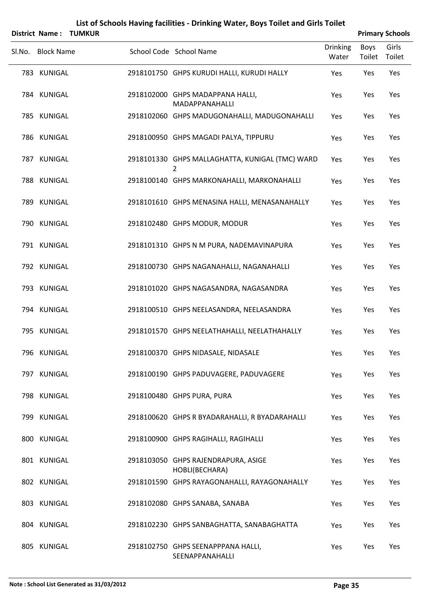|                   | <b>District Name: TUMKUR</b> |                                                       |                          |                | <b>Primary Schools</b> |
|-------------------|------------------------------|-------------------------------------------------------|--------------------------|----------------|------------------------|
| Sl.No. Block Name |                              | School Code School Name                               | <b>Drinking</b><br>Water | Boys<br>Toilet | Girls<br>Toilet        |
| 783 KUNIGAL       |                              | 2918101750 GHPS KURUDI HALLI, KURUDI HALLY            | Yes                      | Yes            | Yes                    |
| 784 KUNIGAL       |                              | 2918102000 GHPS MADAPPANA HALLI,<br>MADAPPANAHALLI    | Yes                      | Yes            | Yes                    |
| 785 KUNIGAL       |                              | 2918102060 GHPS MADUGONAHALLI, MADUGONAHALLI          | Yes                      | Yes            | Yes                    |
| 786 KUNIGAL       |                              | 2918100950 GHPS MAGADI PALYA, TIPPURU                 | Yes                      | Yes            | Yes                    |
| 787 KUNIGAL       |                              | 2918101330 GHPS MALLAGHATTA, KUNIGAL (TMC) WARD<br>2  | Yes                      | Yes            | Yes                    |
| 788 KUNIGAL       |                              | 2918100140 GHPS MARKONAHALLI, MARKONAHALLI            | Yes                      | Yes            | Yes                    |
| 789 KUNIGAL       |                              | 2918101610 GHPS MENASINA HALLI, MENASANAHALLY         | Yes                      | Yes            | Yes                    |
| 790 KUNIGAL       |                              | 2918102480 GHPS MODUR, MODUR                          | Yes                      | Yes            | Yes                    |
| 791 KUNIGAL       |                              | 2918101310 GHPS N M PURA, NADEMAVINAPURA              | Yes                      | Yes            | Yes                    |
| 792 KUNIGAL       |                              | 2918100730 GHPS NAGANAHALLI, NAGANAHALLI              | Yes                      | Yes            | Yes                    |
| 793 KUNIGAL       |                              | 2918101020 GHPS NAGASANDRA, NAGASANDRA                | Yes                      | Yes            | Yes                    |
| 794 KUNIGAL       |                              | 2918100510 GHPS NEELASANDRA, NEELASANDRA              | Yes                      | Yes            | Yes                    |
| 795 KUNIGAL       |                              | 2918101570 GHPS NEELATHAHALLI, NEELATHAHALLY          | Yes                      | Yes            | Yes                    |
| 796 KUNIGAL       |                              | 2918100370 GHPS NIDASALE, NIDASALE                    | Yes                      | Yes            | Yes                    |
| 797 KUNIGAL       |                              | 2918100190 GHPS PADUVAGERE, PADUVAGERE                | Yes                      | Yes            | Yes                    |
| 798 KUNIGAL       |                              | 2918100480 GHPS PURA, PURA                            | Yes                      | Yes            | Yes                    |
| 799 KUNIGAL       |                              | 2918100620 GHPS R BYADARAHALLI, R BYADARAHALLI        | Yes                      | Yes            | Yes                    |
| 800 KUNIGAL       |                              | 2918100900 GHPS RAGIHALLI, RAGIHALLI                  | Yes                      | Yes            | Yes                    |
| 801 KUNIGAL       |                              | 2918103050 GHPS RAJENDRAPURA, ASIGE<br>HOBLI(BECHARA) | Yes                      | Yes            | Yes                    |
| 802 KUNIGAL       |                              | 2918101590 GHPS RAYAGONAHALLI, RAYAGONAHALLY          | Yes                      | Yes            | Yes                    |
| 803 KUNIGAL       |                              | 2918102080 GHPS SANABA, SANABA                        | Yes                      | Yes            | Yes                    |
| 804 KUNIGAL       |                              | 2918102230 GHPS SANBAGHATTA, SANABAGHATTA             | Yes                      | Yes            | Yes                    |
| 805 KUNIGAL       |                              | 2918102750 GHPS SEENAPPPANA HALLI,<br>SEENAPPANAHALLI | Yes                      | Yes            | Yes                    |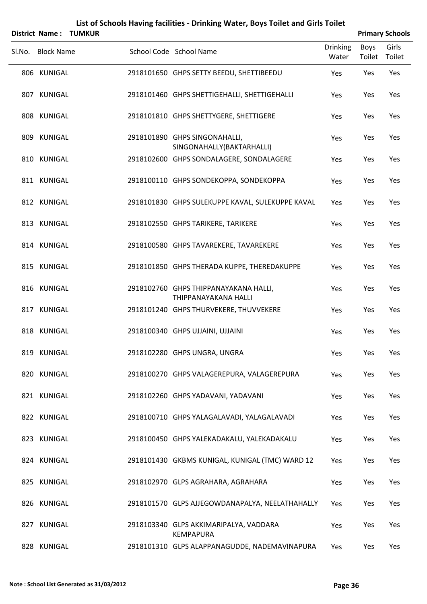|                   | <b>District Name: TUMKUR</b> |                                                               |                          |                | <b>Primary Schools</b> |
|-------------------|------------------------------|---------------------------------------------------------------|--------------------------|----------------|------------------------|
| Sl.No. Block Name |                              | School Code School Name                                       | <b>Drinking</b><br>Water | Boys<br>Toilet | Girls<br>Toilet        |
| 806 KUNIGAL       |                              | 2918101650 GHPS SETTY BEEDU, SHETTIBEEDU                      | Yes                      | Yes            | Yes                    |
| 807 KUNIGAL       |                              | 2918101460 GHPS SHETTIGEHALLI, SHETTIGEHALLI                  | Yes                      | Yes            | Yes                    |
| 808 KUNIGAL       |                              | 2918101810 GHPS SHETTYGERE, SHETTIGERE                        | Yes                      | Yes            | Yes                    |
| 809 KUNIGAL       |                              | 2918101890 GHPS SINGONAHALLI,<br>SINGONAHALLY(BAKTARHALLI)    | Yes                      | Yes            | Yes                    |
| 810 KUNIGAL       |                              | 2918102600 GHPS SONDALAGERE, SONDALAGERE                      | Yes                      | Yes            | Yes                    |
| 811 KUNIGAL       |                              | 2918100110 GHPS SONDEKOPPA, SONDEKOPPA                        | Yes                      | Yes            | Yes                    |
| 812 KUNIGAL       |                              | 2918101830 GHPS SULEKUPPE KAVAL, SULEKUPPE KAVAL              | Yes                      | Yes            | Yes                    |
| 813 KUNIGAL       |                              | 2918102550 GHPS TARIKERE, TARIKERE                            | Yes                      | Yes            | Yes                    |
| 814 KUNIGAL       |                              | 2918100580 GHPS TAVAREKERE, TAVAREKERE                        | Yes                      | Yes            | Yes                    |
| 815 KUNIGAL       |                              | 2918101850 GHPS THERADA KUPPE, THEREDAKUPPE                   | Yes                      | Yes            | Yes                    |
| 816 KUNIGAL       |                              | 2918102760 GHPS THIPPANAYAKANA HALLI,<br>THIPPANAYAKANA HALLI | Yes                      | Yes            | Yes                    |
| 817 KUNIGAL       |                              | 2918101240 GHPS THURVEKERE, THUVVEKERE                        | Yes                      | Yes            | Yes                    |
| 818 KUNIGAL       |                              | 2918100340 GHPS UJJAINI, UJJAINI                              | Yes                      | Yes            | Yes                    |
| 819 KUNIGAL       |                              | 2918102280 GHPS UNGRA, UNGRA                                  | Yes                      | Yes            | Yes                    |
| 820 KUNIGAL       |                              | 2918100270 GHPS VALAGEREPURA, VALAGEREPURA                    | Yes                      | Yes            | Yes                    |
| 821 KUNIGAL       |                              | 2918102260 GHPS YADAVANI, YADAVANI                            | Yes                      | Yes            | Yes                    |
| 822 KUNIGAL       |                              | 2918100710 GHPS YALAGALAVADI, YALAGALAVADI                    | Yes                      | Yes            | Yes                    |
| 823 KUNIGAL       |                              | 2918100450 GHPS YALEKADAKALU, YALEKADAKALU                    | Yes                      | Yes            | Yes                    |
| 824 KUNIGAL       |                              | 2918101430 GKBMS KUNIGAL, KUNIGAL (TMC) WARD 12               | Yes                      | Yes            | Yes                    |
| 825 KUNIGAL       |                              | 2918102970 GLPS AGRAHARA, AGRAHARA                            | Yes                      | Yes            | Yes                    |
| 826 KUNIGAL       |                              | 2918101570 GLPS AJJEGOWDANAPALYA, NEELATHAHALLY               | Yes                      | Yes            | Yes                    |
| 827 KUNIGAL       |                              | 2918103340 GLPS AKKIMARIPALYA, VADDARA<br><b>KEMPAPURA</b>    | Yes                      | Yes            | Yes                    |
| 828 KUNIGAL       |                              | 2918101310 GLPS ALAPPANAGUDDE, NADEMAVINAPURA                 | Yes                      | Yes            | Yes                    |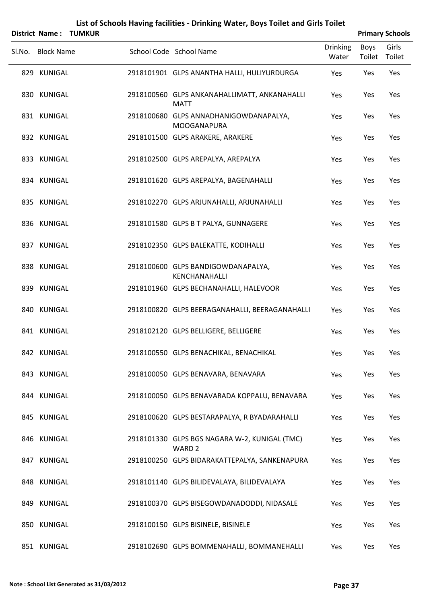|                   | District Name: TUMKUR |                                                                    |                          |                | <b>Primary Schools</b> |
|-------------------|-----------------------|--------------------------------------------------------------------|--------------------------|----------------|------------------------|
| Sl.No. Block Name |                       | School Code School Name                                            | <b>Drinking</b><br>Water | Boys<br>Toilet | Girls<br>Toilet        |
| 829 KUNIGAL       |                       | 2918101901 GLPS ANANTHA HALLI, HULIYURDURGA                        | Yes                      | Yes            | Yes                    |
| 830 KUNIGAL       |                       | 2918100560 GLPS ANKANAHALLIMATT, ANKANAHALLI<br><b>MATT</b>        | Yes                      | Yes            | Yes                    |
| 831 KUNIGAL       |                       | 2918100680 GLPS ANNADHANIGOWDANAPALYA,<br><b>MOOGANAPURA</b>       | Yes                      | Yes            | Yes                    |
| 832 KUNIGAL       |                       | 2918101500 GLPS ARAKERE, ARAKERE                                   | Yes                      | Yes            | Yes                    |
| 833 KUNIGAL       |                       | 2918102500 GLPS AREPALYA, AREPALYA                                 | Yes                      | Yes            | Yes                    |
| 834 KUNIGAL       |                       | 2918101620 GLPS AREPALYA, BAGENAHALLI                              | Yes                      | Yes            | Yes                    |
| 835 KUNIGAL       |                       | 2918102270 GLPS ARJUNAHALLI, ARJUNAHALLI                           | Yes                      | Yes            | Yes                    |
| 836 KUNIGAL       |                       | 2918101580 GLPS B T PALYA, GUNNAGERE                               | Yes                      | Yes            | Yes                    |
| 837 KUNIGAL       |                       | 2918102350 GLPS BALEKATTE, KODIHALLI                               | Yes                      | Yes            | Yes                    |
| 838 KUNIGAL       |                       | 2918100600 GLPS BANDIGOWDANAPALYA,<br>KENCHANAHALLI                | Yes                      | Yes            | Yes                    |
| 839 KUNIGAL       |                       | 2918101960 GLPS BECHANAHALLI, HALEVOOR                             | Yes                      | Yes            | Yes                    |
| 840 KUNIGAL       |                       | 2918100820 GLPS BEERAGANAHALLI, BEERAGANAHALLI                     | Yes                      | Yes            | Yes                    |
| 841 KUNIGAL       |                       | 2918102120 GLPS BELLIGERE, BELLIGERE                               | Yes                      | Yes            | Yes                    |
| 842 KUNIGAL       |                       | 2918100550 GLPS BENACHIKAL, BENACHIKAL                             | Yes                      | Yes            | Yes                    |
| 843 KUNIGAL       |                       | 2918100050 GLPS BENAVARA, BENAVARA                                 | Yes                      | Yes            | Yes                    |
| 844 KUNIGAL       |                       | 2918100050 GLPS BENAVARADA KOPPALU, BENAVARA                       | Yes                      | Yes            | Yes                    |
| 845 KUNIGAL       |                       | 2918100620 GLPS BESTARAPALYA, R BYADARAHALLI                       | Yes                      | Yes            | Yes                    |
| 846 KUNIGAL       |                       | 2918101330 GLPS BGS NAGARA W-2, KUNIGAL (TMC)<br>WARD <sub>2</sub> | Yes                      | Yes            | Yes                    |
| 847 KUNIGAL       |                       | 2918100250 GLPS BIDARAKATTEPALYA, SANKENAPURA                      | Yes                      | Yes            | Yes                    |
| 848 KUNIGAL       |                       | 2918101140 GLPS BILIDEVALAYA, BILIDEVALAYA                         | Yes                      | Yes            | Yes                    |
| 849 KUNIGAL       |                       | 2918100370 GLPS BISEGOWDANADODDI, NIDASALE                         | Yes                      | Yes            | Yes                    |
| 850 KUNIGAL       |                       | 2918100150 GLPS BISINELE, BISINELE                                 | Yes                      | Yes            | Yes                    |
| 851 KUNIGAL       |                       | 2918102690 GLPS BOMMENAHALLI, BOMMANEHALLI                         | Yes                      | Yes            | Yes                    |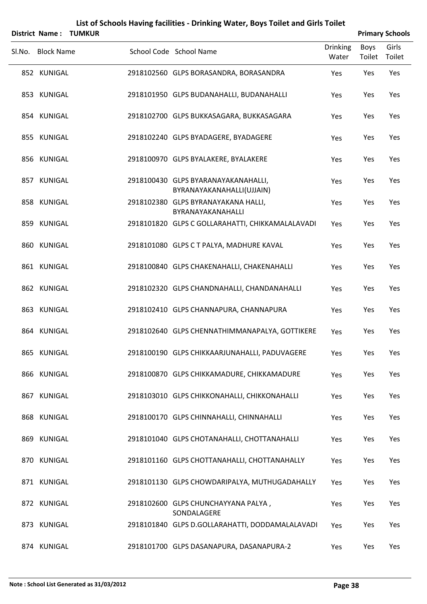|        |                   | <b>District Name: TUMKUR</b> |                                                                  |                          |                       | <b>Primary Schools</b> |
|--------|-------------------|------------------------------|------------------------------------------------------------------|--------------------------|-----------------------|------------------------|
| Sl.No. | <b>Block Name</b> |                              | School Code School Name                                          | <b>Drinking</b><br>Water | <b>Boys</b><br>Toilet | Girls<br>Toilet        |
|        | 852 KUNIGAL       |                              | 2918102560 GLPS BORASANDRA, BORASANDRA                           | Yes                      | Yes                   | Yes                    |
|        | 853 KUNIGAL       |                              | 2918101950 GLPS BUDANAHALLI, BUDANAHALLI                         | Yes                      | Yes                   | Yes                    |
|        | 854 KUNIGAL       |                              | 2918102700 GLPS BUKKASAGARA, BUKKASAGARA                         | Yes                      | Yes                   | Yes                    |
|        | 855 KUNIGAL       |                              | 2918102240 GLPS BYADAGERE, BYADAGERE                             | Yes                      | Yes                   | Yes                    |
|        | 856 KUNIGAL       |                              | 2918100970 GLPS BYALAKERE, BYALAKERE                             | Yes                      | Yes                   | Yes                    |
|        | 857 KUNIGAL       |                              | 2918100430 GLPS BYARANAYAKANAHALLI,<br>BYRANAYAKANAHALLI(UJJAIN) | Yes                      | Yes                   | Yes                    |
|        | 858 KUNIGAL       |                              | 2918102380 GLPS BYRANAYAKANA HALLI,<br>BYRANAYAKANAHALLI         | Yes                      | Yes                   | Yes                    |
|        | 859 KUNIGAL       |                              | 2918101820 GLPS C GOLLARAHATTI, CHIKKAMALALAVADI                 | Yes                      | Yes                   | Yes                    |
|        | 860 KUNIGAL       |                              | 2918101080 GLPS C T PALYA, MADHURE KAVAL                         | Yes                      | Yes                   | Yes                    |
|        | 861 KUNIGAL       |                              | 2918100840 GLPS CHAKENAHALLI, CHAKENAHALLI                       | Yes                      | Yes                   | Yes                    |
|        | 862 KUNIGAL       |                              | 2918102320 GLPS CHANDNAHALLI, CHANDANAHALLI                      | Yes                      | Yes                   | Yes                    |
|        | 863 KUNIGAL       |                              | 2918102410 GLPS CHANNAPURA, CHANNAPURA                           | Yes                      | Yes                   | Yes                    |
|        | 864 KUNIGAL       |                              | 2918102640 GLPS CHENNATHIMMANAPALYA, GOTTIKERE                   | Yes                      | Yes                   | Yes                    |
|        | 865 KUNIGAL       |                              | 2918100190 GLPS CHIKKAARJUNAHALLI, PADUVAGERE                    | Yes                      | Yes                   | Yes                    |
|        | 866 KUNIGAL       |                              | 2918100870 GLPS CHIKKAMADURE, CHIKKAMADURE                       | Yes                      | Yes                   | Yes                    |
|        | 867 KUNIGAL       |                              | 2918103010 GLPS CHIKKONAHALLI, CHIKKONAHALLI                     | Yes                      | Yes                   | Yes                    |
|        | 868 KUNIGAL       |                              | 2918100170 GLPS CHINNAHALLI, CHINNAHALLI                         | Yes                      | Yes                   | Yes                    |
|        | 869 KUNIGAL       |                              | 2918101040 GLPS CHOTANAHALLI, CHOTTANAHALLI                      | Yes                      | Yes                   | Yes                    |
|        | 870 KUNIGAL       |                              | 2918101160 GLPS CHOTTANAHALLI, CHOTTANAHALLY                     | Yes                      | Yes                   | Yes                    |
|        | 871 KUNIGAL       |                              | 2918101130 GLPS CHOWDARIPALYA, MUTHUGADAHALLY                    | Yes                      | Yes                   | Yes                    |
|        | 872 KUNIGAL       |                              | 2918102600 GLPS CHUNCHAYYANA PALYA,<br>SONDALAGERE               | Yes                      | Yes                   | Yes                    |
|        | 873 KUNIGAL       |                              | 2918101840 GLPS D.GOLLARAHATTI, DODDAMALALAVADI                  | Yes                      | Yes                   | Yes                    |
|        | 874 KUNIGAL       |                              | 2918101700 GLPS DASANAPURA, DASANAPURA-2                         | Yes                      | Yes                   | Yes                    |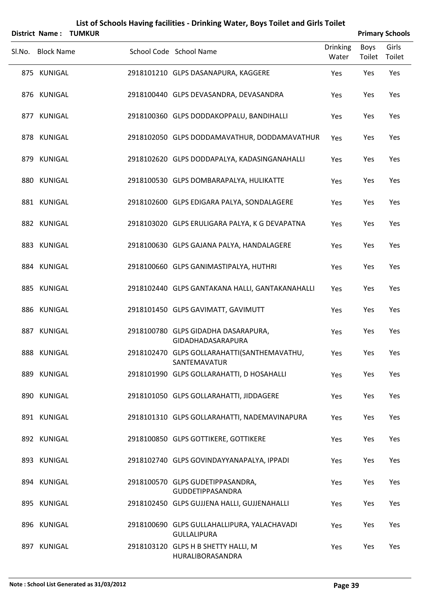|        | <b>District Name:</b> | <b>TUMKUR</b> |                                                                   |                          |                | <b>Primary Schools</b> |
|--------|-----------------------|---------------|-------------------------------------------------------------------|--------------------------|----------------|------------------------|
| Sl.No. | <b>Block Name</b>     |               | School Code School Name                                           | <b>Drinking</b><br>Water | Boys<br>Toilet | Girls<br>Toilet        |
|        | 875 KUNIGAL           |               | 2918101210 GLPS DASANAPURA, KAGGERE                               | Yes                      | Yes            | Yes                    |
|        | 876 KUNIGAL           |               | 2918100440 GLPS DEVASANDRA, DEVASANDRA                            | Yes                      | Yes            | Yes                    |
|        | 877 KUNIGAL           |               | 2918100360 GLPS DODDAKOPPALU, BANDIHALLI                          | Yes                      | Yes            | Yes                    |
|        | 878 KUNIGAL           |               | 2918102050 GLPS DODDAMAVATHUR, DODDAMAVATHUR                      | Yes                      | Yes            | Yes                    |
|        | 879 KUNIGAL           |               | 2918102620 GLPS DODDAPALYA, KADASINGANAHALLI                      | Yes                      | Yes            | Yes                    |
|        | 880 KUNIGAL           |               | 2918100530 GLPS DOMBARAPALYA, HULIKATTE                           | Yes                      | Yes            | Yes                    |
|        | 881 KUNIGAL           |               | 2918102600 GLPS EDIGARA PALYA, SONDALAGERE                        | Yes                      | Yes            | Yes                    |
|        | 882 KUNIGAL           |               | 2918103020 GLPS ERULIGARA PALYA, K G DEVAPATNA                    | Yes                      | Yes            | Yes                    |
|        | 883 KUNIGAL           |               | 2918100630 GLPS GAJANA PALYA, HANDALAGERE                         | Yes                      | Yes            | Yes                    |
|        | 884 KUNIGAL           |               | 2918100660 GLPS GANIMASTIPALYA, HUTHRI                            | Yes                      | Yes            | Yes                    |
|        | 885 KUNIGAL           |               | 2918102440 GLPS GANTAKANA HALLI, GANTAKANAHALLI                   | Yes                      | Yes            | Yes                    |
|        | 886 KUNIGAL           |               | 2918101450 GLPS GAVIMATT, GAVIMUTT                                | Yes                      | Yes            | Yes                    |
|        | 887 KUNIGAL           |               | 2918100780 GLPS GIDADHA DASARAPURA,<br>GIDADHADASARAPURA          | Yes                      | Yes            | Yes                    |
|        | 888 KUNIGAL           |               | 2918102470 GLPS GOLLARAHATTI(SANTHEMAVATHU,<br>SANTEMAVATUR       | Yes                      | Yes            | Yes                    |
|        | 889 KUNIGAL           |               | 2918101990 GLPS GOLLARAHATTI, D HOSAHALLI                         | Yes                      | Yes            | Yes                    |
|        | 890 KUNIGAL           |               | 2918101050 GLPS GOLLARAHATTI, JIDDAGERE                           | Yes                      | Yes            | Yes                    |
|        | 891 KUNIGAL           |               | 2918101310 GLPS GOLLARAHATTI, NADEMAVINAPURA                      | Yes                      | Yes            | Yes                    |
|        | 892 KUNIGAL           |               | 2918100850 GLPS GOTTIKERE, GOTTIKERE                              | Yes                      | Yes            | Yes                    |
|        | 893 KUNIGAL           |               | 2918102740 GLPS GOVINDAYYANAPALYA, IPPADI                         | Yes                      | Yes            | Yes                    |
|        | 894 KUNIGAL           |               | 2918100570 GLPS GUDETIPPASANDRA,<br><b>GUDDETIPPASANDRA</b>       | Yes                      | Yes            | Yes                    |
|        | 895 KUNIGAL           |               | 2918102450 GLPS GUJJENA HALLI, GUJJENAHALLI                       | Yes                      | Yes            | Yes                    |
|        | 896 KUNIGAL           |               | 2918100690 GLPS GULLAHALLIPURA, YALACHAVADI<br><b>GULLALIPURA</b> | Yes                      | Yes            | Yes                    |
|        | 897 KUNIGAL           |               | 2918103120 GLPS H B SHETTY HALLI, M<br>HURALIBORASANDRA           | Yes                      | Yes            | Yes                    |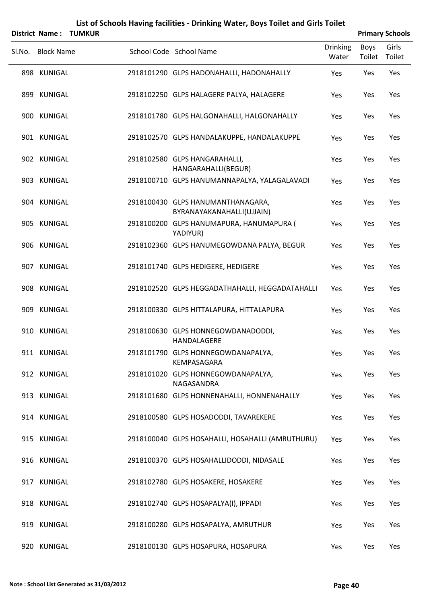|        | <b>District Name:</b> | <b>TUMKUR</b> |                                                                |                          |                | <b>Primary Schools</b> |
|--------|-----------------------|---------------|----------------------------------------------------------------|--------------------------|----------------|------------------------|
| Sl.No. | <b>Block Name</b>     |               | School Code School Name                                        | <b>Drinking</b><br>Water | Boys<br>Toilet | Girls<br>Toilet        |
|        | 898 KUNIGAL           |               | 2918101290 GLPS HADONAHALLI, HADONAHALLY                       | Yes                      | Yes            | Yes                    |
|        | 899 KUNIGAL           |               | 2918102250 GLPS HALAGERE PALYA, HALAGERE                       | Yes                      | Yes            | Yes                    |
|        | 900 KUNIGAL           |               | 2918101780 GLPS HALGONAHALLI, HALGONAHALLY                     | Yes                      | Yes            | Yes                    |
|        | 901 KUNIGAL           |               | 2918102570 GLPS HANDALAKUPPE, HANDALAKUPPE                     | Yes                      | Yes            | Yes                    |
|        | 902 KUNIGAL           |               | 2918102580 GLPS HANGARAHALLI,<br>HANGARAHALLI(BEGUR)           | Yes                      | Yes            | Yes                    |
|        | 903 KUNIGAL           |               | 2918100710 GLPS HANUMANNAPALYA, YALAGALAVADI                   | Yes                      | Yes            | Yes                    |
|        | 904 KUNIGAL           |               | 2918100430 GLPS HANUMANTHANAGARA,<br>BYRANAYAKANAHALLI(UJJAIN) | Yes                      | Yes            | Yes                    |
|        | 905 KUNIGAL           |               | 2918100200 GLPS HANUMAPURA, HANUMAPURA (<br>YADIYUR)           | Yes                      | Yes            | Yes                    |
|        | 906 KUNIGAL           |               | 2918102360 GLPS HANUMEGOWDANA PALYA, BEGUR                     | Yes                      | Yes            | Yes                    |
|        | 907 KUNIGAL           |               | 2918101740 GLPS HEDIGERE, HEDIGERE                             | Yes                      | Yes            | Yes                    |
|        | 908 KUNIGAL           |               | 2918102520 GLPS HEGGADATHAHALLI, HEGGADATAHALLI                | Yes                      | Yes            | Yes                    |
|        | 909 KUNIGAL           |               | 2918100330 GLPS HITTALAPURA, HITTALAPURA                       | Yes                      | Yes            | Yes                    |
|        | 910 KUNIGAL           |               | 2918100630 GLPS HONNEGOWDANADODDI,<br>HANDALAGERE              | Yes                      | Yes            | Yes                    |
|        | 911 KUNIGAL           |               | 2918101790 GLPS HONNEGOWDANAPALYA,<br>KEMPASAGARA              | Yes                      | Yes            | Yes                    |
|        | 912 KUNIGAL           |               | 2918101020 GLPS HONNEGOWDANAPALYA,<br>NAGASANDRA               | Yes                      | Yes            | Yes                    |
|        | 913 KUNIGAL           |               | 2918101680 GLPS HONNENAHALLI, HONNENAHALLY                     | Yes                      | Yes            | Yes                    |
|        | 914 KUNIGAL           |               | 2918100580 GLPS HOSADODDI, TAVAREKERE                          | Yes                      | Yes            | Yes                    |
|        | 915 KUNIGAL           |               | 2918100040 GLPS HOSAHALLI, HOSAHALLI (AMRUTHURU)               | Yes                      | Yes            | Yes                    |
|        | 916 KUNIGAL           |               | 2918100370 GLPS HOSAHALLIDODDI, NIDASALE                       | Yes                      | Yes            | Yes                    |
|        | 917 KUNIGAL           |               | 2918102780 GLPS HOSAKERE, HOSAKERE                             | Yes                      | Yes            | Yes                    |
|        | 918 KUNIGAL           |               | 2918102740 GLPS HOSAPALYA(I), IPPADI                           | Yes                      | Yes            | Yes                    |
|        | 919 KUNIGAL           |               | 2918100280 GLPS HOSAPALYA, AMRUTHUR                            | Yes                      | Yes            | Yes                    |
|        | 920 KUNIGAL           |               | 2918100130 GLPS HOSAPURA, HOSAPURA                             | Yes                      | Yes            | Yes                    |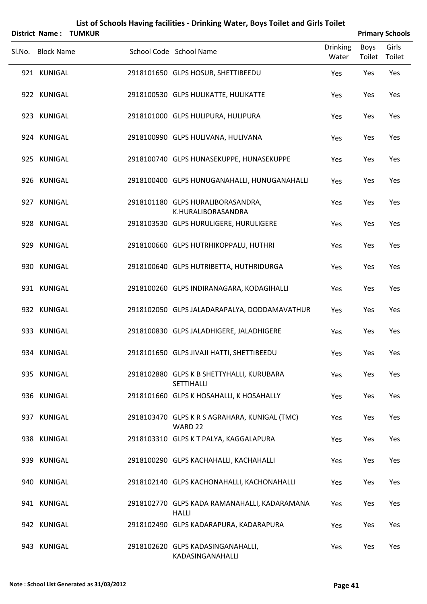|        | <b>District Name:</b> | <b>TUMKUR</b> |                                                                |                          |                       | <b>Primary Schools</b> |
|--------|-----------------------|---------------|----------------------------------------------------------------|--------------------------|-----------------------|------------------------|
| SI.No. | <b>Block Name</b>     |               | School Code School Name                                        | <b>Drinking</b><br>Water | <b>Boys</b><br>Toilet | Girls<br>Toilet        |
|        | 921 KUNIGAL           |               | 2918101650 GLPS HOSUR, SHETTIBEEDU                             | Yes                      | Yes                   | Yes                    |
|        | 922 KUNIGAL           |               | 2918100530 GLPS HULIKATTE, HULIKATTE                           | Yes                      | Yes                   | Yes                    |
|        | 923 KUNIGAL           |               | 2918101000 GLPS HULIPURA, HULIPURA                             | Yes                      | Yes                   | Yes                    |
|        | 924 KUNIGAL           |               | 2918100990 GLPS HULIVANA, HULIVANA                             | Yes                      | Yes                   | Yes                    |
|        | 925 KUNIGAL           |               | 2918100740 GLPS HUNASEKUPPE, HUNASEKUPPE                       | Yes                      | Yes                   | Yes                    |
|        | 926 KUNIGAL           |               | 2918100400 GLPS HUNUGANAHALLI, HUNUGANAHALLI                   | Yes                      | Yes                   | Yes                    |
|        | 927 KUNIGAL           |               | 2918101180 GLPS HURALIBORASANDRA,<br>K.HURALIBORASANDRA        | Yes                      | Yes                   | Yes                    |
|        | 928 KUNIGAL           |               | 2918103530 GLPS HURULIGERE, HURULIGERE                         | Yes                      | Yes                   | Yes                    |
|        | 929 KUNIGAL           |               | 2918100660 GLPS HUTRHIKOPPALU, HUTHRI                          | Yes                      | Yes                   | Yes                    |
|        | 930 KUNIGAL           |               | 2918100640 GLPS HUTRIBETTA, HUTHRIDURGA                        | Yes                      | Yes                   | Yes                    |
|        | 931 KUNIGAL           |               | 2918100260 GLPS INDIRANAGARA, KODAGIHALLI                      | Yes                      | Yes                   | Yes                    |
|        | 932 KUNIGAL           |               | 2918102050 GLPS JALADARAPALYA, DODDAMAVATHUR                   | Yes                      | Yes                   | Yes                    |
|        | 933 KUNIGAL           |               | 2918100830 GLPS JALADHIGERE, JALADHIGERE                       | Yes                      | Yes                   | Yes                    |
|        | 934 KUNIGAL           |               | 2918101650 GLPS JIVAJI HATTI, SHETTIBEEDU                      | Yes                      | Yes                   | Yes                    |
|        | 935 KUNIGAL           |               | 2918102880 GLPS K B SHETTYHALLI, KURUBARA<br><b>SETTIHALLI</b> | Yes                      | Yes                   | Yes                    |
|        | 936 KUNIGAL           |               | 2918101660 GLPS K HOSAHALLI, K HOSAHALLY                       | Yes                      | Yes                   | Yes                    |
|        | 937 KUNIGAL           |               | 2918103470 GLPS K R S AGRAHARA, KUNIGAL (TMC)<br>WARD 22       | Yes                      | Yes                   | Yes                    |
|        | 938 KUNIGAL           |               | 2918103310 GLPS K T PALYA, KAGGALAPURA                         | Yes                      | Yes                   | Yes                    |
|        | 939 KUNIGAL           |               | 2918100290 GLPS KACHAHALLI, KACHAHALLI                         | Yes                      | Yes                   | Yes                    |
|        | 940 KUNIGAL           |               | 2918102140 GLPS KACHONAHALLI, KACHONAHALLI                     | Yes                      | Yes                   | Yes                    |
|        | 941 KUNIGAL           |               | 2918102770 GLPS KADA RAMANAHALLI, KADARAMANA<br><b>HALLI</b>   | Yes                      | Yes                   | Yes                    |
|        | 942 KUNIGAL           |               | 2918102490 GLPS KADARAPURA, KADARAPURA                         | Yes                      | Yes                   | Yes                    |
|        | 943 KUNIGAL           |               | 2918102620 GLPS KADASINGANAHALLI,<br>KADASINGANAHALLI          | Yes                      | Yes                   | Yes                    |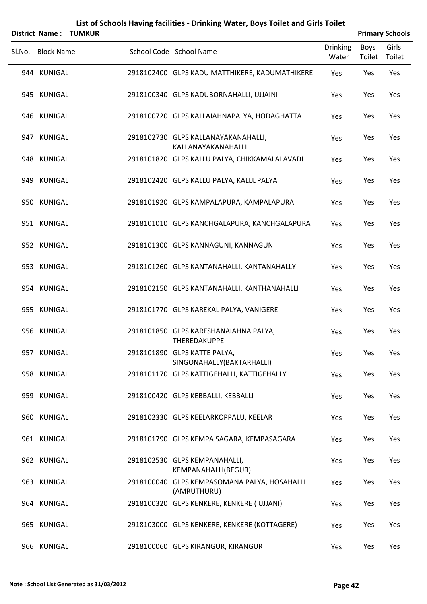|        | <b>District Name:</b> | <b>TUMKUR</b> |                                                             |                          |                | <b>Primary Schools</b> |
|--------|-----------------------|---------------|-------------------------------------------------------------|--------------------------|----------------|------------------------|
| Sl.No. | <b>Block Name</b>     |               | School Code School Name                                     | <b>Drinking</b><br>Water | Boys<br>Toilet | Girls<br>Toilet        |
|        | 944 KUNIGAL           |               | 2918102400 GLPS KADU MATTHIKERE, KADUMATHIKERE              | Yes                      | Yes            | Yes                    |
|        | 945 KUNIGAL           |               | 2918100340 GLPS KADUBORNAHALLI, UJJAINI                     | Yes                      | Yes            | Yes                    |
|        | 946 KUNIGAL           |               | 2918100720 GLPS KALLAIAHNAPALYA, HODAGHATTA                 | Yes                      | Yes            | Yes                    |
|        | 947 KUNIGAL           |               | 2918102730 GLPS KALLANAYAKANAHALLI,<br>KALLANAYAKANAHALLI   | Yes                      | Yes            | Yes                    |
|        | 948 KUNIGAL           |               | 2918101820 GLPS KALLU PALYA, CHIKKAMALALAVADI               | Yes                      | Yes            | Yes                    |
|        | 949 KUNIGAL           |               | 2918102420 GLPS KALLU PALYA, KALLUPALYA                     | Yes                      | Yes            | Yes                    |
|        | 950 KUNIGAL           |               | 2918101920 GLPS KAMPALAPURA, KAMPALAPURA                    | Yes                      | Yes            | Yes                    |
|        | 951 KUNIGAL           |               | 2918101010 GLPS KANCHGALAPURA, KANCHGALAPURA                | Yes                      | Yes            | Yes                    |
|        | 952 KUNIGAL           |               | 2918101300 GLPS KANNAGUNI, KANNAGUNI                        | Yes                      | Yes            | Yes                    |
|        | 953 KUNIGAL           |               | 2918101260 GLPS KANTANAHALLI, KANTANAHALLY                  | Yes                      | Yes            | Yes                    |
|        | 954 KUNIGAL           |               | 2918102150 GLPS KANTANAHALLI, KANTHANAHALLI                 | Yes                      | Yes            | Yes                    |
|        | 955 KUNIGAL           |               | 2918101770 GLPS KAREKAL PALYA, VANIGERE                     | Yes                      | Yes            | Yes                    |
|        | 956 KUNIGAL           |               | 2918101850 GLPS KARESHANAIAHNA PALYA,<br>THEREDAKUPPE       | Yes                      | Yes            | Yes                    |
|        | 957 KUNIGAL           |               | 2918101890 GLPS KATTE PALYA,<br>SINGONAHALLY(BAKTARHALLI)   | Yes                      | Yes            | Yes                    |
|        | 958 KUNIGAL           |               | 2918101170 GLPS KATTIGEHALLI, KATTIGEHALLY                  | Yes                      | Yes            | Yes                    |
|        | 959 KUNIGAL           |               | 2918100420 GLPS KEBBALLI, KEBBALLI                          | Yes                      | Yes            | Yes                    |
|        | 960 KUNIGAL           |               | 2918102330 GLPS KEELARKOPPALU, KEELAR                       | Yes                      | Yes            | Yes                    |
|        | 961 KUNIGAL           |               | 2918101790 GLPS KEMPA SAGARA, KEMPASAGARA                   | Yes                      | Yes            | Yes                    |
|        | 962 KUNIGAL           |               | 2918102530 GLPS KEMPANAHALLI,<br>KEMPANAHALLI(BEGUR)        | Yes                      | Yes            | Yes                    |
|        | 963 KUNIGAL           |               | 2918100040 GLPS KEMPASOMANA PALYA, HOSAHALLI<br>(AMRUTHURU) | Yes                      | Yes            | Yes                    |
|        | 964 KUNIGAL           |               | 2918100320 GLPS KENKERE, KENKERE ( UJJANI)                  | Yes                      | Yes            | Yes                    |
|        | 965 KUNIGAL           |               | 2918103000 GLPS KENKERE, KENKERE (KOTTAGERE)                | Yes                      | Yes            | Yes                    |
|        | 966 KUNIGAL           |               | 2918100060 GLPS KIRANGUR, KIRANGUR                          | Yes                      | Yes            | Yes                    |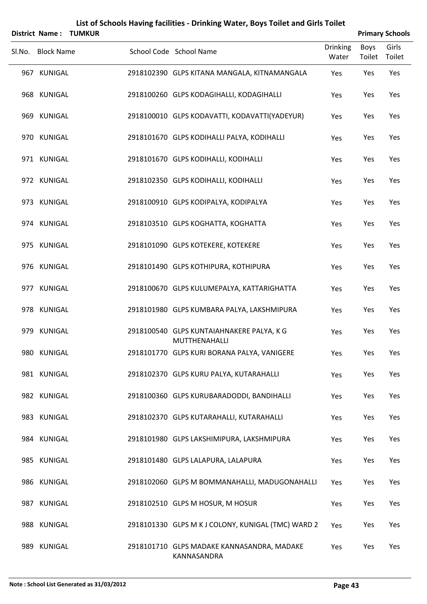| List of Schools Having facilities - Drinking Water, Boys Toilet and Girls Toilet<br><b>Primary Schools</b><br>District Name:<br><b>TUMKUR</b> |                   |  |                                                                   |                       |                 |  |  |  |
|-----------------------------------------------------------------------------------------------------------------------------------------------|-------------------|--|-------------------------------------------------------------------|-----------------------|-----------------|--|--|--|
| Sl.No.                                                                                                                                        | <b>Block Name</b> |  | <b>Drinking</b><br>School Code School Name<br>Water               | <b>Boys</b><br>Toilet | Girls<br>Toilet |  |  |  |
|                                                                                                                                               | 967 KUNIGAL       |  | 2918102390 GLPS KITANA MANGALA, KITNAMANGALA<br>Yes               | Yes                   | Yes             |  |  |  |
|                                                                                                                                               | 968 KUNIGAL       |  | 2918100260 GLPS KODAGIHALLI, KODAGIHALLI<br>Yes                   | Yes                   | Yes             |  |  |  |
|                                                                                                                                               | 969 KUNIGAL       |  | 2918100010 GLPS KODAVATTI, KODAVATTI(YADEYUR)<br>Yes              | Yes                   | Yes             |  |  |  |
|                                                                                                                                               | 970 KUNIGAL       |  | 2918101670 GLPS KODIHALLI PALYA, KODIHALLI<br>Yes                 | Yes                   | Yes             |  |  |  |
|                                                                                                                                               | 971 KUNIGAL       |  | 2918101670 GLPS KODIHALLI, KODIHALLI<br>Yes                       | Yes                   | Yes             |  |  |  |
|                                                                                                                                               | 972 KUNIGAL       |  | 2918102350 GLPS KODIHALLI, KODIHALLI<br>Yes                       | Yes                   | Yes             |  |  |  |
|                                                                                                                                               | 973 KUNIGAL       |  | 2918100910 GLPS KODIPALYA, KODIPALYA<br>Yes                       | Yes                   | Yes             |  |  |  |
|                                                                                                                                               | 974 KUNIGAL       |  | 2918103510 GLPS KOGHATTA, KOGHATTA<br>Yes                         | Yes                   | Yes             |  |  |  |
|                                                                                                                                               | 975 KUNIGAL       |  | 2918101090 GLPS KOTEKERE, KOTEKERE<br>Yes                         | Yes                   | Yes             |  |  |  |
|                                                                                                                                               | 976 KUNIGAL       |  | 2918101490 GLPS KOTHIPURA, KOTHIPURA<br>Yes                       | Yes                   | Yes             |  |  |  |
|                                                                                                                                               | 977 KUNIGAL       |  | 2918100670 GLPS KULUMEPALYA, KATTARIGHATTA<br>Yes                 | Yes                   | Yes             |  |  |  |
|                                                                                                                                               | 978 KUNIGAL       |  | 2918101980 GLPS KUMBARA PALYA, LAKSHMIPURA<br>Yes                 | Yes                   | Yes             |  |  |  |
|                                                                                                                                               | 979 KUNIGAL       |  | 2918100540 GLPS KUNTAIAHNAKERE PALYA, K G<br>Yes<br>MUTTHENAHALLI | Yes                   | Yes             |  |  |  |
|                                                                                                                                               | 980 KUNIGAL       |  | 2918101770 GLPS KURI BORANA PALYA, VANIGERE<br>Yes                | Yes                   | Yes             |  |  |  |
|                                                                                                                                               | 981 KUNIGAL       |  | 2918102370 GLPS KURU PALYA, KUTARAHALLI<br>Yes                    | Yes                   | Yes             |  |  |  |
|                                                                                                                                               | 982 KUNIGAL       |  | 2918100360 GLPS KURUBARADODDI, BANDIHALLI<br>Yes                  | Yes                   | Yes             |  |  |  |
|                                                                                                                                               | 983 KUNIGAL       |  | 2918102370 GLPS KUTARAHALLI, KUTARAHALLI<br>Yes                   | Yes                   | Yes             |  |  |  |
|                                                                                                                                               | 984 KUNIGAL       |  | 2918101980 GLPS LAKSHIMIPURA, LAKSHMIPURA<br>Yes                  | Yes                   | Yes             |  |  |  |
|                                                                                                                                               | 985 KUNIGAL       |  | 2918101480 GLPS LALAPURA, LALAPURA<br>Yes                         | Yes                   | Yes             |  |  |  |
|                                                                                                                                               | 986 KUNIGAL       |  | 2918102060 GLPS M BOMMANAHALLI, MADUGONAHALLI<br>Yes              | Yes                   | Yes             |  |  |  |
|                                                                                                                                               | 987 KUNIGAL       |  | 2918102510 GLPS M HOSUR, M HOSUR<br>Yes                           | Yes                   | Yes             |  |  |  |
|                                                                                                                                               | 988 KUNIGAL       |  | 2918101330 GLPS M K J COLONY, KUNIGAL (TMC) WARD 2<br>Yes         | Yes                   | Yes             |  |  |  |
|                                                                                                                                               | 989 KUNIGAL       |  | 2918101710 GLPS MADAKE KANNASANDRA, MADAKE<br>Yes<br>KANNASANDRA  | Yes                   | Yes             |  |  |  |

#### **Note : School List Generated as 31/03/2012 Page 43**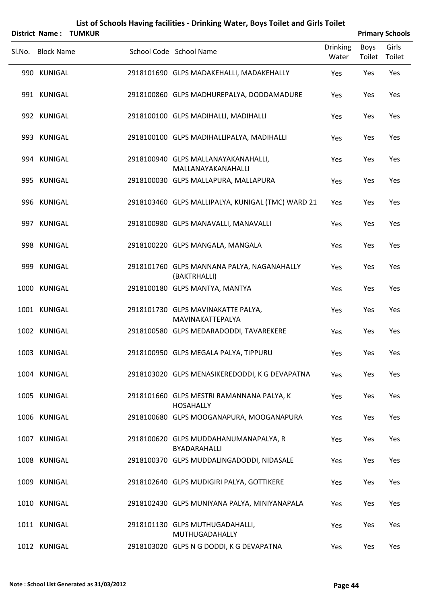|        | List of Schools Having facilities - Drinking Water, Boys Toilet and Girls Toilet<br><b>Primary Schools</b><br>District Name:<br><b>TUMKUR</b> |  |                                                               |                          |                       |                 |  |  |  |  |  |
|--------|-----------------------------------------------------------------------------------------------------------------------------------------------|--|---------------------------------------------------------------|--------------------------|-----------------------|-----------------|--|--|--|--|--|
| Sl.No. | <b>Block Name</b>                                                                                                                             |  | School Code School Name                                       | <b>Drinking</b><br>Water | <b>Boys</b><br>Toilet | Girls<br>Toilet |  |  |  |  |  |
|        | 990 KUNIGAL                                                                                                                                   |  | 2918101690 GLPS MADAKEHALLI, MADAKEHALLY                      | Yes                      | Yes                   | Yes             |  |  |  |  |  |
|        | 991 KUNIGAL                                                                                                                                   |  | 2918100860 GLPS MADHUREPALYA, DODDAMADURE                     | Yes                      | Yes                   | Yes             |  |  |  |  |  |
|        | 992 KUNIGAL                                                                                                                                   |  | 2918100100 GLPS MADIHALLI, MADIHALLI                          | Yes                      | Yes                   | Yes             |  |  |  |  |  |
|        | 993 KUNIGAL                                                                                                                                   |  | 2918100100 GLPS MADIHALLIPALYA, MADIHALLI                     | Yes                      | Yes                   | Yes             |  |  |  |  |  |
|        | 994 KUNIGAL                                                                                                                                   |  | 2918100940 GLPS MALLANAYAKANAHALLI,<br>MALLANAYAKANAHALLI     | Yes                      | Yes                   | Yes             |  |  |  |  |  |
|        | 995 KUNIGAL                                                                                                                                   |  | 2918100030 GLPS MALLAPURA, MALLAPURA                          | Yes                      | Yes                   | Yes             |  |  |  |  |  |
|        | 996 KUNIGAL                                                                                                                                   |  | 2918103460 GLPS MALLIPALYA, KUNIGAL (TMC) WARD 21             | Yes                      | Yes                   | Yes             |  |  |  |  |  |
|        | 997 KUNIGAL                                                                                                                                   |  | 2918100980 GLPS MANAVALLI, MANAVALLI                          | Yes                      | Yes                   | Yes             |  |  |  |  |  |
|        | 998 KUNIGAL                                                                                                                                   |  | 2918100220 GLPS MANGALA, MANGALA                              | Yes                      | Yes                   | Yes             |  |  |  |  |  |
|        | 999 KUNIGAL                                                                                                                                   |  | 2918101760 GLPS MANNANA PALYA, NAGANAHALLY<br>(BAKTRHALLI)    | Yes                      | Yes                   | Yes             |  |  |  |  |  |
|        | 1000 KUNIGAL                                                                                                                                  |  | 2918100180 GLPS MANTYA, MANTYA                                | Yes                      | Yes                   | Yes             |  |  |  |  |  |
|        | 1001 KUNIGAL                                                                                                                                  |  | 2918101730 GLPS MAVINAKATTE PALYA,<br>MAVINAKATTEPALYA        | Yes                      | Yes                   | Yes             |  |  |  |  |  |
|        | 1002 KUNIGAL                                                                                                                                  |  | 2918100580 GLPS MEDARADODDI, TAVAREKERE                       | Yes                      | Yes                   | Yes             |  |  |  |  |  |
|        | 1003 KUNIGAL                                                                                                                                  |  | 2918100950 GLPS MEGALA PALYA, TIPPURU                         | Yes                      | Yes                   | Yes             |  |  |  |  |  |
|        | 1004 KUNIGAL                                                                                                                                  |  | 2918103020 GLPS MENASIKEREDODDI, K G DEVAPATNA                | Yes                      | Yes                   | Yes             |  |  |  |  |  |
|        | 1005 KUNIGAL                                                                                                                                  |  | 2918101660 GLPS MESTRI RAMANNANA PALYA, K<br><b>HOSAHALLY</b> | Yes                      | Yes                   | Yes             |  |  |  |  |  |
|        | 1006 KUNIGAL                                                                                                                                  |  | 2918100680 GLPS MOOGANAPURA, MOOGANAPURA                      | Yes                      | Yes                   | Yes             |  |  |  |  |  |
|        | 1007 KUNIGAL                                                                                                                                  |  | 2918100620 GLPS MUDDAHANUMANAPALYA, R<br>BYADARAHALLI         | Yes                      | Yes                   | Yes             |  |  |  |  |  |
|        | 1008 KUNIGAL                                                                                                                                  |  | 2918100370 GLPS MUDDALINGADODDI, NIDASALE                     | Yes                      | Yes                   | Yes             |  |  |  |  |  |
|        | 1009 KUNIGAL                                                                                                                                  |  | 2918102640 GLPS MUDIGIRI PALYA, GOTTIKERE                     | Yes                      | Yes                   | Yes             |  |  |  |  |  |
|        | 1010 KUNIGAL                                                                                                                                  |  | 2918102430 GLPS MUNIYANA PALYA, MINIYANAPALA                  | Yes                      | Yes                   | Yes             |  |  |  |  |  |
|        | 1011 KUNIGAL                                                                                                                                  |  | 2918101130 GLPS MUTHUGADAHALLI,<br>MUTHUGADAHALLY             | Yes                      | Yes                   | Yes             |  |  |  |  |  |
|        | 1012 KUNIGAL                                                                                                                                  |  | 2918103020 GLPS N G DODDI, K G DEVAPATNA                      | Yes                      | Yes                   | Yes             |  |  |  |  |  |

#### **Note : School List Generated as 31/03/2012 Page 44**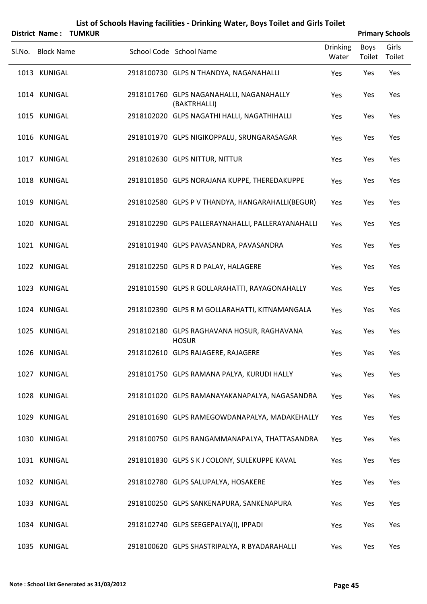|        |                   | <b>District Name: TUMKUR</b> |                                                            |                          |                       | <b>Primary Schools</b> |
|--------|-------------------|------------------------------|------------------------------------------------------------|--------------------------|-----------------------|------------------------|
| Sl.No. | <b>Block Name</b> |                              | School Code School Name                                    | <b>Drinking</b><br>Water | <b>Boys</b><br>Toilet | Girls<br>Toilet        |
|        | 1013 KUNIGAL      |                              | 2918100730 GLPS N THANDYA, NAGANAHALLI                     | Yes                      | Yes                   | Yes                    |
|        | 1014 KUNIGAL      |                              | 2918101760 GLPS NAGANAHALLI, NAGANAHALLY<br>(BAKTRHALLI)   | Yes                      | Yes                   | Yes                    |
|        | 1015 KUNIGAL      |                              | 2918102020 GLPS NAGATHI HALLI, NAGATHIHALLI                | Yes                      | Yes                   | Yes                    |
|        | 1016 KUNIGAL      |                              | 2918101970 GLPS NIGIKOPPALU, SRUNGARASAGAR                 | Yes                      | Yes                   | Yes                    |
|        | 1017 KUNIGAL      |                              | 2918102630 GLPS NITTUR, NITTUR                             | Yes                      | Yes                   | Yes                    |
|        | 1018 KUNIGAL      |                              | 2918101850 GLPS NORAJANA KUPPE, THEREDAKUPPE               | Yes                      | Yes                   | Yes                    |
|        | 1019 KUNIGAL      |                              | 2918102580 GLPS P V THANDYA, HANGARAHALLI(BEGUR)           | Yes                      | Yes                   | Yes                    |
|        | 1020 KUNIGAL      |                              | 2918102290 GLPS PALLERAYNAHALLI, PALLERAYANAHALLI          | Yes                      | Yes                   | Yes                    |
|        | 1021 KUNIGAL      |                              | 2918101940 GLPS PAVASANDRA, PAVASANDRA                     | Yes                      | Yes                   | Yes                    |
|        | 1022 KUNIGAL      |                              | 2918102250 GLPS R D PALAY, HALAGERE                        | Yes                      | Yes                   | Yes                    |
|        | 1023 KUNIGAL      |                              | 2918101590 GLPS R GOLLARAHATTI, RAYAGONAHALLY              | Yes                      | Yes                   | Yes                    |
|        | 1024 KUNIGAL      |                              | 2918102390 GLPS R M GOLLARAHATTI, KITNAMANGALA             | Yes                      | Yes                   | Yes                    |
|        | 1025 KUNIGAL      |                              | 2918102180 GLPS RAGHAVANA HOSUR, RAGHAVANA<br><b>HOSUR</b> | Yes                      | Yes                   | Yes                    |
|        | 1026 KUNIGAL      |                              | 2918102610 GLPS RAJAGERE, RAJAGERE                         | Yes                      | Yes                   | Yes                    |
|        | 1027 KUNIGAL      |                              | 2918101750 GLPS RAMANA PALYA, KURUDI HALLY                 | Yes                      | Yes                   | Yes                    |
|        | 1028 KUNIGAL      |                              | 2918101020 GLPS RAMANAYAKANAPALYA, NAGASANDRA              | Yes                      | Yes                   | Yes                    |
|        | 1029 KUNIGAL      |                              | 2918101690 GLPS RAMEGOWDANAPALYA, MADAKEHALLY              | Yes                      | Yes                   | Yes                    |
|        | 1030 KUNIGAL      |                              | 2918100750 GLPS RANGAMMANAPALYA, THATTASANDRA              | Yes                      | Yes                   | Yes                    |
|        | 1031 KUNIGAL      |                              | 2918101830 GLPS S K J COLONY, SULEKUPPE KAVAL              | Yes                      | Yes                   | Yes                    |
|        | 1032 KUNIGAL      |                              | 2918102780 GLPS SALUPALYA, HOSAKERE                        | Yes                      | Yes                   | Yes                    |
|        | 1033 KUNIGAL      |                              | 2918100250 GLPS SANKENAPURA, SANKENAPURA                   | Yes                      | Yes                   | Yes                    |
|        | 1034 KUNIGAL      |                              | 2918102740 GLPS SEEGEPALYA(I), IPPADI                      | Yes                      | Yes                   | Yes                    |
|        | 1035 KUNIGAL      |                              | 2918100620 GLPS SHASTRIPALYA, R BYADARAHALLI               | Yes                      | Yes                   | Yes                    |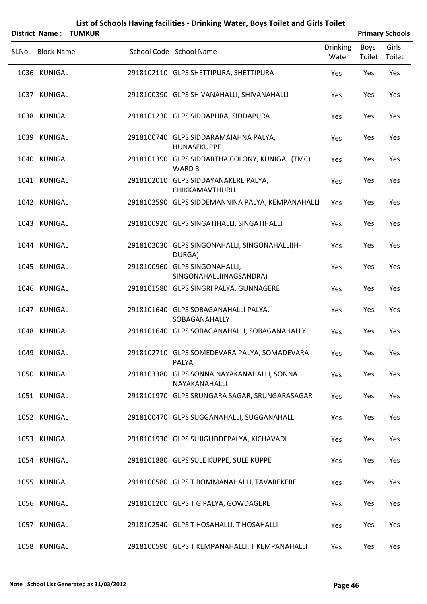|        |                   | District Name: TUMKUR |                                                                      |                          | <b>Primary Schools</b> |                 |
|--------|-------------------|-----------------------|----------------------------------------------------------------------|--------------------------|------------------------|-----------------|
| Sl.No. | <b>Block Name</b> |                       | School Code School Name                                              | <b>Drinking</b><br>Water | <b>Boys</b><br>Toilet  | Girls<br>Toilet |
|        | 1036 KUNIGAL      |                       | 2918102110 GLPS SHETTIPURA, SHETTIPURA                               | Yes                      | Yes                    | Yes             |
|        | 1037 KUNIGAL      |                       | 2918100390 GLPS SHIVANAHALLI, SHIVANAHALLI                           | Yes                      | Yes                    | Yes             |
|        | 1038 KUNIGAL      |                       | 2918101230 GLPS SIDDAPURA, SIDDAPURA                                 | Yes                      | Yes                    | Yes             |
|        | 1039 KUNIGAL      |                       | 2918100740 GLPS SIDDARAMAIAHNA PALYA,<br>HUNASEKUPPE                 | Yes                      | Yes                    | Yes             |
|        | 1040 KUNIGAL      |                       | 2918101390 GLPS SIDDARTHA COLONY, KUNIGAL (TMC)<br>WARD <sub>8</sub> | Yes                      | Yes                    | Yes             |
|        | 1041 KUNIGAL      |                       | 2918102010 GLPS SIDDAYANAKERE PALYA,<br>CHIKKAMAVTHURU               | Yes                      | Yes                    | Yes             |
|        | 1042 KUNIGAL      |                       | 2918102590 GLPS SIDDEMANNINA PALYA, KEMPANAHALLI                     | Yes                      | Yes                    | Yes             |
|        | 1043 KUNIGAL      |                       | 2918100920 GLPS SINGATIHALLI, SINGATIHALLI                           | Yes                      | Yes                    | Yes             |
|        | 1044 KUNIGAL      |                       | 2918102030 GLPS SINGONAHALLI, SINGONAHALLI(H-<br>DURGA)              | Yes                      | Yes                    | Yes             |
|        | 1045 KUNIGAL      |                       | 2918100960 GLPS SINGONAHALLI,<br>SINGONAHALLI(NAGSANDRA)             | Yes                      | Yes                    | Yes             |
|        | 1046 KUNIGAL      |                       | 2918101580 GLPS SINGRI PALYA, GUNNAGERE                              | Yes                      | Yes                    | Yes             |
|        | 1047 KUNIGAL      |                       | 2918101640 GLPS SOBAGANAHALLI PALYA,<br>SOBAGANAHALLY                | Yes                      | Yes                    | Yes             |
|        | 1048 KUNIGAL      |                       | 2918101640 GLPS SOBAGANAHALLI, SOBAGANAHALLY                         | Yes                      | Yes                    | Yes             |
|        | 1049 KUNIGAL      |                       | 2918102710 GLPS SOMEDEVARA PALYA, SOMADEVARA<br>PALYA                | Yes                      | Yes                    | Yes             |
|        | 1050 KUNIGAL      |                       | 2918103380 GLPS SONNA NAYAKANAHALLI, SONNA<br>NAYAKANAHALLI          | Yes                      | Yes                    | Yes             |
|        | 1051 KUNIGAL      |                       | 2918101970 GLPS SRUNGARA SAGAR, SRUNGARASAGAR                        | Yes                      | Yes                    | Yes             |
|        | 1052 KUNIGAL      |                       | 2918100470 GLPS SUGGANAHALLI, SUGGANAHALLI                           | Yes                      | Yes                    | Yes             |
|        | 1053 KUNIGAL      |                       | 2918101930 GLPS SUJIGUDDEPALYA, KICHAVADI                            | Yes                      | Yes                    | Yes             |
|        | 1054 KUNIGAL      |                       | 2918101880 GLPS SULE KUPPE, SULE KUPPE                               | Yes                      | Yes                    | Yes             |
|        | 1055 KUNIGAL      |                       | 2918100580 GLPS T BOMMANAHALLI, TAVAREKERE                           | Yes                      | Yes                    | Yes             |
|        | 1056 KUNIGAL      |                       | 2918101200 GLPS T G PALYA, GOWDAGERE                                 | Yes                      | Yes                    | Yes             |
|        | 1057 KUNIGAL      |                       | 2918102540 GLPS T HOSAHALLI, T HOSAHALLI                             | Yes                      | Yes                    | Yes             |

1058 KUNIGAL 2918100590 GLPS T KEMPANAHALLI, T KEMPANAHALLI Yes Yes Yes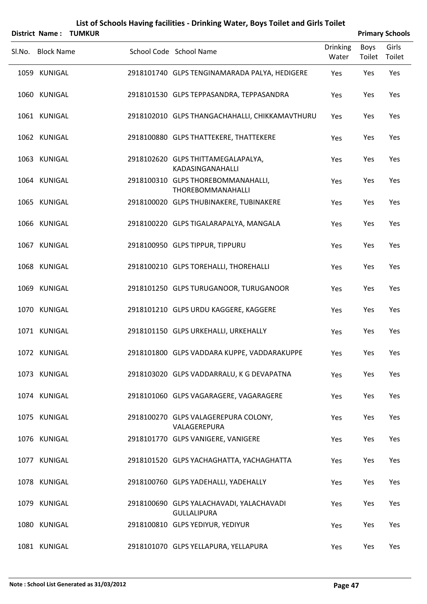|                   | District Name: TUMKUR |                                                                |                          |                       | <b>Primary Schools</b> |
|-------------------|-----------------------|----------------------------------------------------------------|--------------------------|-----------------------|------------------------|
| Sl.No. Block Name |                       | School Code School Name                                        | <b>Drinking</b><br>Water | <b>Boys</b><br>Toilet | Girls<br>Toilet        |
| 1059 KUNIGAL      |                       | 2918101740 GLPS TENGINAMARADA PALYA, HEDIGERE                  | Yes                      | Yes                   | Yes                    |
| 1060 KUNIGAL      |                       | 2918101530 GLPS TEPPASANDRA, TEPPASANDRA                       | Yes                      | Yes                   | Yes                    |
| 1061 KUNIGAL      |                       | 2918102010 GLPS THANGACHAHALLI, CHIKKAMAVTHURU                 | Yes                      | Yes                   | Yes                    |
| 1062 KUNIGAL      |                       | 2918100880 GLPS THATTEKERE, THATTEKERE                         | Yes                      | Yes                   | Yes                    |
| 1063 KUNIGAL      |                       | 2918102620 GLPS THITTAMEGALAPALYA,<br>KADASINGANAHALLI         | Yes                      | Yes                   | Yes                    |
| 1064 KUNIGAL      |                       | 2918100310 GLPS THOREBOMMANAHALLI,<br>THOREBOMMANAHALLI        | Yes                      | Yes                   | Yes                    |
| 1065 KUNIGAL      |                       | 2918100020 GLPS THUBINAKERE, TUBINAKERE                        | Yes                      | Yes                   | Yes                    |
| 1066 KUNIGAL      |                       | 2918100220 GLPS TIGALARAPALYA, MANGALA                         | Yes                      | Yes                   | Yes                    |
| 1067 KUNIGAL      |                       | 2918100950 GLPS TIPPUR, TIPPURU                                | Yes                      | Yes                   | Yes                    |
| 1068 KUNIGAL      |                       | 2918100210 GLPS TOREHALLI, THOREHALLI                          | Yes                      | Yes                   | Yes                    |
| 1069 KUNIGAL      |                       | 2918101250 GLPS TURUGANOOR, TURUGANOOR                         | Yes                      | Yes                   | Yes                    |
| 1070 KUNIGAL      |                       | 2918101210 GLPS URDU KAGGERE, KAGGERE                          | Yes                      | Yes                   | Yes                    |
| 1071 KUNIGAL      |                       | 2918101150 GLPS URKEHALLI, URKEHALLY                           | Yes                      | Yes                   | Yes                    |
| 1072 KUNIGAL      |                       | 2918101800 GLPS VADDARA KUPPE, VADDARAKUPPE                    | Yes                      | Yes                   | Yes                    |
| 1073 KUNIGAL      |                       | 2918103020 GLPS VADDARRALU, K G DEVAPATNA                      | Yes                      | Yes                   | Yes                    |
| 1074 KUNIGAL      |                       | 2918101060 GLPS VAGARAGERE, VAGARAGERE                         | Yes                      | Yes                   | Yes                    |
| 1075 KUNIGAL      |                       | 2918100270 GLPS VALAGEREPURA COLONY,<br>VALAGEREPURA           | Yes                      | Yes                   | Yes                    |
| 1076 KUNIGAL      |                       | 2918101770 GLPS VANIGERE, VANIGERE                             | Yes                      | Yes                   | Yes                    |
| 1077 KUNIGAL      |                       | 2918101520 GLPS YACHAGHATTA, YACHAGHATTA                       | Yes                      | Yes                   | Yes                    |
| 1078 KUNIGAL      |                       | 2918100760 GLPS YADEHALLI, YADEHALLY                           | Yes                      | Yes                   | Yes                    |
| 1079 KUNIGAL      |                       | 2918100690 GLPS YALACHAVADI, YALACHAVADI<br><b>GULLALIPURA</b> | Yes                      | Yes                   | Yes                    |
| 1080 KUNIGAL      |                       | 2918100810 GLPS YEDIYUR, YEDIYUR                               | Yes                      | Yes                   | Yes                    |
| 1081 KUNIGAL      |                       | 2918101070 GLPS YELLAPURA, YELLAPURA                           | Yes                      | Yes                   | Yes                    |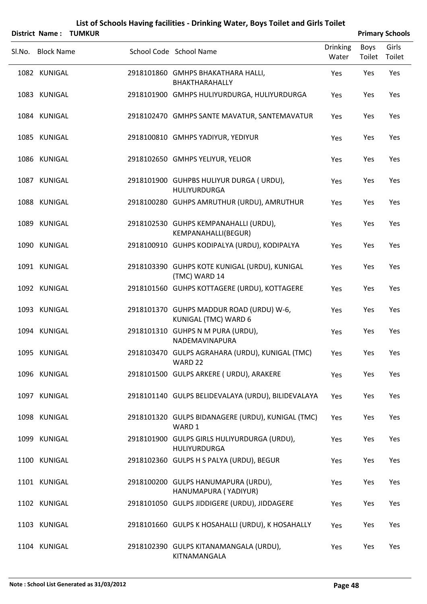|        |                   | District Name: TUMKUR |                                                                  |                          |                | <b>Primary Schools</b> |
|--------|-------------------|-----------------------|------------------------------------------------------------------|--------------------------|----------------|------------------------|
| Sl.No. | <b>Block Name</b> |                       | School Code School Name                                          | <b>Drinking</b><br>Water | Boys<br>Toilet | Girls<br>Toilet        |
|        | 1082 KUNIGAL      |                       | 2918101860 GMHPS BHAKATHARA HALLI,<br>BHAKTHARAHALLY             | Yes                      | Yes            | Yes                    |
|        | 1083 KUNIGAL      |                       | 2918101900 GMHPS HULIYURDURGA, HULIYURDURGA                      | Yes                      | Yes            | Yes                    |
|        | 1084 KUNIGAL      |                       | 2918102470 GMHPS SANTE MAVATUR, SANTEMAVATUR                     | Yes                      | Yes            | Yes                    |
|        | 1085 KUNIGAL      |                       | 2918100810 GMHPS YADIYUR, YEDIYUR                                | Yes                      | Yes            | Yes                    |
|        | 1086 KUNIGAL      |                       | 2918102650 GMHPS YELIYUR, YELIOR                                 | Yes                      | Yes            | Yes                    |
|        | 1087 KUNIGAL      |                       | 2918101900 GUHPBS HULIYUR DURGA ( URDU),<br>HULIYURDURGA         | Yes                      | Yes            | Yes                    |
|        | 1088 KUNIGAL      |                       | 2918100280 GUHPS AMRUTHUR (URDU), AMRUTHUR                       | Yes                      | Yes            | Yes                    |
|        | 1089 KUNIGAL      |                       | 2918102530 GUHPS KEMPANAHALLI (URDU),<br>KEMPANAHALLI(BEGUR)     | Yes                      | Yes            | Yes                    |
|        | 1090 KUNIGAL      |                       | 2918100910 GUHPS KODIPALYA (URDU), KODIPALYA                     | Yes                      | Yes            | Yes                    |
|        | 1091 KUNIGAL      |                       | 2918103390 GUHPS KOTE KUNIGAL (URDU), KUNIGAL<br>(TMC) WARD 14   | Yes                      | Yes            | Yes                    |
|        | 1092 KUNIGAL      |                       | 2918101560 GUHPS KOTTAGERE (URDU), KOTTAGERE                     | Yes                      | Yes            | Yes                    |
|        | 1093 KUNIGAL      |                       | 2918101370 GUHPS MADDUR ROAD (URDU) W-6,<br>KUNIGAL (TMC) WARD 6 | Yes                      | Yes            | Yes                    |
|        | 1094 KUNIGAL      |                       | 2918101310 GUHPS N M PURA (URDU),<br>NADEMAVINAPURA              | Yes                      | Yes            | Yes                    |
|        | 1095 KUNIGAL      |                       | 2918103470 GULPS AGRAHARA (URDU), KUNIGAL (TMC)<br>WARD 22       | Yes                      | Yes            | Yes                    |
|        | 1096 KUNIGAL      |                       | 2918101500 GULPS ARKERE ( URDU), ARAKERE                         | Yes                      | Yes            | Yes                    |
|        | 1097 KUNIGAL      |                       | 2918101140 GULPS BELIDEVALAYA (URDU), BILIDEVALAYA               | Yes                      | Yes            | Yes                    |
|        | 1098 KUNIGAL      |                       | 2918101320 GULPS BIDANAGERE (URDU), KUNIGAL (TMC)<br>WARD 1      | Yes                      | Yes            | Yes                    |
|        | 1099 KUNIGAL      |                       | 2918101900 GULPS GIRLS HULIYURDURGA (URDU),<br>HULIYURDURGA      | Yes                      | Yes            | Yes                    |
|        | 1100 KUNIGAL      |                       | 2918102360 GULPS H S PALYA (URDU), BEGUR                         | Yes                      | Yes            | Yes                    |
|        | 1101 KUNIGAL      |                       | 2918100200 GULPS HANUMAPURA (URDU),<br>HANUMAPURA (YADIYUR)      | Yes                      | Yes            | Yes                    |
|        | 1102 KUNIGAL      |                       | 2918101050 GULPS JIDDIGERE (URDU), JIDDAGERE                     | Yes                      | Yes            | Yes                    |
|        | 1103 KUNIGAL      |                       | 2918101660 GULPS K HOSAHALLI (URDU), K HOSAHALLY                 | Yes                      | Yes            | Yes                    |
|        | 1104 KUNIGAL      |                       | 2918102390 GULPS KITANAMANGALA (URDU),<br>KITNAMANGALA           | Yes                      | Yes            | Yes                    |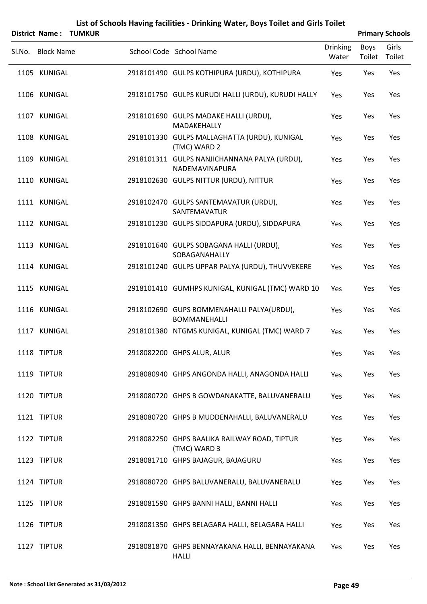|        |                   | District Name: TUMKUR |                                                                  |                          |                       | <b>Primary Schools</b> |
|--------|-------------------|-----------------------|------------------------------------------------------------------|--------------------------|-----------------------|------------------------|
| Sl.No. | <b>Block Name</b> |                       | School Code School Name                                          | <b>Drinking</b><br>Water | <b>Boys</b><br>Toilet | Girls<br>Toilet        |
|        | 1105 KUNIGAL      |                       | 2918101490 GULPS KOTHIPURA (URDU), KOTHIPURA                     | Yes                      | Yes                   | Yes                    |
|        | 1106 KUNIGAL      |                       | 2918101750 GULPS KURUDI HALLI (URDU), KURUDI HALLY               | Yes                      | Yes                   | Yes                    |
|        | 1107 KUNIGAL      |                       | 2918101690 GULPS MADAKE HALLI (URDU),<br>MADAKEHALLY             | Yes                      | Yes                   | Yes                    |
|        | 1108 KUNIGAL      |                       | 2918101330 GULPS MALLAGHATTA (URDU), KUNIGAL<br>(TMC) WARD 2     | Yes                      | Yes                   | Yes                    |
|        | 1109 KUNIGAL      |                       | 2918101311 GULPS NANJICHANNANA PALYA (URDU),<br>NADEMAVINAPURA   | Yes                      | Yes                   | Yes                    |
|        | 1110 KUNIGAL      |                       | 2918102630 GULPS NITTUR (URDU), NITTUR                           | Yes                      | Yes                   | Yes                    |
|        | 1111 KUNIGAL      |                       | 2918102470 GULPS SANTEMAVATUR (URDU),<br>SANTEMAVATUR            | Yes                      | Yes                   | Yes                    |
|        | 1112 KUNIGAL      |                       | 2918101230 GULPS SIDDAPURA (URDU), SIDDAPURA                     | Yes                      | Yes                   | Yes                    |
|        | 1113 KUNIGAL      |                       | 2918101640 GULPS SOBAGANA HALLI (URDU),<br>SOBAGANAHALLY         | Yes                      | Yes                   | Yes                    |
|        | 1114 KUNIGAL      |                       | 2918101240 GULPS UPPAR PALYA (URDU), THUVVEKERE                  | Yes                      | Yes                   | Yes                    |
|        | 1115 KUNIGAL      |                       | 2918101410 GUMHPS KUNIGAL, KUNIGAL (TMC) WARD 10                 | Yes                      | Yes                   | Yes                    |
|        | 1116 KUNIGAL      |                       | 2918102690 GUPS BOMMENAHALLI PALYA(URDU),<br><b>BOMMANEHALLI</b> | Yes                      | Yes                   | Yes                    |
|        | 1117 KUNIGAL      |                       | 2918101380 NTGMS KUNIGAL, KUNIGAL (TMC) WARD 7                   | Yes                      | Yes                   | Yes                    |
|        | 1118 TIPTUR       |                       | 2918082200 GHPS ALUR, ALUR                                       | Yes                      | Yes                   | Yes                    |
|        | 1119 TIPTUR       |                       | 2918080940 GHPS ANGONDA HALLI, ANAGONDA HALLI                    | Yes                      | Yes                   | Yes                    |
|        | 1120 TIPTUR       |                       | 2918080720 GHPS B GOWDANAKATTE, BALUVANERALU                     | Yes                      | Yes                   | Yes                    |
|        | 1121 TIPTUR       |                       | 2918080720 GHPS B MUDDENAHALLI, BALUVANERALU                     | Yes                      | Yes                   | Yes                    |
|        | 1122 TIPTUR       |                       | 2918082250 GHPS BAALIKA RAILWAY ROAD, TIPTUR<br>(TMC) WARD 3     | Yes                      | Yes                   | Yes                    |
|        | 1123 TIPTUR       |                       | 2918081710 GHPS BAJAGUR, BAJAGURU                                | Yes                      | Yes                   | Yes                    |
|        | 1124 TIPTUR       |                       | 2918080720 GHPS BALUVANERALU, BALUVANERALU                       | Yes                      | Yes                   | Yes                    |
|        | 1125 TIPTUR       |                       | 2918081590 GHPS BANNI HALLI, BANNI HALLI                         | Yes                      | Yes                   | Yes                    |
|        | 1126 TIPTUR       |                       | 2918081350 GHPS BELAGARA HALLI, BELAGARA HALLI                   | Yes                      | Yes                   | Yes                    |
|        | 1127 TIPTUR       |                       | 2918081870 GHPS BENNAYAKANA HALLI, BENNAYAKANA                   | Yes                      | Yes                   | Yes                    |

HALLI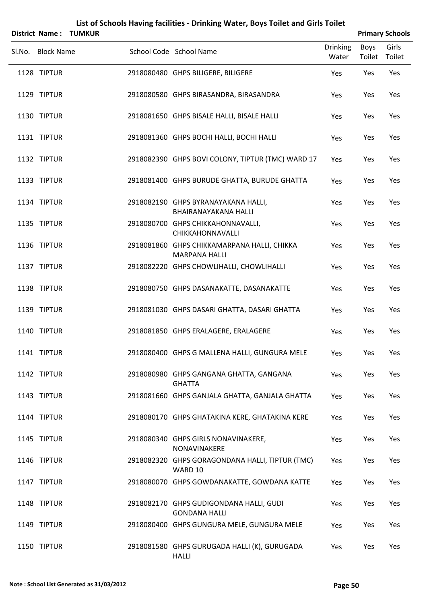|                   | District Name: TUMKUR | List of Schools Having facilities - Drinking Water, Boys Toilet and Girls Toilet |                          |                | <b>Primary Schools</b> |
|-------------------|-----------------------|----------------------------------------------------------------------------------|--------------------------|----------------|------------------------|
| Sl.No. Block Name |                       | School Code School Name                                                          | <b>Drinking</b><br>Water | Boys<br>Toilet | Girls<br>Toilet        |
| 1128 TIPTUR       |                       | 2918080480 GHPS BILIGERE, BILIGERE                                               | Yes                      | Yes            | Yes                    |
| 1129 TIPTUR       |                       | 2918080580 GHPS BIRASANDRA, BIRASANDRA                                           | Yes                      | Yes            | Yes                    |
| 1130 TIPTUR       |                       | 2918081650 GHPS BISALE HALLI, BISALE HALLI                                       | Yes                      | Yes            | Yes                    |
| 1131 TIPTUR       |                       | 2918081360 GHPS BOCHI HALLI, BOCHI HALLI                                         | Yes                      | Yes            | Yes                    |
| 1132 TIPTUR       |                       | 2918082390 GHPS BOVI COLONY, TIPTUR (TMC) WARD 17                                | Yes                      | Yes            | Yes                    |
| 1133 TIPTUR       |                       | 2918081400 GHPS BURUDE GHATTA, BURUDE GHATTA                                     | Yes                      | Yes            | Yes                    |
| 1134 TIPTUR       |                       | 2918082190 GHPS BYRANAYAKANA HALLI,<br>BHAIRANAYAKANA HALLI                      | Yes                      | Yes            | Yes                    |
| 1135 TIPTUR       |                       | 2918080700 GHPS CHIKKAHONNAVALLI,<br>CHIKKAHONNAVALLI                            | Yes                      | Yes            | Yes                    |
| 1136 TIPTUR       |                       | 2918081860 GHPS CHIKKAMARPANA HALLI, CHIKKA<br><b>MARPANA HALLI</b>              | Yes                      | Yes            | Yes                    |
| 1137 TIPTUR       |                       | 2918082220 GHPS CHOWLIHALLI, CHOWLIHALLI                                         | Yes                      | Yes            | Yes                    |
| 1138 TIPTUR       |                       | 2918080750 GHPS DASANAKATTE, DASANAKATTE                                         | Yes                      | Yes            | Yes                    |
| 1139 TIPTUR       |                       | 2918081030 GHPS DASARI GHATTA, DASARI GHATTA                                     | Yes                      | Yes            | Yes                    |
| 1140 TIPTUR       |                       | 2918081850 GHPS ERALAGERE, ERALAGERE                                             | Yes                      | Yes            | Yes                    |
| 1141 TIPTUR       |                       | 2918080400 GHPS G MALLENA HALLI, GUNGURA MELE                                    | Yes                      | Yes            | Yes                    |
| 1142 TIPTUR       |                       | 2918080980 GHPS GANGANA GHATTA, GANGANA<br><b>GHATTA</b>                         | Yes                      | Yes            | Yes                    |
| 1143 TIPTUR       |                       | 2918081660 GHPS GANJALA GHATTA, GANJALA GHATTA                                   | Yes                      | Yes            | Yes                    |
| 1144 TIPTUR       |                       | 2918080170 GHPS GHATAKINA KERE, GHATAKINA KERE                                   | Yes                      | Yes            | Yes                    |
| 1145 TIPTUR       |                       | 2918080340 GHPS GIRLS NONAVINAKERE,<br>NONAVINAKERE                              | Yes                      | Yes            | Yes                    |
| 1146 TIPTUR       |                       | 2918082320 GHPS GORAGONDANA HALLI, TIPTUR (TMC)<br>WARD 10                       | Yes                      | Yes            | Yes                    |
| 1147 TIPTUR       |                       | 2918080070 GHPS GOWDANAKATTE, GOWDANA KATTE                                      | Yes                      | Yes            | Yes                    |
| 1148 TIPTUR       |                       | 2918082170 GHPS GUDIGONDANA HALLI, GUDI<br><b>GONDANA HALLI</b>                  | Yes                      | Yes            | Yes                    |
| 1149 TIPTUR       |                       | 2918080400 GHPS GUNGURA MELE, GUNGURA MELE                                       | Yes                      | Yes            | Yes                    |
| 1150 TIPTUR       |                       | 2918081580 GHPS GURUGADA HALLI (K), GURUGADA<br><b>HALLI</b>                     | Yes                      | Yes            | Yes                    |

#### **Note : School List Generated as 31/03/2012 Page 50**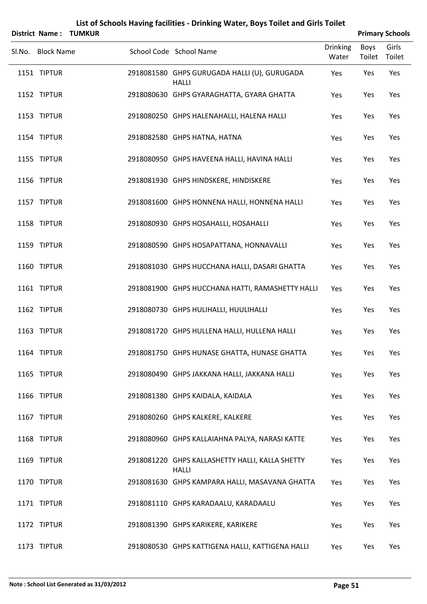|                            | <b>District Name: TUMKUR</b> |                                                                                  |                          |                       | <b>Primary Schools</b> |
|----------------------------|------------------------------|----------------------------------------------------------------------------------|--------------------------|-----------------------|------------------------|
| Sl.No. Block Name          |                              | School Code School Name                                                          | <b>Drinking</b><br>Water | <b>Boys</b><br>Toilet | Girls<br>Toilet        |
| 1151 TIPTUR                |                              | 2918081580 GHPS GURUGADA HALLI (U), GURUGADA<br><b>HALLI</b>                     | Yes                      | Yes                   | Yes                    |
| 1152 TIPTUR                |                              | 2918080630 GHPS GYARAGHATTA, GYARA GHATTA                                        | Yes                      | Yes                   | Yes                    |
| 1153 TIPTUR                |                              | 2918080250 GHPS HALENAHALLI, HALENA HALLI                                        | Yes                      | Yes                   | Yes                    |
| 1154 TIPTUR                |                              | 2918082580 GHPS HATNA, HATNA                                                     | Yes                      | Yes                   | Yes                    |
| 1155 TIPTUR                |                              | 2918080950 GHPS HAVEENA HALLI, HAVINA HALLI                                      | Yes                      | Yes                   | Yes                    |
| 1156 TIPTUR                |                              | 2918081930 GHPS HINDSKERE, HINDISKERE                                            | Yes                      | Yes                   | Yes                    |
| 1157 TIPTUR                |                              | 2918081600 GHPS HONNENA HALLI, HONNENA HALLI                                     | Yes                      | Yes                   | Yes                    |
| 1158 TIPTUR                |                              | 2918080930 GHPS HOSAHALLI, HOSAHALLI                                             | Yes                      | Yes                   | Yes                    |
| 1159 TIPTUR                |                              | 2918080590 GHPS HOSAPATTANA, HONNAVALLI                                          | Yes                      | Yes                   | Yes                    |
| 1160 TIPTUR                |                              | 2918081030 GHPS HUCCHANA HALLI, DASARI GHATTA                                    | Yes                      | Yes                   | Yes                    |
| 1161 TIPTUR                |                              | 2918081900 GHPS HUCCHANA HATTI, RAMASHETTY HALLI                                 | Yes                      | Yes                   | Yes                    |
| 1162 TIPTUR                |                              | 2918080730 GHPS HULIHALLI, HUULIHALLI                                            | Yes                      | Yes                   | Yes                    |
| 1163 TIPTUR                |                              | 2918081720 GHPS HULLENA HALLI, HULLENA HALLI                                     | Yes                      | Yes                   | Yes                    |
| 1164 TIPTUR                |                              | 2918081750 GHPS HUNASE GHATTA, HUNASE GHATTA                                     | Yes                      | Yes                   | Yes                    |
| 1165 TIPTUR<br>1166 TIPTUR |                              | 2918080490 GHPS JAKKANA HALLI, JAKKANA HALLI<br>2918081380 GHPS KAIDALA, KAIDALA | Yes                      | Yes<br>Yes            | Yes<br>Yes             |
| 1167 TIPTUR                |                              | 2918080260 GHPS KALKERE, KALKERE                                                 | Yes<br>Yes               | Yes                   | Yes                    |
| 1168 TIPTUR                |                              | 2918080960 GHPS KALLAIAHNA PALYA, NARASI KATTE                                   | Yes                      | Yes                   | Yes                    |
| 1169 TIPTUR                |                              | 2918081220 GHPS KALLASHETTY HALLI, KALLA SHETTY                                  | Yes                      | Yes                   | Yes                    |
| 1170 TIPTUR                |                              | <b>HALLI</b><br>2918081630 GHPS KAMPARA HALLI, MASAVANA GHATTA                   | Yes                      | Yes                   | Yes                    |
| 1171 TIPTUR                |                              | 2918081110 GHPS KARADAALU, KARADAALU                                             |                          | Yes                   | Yes                    |
| 1172 TIPTUR                |                              | 2918081390 GHPS KARIKERE, KARIKERE                                               | Yes<br>Yes               | Yes                   | Yes                    |
| 1173 TIPTUR                |                              | 2918080530 GHPS KATTIGENA HALLI, KATTIGENA HALLI                                 | Yes                      | Yes                   | Yes                    |
|                            |                              |                                                                                  |                          |                       |                        |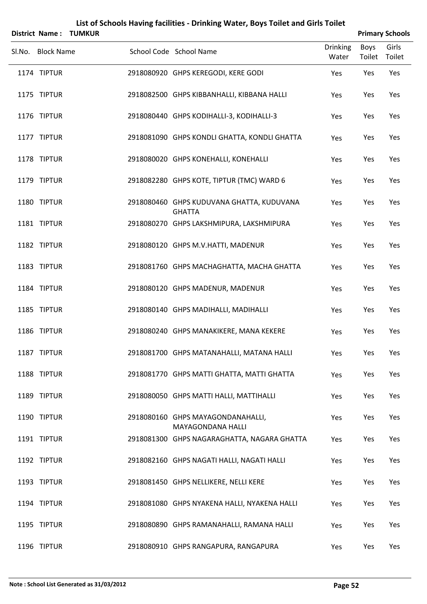|                   | <b>District Name: TUMKUR</b> |                                                            |                          |                | <b>Primary Schools</b> |
|-------------------|------------------------------|------------------------------------------------------------|--------------------------|----------------|------------------------|
| Sl.No. Block Name |                              | School Code School Name                                    | <b>Drinking</b><br>Water | Boys<br>Toilet | Girls<br>Toilet        |
| 1174 TIPTUR       |                              | 2918080920 GHPS KEREGODI, KERE GODI                        | Yes                      | Yes            | Yes                    |
| 1175 TIPTUR       |                              | 2918082500 GHPS KIBBANHALLI, KIBBANA HALLI                 | Yes                      | Yes            | Yes                    |
| 1176 TIPTUR       |                              | 2918080440 GHPS KODIHALLI-3, KODIHALLI-3                   | Yes                      | Yes            | Yes                    |
| 1177 TIPTUR       |                              | 2918081090 GHPS KONDLI GHATTA, KONDLI GHATTA               | Yes                      | Yes            | Yes                    |
| 1178 TIPTUR       |                              | 2918080020 GHPS KONEHALLI, KONEHALLI                       | Yes                      | Yes            | Yes                    |
| 1179 TIPTUR       |                              | 2918082280 GHPS KOTE, TIPTUR (TMC) WARD 6                  | Yes                      | Yes            | Yes                    |
| 1180 TIPTUR       |                              | 2918080460 GHPS KUDUVANA GHATTA, KUDUVANA<br><b>GHATTA</b> | Yes                      | Yes            | Yes                    |
| 1181 TIPTUR       |                              | 2918080270 GHPS LAKSHMIPURA, LAKSHMIPURA                   | Yes                      | Yes            | Yes                    |
| 1182 TIPTUR       |                              | 2918080120 GHPS M.V.HATTI, MADENUR                         | Yes                      | Yes            | Yes                    |
| 1183 TIPTUR       |                              | 2918081760 GHPS MACHAGHATTA, MACHA GHATTA                  | Yes                      | Yes            | Yes                    |
| 1184 TIPTUR       |                              | 2918080120 GHPS MADENUR, MADENUR                           | Yes                      | Yes            | Yes                    |
| 1185 TIPTUR       |                              | 2918080140 GHPS MADIHALLI, MADIHALLI                       | Yes                      | Yes            | Yes                    |
| 1186 TIPTUR       |                              | 2918080240 GHPS MANAKIKERE, MANA KEKERE                    | Yes                      | Yes            | Yes                    |
| 1187 TIPTUR       |                              | 2918081700 GHPS MATANAHALLI, MATANA HALLI                  | Yes                      | Yes            | Yes                    |
| 1188 TIPTUR       |                              | 2918081770 GHPS MATTI GHATTA, MATTI GHATTA                 | Yes                      | Yes            | Yes                    |
| 1189 TIPTUR       |                              | 2918080050 GHPS MATTI HALLI, MATTIHALLI                    | Yes                      | Yes            | Yes                    |
| 1190 TIPTUR       |                              | 2918080160 GHPS MAYAGONDANAHALLI,<br>MAYAGONDANA HALLI     | Yes                      | Yes            | Yes                    |
| 1191 TIPTUR       |                              | 2918081300 GHPS NAGARAGHATTA, NAGARA GHATTA                | Yes                      | Yes            | Yes                    |
| 1192 TIPTUR       |                              | 2918082160 GHPS NAGATI HALLI, NAGATI HALLI                 | Yes                      | Yes            | Yes                    |
| 1193 TIPTUR       |                              | 2918081450 GHPS NELLIKERE, NELLI KERE                      | Yes                      | Yes            | Yes                    |
| 1194 TIPTUR       |                              | 2918081080 GHPS NYAKENA HALLI, NYAKENA HALLI               | Yes                      | Yes            | Yes                    |
| 1195 TIPTUR       |                              | 2918080890 GHPS RAMANAHALLI, RAMANA HALLI                  | Yes                      | Yes            | Yes                    |
| 1196 TIPTUR       |                              | 2918080910 GHPS RANGAPURA, RANGAPURA                       | Yes                      | Yes            | Yes                    |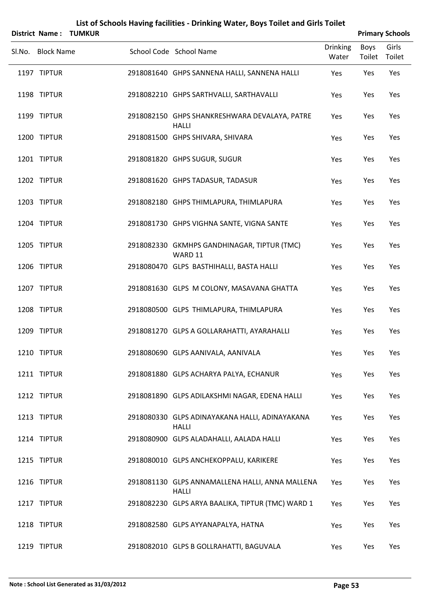|                   | District Name: TUMKUR |                                                                 |                          |                | <b>Primary Schools</b> |
|-------------------|-----------------------|-----------------------------------------------------------------|--------------------------|----------------|------------------------|
| Sl.No. Block Name |                       | School Code School Name                                         | <b>Drinking</b><br>Water | Boys<br>Toilet | Girls<br>Toilet        |
| 1197 TIPTUR       |                       | 2918081640 GHPS SANNENA HALLI, SANNENA HALLI                    | Yes                      | Yes            | Yes                    |
| 1198 TIPTUR       |                       | 2918082210 GHPS SARTHVALLI, SARTHAVALLI                         | Yes                      | Yes            | Yes                    |
| 1199 TIPTUR       |                       | 2918082150 GHPS SHANKRESHWARA DEVALAYA, PATRE<br><b>HALLI</b>   | Yes                      | Yes            | Yes                    |
| 1200 TIPTUR       |                       | 2918081500 GHPS SHIVARA, SHIVARA                                | Yes                      | Yes            | Yes                    |
| 1201 TIPTUR       |                       | 2918081820 GHPS SUGUR, SUGUR                                    | Yes                      | Yes            | Yes                    |
| 1202 TIPTUR       |                       | 2918081620 GHPS TADASUR, TADASUR                                | Yes                      | Yes            | Yes                    |
| 1203 TIPTUR       |                       | 2918082180 GHPS THIMLAPURA, THIMLAPURA                          | Yes                      | Yes            | Yes                    |
| 1204 TIPTUR       |                       | 2918081730 GHPS VIGHNA SANTE, VIGNA SANTE                       | Yes                      | Yes            | Yes                    |
| 1205 TIPTUR       |                       | 2918082330 GKMHPS GANDHINAGAR, TIPTUR (TMC)<br>WARD 11          | Yes                      | Yes            | Yes                    |
| 1206 TIPTUR       |                       | 2918080470 GLPS BASTHIHALLI, BASTA HALLI                        | Yes                      | Yes            | Yes                    |
| 1207 TIPTUR       |                       | 2918081630 GLPS M COLONY, MASAVANA GHATTA                       | Yes                      | Yes            | Yes                    |
| 1208 TIPTUR       |                       | 2918080500 GLPS THIMLAPURA, THIMLAPURA                          | Yes                      | Yes            | Yes                    |
| 1209 TIPTUR       |                       | 2918081270 GLPS A GOLLARAHATTI, AYARAHALLI                      | Yes                      | Yes            | Yes                    |
| 1210 TIPTUR       |                       | 2918080690 GLPS AANIVALA, AANIVALA                              | Yes                      | Yes            | Yes                    |
| 1211 TIPTUR       |                       | 2918081880 GLPS ACHARYA PALYA, ECHANUR                          | Yes                      | Yes            | Yes                    |
| 1212 TIPTUR       |                       | 2918081890 GLPS ADILAKSHMI NAGAR, EDENA HALLI                   | Yes                      | Yes            | Yes                    |
| 1213 TIPTUR       |                       | 2918080330 GLPS ADINAYAKANA HALLI, ADINAYAKANA<br><b>HALLI</b>  | Yes                      | Yes            | Yes                    |
| 1214 TIPTUR       |                       | 2918080900 GLPS ALADAHALLI, AALADA HALLI                        | Yes                      | Yes            | Yes                    |
| 1215 TIPTUR       |                       | 2918080010 GLPS ANCHEKOPPALU, KARIKERE                          | Yes                      | Yes            | Yes                    |
| 1216 TIPTUR       |                       | 2918081130 GLPS ANNAMALLENA HALLI, ANNA MALLENA<br><b>HALLI</b> | Yes                      | Yes            | Yes                    |
| 1217 TIPTUR       |                       | 2918082230 GLPS ARYA BAALIKA, TIPTUR (TMC) WARD 1               | Yes                      | Yes            | Yes                    |
| 1218 TIPTUR       |                       | 2918082580 GLPS AYYANAPALYA, HATNA                              | Yes                      | Yes            | Yes                    |
| 1219 TIPTUR       |                       | 2918082010 GLPS B GOLLRAHATTI, BAGUVALA                         | Yes                      | Yes            | Yes                    |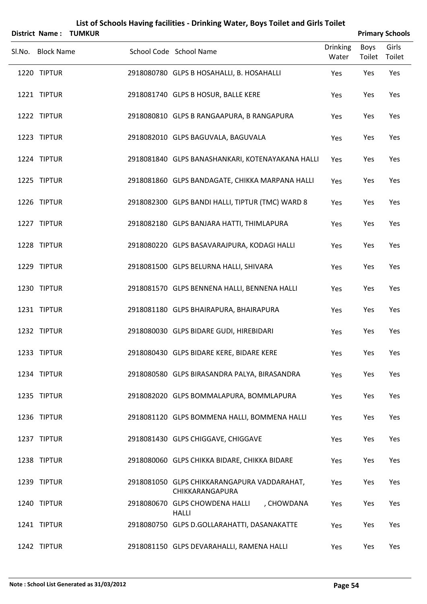| <b>District Name:</b> | <b>TUMKUR</b> |                                                                |                          |                | <b>Primary Schools</b> |
|-----------------------|---------------|----------------------------------------------------------------|--------------------------|----------------|------------------------|
| Sl.No. Block Name     |               | School Code School Name                                        | <b>Drinking</b><br>Water | Boys<br>Toilet | Girls<br>Toilet        |
| 1220 TIPTUR           |               | 2918080780 GLPS B HOSAHALLI, B. HOSAHALLI                      | Yes                      | Yes            | Yes                    |
| 1221 TIPTUR           |               | 2918081740 GLPS B HOSUR, BALLE KERE                            | Yes                      | Yes            | Yes                    |
| 1222 TIPTUR           |               | 2918080810 GLPS B RANGAAPURA, B RANGAPURA                      | Yes                      | Yes            | Yes                    |
| 1223 TIPTUR           |               | 2918082010 GLPS BAGUVALA, BAGUVALA                             | Yes                      | Yes            | Yes                    |
| 1224 TIPTUR           |               | 2918081840 GLPS BANASHANKARI, KOTENAYAKANA HALLI               | Yes                      | Yes            | Yes                    |
| 1225 TIPTUR           |               | 2918081860 GLPS BANDAGATE, CHIKKA MARPANA HALLI                | Yes                      | Yes            | Yes                    |
| 1226 TIPTUR           |               | 2918082300 GLPS BANDI HALLI, TIPTUR (TMC) WARD 8               | Yes                      | Yes            | Yes                    |
| 1227 TIPTUR           |               | 2918082180 GLPS BANJARA HATTI, THIMLAPURA                      | Yes                      | Yes            | Yes                    |
| 1228 TIPTUR           |               | 2918080220 GLPS BASAVARAJPURA, KODAGI HALLI                    | Yes                      | Yes            | Yes                    |
| 1229 TIPTUR           |               | 2918081500 GLPS BELURNA HALLI, SHIVARA                         | Yes                      | Yes            | Yes                    |
| 1230 TIPTUR           |               | 2918081570 GLPS BENNENA HALLI, BENNENA HALLI                   | Yes                      | Yes            | Yes                    |
| 1231 TIPTUR           |               | 2918081180 GLPS BHAIRAPURA, BHAIRAPURA                         | Yes                      | Yes            | Yes                    |
| 1232 TIPTUR           |               | 2918080030 GLPS BIDARE GUDI, HIREBIDARI                        | Yes                      | Yes            | Yes                    |
| 1233 TIPTUR           |               | 2918080430 GLPS BIDARE KERE, BIDARE KERE                       | Yes                      | Yes            | Yes                    |
| 1234 TIPTUR           |               | 2918080580 GLPS BIRASANDRA PALYA, BIRASANDRA                   | Yes                      | Yes            | Yes                    |
| 1235 TIPTUR           |               | 2918082020 GLPS BOMMALAPURA, BOMMLAPURA                        | Yes                      | Yes            | Yes                    |
| 1236 TIPTUR           |               | 2918081120 GLPS BOMMENA HALLI, BOMMENA HALLI                   | Yes                      | Yes            | Yes                    |
| 1237 TIPTUR           |               | 2918081430 GLPS CHIGGAVE, CHIGGAVE                             | Yes                      | Yes            | Yes                    |
| 1238 TIPTUR           |               | 2918080060 GLPS CHIKKA BIDARE, CHIKKA BIDARE                   | Yes                      | Yes            | Yes                    |
| 1239 TIPTUR           |               | 2918081050 GLPS CHIKKARANGAPURA VADDARAHAT,<br>CHIKKARANGAPURA | Yes                      | Yes            | Yes                    |
| 1240 TIPTUR           |               | 2918080670 GLPS CHOWDENA HALLI<br>, CHOWDANA<br><b>HALLI</b>   | Yes                      | Yes            | Yes                    |
| 1241 TIPTUR           |               | 2918080750 GLPS D.GOLLARAHATTI, DASANAKATTE                    | Yes                      | Yes            | Yes                    |
| 1242 TIPTUR           |               | 2918081150 GLPS DEVARAHALLI, RAMENA HALLI                      | Yes                      | Yes            | Yes                    |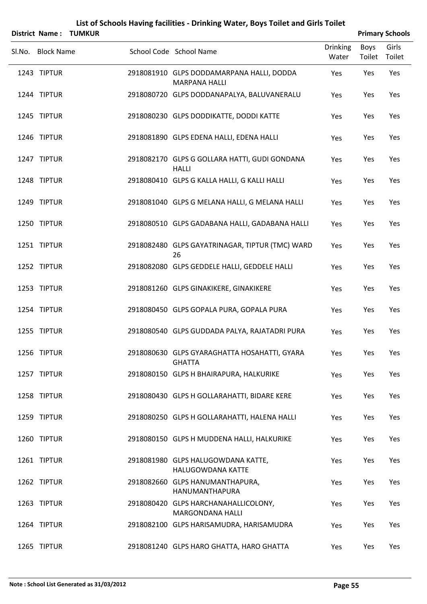|                   | District Name: TUMKUR |                                                                   |                          | <b>Primary Schools</b> |                 |
|-------------------|-----------------------|-------------------------------------------------------------------|--------------------------|------------------------|-----------------|
| Sl.No. Block Name |                       | School Code School Name                                           | <b>Drinking</b><br>Water | Boys<br>Toilet         | Girls<br>Toilet |
| 1243 TIPTUR       |                       | 2918081910 GLPS DODDAMARPANA HALLI, DODDA<br><b>MARPANA HALLI</b> | Yes                      | Yes                    | Yes             |
| 1244 TIPTUR       |                       | 2918080720 GLPS DODDANAPALYA, BALUVANERALU                        | Yes                      | Yes                    | Yes             |
| 1245 TIPTUR       |                       | 2918080230 GLPS DODDIKATTE, DODDI KATTE                           | Yes                      | Yes                    | Yes             |
| 1246 TIPTUR       |                       | 2918081890 GLPS EDENA HALLI, EDENA HALLI                          | Yes                      | Yes                    | Yes             |
| 1247 TIPTUR       |                       | 2918082170 GLPS G GOLLARA HATTI, GUDI GONDANA<br><b>HALLI</b>     | Yes                      | Yes                    | Yes             |
| 1248 TIPTUR       |                       | 2918080410 GLPS G KALLA HALLI, G KALLI HALLI                      | Yes                      | Yes                    | Yes             |
| 1249 TIPTUR       |                       | 2918081040 GLPS G MELANA HALLI, G MELANA HALLI                    | Yes                      | Yes                    | Yes             |
| 1250 TIPTUR       |                       | 2918080510 GLPS GADABANA HALLI, GADABANA HALLI                    | Yes                      | Yes                    | Yes             |
| 1251 TIPTUR       |                       | 2918082480 GLPS GAYATRINAGAR, TIPTUR (TMC) WARD<br>26             | Yes                      | Yes                    | Yes             |
| 1252 TIPTUR       |                       | 2918082080 GLPS GEDDELE HALLI, GEDDELE HALLI                      | Yes                      | Yes                    | Yes             |
| 1253 TIPTUR       |                       | 2918081260 GLPS GINAKIKERE, GINAKIKERE                            | Yes                      | Yes                    | Yes             |
| 1254 TIPTUR       |                       | 2918080450 GLPS GOPALA PURA, GOPALA PURA                          | Yes                      | Yes                    | Yes             |
| 1255 TIPTUR       |                       | 2918080540 GLPS GUDDADA PALYA, RAJATADRI PURA                     | Yes                      | Yes                    | Yes             |
| 1256 TIPTUR       |                       | 2918080630 GLPS GYARAGHATTA HOSAHATTI, GYARA<br><b>GHATTA</b>     | Yes                      | Yes                    | Yes             |
| 1257 TIPTUR       |                       | 2918080150 GLPS H BHAIRAPURA, HALKURIKE                           | Yes                      | Yes                    | Yes             |
| 1258 TIPTUR       |                       | 2918080430 GLPS H GOLLARAHATTI, BIDARE KERE                       | Yes                      | Yes                    | Yes             |
| 1259 TIPTUR       |                       | 2918080250 GLPS H GOLLARAHATTI, HALENA HALLI                      | Yes                      | Yes                    | Yes             |
| 1260 TIPTUR       |                       | 2918080150 GLPS H MUDDENA HALLI, HALKURIKE                        | Yes                      | Yes                    | Yes             |
| 1261 TIPTUR       |                       | 2918081980 GLPS HALUGOWDANA KATTE,<br><b>HALUGOWDANA KATTE</b>    | Yes                      | Yes                    | Yes             |
| 1262 TIPTUR       |                       | 2918082660 GLPS HANUMANTHAPURA,<br><b>HANUMANTHAPURA</b>          | Yes                      | Yes                    | Yes             |
| 1263 TIPTUR       |                       | 2918080420 GLPS HARCHANAHALLICOLONY,<br><b>MARGONDANA HALLI</b>   | Yes                      | Yes                    | Yes             |
| 1264 TIPTUR       |                       | 2918082100 GLPS HARISAMUDRA, HARISAMUDRA                          | Yes                      | Yes                    | Yes             |
| 1265 TIPTUR       |                       | 2918081240 GLPS HARO GHATTA, HARO GHATTA                          | Yes                      | Yes                    | Yes             |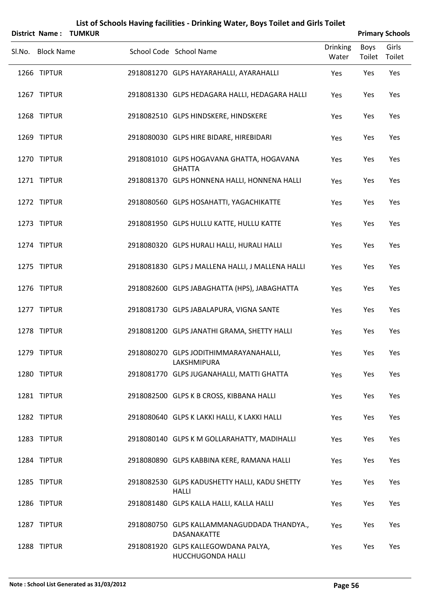| District Name:    | <b>TUMKUR</b> | List of Schools Having facilities - Drinking Water, Boys Toilet and Girls Toilet |                          |                | <b>Primary Schools</b> |
|-------------------|---------------|----------------------------------------------------------------------------------|--------------------------|----------------|------------------------|
| Sl.No. Block Name |               | School Code School Name                                                          | <b>Drinking</b><br>Water | Boys<br>Toilet | Girls<br>Toilet        |
| 1266 TIPTUR       |               | 2918081270 GLPS HAYARAHALLI, AYARAHALLI                                          | Yes                      | Yes            | Yes                    |
| 1267 TIPTUR       |               | 2918081330 GLPS HEDAGARA HALLI, HEDAGARA HALLI                                   | Yes                      | Yes            | Yes                    |
| 1268 TIPTUR       |               | 2918082510 GLPS HINDSKERE, HINDSKERE                                             | Yes                      | Yes            | Yes                    |
| 1269 TIPTUR       |               | 2918080030 GLPS HIRE BIDARE, HIREBIDARI                                          | Yes                      | Yes            | Yes                    |
| 1270 TIPTUR       |               | 2918081010 GLPS HOGAVANA GHATTA, HOGAVANA<br><b>GHATTA</b>                       | Yes                      | Yes            | Yes                    |
| 1271 TIPTUR       |               | 2918081370 GLPS HONNENA HALLI, HONNENA HALLI                                     | Yes                      | Yes            | Yes                    |
| 1272 TIPTUR       |               | 2918080560 GLPS HOSAHATTI, YAGACHIKATTE                                          | Yes                      | Yes            | Yes                    |
| 1273 TIPTUR       |               | 2918081950 GLPS HULLU KATTE, HULLU KATTE                                         | Yes                      | Yes            | Yes                    |
| 1274 TIPTUR       |               | 2918080320 GLPS HURALI HALLI, HURALI HALLI                                       | Yes                      | Yes            | Yes                    |
| 1275 TIPTUR       |               | 2918081830 GLPS J MALLENA HALLI, J MALLENA HALLI                                 | Yes                      | Yes            | Yes                    |
| 1276 TIPTUR       |               | 2918082600 GLPS JABAGHATTA (HPS), JABAGHATTA                                     | Yes                      | Yes            | Yes                    |
| 1277 TIPTUR       |               | 2918081730 GLPS JABALAPURA, VIGNA SANTE                                          | Yes                      | Yes            | Yes                    |
| 1278 TIPTUR       |               | 2918081200 GLPS JANATHI GRAMA, SHETTY HALLI                                      | Yes                      | Yes            | Yes                    |
| 1279 TIPTUR       |               | 2918080270 GLPS JODITHIMMARAYANAHALLI,<br>LAKSHMIPURA                            | Yes                      | Yes            | Yes                    |
| 1280 TIPTUR       |               | 2918081770 GLPS JUGANAHALLI, MATTI GHATTA                                        | Yes                      | Yes            | Yes                    |
| 1281 TIPTUR       |               | 2918082500 GLPS K B CROSS, KIBBANA HALLI                                         | Yes                      | Yes            | Yes                    |
| 1282 TIPTUR       |               | 2918080640 GLPS K LAKKI HALLI, K LAKKI HALLI                                     | Yes                      | Yes            | Yes                    |
| 1283 TIPTUR       |               | 2918080140 GLPS K M GOLLARAHATTY, MADIHALLI                                      | Yes                      | Yes            | Yes                    |
| 1284 TIPTUR       |               | 2918080890 GLPS KABBINA KERE, RAMANA HALLI                                       | Yes                      | Yes            | Yes                    |
| 1285 TIPTUR       |               | 2918082530 GLPS KADUSHETTY HALLI, KADU SHETTY<br><b>HALLI</b>                    | Yes                      | Yes            | Yes                    |
| 1286 TIPTUR       |               | 2918081480 GLPS KALLA HALLI, KALLA HALLI                                         | Yes                      | Yes            | Yes                    |
| 1287 TIPTUR       |               | 2918080750 GLPS KALLAMMANAGUDDADA THANDYA.,<br>DASANAKATTE                       | Yes                      | Yes            | Yes                    |
| 1288 TIPTUR       |               | 2918081920 GLPS KALLEGOWDANA PALYA,<br>HUCCHUGONDA HALLI                         | Yes                      | Yes            | Yes                    |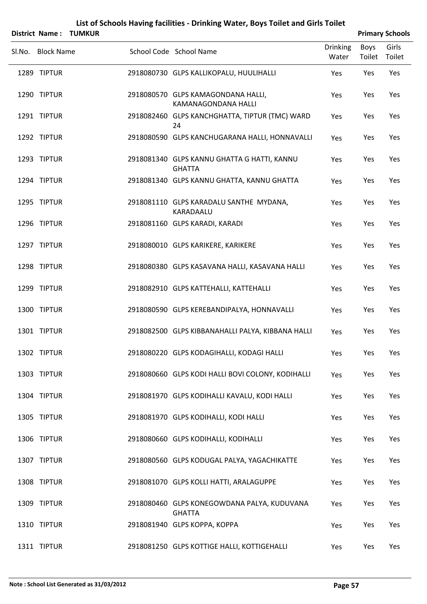|        |                   | District Name: TUMKUR |                                                              |                          | <b>Primary Schools</b> |                 |
|--------|-------------------|-----------------------|--------------------------------------------------------------|--------------------------|------------------------|-----------------|
| Sl.No. | <b>Block Name</b> |                       | School Code School Name                                      | <b>Drinking</b><br>Water | Boys<br>Toilet         | Girls<br>Toilet |
|        | 1289 TIPTUR       |                       | 2918080730 GLPS KALLIKOPALU, HUULIHALLI                      | Yes                      | Yes                    | Yes             |
|        | 1290 TIPTUR       |                       | 2918080570 GLPS KAMAGONDANA HALLI,<br>KAMANAGONDANA HALLI    | Yes                      | Yes                    | Yes             |
|        | 1291 TIPTUR       |                       | 2918082460 GLPS KANCHGHATTA, TIPTUR (TMC) WARD<br>24         | Yes                      | Yes                    | Yes             |
|        | 1292 TIPTUR       |                       | 2918080590 GLPS KANCHUGARANA HALLI, HONNAVALLI               | Yes                      | Yes                    | Yes             |
|        | 1293 TIPTUR       |                       | 2918081340 GLPS KANNU GHATTA G HATTI, KANNU<br><b>GHATTA</b> | Yes                      | Yes                    | Yes             |
|        | 1294 TIPTUR       |                       | 2918081340 GLPS KANNU GHATTA, KANNU GHATTA                   | Yes                      | Yes                    | Yes             |
|        | 1295 TIPTUR       |                       | 2918081110 GLPS KARADALU SANTHE MYDANA,<br>KARADAALU         | Yes                      | Yes                    | Yes             |
|        | 1296 TIPTUR       |                       | 2918081160 GLPS KARADI, KARADI                               | Yes                      | Yes                    | Yes             |
|        | 1297 TIPTUR       |                       | 2918080010 GLPS KARIKERE, KARIKERE                           | Yes                      | Yes                    | Yes             |
|        | 1298 TIPTUR       |                       | 2918080380 GLPS KASAVANA HALLI, KASAVANA HALLI               | Yes                      | Yes                    | Yes             |
|        | 1299 TIPTUR       |                       | 2918082910 GLPS KATTEHALLI, KATTEHALLI                       | Yes                      | Yes                    | Yes             |
|        | 1300 TIPTUR       |                       | 2918080590 GLPS KEREBANDIPALYA, HONNAVALLI                   | Yes                      | Yes                    | Yes             |
|        | 1301 TIPTUR       |                       | 2918082500 GLPS KIBBANAHALLI PALYA, KIBBANA HALLI            | Yes                      | Yes                    | Yes             |
|        | 1302 TIPTUR       |                       | 2918080220 GLPS KODAGIHALLI, KODAGI HALLI                    | Yes                      | Yes                    | Yes             |
|        | 1303 TIPTUR       |                       | 2918080660 GLPS KODI HALLI BOVI COLONY, KODIHALLI            | Yes                      | Yes                    | Yes             |
|        | 1304 TIPTUR       |                       | 2918081970 GLPS KODIHALLI KAVALU, KODI HALLI                 | Yes                      | Yes                    | Yes             |
|        | 1305 TIPTUR       |                       | 2918081970 GLPS KODIHALLI, KODI HALLI                        | Yes                      | Yes                    | Yes             |
|        | 1306 TIPTUR       |                       | 2918080660 GLPS KODIHALLI, KODIHALLI                         | Yes                      | Yes                    | Yes             |
|        | 1307 TIPTUR       |                       | 2918080560 GLPS KODUGAL PALYA, YAGACHIKATTE                  | Yes                      | Yes                    | Yes             |
|        | 1308 TIPTUR       |                       | 2918081070 GLPS KOLLI HATTI, ARALAGUPPE                      | Yes                      | Yes                    | Yes             |
|        | 1309 TIPTUR       |                       | 2918080460 GLPS KONEGOWDANA PALYA, KUDUVANA<br><b>GHATTA</b> | Yes                      | Yes                    | Yes             |
|        | 1310 TIPTUR       |                       | 2918081940 GLPS KOPPA, KOPPA                                 | Yes                      | Yes                    | Yes             |
|        |                   |                       |                                                              |                          |                        |                 |

1311 TIPTUR 2918081250 GLPS KOTTIGE HALLI, KOTTIGEHALLI Yes Yes Yes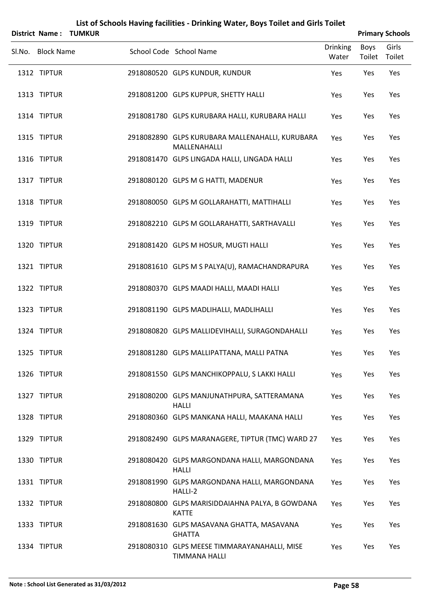|        | <b>District Name:</b> | <b>TUMKUR</b> |                                                                      |                          |                | <b>Primary Schools</b> |
|--------|-----------------------|---------------|----------------------------------------------------------------------|--------------------------|----------------|------------------------|
| SI.No. | <b>Block Name</b>     |               | School Code School Name                                              | <b>Drinking</b><br>Water | Boys<br>Toilet | Girls<br>Toilet        |
|        | 1312 TIPTUR           |               | 2918080520 GLPS KUNDUR, KUNDUR                                       | Yes                      | Yes            | Yes                    |
|        | 1313 TIPTUR           |               | 2918081200 GLPS KUPPUR, SHETTY HALLI                                 | Yes                      | Yes            | Yes                    |
|        | 1314 TIPTUR           |               | 2918081780 GLPS KURUBARA HALLI, KURUBARA HALLI                       | Yes                      | Yes            | Yes                    |
|        | 1315 TIPTUR           |               | 2918082890 GLPS KURUBARA MALLENAHALLI, KURUBARA<br>MALLENAHALLI      | Yes                      | Yes            | Yes                    |
|        | 1316 TIPTUR           |               | 2918081470 GLPS LINGADA HALLI, LINGADA HALLI                         | Yes                      | Yes            | Yes                    |
|        | 1317 TIPTUR           |               | 2918080120 GLPS M G HATTI, MADENUR                                   | Yes                      | Yes            | Yes                    |
|        | 1318 TIPTUR           |               | 2918080050 GLPS M GOLLARAHATTI, MATTIHALLI                           | Yes                      | Yes            | Yes                    |
|        | 1319 TIPTUR           |               | 2918082210 GLPS M GOLLARAHATTI, SARTHAVALLI                          | Yes                      | Yes            | Yes                    |
|        | 1320 TIPTUR           |               | 2918081420 GLPS M HOSUR, MUGTI HALLI                                 | Yes                      | Yes            | Yes                    |
|        | 1321 TIPTUR           |               | 2918081610 GLPS M S PALYA(U), RAMACHANDRAPURA                        | Yes                      | Yes            | Yes                    |
|        | 1322 TIPTUR           |               | 2918080370 GLPS MAADI HALLI, MAADI HALLI                             | Yes                      | Yes            | Yes                    |
|        | 1323 TIPTUR           |               | 2918081190 GLPS MADLIHALLI, MADLIHALLI                               | Yes                      | Yes            | Yes                    |
|        | 1324 TIPTUR           |               | 2918080820 GLPS MALLIDEVIHALLI, SURAGONDAHALLI                       | Yes                      | Yes            | Yes                    |
|        | 1325 TIPTUR           |               | 2918081280 GLPS MALLIPATTANA, MALLI PATNA                            | Yes                      | Yes            | Yes                    |
|        | 1326 TIPTUR           |               | 2918081550 GLPS MANCHIKOPPALU, S LAKKI HALLI                         | Yes                      | Yes            | Yes                    |
|        | 1327 TIPTUR           |               | 2918080200 GLPS MANJUNATHPURA, SATTERAMANA<br><b>HALLI</b>           | Yes                      | Yes            | Yes                    |
|        | 1328 TIPTUR           |               | 2918080360 GLPS MANKANA HALLI, MAAKANA HALLI                         | Yes                      | Yes            | Yes                    |
|        | 1329 TIPTUR           |               | 2918082490 GLPS MARANAGERE, TIPTUR (TMC) WARD 27                     | Yes                      | Yes            | Yes                    |
|        | 1330 TIPTUR           |               | 2918080420 GLPS MARGONDANA HALLI, MARGONDANA<br><b>HALLI</b>         | Yes                      | Yes            | Yes                    |
|        | 1331 TIPTUR           |               | 2918081990 GLPS MARGONDANA HALLI, MARGONDANA<br>HALLI-2              | Yes                      | Yes            | Yes                    |
|        | 1332 TIPTUR           |               | 2918080800 GLPS MARISIDDAIAHNA PALYA, B GOWDANA<br><b>KATTE</b>      | Yes                      | Yes            | Yes                    |
|        | 1333 TIPTUR           |               | 2918081630 GLPS MASAVANA GHATTA, MASAVANA<br><b>GHATTA</b>           | Yes                      | Yes            | Yes                    |
|        | 1334 TIPTUR           |               | 2918080310 GLPS MEESE TIMMARAYANAHALLI, MISE<br><b>TIMMANA HALLI</b> | Yes                      | Yes            | Yes                    |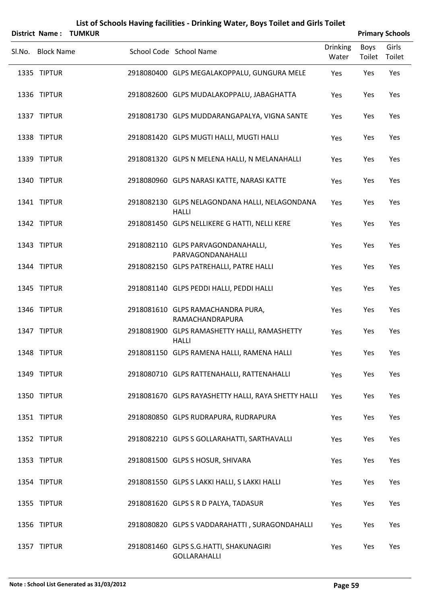| <b>District Name:</b> | <b>TUMKUR</b> | List of Schools Having facilities - Drinking Water, Boys Toilet and Girls Toilet |                          |                       | <b>Primary Schools</b> |
|-----------------------|---------------|----------------------------------------------------------------------------------|--------------------------|-----------------------|------------------------|
| Sl.No. Block Name     |               | School Code School Name                                                          | <b>Drinking</b><br>Water | <b>Boys</b><br>Toilet | Girls<br>Toilet        |
| 1335 TIPTUR           |               | 2918080400 GLPS MEGALAKOPPALU, GUNGURA MELE                                      | Yes                      | Yes                   | Yes                    |
| 1336 TIPTUR           |               | 2918082600 GLPS MUDALAKOPPALU, JABAGHATTA                                        | Yes                      | Yes                   | Yes                    |
| 1337 TIPTUR           |               | 2918081730 GLPS MUDDARANGAPALYA, VIGNA SANTE                                     | Yes                      | Yes                   | Yes                    |
| 1338 TIPTUR           |               | 2918081420 GLPS MUGTI HALLI, MUGTI HALLI                                         | Yes                      | Yes                   | Yes                    |
| 1339 TIPTUR           |               | 2918081320 GLPS N MELENA HALLI, N MELANAHALLI                                    | Yes                      | Yes                   | Yes                    |
| 1340 TIPTUR           |               | 2918080960 GLPS NARASI KATTE, NARASI KATTE                                       | Yes                      | Yes                   | Yes                    |
| 1341 TIPTUR           |               | 2918082130 GLPS NELAGONDANA HALLI, NELAGONDANA<br><b>HALLI</b>                   | Yes                      | Yes                   | Yes                    |
| 1342 TIPTUR           |               | 2918081450 GLPS NELLIKERE G HATTI, NELLI KERE                                    | Yes                      | Yes                   | Yes                    |
| 1343 TIPTUR           |               | 2918082110 GLPS PARVAGONDANAHALLI,<br>PARVAGONDANAHALLI                          | Yes                      | Yes                   | Yes                    |
| 1344 TIPTUR           |               | 2918082150 GLPS PATREHALLI, PATRE HALLI                                          | Yes                      | Yes                   | Yes                    |
| 1345 TIPTUR           |               | 2918081140 GLPS PEDDI HALLI, PEDDI HALLI                                         | Yes                      | Yes                   | Yes                    |
| 1346 TIPTUR           |               | 2918081610 GLPS RAMACHANDRA PURA,<br>RAMACHANDRAPURA                             | Yes                      | Yes                   | Yes                    |
| 1347 TIPTUR           |               | 2918081900 GLPS RAMASHETTY HALLI, RAMASHETTY<br><b>HALLI</b>                     | Yes                      | Yes                   | Yes                    |
| 1348 TIPTUR           |               | 2918081150 GLPS RAMENA HALLI, RAMENA HALLI                                       | Yes                      | Yes                   | Yes                    |
| 1349 TIPTUR           |               | 2918080710 GLPS RATTENAHALLI, RATTENAHALLI                                       | Yes                      | Yes                   | Yes                    |
| 1350 TIPTUR           |               | 2918081670 GLPS RAYASHETTY HALLI, RAYA SHETTY HALLI                              | Yes                      | Yes                   | Yes                    |
| 1351 TIPTUR           |               | 2918080850 GLPS RUDRAPURA, RUDRAPURA                                             | Yes                      | Yes                   | Yes                    |
| 1352 TIPTUR           |               | 2918082210 GLPS S GOLLARAHATTI, SARTHAVALLI                                      | Yes                      | Yes                   | Yes                    |
| 1353 TIPTUR           |               | 2918081500 GLPS S HOSUR, SHIVARA                                                 | Yes                      | Yes                   | Yes                    |
| 1354 TIPTUR           |               | 2918081550 GLPS S LAKKI HALLI, S LAKKI HALLI                                     | Yes                      | Yes                   | Yes                    |
| 1355 TIPTUR           |               | 2918081620 GLPS S R D PALYA, TADASUR                                             | Yes                      | Yes                   | Yes                    |
| 1356 TIPTUR           |               | 2918080820 GLPS S VADDARAHATTI, SURAGONDAHALLI                                   | Yes                      | Yes                   | Yes                    |
| 1357 TIPTUR           |               | 2918081460 GLPS S.G.HATTI, SHAKUNAGIRI<br><b>GOLLARAHALLI</b>                    | Yes                      | Yes                   | Yes                    |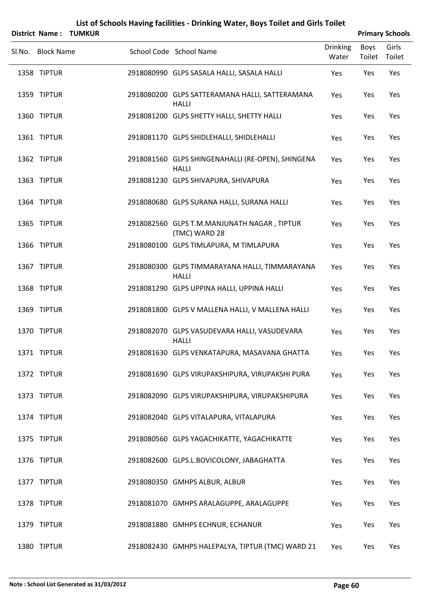|        |                       |               | List of Schools Having facilities - Drinking Water, Boys Toilet and Girls Toilet |                          |                       |                        |
|--------|-----------------------|---------------|----------------------------------------------------------------------------------|--------------------------|-----------------------|------------------------|
|        | <b>District Name:</b> | <b>TUMKUR</b> |                                                                                  |                          |                       | <b>Primary Schools</b> |
| Sl.No. | <b>Block Name</b>     |               | School Code School Name                                                          | <b>Drinking</b><br>Water | <b>Boys</b><br>Toilet | Girls<br>Toilet        |
|        | 1358 TIPTUR           |               | 2918080990 GLPS SASALA HALLI, SASALA HALLI                                       | Yes                      | Yes                   | Yes                    |
|        | 1359 TIPTUR           |               | 2918080200 GLPS SATTERAMANA HALLI, SATTERAMANA<br><b>HALLI</b>                   | Yes                      | Yes                   | Yes                    |
|        | 1360 TIPTUR           |               | 2918081200 GLPS SHETTY HALLI, SHETTY HALLI                                       | Yes                      | Yes                   | Yes                    |
|        | 1361 TIPTUR           |               | 2918081170 GLPS SHIDLEHALLI, SHIDLEHALLI                                         | Yes                      | Yes                   | Yes                    |
|        | 1362 TIPTUR           |               | 2918081560 GLPS SHINGENAHALLI (RE-OPEN), SHINGENA<br><b>HALLI</b>                | Yes                      | Yes                   | Yes                    |
|        | 1363 TIPTUR           |               | 2918081230 GLPS SHIVAPURA, SHIVAPURA                                             | Yes                      | Yes                   | Yes                    |
|        | 1364 TIPTUR           |               | 2918080680 GLPS SURANA HALLI, SURANA HALLI                                       | Yes                      | Yes                   | Yes                    |
|        | 1365 TIPTUR           |               | 2918082560 GLPS T.M.MANJUNATH NAGAR, TIPTUR<br>(TMC) WARD 28                     | Yes                      | Yes                   | Yes                    |
|        | 1366 TIPTUR           |               | 2918080100 GLPS TIMLAPURA, M TIMLAPURA                                           | Yes                      | Yes                   | Yes                    |
|        | 1367 TIPTUR           |               | 2918080300 GLPS TIMMARAYANA HALLI, TIMMARAYANA<br><b>HALLI</b>                   | Yes                      | Yes                   | Yes                    |
|        | 1368 TIPTUR           |               | 2918081290 GLPS UPPINA HALLI, UPPINA HALLI                                       | Yes                      | Yes                   | Yes                    |
|        | 1369 TIPTUR           |               | 2918081800 GLPS V MALLENA HALLI, V MALLENA HALLI                                 | Yes                      | Yes                   | Yes                    |
|        | 1370 TIPTUR           |               | 2918082070 GLPS VASUDEVARA HALLI, VASUDEVARA                                     | Yes                      | Yes                   | Yes                    |

1374 TIPTUR 2918082040 GLPS VITALAPURA, VITALAPURA Yes Yes Yes Yes TIPTUR 2918080560 GLPS YAGACHIKATTE, YAGACHIKATTE Yes Yes Yes TIPTUR 2918082600 GLPS.L.BOVICOLONY, JABAGHATTA Yes Yes Yes 1377 TIPTUR 2918080350 GMHPS ALBUR, ALBUR 200 Yes Yes Yes TIPTUR 2918081070 GMHPS ARALAGUPPE, ARALAGUPPE Yes Yes Yes TIPTUR 2918081880 GMHPS ECHNUR, ECHANUR Yes Yes Yes TIPTUR 2918082430 GMHPS HALEPALYA, TIPTUR (TMC) WARD 21 Yes Yes Yes

1371 TIPTUR 2918081630 GLPS VENKATAPURA, MASAVANA GHATTA Yes Yes Yes

1372 TIPTUR 2918081690 GLPS VIRUPAKSHIPURA, VIRUPAKSHI PURA Yes Yes Yes

1373 TIPTUR 2918082090 GLPS VIRUPAKSHIPURA, VIRUPAKSHIPURA Yes Yes Yes

HALLI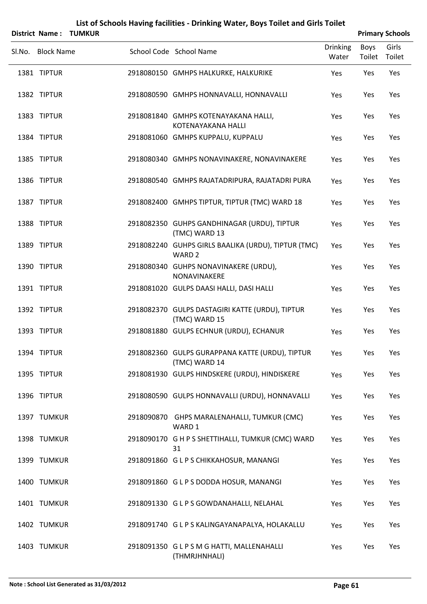|                            | District Name: TUMKUR |                                                                                                            |                          |                | <b>Primary Schools</b> |
|----------------------------|-----------------------|------------------------------------------------------------------------------------------------------------|--------------------------|----------------|------------------------|
| Sl.No. Block Name          |                       | School Code School Name                                                                                    | <b>Drinking</b><br>Water | Boys<br>Toilet | Girls<br>Toilet        |
| 1381 TIPTUR                |                       | 2918080150 GMHPS HALKURKE, HALKURIKE                                                                       | Yes                      | Yes            | Yes                    |
| 1382 TIPTUR                |                       | 2918080590 GMHPS HONNAVALLI, HONNAVALLI                                                                    | Yes                      | Yes            | Yes                    |
| 1383 TIPTUR                |                       | 2918081840 GMHPS KOTENAYAKANA HALLI,<br>KOTENAYAKANA HALLI                                                 | Yes                      | Yes            | Yes                    |
| 1384 TIPTUR                |                       | 2918081060 GMHPS KUPPALU, KUPPALU                                                                          | Yes                      | Yes            | Yes                    |
| 1385 TIPTUR                |                       | 2918080340 GMHPS NONAVINAKERE, NONAVINAKERE                                                                | Yes                      | Yes            | Yes                    |
| 1386 TIPTUR                |                       | 2918080540 GMHPS RAJATADRIPURA, RAJATADRI PURA                                                             | Yes                      | Yes            | Yes                    |
| 1387 TIPTUR                |                       | 2918082400 GMHPS TIPTUR, TIPTUR (TMC) WARD 18                                                              | Yes                      | Yes            | Yes                    |
| 1388 TIPTUR                |                       | 2918082350 GUHPS GANDHINAGAR (URDU), TIPTUR<br>(TMC) WARD 13                                               | Yes                      | Yes            | Yes                    |
| 1389 TIPTUR                |                       | 2918082240 GUHPS GIRLS BAALIKA (URDU), TIPTUR (TMC)<br>WARD <sub>2</sub>                                   | Yes                      | Yes            | Yes                    |
| 1390 TIPTUR                |                       | 2918080340 GUHPS NONAVINAKERE (URDU),<br>NONAVINAKERE                                                      | Yes                      | Yes            | Yes                    |
| 1391 TIPTUR                |                       | 2918081020 GULPS DAASI HALLI, DASI HALLI                                                                   | Yes                      | Yes            | Yes                    |
| 1392 TIPTUR                |                       | 2918082370 GULPS DASTAGIRI KATTE (URDU), TIPTUR<br>(TMC) WARD 15                                           | Yes                      | Yes            | Yes                    |
| 1393 TIPTUR                |                       | 2918081880 GULPS ECHNUR (URDU), ECHANUR                                                                    | Yes                      | Yes            | Yes                    |
| 1394 TIPTUR                |                       | 2918082360 GULPS GURAPPANA KATTE (URDU), TIPTUR<br>(TMC) WARD 14                                           | Yes                      | Yes            | Yes                    |
| 1395 TIPTUR                |                       | 2918081930 GULPS HINDSKERE (URDU), HINDISKERE                                                              | Yes                      | Yes            | Yes                    |
| 1396 TIPTUR                |                       | 2918080590 GULPS HONNAVALLI (URDU), HONNAVALLI                                                             | Yes                      | Yes            | Yes                    |
| 1397 TUMKUR<br>1398 TUMKUR |                       | 2918090870 GHPS MARALENAHALLI, TUMKUR (CMC)<br>WARD 1<br>2918090170 G H P S SHETTIHALLI, TUMKUR (CMC) WARD | Yes                      | Yes<br>Yes     | Yes<br>Yes             |
| 1399 TUMKUR                |                       | 31<br>2918091860 G L P S CHIKKAHOSUR, MANANGI                                                              | Yes<br>Yes               | Yes            | Yes                    |
| 1400 TUMKUR                |                       | 2918091860 GLPSDODDA HOSUR, MANANGI                                                                        | Yes                      | Yes            | Yes                    |
| 1401 TUMKUR                |                       |                                                                                                            |                          |                | Yes                    |
| 1402 TUMKUR                |                       | 2918091330 GLPS GOWDANAHALLI, NELAHAL                                                                      | Yes                      | Yes            | Yes                    |
|                            |                       | 2918091740 GLPS KALINGAYANAPALYA, HOLAKALLU                                                                | Yes                      | Yes            |                        |
| 1403 TUMKUR                |                       | 2918091350 GLPSMGHATTI, MALLENAHALLI<br>(THMRJHNHALI)                                                      | Yes                      | Yes            | Yes                    |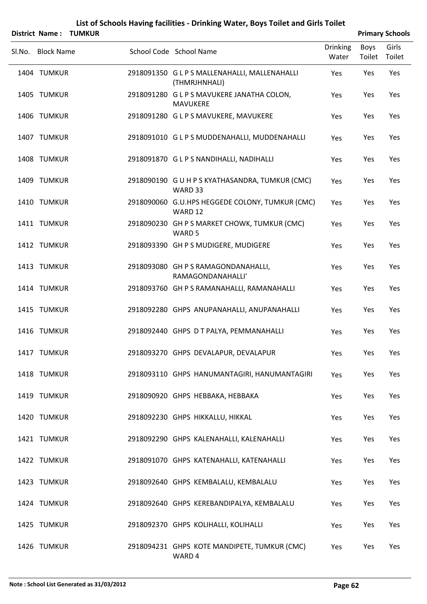|        | <b>District Name:</b><br><b>TUMKUR</b> |                                                                |                          |                | <b>Primary Schools</b> |
|--------|----------------------------------------|----------------------------------------------------------------|--------------------------|----------------|------------------------|
| Sl.No. | <b>Block Name</b>                      | School Code School Name                                        | <b>Drinking</b><br>Water | Boys<br>Toilet | Girls<br>Toilet        |
|        | 1404 TUMKUR                            | 2918091350 G L P S MALLENAHALLI, MALLENAHALLI<br>(THMRJHNHALI) | Yes                      | Yes            | Yes                    |
|        | 1405 TUMKUR                            | 2918091280 G L P S MAVUKERE JANATHA COLON,<br><b>MAVUKERE</b>  | Yes                      | Yes            | Yes                    |
|        | 1406 TUMKUR                            | 2918091280 G L P S MAVUKERE, MAVUKERE                          | Yes                      | Yes            | Yes                    |
|        | 1407 TUMKUR                            | 2918091010 G L P S MUDDENAHALLI, MUDDENAHALLI                  | Yes                      | Yes            | Yes                    |
|        | 1408 TUMKUR                            | 2918091870 GLPS NANDIHALLI, NADIHALLI                          | Yes                      | Yes            | Yes                    |
|        | 1409 TUMKUR                            | 2918090190 G U H P S KYATHASANDRA, TUMKUR (CMC)<br>WARD 33     | Yes                      | Yes            | Yes                    |
|        | 1410 TUMKUR                            | 2918090060 G.U.HPS HEGGEDE COLONY, TUMKUR (CMC)<br>WARD 12     | Yes                      | Yes            | Yes                    |
|        | 1411 TUMKUR                            | 2918090230 GH P S MARKET CHOWK, TUMKUR (CMC)<br>WARD 5         | Yes                      | Yes            | Yes                    |
|        | 1412 TUMKUR                            | 2918093390 GH P S MUDIGERE, MUDIGERE                           | Yes                      | Yes            | Yes                    |
|        | 1413 TUMKUR                            | 2918093080 GH P S RAMAGONDANAHALLI,<br>RAMAGONDANAHALLI'       | Yes                      | Yes            | Yes                    |
|        | 1414 TUMKUR                            | 2918093760 GH P S RAMANAHALLI, RAMANAHALLI                     | Yes                      | Yes            | Yes                    |
|        | 1415 TUMKUR                            | 2918092280 GHPS ANUPANAHALLI, ANUPANAHALLI                     | Yes                      | Yes            | Yes                    |
|        | 1416 TUMKUR                            | 2918092440 GHPS D T PALYA, PEMMANAHALLI                        | Yes                      | Yes            | Yes                    |
|        | 1417 TUMKUR                            | 2918093270 GHPS DEVALAPUR, DEVALAPUR                           | Yes                      | Yes            | Yes                    |
|        | 1418 TUMKUR                            | 2918093110 GHPS HANUMANTAGIRI, HANUMANTAGIRI                   | Yes                      | Yes            | Yes                    |
|        | 1419 TUMKUR                            | 2918090920 GHPS HEBBAKA, HEBBAKA                               | Yes                      | Yes            | Yes                    |
|        | 1420 TUMKUR                            | 2918092230 GHPS HIKKALLU, HIKKAL                               | Yes                      | Yes            | Yes                    |
|        | 1421 TUMKUR                            | 2918092290 GHPS KALENAHALLI, KALENAHALLI                       | Yes                      | Yes            | Yes                    |
|        | 1422 TUMKUR                            | 2918091070 GHPS KATENAHALLI, KATENAHALLI                       | Yes                      | Yes            | Yes                    |
|        | 1423 TUMKUR                            | 2918092640 GHPS KEMBALALU, KEMBALALU                           | Yes                      | Yes            | Yes                    |
|        | 1424 TUMKUR                            | 2918092640 GHPS KEREBANDIPALYA, KEMBALALU                      | Yes                      | Yes            | Yes                    |
|        | 1425 TUMKUR                            | 2918092370 GHPS KOLIHALLI, KOLIHALLI                           | Yes                      | Yes            | Yes                    |
|        | 1426 TUMKUR                            | 2918094231 GHPS KOTE MANDIPETE, TUMKUR (CMC)<br>WARD 4         | Yes                      | Yes            | Yes                    |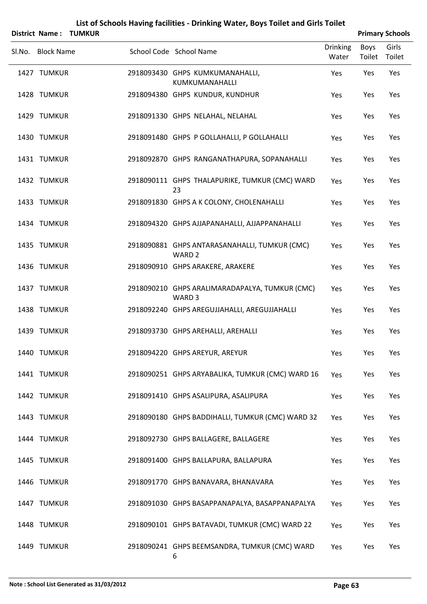| District Name:    | <b>TUMKUR</b> | List of Schools Having facilities - Drinking Water, Boys Toilet and Girls Toilet |                          |                | <b>Primary Schools</b> |
|-------------------|---------------|----------------------------------------------------------------------------------|--------------------------|----------------|------------------------|
| Sl.No. Block Name |               | School Code School Name                                                          | <b>Drinking</b><br>Water | Boys<br>Toilet | Girls<br>Toilet        |
| 1427 TUMKUR       |               | 2918093430 GHPS KUMKUMANAHALLI,<br>KUMKUMANAHALLI                                | Yes                      | Yes            | Yes                    |
| 1428 TUMKUR       |               | 2918094380 GHPS KUNDUR, KUNDHUR                                                  | Yes                      | Yes            | Yes                    |
| 1429 TUMKUR       |               | 2918091330 GHPS NELAHAL, NELAHAL                                                 | Yes                      | Yes            | Yes                    |
| 1430 TUMKUR       |               | 2918091480 GHPS P GOLLAHALLI, P GOLLAHALLI                                       | Yes                      | Yes            | Yes                    |
| 1431 TUMKUR       |               | 2918092870 GHPS RANGANATHAPURA, SOPANAHALLI                                      | Yes                      | Yes            | Yes                    |
| 1432 TUMKUR       |               | 2918090111 GHPS THALAPURIKE, TUMKUR (CMC) WARD<br>23                             | Yes                      | Yes            | Yes                    |
| 1433 TUMKUR       |               | 2918091830 GHPS A K COLONY, CHOLENAHALLI                                         | Yes                      | Yes            | Yes                    |
| 1434 TUMKUR       |               | 2918094320 GHPS AJJAPANAHALLI, AJJAPPANAHALLI                                    | Yes                      | Yes            | Yes                    |
| 1435 TUMKUR       |               | 2918090881 GHPS ANTARASANAHALLI, TUMKUR (CMC)<br>WARD <sub>2</sub>               | Yes                      | Yes            | Yes                    |
| 1436 TUMKUR       |               | 2918090910 GHPS ARAKERE, ARAKERE                                                 | Yes                      | Yes            | Yes                    |
| 1437 TUMKUR       |               | 2918090210 GHPS ARALIMARADAPALYA, TUMKUR (CMC)<br>WARD <sub>3</sub>              | Yes                      | Yes            | Yes                    |
| 1438 TUMKUR       |               | 2918092240 GHPS AREGUJJAHALLI, AREGUJJAHALLI                                     | Yes                      | Yes            | Yes                    |
| 1439 TUMKUR       |               | 2918093730 GHPS AREHALLI, AREHALLI                                               | Yes                      | Yes            | Yes                    |
| 1440 TUMKUR       |               | 2918094220 GHPS AREYUR, AREYUR                                                   | Yes                      | Yes            | Yes                    |
| 1441 TUMKUR       |               | 2918090251 GHPS ARYABALIKA, TUMKUR (CMC) WARD 16                                 | Yes                      | Yes            | Yes                    |
| 1442 TUMKUR       |               | 2918091410 GHPS ASALIPURA, ASALIPURA                                             | Yes                      | Yes            | Yes                    |
| 1443 TUMKUR       |               | 2918090180 GHPS BADDIHALLI, TUMKUR (CMC) WARD 32                                 | Yes                      | Yes            | Yes                    |
| 1444 TUMKUR       |               | 2918092730 GHPS BALLAGERE, BALLAGERE                                             | Yes                      | Yes            | Yes                    |
| 1445 TUMKUR       |               | 2918091400 GHPS BALLAPURA, BALLAPURA                                             | Yes                      | Yes            | Yes                    |
| 1446 TUMKUR       |               | 2918091770 GHPS BANAVARA, BHANAVARA                                              | Yes                      | Yes            | Yes                    |
| 1447 TUMKUR       |               | 2918091030 GHPS BASAPPANAPALYA, BASAPPANAPALYA                                   | Yes                      | Yes            | Yes                    |
| 1448 TUMKUR       |               | 2918090101 GHPS BATAVADI, TUMKUR (CMC) WARD 22                                   | Yes                      | Yes            | Yes                    |
| 1449 TUMKUR       |               | 2918090241 GHPS BEEMSANDRA, TUMKUR (CMC) WARD<br>6                               | Yes                      | Yes            | Yes                    |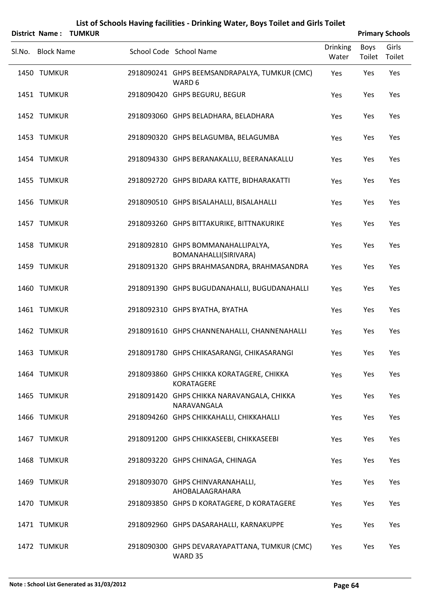|                   | <b>District Name: TUMKUR</b> |                                                                |                          |                | <b>Primary Schools</b> |
|-------------------|------------------------------|----------------------------------------------------------------|--------------------------|----------------|------------------------|
| Sl.No. Block Name |                              | School Code School Name                                        | <b>Drinking</b><br>Water | Boys<br>Toilet | Girls<br>Toilet        |
| 1450 TUMKUR       |                              | 2918090241 GHPS BEEMSANDRAPALYA, TUMKUR (CMC)<br>WARD 6        | Yes                      | Yes            | Yes                    |
| 1451 TUMKUR       |                              | 2918090420 GHPS BEGURU, BEGUR                                  | Yes                      | Yes            | Yes                    |
| 1452 TUMKUR       |                              | 2918093060 GHPS BELADHARA, BELADHARA                           | Yes                      | Yes            | Yes                    |
| 1453 TUMKUR       |                              | 2918090320 GHPS BELAGUMBA, BELAGUMBA                           | Yes                      | Yes            | Yes                    |
| 1454 TUMKUR       |                              | 2918094330 GHPS BERANAKALLU, BEERANAKALLU                      | Yes                      | Yes            | Yes                    |
| 1455 TUMKUR       |                              | 2918092720 GHPS BIDARA KATTE, BIDHARAKATTI                     | Yes                      | Yes            | Yes                    |
| 1456 TUMKUR       |                              | 2918090510 GHPS BISALAHALLI, BISALAHALLI                       | Yes                      | Yes            | Yes                    |
| 1457 TUMKUR       |                              | 2918093260 GHPS BITTAKURIKE, BITTNAKURIKE                      | Yes                      | Yes            | Yes                    |
| 1458 TUMKUR       |                              | 2918092810 GHPS BOMMANAHALLIPALYA,<br>BOMANAHALLI(SIRIVARA)    | Yes                      | Yes            | Yes                    |
| 1459 TUMKUR       |                              | 2918091320 GHPS BRAHMASANDRA, BRAHMASANDRA                     | Yes                      | Yes            | Yes                    |
| 1460 TUMKUR       |                              | 2918091390 GHPS BUGUDANAHALLI, BUGUDANAHALLI                   | Yes                      | Yes            | Yes                    |
| 1461 TUMKUR       |                              | 2918092310 GHPS BYATHA, BYATHA                                 | Yes                      | Yes            | Yes                    |
| 1462 TUMKUR       |                              | 2918091610 GHPS CHANNENAHALLI, CHANNENAHALLI                   | Yes                      | Yes            | Yes                    |
| 1463 TUMKUR       |                              | 2918091780 GHPS CHIKASARANGI, CHIKASARANGI                     | Yes                      | Yes            | Yes                    |
| 1464 TUMKUR       |                              | 2918093860 GHPS CHIKKA KORATAGERE, CHIKKA<br><b>KORATAGERE</b> | Yes                      | Yes            | Yes                    |
| 1465 TUMKUR       |                              | 2918091420 GHPS CHIKKA NARAVANGALA, CHIKKA<br>NARAVANGALA      | Yes                      | Yes            | Yes                    |
| 1466 TUMKUR       |                              | 2918094260 GHPS CHIKKAHALLI, CHIKKAHALLI                       | Yes                      | Yes            | Yes                    |
| 1467 TUMKUR       |                              | 2918091200 GHPS CHIKKASEEBI, CHIKKASEEBI                       | Yes                      | Yes            | Yes                    |
| 1468 TUMKUR       |                              | 2918093220 GHPS CHINAGA, CHINAGA                               | Yes                      | Yes            | Yes                    |
| 1469 TUMKUR       |                              | 2918093070 GHPS CHINVARANAHALLI,<br>AHOBALAAGRAHARA            | Yes                      | Yes            | Yes                    |
| 1470 TUMKUR       |                              | 2918093850 GHPS D KORATAGERE, D KORATAGERE                     | Yes                      | Yes            | Yes                    |
| 1471 TUMKUR       |                              | 2918092960 GHPS DASARAHALLI, KARNAKUPPE                        | Yes                      | Yes            | Yes                    |
| 1472 TUMKUR       |                              | 2918090300 GHPS DEVARAYAPATTANA, TUMKUR (CMC)<br>WARD 35       | Yes                      | Yes            | Yes                    |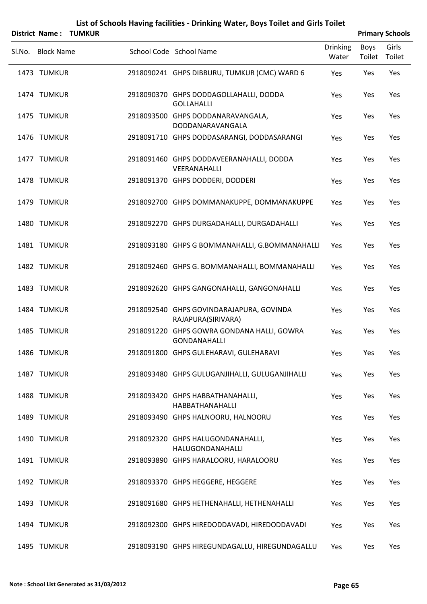|        |                   | <b>District Name: TUMKUR</b> |                                                                   |                          |                | <b>Primary Schools</b> |
|--------|-------------------|------------------------------|-------------------------------------------------------------------|--------------------------|----------------|------------------------|
| Sl.No. | <b>Block Name</b> |                              | School Code School Name                                           | <b>Drinking</b><br>Water | Boys<br>Toilet | Girls<br>Toilet        |
|        | 1473 TUMKUR       |                              | 2918090241 GHPS DIBBURU, TUMKUR (CMC) WARD 6                      | Yes                      | Yes            | Yes                    |
|        | 1474 TUMKUR       |                              | 2918090370 GHPS DODDAGOLLAHALLI, DODDA<br><b>GOLLAHALLI</b>       | Yes                      | Yes            | Yes                    |
|        | 1475 TUMKUR       |                              | 2918093500 GHPS DODDANARAVANGALA,<br>DODDANARAVANGALA             | Yes                      | Yes            | Yes                    |
|        | 1476 TUMKUR       |                              | 2918091710 GHPS DODDASARANGI, DODDASARANGI                        | Yes                      | Yes            | Yes                    |
|        | 1477 TUMKUR       |                              | 2918091460 GHPS DODDAVEERANAHALLI, DODDA<br>VEERANAHALLI          | Yes                      | Yes            | Yes                    |
|        | 1478 TUMKUR       |                              | 2918091370 GHPS DODDERI, DODDERI                                  | Yes                      | Yes            | Yes                    |
|        | 1479 TUMKUR       |                              | 2918092700 GHPS DOMMANAKUPPE, DOMMANAKUPPE                        | Yes                      | Yes            | Yes                    |
|        | 1480 TUMKUR       |                              | 2918092270 GHPS DURGADAHALLI, DURGADAHALLI                        | Yes                      | Yes            | Yes                    |
|        | 1481 TUMKUR       |                              | 2918093180 GHPS G BOMMANAHALLI, G.BOMMANAHALLI                    | Yes                      | Yes            | Yes                    |
|        | 1482 TUMKUR       |                              | 2918092460 GHPS G. BOMMANAHALLI, BOMMANAHALLI                     | Yes                      | Yes            | Yes                    |
|        | 1483 TUMKUR       |                              | 2918092620 GHPS GANGONAHALLI, GANGONAHALLI                        | Yes                      | Yes            | Yes                    |
|        | 1484 TUMKUR       |                              | 2918092540 GHPS GOVINDARAJAPURA, GOVINDA<br>RAJAPURA(SIRIVARA)    | Yes                      | Yes            | Yes                    |
|        | 1485 TUMKUR       |                              | 2918091220 GHPS GOWRA GONDANA HALLI, GOWRA<br><b>GONDANAHALLI</b> | Yes                      | Yes            | Yes                    |
|        | 1486 TUMKUR       |                              | 2918091800 GHPS GULEHARAVI, GULEHARAVI                            | Yes                      | Yes            | Yes                    |
|        | 1487 TUMKUR       |                              | 2918093480 GHPS GULUGANJIHALLI, GULUGANJIHALLI                    | Yes                      | Yes            | Yes                    |
|        | 1488 TUMKUR       |                              | 2918093420 GHPS HABBATHANAHALLI,<br><b>HABBATHANAHALLI</b>        | Yes                      | Yes            | Yes                    |
|        | 1489 TUMKUR       |                              | 2918093490 GHPS HALNOORU, HALNOORU                                | Yes                      | Yes            | Yes                    |
|        | 1490 TUMKUR       |                              | 2918092320 GHPS HALUGONDANAHALLI,<br>HALUGONDANAHALLI             | Yes                      | Yes            | Yes                    |
|        | 1491 TUMKUR       |                              | 2918093890 GHPS HARALOORU, HARALOORU                              | Yes                      | Yes            | Yes                    |
|        | 1492 TUMKUR       |                              | 2918093370 GHPS HEGGERE, HEGGERE                                  | Yes                      | Yes            | Yes                    |
|        | 1493 TUMKUR       |                              | 2918091680 GHPS HETHENAHALLI, HETHENAHALLI                        | Yes                      | Yes            | Yes                    |
|        | 1494 TUMKUR       |                              | 2918092300 GHPS HIREDODDAVADI, HIREDODDAVADI                      | Yes                      | Yes            | Yes                    |
|        | 1495 TUMKUR       |                              | 2918093190 GHPS HIREGUNDAGALLU, HIREGUNDAGALLU                    | Yes                      | Yes            | Yes                    |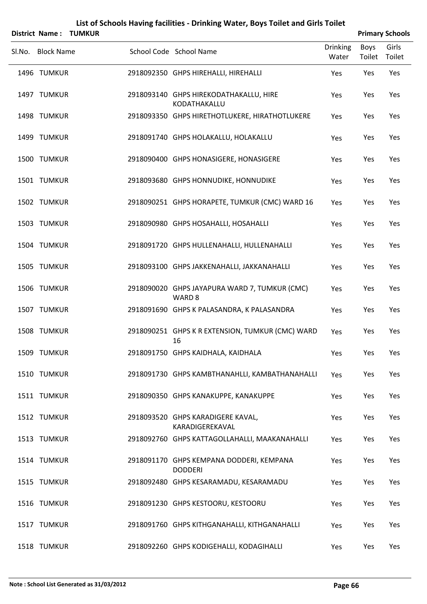| List of Schools Having facilities - Drinking Water, Boys Toilet and Girls Toilet |               |  |                                                                    |                          |                       |                        |  |  |  |  |  |
|----------------------------------------------------------------------------------|---------------|--|--------------------------------------------------------------------|--------------------------|-----------------------|------------------------|--|--|--|--|--|
| <b>District Name:</b>                                                            | <b>TUMKUR</b> |  |                                                                    |                          |                       | <b>Primary Schools</b> |  |  |  |  |  |
| Sl.No. Block Name                                                                |               |  | School Code School Name                                            | <b>Drinking</b><br>Water | <b>Boys</b><br>Toilet | Girls<br>Toilet        |  |  |  |  |  |
| 1496 TUMKUR                                                                      |               |  | 2918092350 GHPS HIREHALLI, HIREHALLI                               | Yes                      | Yes                   | Yes                    |  |  |  |  |  |
| 1497 TUMKUR                                                                      |               |  | 2918093140 GHPS HIREKODATHAKALLU, HIRE<br>KODATHAKALLU             | Yes                      | Yes                   | Yes                    |  |  |  |  |  |
| 1498 TUMKUR                                                                      |               |  | 2918093350 GHPS HIRETHOTLUKERE, HIRATHOTLUKERE                     | Yes                      | Yes                   | Yes                    |  |  |  |  |  |
| 1499 TUMKUR                                                                      |               |  | 2918091740 GHPS HOLAKALLU, HOLAKALLU                               | Yes                      | Yes                   | Yes                    |  |  |  |  |  |
| 1500 TUMKUR                                                                      |               |  | 2918090400 GHPS HONASIGERE, HONASIGERE                             | Yes                      | Yes                   | Yes                    |  |  |  |  |  |
| 1501 TUMKUR                                                                      |               |  | 2918093680 GHPS HONNUDIKE, HONNUDIKE                               | Yes                      | Yes                   | Yes                    |  |  |  |  |  |
| 1502 TUMKUR                                                                      |               |  | 2918090251 GHPS HORAPETE, TUMKUR (CMC) WARD 16                     | Yes                      | Yes                   | Yes                    |  |  |  |  |  |
| 1503 TUMKUR                                                                      |               |  | 2918090980 GHPS HOSAHALLI, HOSAHALLI                               | Yes                      | Yes                   | Yes                    |  |  |  |  |  |
| 1504 TUMKUR                                                                      |               |  | 2918091720 GHPS HULLENAHALLI, HULLENAHALLI                         | Yes                      | Yes                   | Yes                    |  |  |  |  |  |
| 1505 TUMKUR                                                                      |               |  | 2918093100 GHPS JAKKENAHALLI, JAKKANAHALLI                         | Yes                      | Yes                   | Yes                    |  |  |  |  |  |
| 1506 TUMKUR                                                                      |               |  | 2918090020 GHPS JAYAPURA WARD 7, TUMKUR (CMC)<br>WARD <sub>8</sub> | Yes                      | Yes                   | Yes                    |  |  |  |  |  |
| 1507 TUMKUR                                                                      |               |  | 2918091690 GHPS K PALASANDRA, K PALASANDRA                         | Yes                      | Yes                   | Yes                    |  |  |  |  |  |
| 1508 TUMKUR                                                                      |               |  | 2918090251 GHPS K R EXTENSION, TUMKUR (CMC) WARD<br>16             | Yes                      | Yes                   | Yes                    |  |  |  |  |  |
| 1509 TUMKUR                                                                      |               |  | 2918091750 GHPS KAIDHALA, KAIDHALA                                 | Yes                      | Yes                   | Yes                    |  |  |  |  |  |
| 1510 TUMKUR                                                                      |               |  | 2918091730 GHPS KAMBTHANAHLLI, KAMBATHANAHALLI                     | Yes                      | Yes                   | Yes                    |  |  |  |  |  |
| 1511 TUMKUR                                                                      |               |  | 2918090350 GHPS KANAKUPPE, KANAKUPPE                               | Yes                      | Yes                   | Yes                    |  |  |  |  |  |
| 1512 TUMKUR                                                                      |               |  | 2918093520 GHPS KARADIGERE KAVAL,<br>KARADIGEREKAVAL               | Yes                      | Yes                   | Yes                    |  |  |  |  |  |
| 1513 TUMKUR                                                                      |               |  | 2918092760 GHPS KATTAGOLLAHALLI, MAAKANAHALLI                      | Yes                      | Yes                   | Yes                    |  |  |  |  |  |
| 1514 TUMKUR                                                                      |               |  | 2918091170 GHPS KEMPANA DODDERI, KEMPANA<br><b>DODDERI</b>         | Yes                      | Yes                   | Yes                    |  |  |  |  |  |
| 1515 TUMKUR                                                                      |               |  | 2918092480 GHPS KESARAMADU, KESARAMADU                             | Yes                      | Yes                   | Yes                    |  |  |  |  |  |
| 1516 TUMKUR                                                                      |               |  | 2918091230 GHPS KESTOORU, KESTOORU                                 | Yes                      | Yes                   | Yes                    |  |  |  |  |  |
| 1517 TUMKUR                                                                      |               |  | 2918091760 GHPS KITHGANAHALLI, KITHGANAHALLI                       | Yes                      | Yes                   | Yes                    |  |  |  |  |  |
| 1518 TUMKUR                                                                      |               |  | 2918092260 GHPS KODIGEHALLI, KODAGIHALLI                           | Yes                      | Yes                   | Yes                    |  |  |  |  |  |

# **Note : School List Generated as 31/03/2012 Page 66**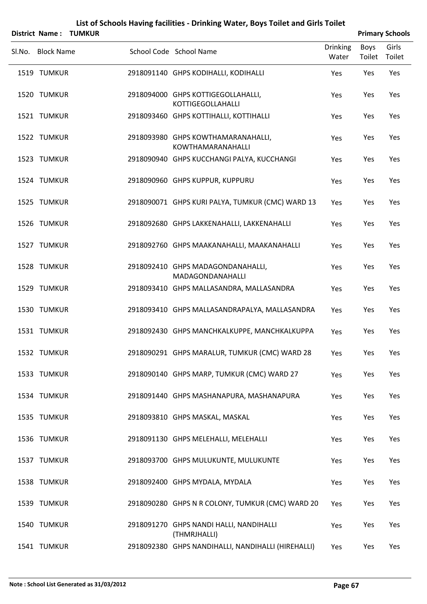|                   | District Name: TUMKUR |                                                                |                          |                | <b>Primary Schools</b> |
|-------------------|-----------------------|----------------------------------------------------------------|--------------------------|----------------|------------------------|
| Sl.No. Block Name |                       | School Code School Name                                        | <b>Drinking</b><br>Water | Boys<br>Toilet | Girls<br>Toilet        |
| 1519 TUMKUR       |                       | 2918091140 GHPS KODIHALLI, KODIHALLI                           | Yes                      | Yes            | Yes                    |
| 1520 TUMKUR       |                       | 2918094000 GHPS KOTTIGEGOLLAHALLI,<br><b>KOTTIGEGOLLAHALLI</b> | Yes                      | Yes            | Yes                    |
| 1521 TUMKUR       |                       | 2918093460 GHPS KOTTIHALLI, KOTTIHALLI                         | Yes                      | Yes            | Yes                    |
| 1522 TUMKUR       |                       | 2918093980 GHPS KOWTHAMARANAHALLI,<br>KOWTHAMARANAHALLI        | Yes                      | Yes            | Yes                    |
| 1523 TUMKUR       |                       | 2918090940 GHPS KUCCHANGI PALYA, KUCCHANGI                     | Yes                      | Yes            | Yes                    |
| 1524 TUMKUR       |                       | 2918090960 GHPS KUPPUR, KUPPURU                                | Yes                      | Yes            | Yes                    |
| 1525 TUMKUR       |                       | 2918090071 GHPS KURI PALYA, TUMKUR (CMC) WARD 13               | Yes                      | Yes            | Yes                    |
| 1526 TUMKUR       |                       | 2918092680 GHPS LAKKENAHALLI, LAKKENAHALLI                     | Yes                      | Yes            | Yes                    |
| 1527 TUMKUR       |                       | 2918092760 GHPS MAAKANAHALLI, MAAKANAHALLI                     | Yes                      | Yes            | Yes                    |
| 1528 TUMKUR       |                       | 2918092410 GHPS MADAGONDANAHALLI,<br>MADAGONDANAHALLI          | Yes                      | Yes            | Yes                    |
| 1529 TUMKUR       |                       | 2918093410 GHPS MALLASANDRA, MALLASANDRA                       | Yes                      | Yes            | Yes                    |
| 1530 TUMKUR       |                       | 2918093410 GHPS MALLASANDRAPALYA, MALLASANDRA                  | Yes                      | Yes            | Yes                    |
| 1531 TUMKUR       |                       | 2918092430 GHPS MANCHKALKUPPE, MANCHKALKUPPA                   | Yes                      | Yes            | Yes                    |
| 1532 TUMKUR       |                       | 2918090291 GHPS MARALUR, TUMKUR (CMC) WARD 28                  | Yes                      | Yes            | Yes                    |
| 1533 TUMKUR       |                       | 2918090140 GHPS MARP, TUMKUR (CMC) WARD 27                     | Yes                      | Yes            | Yes                    |
| 1534 TUMKUR       |                       | 2918091440 GHPS MASHANAPURA, MASHANAPURA                       | Yes                      | Yes            | Yes                    |
| 1535 TUMKUR       |                       | 2918093810 GHPS MASKAL, MASKAL                                 | Yes                      | Yes            | Yes                    |
| 1536 TUMKUR       |                       | 2918091130 GHPS MELEHALLI, MELEHALLI                           | Yes                      | Yes            | Yes                    |
| 1537 TUMKUR       |                       | 2918093700 GHPS MULUKUNTE, MULUKUNTE                           | Yes                      | Yes            | Yes                    |
| 1538 TUMKUR       |                       | 2918092400 GHPS MYDALA, MYDALA                                 | Yes                      | Yes            | Yes                    |
| 1539 TUMKUR       |                       | 2918090280 GHPS N R COLONY, TUMKUR (CMC) WARD 20               | Yes                      | Yes            | Yes                    |
| 1540 TUMKUR       |                       | 2918091270 GHPS NANDI HALLI, NANDIHALLI<br>(THMRJHALLI)        | Yes                      | Yes            | Yes                    |
| 1541 TUMKUR       |                       | 2918092380 GHPS NANDIHALLI, NANDIHALLI (HIREHALLI)             | Yes                      | Yes            | Yes                    |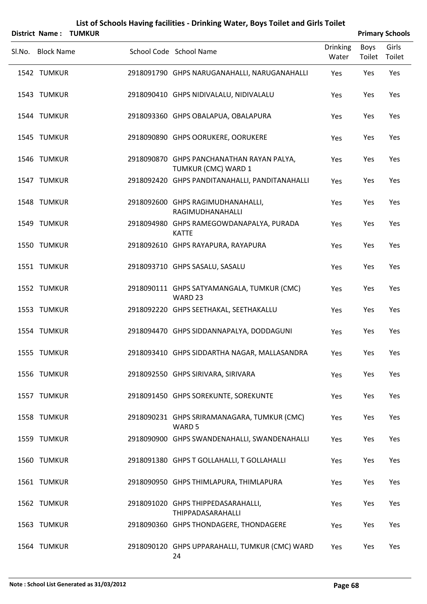|                   | District Name: TUMKUR |                                                                  |                          |                | <b>Primary Schools</b> |
|-------------------|-----------------------|------------------------------------------------------------------|--------------------------|----------------|------------------------|
| Sl.No. Block Name |                       | School Code School Name                                          | <b>Drinking</b><br>Water | Boys<br>Toilet | Girls<br>Toilet        |
| 1542 TUMKUR       |                       | 2918091790 GHPS NARUGANAHALLI, NARUGANAHALLI                     | Yes                      | Yes            | Yes                    |
| 1543 TUMKUR       |                       | 2918090410 GHPS NIDIVALALU, NIDIVALALU                           | Yes                      | Yes            | Yes                    |
| 1544 TUMKUR       |                       | 2918093360 GHPS OBALAPUA, OBALAPURA                              | Yes                      | Yes            | Yes                    |
| 1545 TUMKUR       |                       | 2918090890 GHPS OORUKERE, OORUKERE                               | Yes                      | Yes            | Yes                    |
| 1546 TUMKUR       |                       | 2918090870 GHPS PANCHANATHAN RAYAN PALYA,<br>TUMKUR (CMC) WARD 1 | Yes                      | Yes            | Yes                    |
| 1547 TUMKUR       |                       | 2918092420 GHPS PANDITANAHALLI, PANDITANAHALLI                   | Yes                      | Yes            | Yes                    |
| 1548 TUMKUR       |                       | 2918092600 GHPS RAGIMUDHANAHALLI,<br>RAGIMUDHANAHALLI            | Yes                      | Yes            | Yes                    |
| 1549 TUMKUR       |                       | 2918094980 GHPS RAMEGOWDANAPALYA, PURADA<br><b>KATTE</b>         | Yes                      | Yes            | Yes                    |
| 1550 TUMKUR       |                       | 2918092610 GHPS RAYAPURA, RAYAPURA                               | Yes                      | Yes            | Yes                    |
| 1551 TUMKUR       |                       | 2918093710 GHPS SASALU, SASALU                                   | Yes                      | Yes            | Yes                    |
| 1552 TUMKUR       |                       | 2918090111 GHPS SATYAMANGALA, TUMKUR (CMC)<br>WARD <sub>23</sub> | Yes                      | Yes            | Yes                    |
| 1553 TUMKUR       |                       | 2918092220 GHPS SEETHAKAL, SEETHAKALLU                           | Yes                      | Yes            | Yes                    |
| 1554 TUMKUR       |                       | 2918094470 GHPS SIDDANNAPALYA, DODDAGUNI                         | Yes                      | Yes            | Yes                    |
| 1555 TUMKUR       |                       | 2918093410 GHPS SIDDARTHA NAGAR, MALLASANDRA                     | Yes                      | Yes            | Yes                    |
| 1556 TUMKUR       |                       | 2918092550 GHPS SIRIVARA, SIRIVARA                               | Yes                      | Yes            | Yes                    |
| 1557 TUMKUR       |                       | 2918091450 GHPS SOREKUNTE, SOREKUNTE                             | Yes                      | Yes            | Yes                    |
| 1558 TUMKUR       |                       | 2918090231 GHPS SRIRAMANAGARA, TUMKUR (CMC)<br>WARD 5            | Yes                      | Yes            | Yes                    |
| 1559 TUMKUR       |                       | 2918090900 GHPS SWANDENAHALLI, SWANDENAHALLI                     | Yes                      | Yes            | Yes                    |
| 1560 TUMKUR       |                       | 2918091380 GHPS T GOLLAHALLI, T GOLLAHALLI                       | Yes                      | Yes            | Yes                    |
| 1561 TUMKUR       |                       | 2918090950 GHPS THIMLAPURA, THIMLAPURA                           | Yes                      | Yes            | Yes                    |
| 1562 TUMKUR       |                       | 2918091020 GHPS THIPPEDASARAHALLI,<br>THIPPADASARAHALLI          | Yes                      | Yes            | Yes                    |
| 1563 TUMKUR       |                       | 2918090360 GHPS THONDAGERE, THONDAGERE                           | Yes                      | Yes            | Yes                    |
| 1564 TUMKUR       |                       | 2918090120 GHPS UPPARAHALLI, TUMKUR (CMC) WARD<br>24             | Yes                      | Yes            | Yes                    |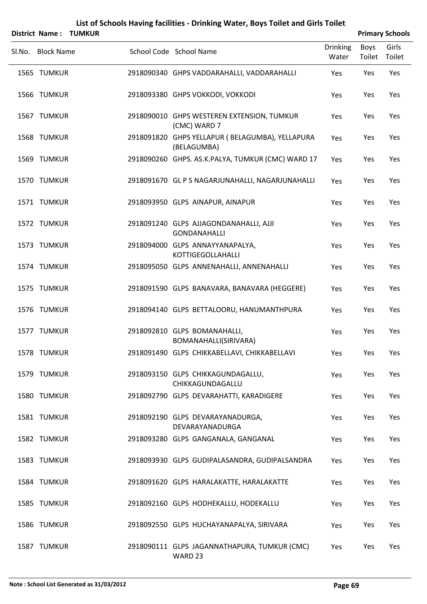|        | District Name:    | <b>TUMKUR</b> | List of Schools Having facilities - Drinking Water, Boys Toilet and Girls Toilet |                          |                       | <b>Primary Schools</b> |
|--------|-------------------|---------------|----------------------------------------------------------------------------------|--------------------------|-----------------------|------------------------|
| Sl.No. | <b>Block Name</b> |               | School Code School Name                                                          | <b>Drinking</b><br>Water | <b>Boys</b><br>Toilet | Girls<br>Toilet        |
|        | 1565 TUMKUR       |               | 2918090340 GHPS VADDARAHALLI, VADDARAHALLI                                       | Yes                      | Yes                   | Yes                    |
|        | 1566 TUMKUR       |               | 2918093380 GHPS VOKKODI, VOKKODI                                                 | Yes                      | Yes                   | Yes                    |
|        | 1567 TUMKUR       |               | 2918090010 GHPS WESTEREN EXTENSION, TUMKUR<br>(CMC) WARD 7                       | Yes                      | Yes                   | Yes                    |
|        | 1568 TUMKUR       |               | 2918091820 GHPS YELLAPUR (BELAGUMBA), YELLAPURA<br>(BELAGUMBA)                   | Yes                      | Yes                   | Yes                    |
|        | 1569 TUMKUR       |               | 2918090260 GHPS. AS.K.PALYA, TUMKUR (CMC) WARD 17                                | Yes                      | Yes                   | Yes                    |
|        | 1570 TUMKUR       |               | 2918091670 GL P S NAGARJUNAHALLI, NAGARJUNAHALLI                                 | Yes                      | Yes                   | Yes                    |
|        | 1571 TUMKUR       |               | 2918093950 GLPS AINAPUR, AINAPUR                                                 | Yes                      | Yes                   | Yes                    |
|        | 1572 TUMKUR       |               | 2918091240 GLPS AJJAGONDANAHALLI, AJJI<br><b>GONDANAHALLI</b>                    | Yes                      | Yes                   | Yes                    |
|        | 1573 TUMKUR       |               | 2918094000 GLPS ANNAYYANAPALYA,<br><b>KOTTIGEGOLLAHALLI</b>                      | Yes                      | Yes                   | Yes                    |
|        | 1574 TUMKUR       |               | 2918095050 GLPS ANNENAHALLI, ANNENAHALLI                                         | Yes                      | Yes                   | Yes                    |
|        | 1575 TUMKUR       |               | 2918091590 GLPS BANAVARA, BANAVARA (HEGGERE)                                     | Yes                      | Yes                   | Yes                    |
|        | 1576 TUMKUR       |               | 2918094140 GLPS BETTALOORU, HANUMANTHPURA                                        | Yes                      | Yes                   | Yes                    |
|        | 1577 TUMKUR       |               | 2918092810 GLPS BOMANAHALLI,<br>BOMANAHALLI(SIRIVARA)                            | Yes                      | Yes                   | Yes                    |
|        | 1578 TUMKUR       |               | 2918091490 GLPS CHIKKABELLAVI, CHIKKABELLAVI                                     | Yes                      | Yes                   | Yes                    |
|        | 1579 TUMKUR       |               | 2918093150 GLPS CHIKKAGUNDAGALLU,<br>CHIKKAGUNDAGALLU                            | Yes                      | Yes                   | Yes                    |
|        | 1580 TUMKUR       |               | 2918092790 GLPS DEVARAHATTI, KARADIGERE                                          | Yes                      | Yes                   | Yes                    |
|        | 1581 TUMKUR       |               | 2918092190 GLPS DEVARAYANADURGA,<br>DEVARAYANADURGA                              | Yes                      | Yes                   | Yes                    |
|        | 1582 TUMKUR       |               | 2918093280 GLPS GANGANALA, GANGANAL                                              | Yes                      | Yes                   | Yes                    |
|        | 1583 TUMKUR       |               | 2918093930 GLPS GUDIPALASANDRA, GUDIPALSANDRA                                    | Yes                      | Yes                   | Yes                    |
|        | 1584 TUMKUR       |               | 2918091620 GLPS HARALAKATTE, HARALAKATTE                                         | Yes                      | Yes                   | Yes                    |
|        | 1585 TUMKUR       |               | 2918092160 GLPS HODHEKALLU, HODEKALLU                                            | Yes                      | Yes                   | Yes                    |
|        | 1586 TUMKUR       |               | 2918092550 GLPS HUCHAYANAPALYA, SIRIVARA                                         | Yes                      | Yes                   | Yes                    |
|        | 1587 TUMKUR       |               | 2918090111 GLPS JAGANNATHAPURA, TUMKUR (CMC)<br>WARD 23                          | Yes                      | Yes                   | Yes                    |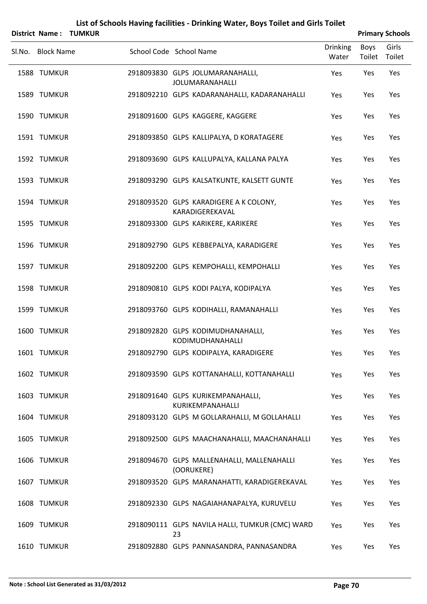| List of Schools Having facilities - Drinking Water, Boys Toilet and Girls Toilet |                       |                         |    |                                                           |                          |                       |                        |  |  |  |
|----------------------------------------------------------------------------------|-----------------------|-------------------------|----|-----------------------------------------------------------|--------------------------|-----------------------|------------------------|--|--|--|
|                                                                                  | District Name: TUMKUR |                         |    |                                                           |                          |                       | <b>Primary Schools</b> |  |  |  |
| Sl.No. Block Name                                                                |                       | School Code School Name |    |                                                           | <b>Drinking</b><br>Water | <b>Boys</b><br>Toilet | Girls<br>Toilet        |  |  |  |
| 1588 TUMKUR                                                                      |                       |                         |    | 2918093830 GLPS JOLUMARANAHALLI,<br>JOLUMARANAHALLI       | Yes                      | Yes                   | Yes                    |  |  |  |
| 1589 TUMKUR                                                                      |                       |                         |    | 2918092210 GLPS KADARANAHALLI, KADARANAHALLI              | Yes                      | Yes                   | Yes                    |  |  |  |
| 1590 TUMKUR                                                                      |                       |                         |    | 2918091600 GLPS KAGGERE, KAGGERE                          | Yes                      | Yes                   | Yes                    |  |  |  |
| 1591 TUMKUR                                                                      |                       |                         |    | 2918093850 GLPS KALLIPALYA, D KORATAGERE                  | Yes                      | Yes                   | Yes                    |  |  |  |
| 1592 TUMKUR                                                                      |                       |                         |    | 2918093690 GLPS KALLUPALYA, KALLANA PALYA                 | Yes                      | Yes                   | Yes                    |  |  |  |
| 1593 TUMKUR                                                                      |                       |                         |    | 2918093290 GLPS KALSATKUNTE, KALSETT GUNTE                | Yes                      | Yes                   | Yes                    |  |  |  |
| 1594 TUMKUR                                                                      |                       |                         |    | 2918093520 GLPS KARADIGERE A K COLONY,<br>KARADIGEREKAVAL | Yes                      | Yes                   | Yes                    |  |  |  |
| 1595 TUMKUR                                                                      |                       |                         |    | 2918093300 GLPS KARIKERE, KARIKERE                        | Yes                      | Yes                   | Yes                    |  |  |  |
| 1596 TUMKUR                                                                      |                       |                         |    | 2918092790 GLPS KEBBEPALYA, KARADIGERE                    | Yes                      | Yes                   | Yes                    |  |  |  |
| 1597 TUMKUR                                                                      |                       |                         |    | 2918092200 GLPS KEMPOHALLI, KEMPOHALLI                    | Yes                      | Yes                   | Yes                    |  |  |  |
| 1598 TUMKUR                                                                      |                       |                         |    | 2918090810 GLPS KODI PALYA, KODIPALYA                     | Yes                      | Yes                   | Yes                    |  |  |  |
| 1599 TUMKUR                                                                      |                       |                         |    | 2918093760 GLPS KODIHALLI, RAMANAHALLI                    | Yes                      | Yes                   | Yes                    |  |  |  |
| 1600 TUMKUR                                                                      |                       |                         |    | 2918092820 GLPS KODIMUDHANAHALLI,<br>KODIMUDHANAHALLI     | Yes                      | Yes                   | Yes                    |  |  |  |
| 1601 TUMKUR                                                                      |                       |                         |    | 2918092790 GLPS KODIPALYA, KARADIGERE                     | Yes                      | Yes                   | Yes                    |  |  |  |
| 1602 TUMKUR                                                                      |                       |                         |    | 2918093590 GLPS KOTTANAHALLI, KOTTANAHALLI                | Yes                      | Yes                   | Yes                    |  |  |  |
| 1603 TUMKUR                                                                      |                       |                         |    | 2918091640 GLPS KURIKEMPANAHALLI,<br>KURIKEMPANAHALLI     | Yes                      | Yes                   | Yes                    |  |  |  |
| 1604 TUMKUR                                                                      |                       |                         |    | 2918093120 GLPS M GOLLARAHALLI, M GOLLAHALLI              | Yes                      | Yes                   | Yes                    |  |  |  |
| 1605 TUMKUR                                                                      |                       |                         |    | 2918092500 GLPS MAACHANAHALLI, MAACHANAHALLI              | Yes                      | Yes                   | Yes                    |  |  |  |
| 1606 TUMKUR                                                                      |                       |                         |    | 2918094670 GLPS MALLENAHALLI, MALLENAHALLI<br>(OORUKERE)  | Yes                      | Yes                   | Yes                    |  |  |  |
| 1607 TUMKUR                                                                      |                       |                         |    | 2918093520 GLPS MARANAHATTI, KARADIGEREKAVAL              | Yes                      | Yes                   | Yes                    |  |  |  |
| 1608 TUMKUR                                                                      |                       |                         |    | 2918092330 GLPS NAGAIAHANAPALYA, KURUVELU                 | Yes                      | Yes                   | Yes                    |  |  |  |
| 1609 TUMKUR                                                                      |                       |                         | 23 | 2918090111 GLPS NAVILA HALLI, TUMKUR (CMC) WARD           | Yes                      | Yes                   | Yes                    |  |  |  |
| 1610 TUMKUR                                                                      |                       |                         |    | 2918092880 GLPS PANNASANDRA, PANNASANDRA                  | Yes                      | Yes                   | Yes                    |  |  |  |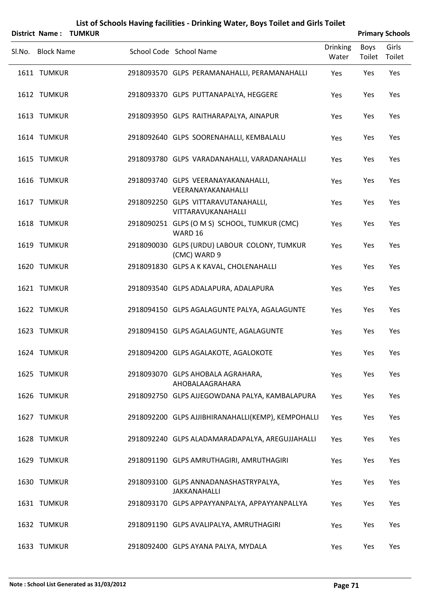|                            | District Name: TUMKUR |                                                                                |                          |                       | <b>Primary Schools</b> |
|----------------------------|-----------------------|--------------------------------------------------------------------------------|--------------------------|-----------------------|------------------------|
| Sl.No. Block Name          |                       | School Code School Name                                                        | <b>Drinking</b><br>Water | <b>Boys</b><br>Toilet | Girls<br>Toilet        |
| 1611 TUMKUR                |                       | 2918093570 GLPS PERAMANAHALLI, PERAMANAHALLI                                   | Yes                      | Yes                   | Yes                    |
| 1612 TUMKUR                |                       | 2918093370 GLPS PUTTANAPALYA, HEGGERE                                          | Yes                      | Yes                   | Yes                    |
| 1613 TUMKUR                |                       | 2918093950 GLPS RAITHARAPALYA, AINAPUR                                         | Yes                      | Yes                   | Yes                    |
| 1614 TUMKUR                |                       | 2918092640 GLPS SOORENAHALLI, KEMBALALU                                        | Yes                      | Yes                   | Yes                    |
| 1615 TUMKUR                |                       | 2918093780 GLPS VARADANAHALLI, VARADANAHALLI                                   | Yes                      | Yes                   | Yes                    |
| 1616 TUMKUR                |                       | 2918093740 GLPS VEERANAYAKANAHALLI,<br>VEERANAYAKANAHALLI                      | Yes                      | Yes                   | Yes                    |
| 1617 TUMKUR                |                       | 2918092250 GLPS VITTARAVUTANAHALLI,<br>VITTARAVUKANAHALLI                      | Yes                      | Yes                   | Yes                    |
| 1618 TUMKUR                |                       | 2918090251 GLPS (O M S) SCHOOL, TUMKUR (CMC)<br>WARD 16                        | Yes                      | Yes                   | Yes                    |
| 1619 TUMKUR                |                       | 2918090030 GLPS (URDU) LABOUR COLONY, TUMKUR<br>(CMC) WARD 9                   | Yes                      | Yes                   | Yes                    |
| 1620 TUMKUR                |                       | 2918091830 GLPS A K KAVAL, CHOLENAHALLI                                        | Yes                      | Yes                   | Yes                    |
| 1621 TUMKUR                |                       | 2918093540 GLPS ADALAPURA, ADALAPURA                                           | Yes                      | Yes                   | Yes                    |
| 1622 TUMKUR<br>1623 TUMKUR |                       | 2918094150 GLPS AGALAGUNTE PALYA, AGALAGUNTE                                   | Yes                      | Yes                   | Yes                    |
| 1624 TUMKUR                |                       | 2918094150 GLPS AGALAGUNTE, AGALAGUNTE<br>2918094200 GLPS AGALAKOTE, AGALOKOTE | Yes                      | Yes<br>Yes            | Yes<br>Yes             |
| 1625 TUMKUR                |                       | 2918093070 GLPS AHOBALA AGRAHARA,                                              | Yes<br>Yes               | Yes                   | Yes                    |
| 1626 TUMKUR                |                       | AHOBALAAGRAHARA<br>2918092750 GLPS AJJEGOWDANA PALYA, KAMBALAPURA              | Yes                      | Yes                   | Yes                    |
| 1627 TUMKUR                |                       | 2918092200 GLPS AJJIBHIRANAHALLI(KEMP), KEMPOHALLI                             | Yes                      | Yes                   | Yes                    |
| 1628 TUMKUR                |                       | 2918092240 GLPS ALADAMARADAPALYA, AREGUJJAHALLI                                | Yes                      | Yes                   | Yes                    |
| 1629 TUMKUR                |                       | 2918091190 GLPS AMRUTHAGIRI, AMRUTHAGIRI                                       | Yes                      | Yes                   | Yes                    |
| 1630 TUMKUR                |                       | 2918093100 GLPS ANNADANASHASTRYPALYA,                                          | Yes                      | Yes                   | Yes                    |
| 1631 TUMKUR                |                       | <b>JAKKANAHALLI</b><br>2918093170 GLPS APPAYYANPALYA, APPAYYANPALLYA           | Yes                      | Yes                   | Yes                    |
| 1632 TUMKUR                |                       | 2918091190 GLPS AVALIPALYA, AMRUTHAGIRI                                        | Yes                      | Yes                   | Yes                    |
|                            |                       |                                                                                |                          |                       |                        |

1633 TUMKUR 2918092400 GLPS AYANA PALYA, MYDALA Yes Yes Yes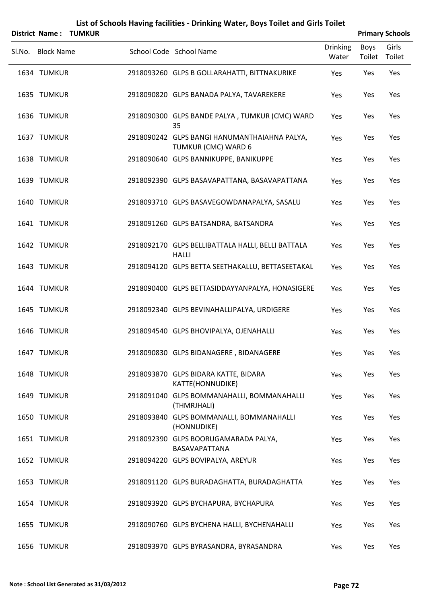|        |                   | <b>District Name: TUMKUR</b> |                                                                     |                          |                | <b>Primary Schools</b> |
|--------|-------------------|------------------------------|---------------------------------------------------------------------|--------------------------|----------------|------------------------|
| Sl.No. | <b>Block Name</b> |                              | School Code School Name                                             | <b>Drinking</b><br>Water | Boys<br>Toilet | Girls<br>Toilet        |
|        | 1634 TUMKUR       |                              | 2918093260 GLPS B GOLLARAHATTI, BITTNAKURIKE                        | Yes                      | Yes            | Yes                    |
|        | 1635 TUMKUR       |                              | 2918090820 GLPS BANADA PALYA, TAVAREKERE                            | Yes                      | Yes            | Yes                    |
|        | 1636 TUMKUR       |                              | 2918090300 GLPS BANDE PALYA, TUMKUR (CMC) WARD<br>35                | Yes                      | Yes            | Yes                    |
|        | 1637 TUMKUR       |                              | 2918090242 GLPS BANGI HANUMANTHAIAHNA PALYA,<br>TUMKUR (CMC) WARD 6 | Yes                      | Yes            | Yes                    |
|        | 1638 TUMKUR       |                              | 2918090640 GLPS BANNIKUPPE, BANIKUPPE                               | Yes                      | Yes            | Yes                    |
|        | 1639 TUMKUR       |                              | 2918092390 GLPS BASAVAPATTANA, BASAVAPATTANA                        | Yes                      | Yes            | Yes                    |
|        | 1640 TUMKUR       |                              | 2918093710 GLPS BASAVEGOWDANAPALYA, SASALU                          | Yes                      | Yes            | Yes                    |
|        | 1641 TUMKUR       |                              | 2918091260 GLPS BATSANDRA, BATSANDRA                                | Yes                      | Yes            | Yes                    |
|        | 1642 TUMKUR       |                              | 2918092170 GLPS BELLIBATTALA HALLI, BELLI BATTALA<br><b>HALLI</b>   | Yes                      | Yes            | Yes                    |
|        | 1643 TUMKUR       |                              | 2918094120 GLPS BETTA SEETHAKALLU, BETTASEETAKAL                    | Yes                      | Yes            | Yes                    |
|        | 1644 TUMKUR       |                              | 2918090400 GLPS BETTASIDDAYYANPALYA, HONASIGERE                     | Yes                      | Yes            | Yes                    |
|        | 1645 TUMKUR       |                              | 2918092340 GLPS BEVINAHALLIPALYA, URDIGERE                          | Yes                      | Yes            | Yes                    |
|        | 1646 TUMKUR       |                              | 2918094540 GLPS BHOVIPALYA, OJENAHALLI                              | Yes                      | Yes            | Yes                    |
|        | 1647 TUMKUR       |                              | 2918090830 GLPS BIDANAGERE, BIDANAGERE                              | Yes                      | Yes            | Yes                    |
|        | 1648 TUMKUR       |                              | 2918093870 GLPS BIDARA KATTE, BIDARA<br>KATTE(HONNUDIKE)            | Yes                      | Yes            | Yes                    |
|        | 1649 TUMKUR       |                              | 2918091040 GLPS BOMMANAHALLI, BOMMANAHALLI<br>(THMRJHALI)           | Yes                      | Yes            | Yes                    |
|        | 1650 TUMKUR       |                              | 2918093840 GLPS BOMMANALLI, BOMMANAHALLI<br>(HONNUDIKE)             | Yes                      | Yes            | Yes                    |
|        | 1651 TUMKUR       |                              | 2918092390 GLPS BOORUGAMARADA PALYA,<br>BASAVAPATTANA               | Yes                      | Yes            | Yes                    |
|        | 1652 TUMKUR       |                              | 2918094220 GLPS BOVIPALYA, AREYUR                                   | Yes                      | Yes            | Yes                    |
|        | 1653 TUMKUR       |                              | 2918091120 GLPS BURADAGHATTA, BURADAGHATTA                          | Yes                      | Yes            | Yes                    |
|        | 1654 TUMKUR       |                              | 2918093920 GLPS BYCHAPURA, BYCHAPURA                                | Yes                      | Yes            | Yes                    |
|        | 1655 TUMKUR       |                              | 2918090760 GLPS BYCHENA HALLI, BYCHENAHALLI                         | Yes                      | Yes            | Yes                    |
|        | 1656 TUMKUR       |                              | 2918093970 GLPS BYRASANDRA, BYRASANDRA                              | Yes                      | Yes            | Yes                    |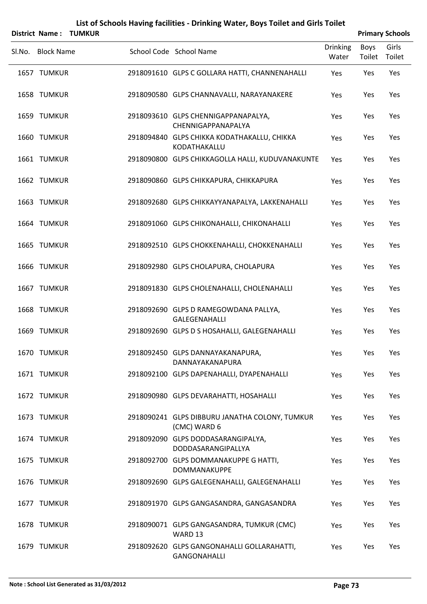|        |                   | <b>District Name: TUMKUR</b> |                                                                |                   |                | <b>Primary Schools</b> |
|--------|-------------------|------------------------------|----------------------------------------------------------------|-------------------|----------------|------------------------|
| Sl.No. | <b>Block Name</b> |                              | School Code School Name                                        | Drinking<br>Water | Boys<br>Toilet | Girls<br>Toilet        |
|        | 1657 TUMKUR       |                              | 2918091610 GLPS C GOLLARA HATTI, CHANNENAHALLI                 | Yes               | Yes            | Yes                    |
|        | 1658 TUMKUR       |                              | 2918090580 GLPS CHANNAVALLI, NARAYANAKERE                      | Yes               | Yes            | Yes                    |
|        | 1659 TUMKUR       |                              | 2918093610 GLPS CHENNIGAPPANAPALYA,<br>CHENNIGAPPANAPALYA      | Yes               | Yes            | Yes                    |
|        | 1660 TUMKUR       |                              | 2918094840 GLPS CHIKKA KODATHAKALLU, CHIKKA<br>KODATHAKALLU    | Yes               | Yes            | Yes                    |
|        | 1661 TUMKUR       |                              | 2918090800 GLPS CHIKKAGOLLA HALLI, KUDUVANAKUNTE               | Yes               | Yes            | Yes                    |
|        | 1662 TUMKUR       |                              | 2918090860 GLPS CHIKKAPURA, CHIKKAPURA                         | Yes               | Yes            | Yes                    |
|        | 1663 TUMKUR       |                              | 2918092680 GLPS CHIKKAYYANAPALYA, LAKKENAHALLI                 | Yes               | Yes            | Yes                    |
|        | 1664 TUMKUR       |                              | 2918091060 GLPS CHIKONAHALLI, CHIKONAHALLI                     | Yes               | Yes            | Yes                    |
|        | 1665 TUMKUR       |                              | 2918092510 GLPS CHOKKENAHALLI, CHOKKENAHALLI                   | Yes               | Yes            | Yes                    |
|        | 1666 TUMKUR       |                              | 2918092980 GLPS CHOLAPURA, CHOLAPURA                           | Yes               | Yes            | Yes                    |
|        | 1667 TUMKUR       |                              | 2918091830 GLPS CHOLENAHALLI, CHOLENAHALLI                     | Yes               | Yes            | Yes                    |
|        | 1668 TUMKUR       |                              | 2918092690 GLPS D RAMEGOWDANA PALLYA,<br><b>GALEGENAHALLI</b>  | Yes               | Yes            | Yes                    |
|        | 1669 TUMKUR       |                              | 2918092690 GLPS D S HOSAHALLI, GALEGENAHALLI                   | Yes               | Yes            | Yes                    |
|        | 1670 TUMKUR       |                              | 2918092450 GLPS DANNAYAKANAPURA,<br>DANNAYAKANAPURA            | Yes               | Yes            | Yes                    |
|        | 1671 TUMKUR       |                              | 2918092100 GLPS DAPENAHALLI, DYAPENAHALLI                      | Yes               | Yes            | Yes                    |
|        | 1672 TUMKUR       |                              | 2918090980 GLPS DEVARAHATTI, HOSAHALLI                         | Yes               | Yes            | Yes                    |
|        | 1673 TUMKUR       |                              | 2918090241 GLPS DIBBURU JANATHA COLONY, TUMKUR<br>(CMC) WARD 6 | Yes               | Yes            | Yes                    |
|        | 1674 TUMKUR       |                              | 2918092090 GLPS DODDASARANGIPALYA,<br>DODDASARANGIPALLYA       | Yes               | Yes            | Yes                    |
|        | 1675 TUMKUR       |                              | 2918092700 GLPS DOMMANAKUPPE G HATTI,<br><b>DOMMANAKUPPE</b>   | Yes               | Yes            | Yes                    |
|        | 1676 TUMKUR       |                              | 2918092690 GLPS GALEGENAHALLI, GALEGENAHALLI                   | Yes               | Yes            | Yes                    |
|        | 1677 TUMKUR       |                              | 2918091970 GLPS GANGASANDRA, GANGASANDRA                       | Yes               | Yes            | Yes                    |
|        | 1678 TUMKUR       |                              | 2918090071 GLPS GANGASANDRA, TUMKUR (CMC)<br>WARD 13           | Yes               | Yes            | Yes                    |
|        | 1679 TUMKUR       |                              | 2918092620 GLPS GANGONAHALLI GOLLARAHATTI,<br>GANGONAHALLI     | Yes               | Yes            | Yes                    |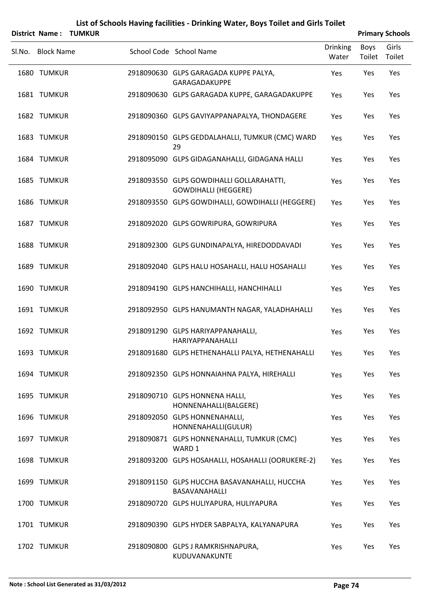|        | <b>District Name:</b> | <b>TUMKUR</b> |                                                                         |                          |                       | <b>Primary Schools</b> |
|--------|-----------------------|---------------|-------------------------------------------------------------------------|--------------------------|-----------------------|------------------------|
| Sl.No. | <b>Block Name</b>     |               | School Code School Name                                                 | <b>Drinking</b><br>Water | <b>Boys</b><br>Toilet | Girls<br>Toilet        |
|        | 1680 TUMKUR           |               | 2918090630 GLPS GARAGADA KUPPE PALYA,<br>GARAGADAKUPPE                  | Yes                      | Yes                   | Yes                    |
|        | 1681 TUMKUR           |               | 2918090630 GLPS GARAGADA KUPPE, GARAGADAKUPPE                           | Yes                      | Yes                   | Yes                    |
|        | 1682 TUMKUR           |               | 2918090360 GLPS GAVIYAPPANAPALYA, THONDAGERE                            | Yes                      | Yes                   | Yes                    |
|        | 1683 TUMKUR           |               | 2918090150 GLPS GEDDALAHALLI, TUMKUR (CMC) WARD<br>29                   | Yes                      | Yes                   | Yes                    |
|        | 1684 TUMKUR           |               | 2918095090 GLPS GIDAGANAHALLI, GIDAGANA HALLI                           | Yes                      | Yes                   | Yes                    |
|        | 1685 TUMKUR           |               | 2918093550 GLPS GOWDIHALLI GOLLARAHATTI,<br><b>GOWDIHALLI (HEGGERE)</b> | Yes                      | Yes                   | Yes                    |
|        | 1686 TUMKUR           |               | 2918093550 GLPS GOWDIHALLI, GOWDIHALLI (HEGGERE)                        | Yes                      | Yes                   | Yes                    |
|        | 1687 TUMKUR           |               | 2918092020 GLPS GOWRIPURA, GOWRIPURA                                    | Yes                      | Yes                   | Yes                    |
|        | 1688 TUMKUR           |               | 2918092300 GLPS GUNDINAPALYA, HIREDODDAVADI                             | Yes                      | Yes                   | Yes                    |
|        | 1689 TUMKUR           |               | 2918092040 GLPS HALU HOSAHALLI, HALU HOSAHALLI                          | Yes                      | Yes                   | Yes                    |
|        | 1690 TUMKUR           |               | 2918094190 GLPS HANCHIHALLI, HANCHIHALLI                                | Yes                      | Yes                   | Yes                    |
|        | 1691 TUMKUR           |               | 2918092950 GLPS HANUMANTH NAGAR, YALADHAHALLI                           | Yes                      | Yes                   | Yes                    |
|        | 1692 TUMKUR           |               | 2918091290 GLPS HARIYAPPANAHALLI,<br><b>HARIYAPPANAHALLI</b>            | Yes                      | Yes                   | Yes                    |
|        | 1693 TUMKUR           |               | 2918091680 GLPS HETHENAHALLI PALYA, HETHENAHALLI                        | Yes                      | Yes                   | Yes                    |
|        | 1694 TUMKUR           |               | 2918092350 GLPS HONNAIAHNA PALYA, HIREHALLI                             | Yes                      | Yes                   | Yes                    |
|        | 1695 TUMKUR           |               | 2918090710 GLPS HONNENA HALLI,<br>HONNENAHALLI(BALGERE)                 | Yes                      | Yes                   | Yes                    |
|        | 1696 TUMKUR           |               | 2918092050 GLPS HONNENAHALLI,<br>HONNENAHALLI(GULUR)                    | Yes                      | Yes                   | Yes                    |
|        | 1697 TUMKUR           |               | 2918090871 GLPS HONNENAHALLI, TUMKUR (CMC)<br>WARD 1                    | Yes                      | Yes                   | Yes                    |
|        | 1698 TUMKUR           |               | 2918093200 GLPS HOSAHALLI, HOSAHALLI (OORUKERE-2)                       | Yes                      | Yes                   | Yes                    |
|        | 1699 TUMKUR           |               | 2918091150 GLPS HUCCHA BASAVANAHALLI, HUCCHA<br>BASAVANAHALLI           | Yes                      | Yes                   | Yes                    |
|        | 1700 TUMKUR           |               | 2918090720 GLPS HULIYAPURA, HULIYAPURA                                  | Yes                      | Yes                   | Yes                    |
|        | 1701 TUMKUR           |               | 2918090390 GLPS HYDER SABPALYA, KALYANAPURA                             | Yes                      | Yes                   | Yes                    |
|        | 1702 TUMKUR           |               | 2918090800 GLPS J RAMKRISHNAPURA,<br>KUDUVANAKUNTE                      | Yes                      | Yes                   | Yes                    |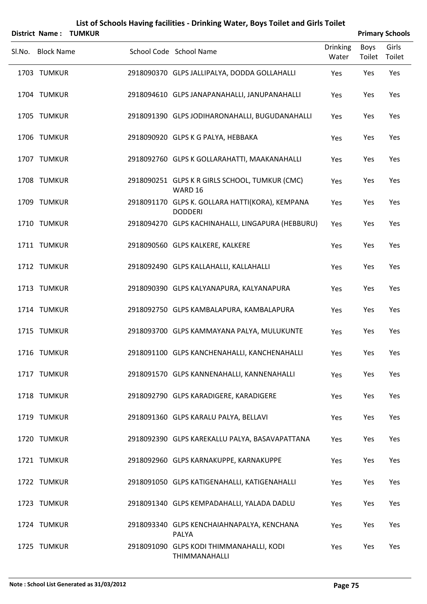|                   | District Name: TUMKUR |                                                                   |                          |                | <b>Primary Schools</b> |
|-------------------|-----------------------|-------------------------------------------------------------------|--------------------------|----------------|------------------------|
| Sl.No. Block Name |                       | School Code School Name                                           | <b>Drinking</b><br>Water | Boys<br>Toilet | Girls<br>Toilet        |
| 1703 TUMKUR       |                       | 2918090370 GLPS JALLIPALYA, DODDA GOLLAHALLI                      | Yes                      | Yes            | Yes                    |
| 1704 TUMKUR       |                       | 2918094610 GLPS JANAPANAHALLI, JANUPANAHALLI                      | Yes                      | Yes            | Yes                    |
| 1705 TUMKUR       |                       | 2918091390 GLPS JODIHARONAHALLI, BUGUDANAHALLI                    | Yes                      | Yes            | Yes                    |
| 1706 TUMKUR       |                       | 2918090920 GLPS K G PALYA, HEBBAKA                                | Yes                      | Yes            | Yes                    |
| 1707 TUMKUR       |                       | 2918092760 GLPS K GOLLARAHATTI, MAAKANAHALLI                      | Yes                      | Yes            | Yes                    |
| 1708 TUMKUR       |                       | 2918090251 GLPS K R GIRLS SCHOOL, TUMKUR (CMC)<br>WARD 16         | Yes                      | Yes            | Yes                    |
| 1709 TUMKUR       |                       | 2918091170 GLPS K. GOLLARA HATTI(KORA), KEMPANA<br><b>DODDERI</b> | Yes                      | Yes            | Yes                    |
| 1710 TUMKUR       |                       | 2918094270 GLPS KACHINAHALLI, LINGAPURA (HEBBURU)                 | Yes                      | Yes            | Yes                    |
| 1711 TUMKUR       |                       | 2918090560 GLPS KALKERE, KALKERE                                  | Yes                      | Yes            | Yes                    |
| 1712 TUMKUR       |                       | 2918092490 GLPS KALLAHALLI, KALLAHALLI                            | Yes                      | Yes            | Yes                    |
| 1713 TUMKUR       |                       | 2918090390 GLPS KALYANAPURA, KALYANAPURA                          | Yes                      | Yes            | Yes                    |
| 1714 TUMKUR       |                       | 2918092750 GLPS KAMBALAPURA, KAMBALAPURA                          | Yes                      | Yes            | Yes                    |
| 1715 TUMKUR       |                       | 2918093700 GLPS KAMMAYANA PALYA, MULUKUNTE                        | Yes                      | Yes            | Yes                    |
| 1716 TUMKUR       |                       | 2918091100 GLPS KANCHENAHALLI, KANCHENAHALLI                      | Yes                      | Yes            | Yes                    |
| 1717 TUMKUR       |                       | 2918091570 GLPS KANNENAHALLI, KANNENAHALLI                        | Yes                      | Yes            | Yes                    |
| 1718 TUMKUR       |                       | 2918092790 GLPS KARADIGERE, KARADIGERE                            | Yes                      | Yes            | Yes                    |
| 1719 TUMKUR       |                       | 2918091360 GLPS KARALU PALYA, BELLAVI                             | Yes                      | Yes            | Yes                    |
| 1720 TUMKUR       |                       | 2918092390 GLPS KAREKALLU PALYA, BASAVAPATTANA                    | Yes                      | Yes            | Yes                    |
| 1721 TUMKUR       |                       | 2918092960 GLPS KARNAKUPPE, KARNAKUPPE                            | Yes                      | Yes            | Yes                    |
| 1722 TUMKUR       |                       | 2918091050 GLPS KATIGENAHALLI, KATIGENAHALLI                      | Yes                      | Yes            | Yes                    |
| 1723 TUMKUR       |                       | 2918091340 GLPS KEMPADAHALLI, YALADA DADLU                        | Yes                      | Yes            | Yes                    |
| 1724 TUMKUR       |                       | 2918093340 GLPS KENCHAIAHNAPALYA, KENCHANA<br>PALYA               | Yes                      | Yes            | Yes                    |
| 1725 TUMKUR       |                       | 2918091090 GLPS KODI THIMMANAHALLI, KODI                          | Yes                      | Yes            | Yes                    |

THIMMANAHALLI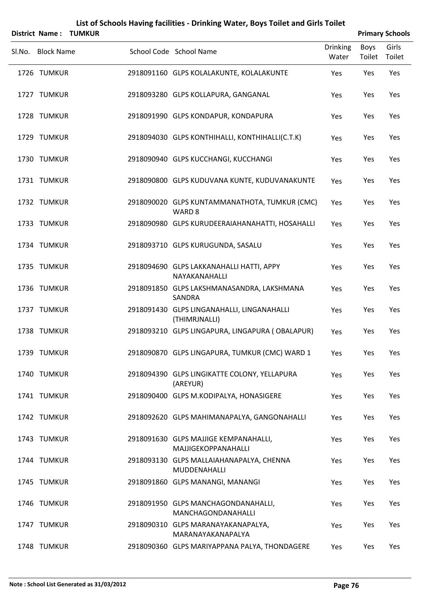|        |                   | <b>District Name: TUMKUR</b> |                                                                    |                          |                       | <b>Primary Schools</b> |
|--------|-------------------|------------------------------|--------------------------------------------------------------------|--------------------------|-----------------------|------------------------|
| SI.No. | <b>Block Name</b> |                              | School Code School Name                                            | <b>Drinking</b><br>Water | <b>Boys</b><br>Toilet | Girls<br>Toilet        |
|        | 1726 TUMKUR       |                              | 2918091160 GLPS KOLALAKUNTE, KOLALAKUNTE                           | Yes                      | Yes                   | Yes                    |
|        | 1727 TUMKUR       |                              | 2918093280 GLPS KOLLAPURA, GANGANAL                                | Yes                      | Yes                   | Yes                    |
|        | 1728 TUMKUR       |                              | 2918091990 GLPS KONDAPUR, KONDAPURA                                | Yes                      | Yes                   | Yes                    |
|        | 1729 TUMKUR       |                              | 2918094030 GLPS KONTHIHALLI, KONTHIHALLI(C.T.K)                    | Yes                      | Yes                   | Yes                    |
|        | 1730 TUMKUR       |                              | 2918090940 GLPS KUCCHANGI, KUCCHANGI                               | Yes                      | Yes                   | Yes                    |
|        | 1731 TUMKUR       |                              | 2918090800 GLPS KUDUVANA KUNTE, KUDUVANAKUNTE                      | Yes                      | Yes                   | Yes                    |
|        | 1732 TUMKUR       |                              | 2918090020 GLPS KUNTAMMANATHOTA, TUMKUR (CMC)<br>WARD <sub>8</sub> | Yes                      | Yes                   | Yes                    |
|        | 1733 TUMKUR       |                              | 2918090980 GLPS KURUDEERAIAHANAHATTI, HOSAHALLI                    | Yes                      | Yes                   | Yes                    |
|        | 1734 TUMKUR       |                              | 2918093710 GLPS KURUGUNDA, SASALU                                  | Yes                      | Yes                   | Yes                    |
|        | 1735 TUMKUR       |                              | 2918094690 GLPS LAKKANAHALLI HATTI, APPY<br>NAYAKANAHALLI          | Yes                      | Yes                   | Yes                    |
|        | 1736 TUMKUR       |                              | 2918091850 GLPS LAKSHMANASANDRA, LAKSHMANA<br>SANDRA               | Yes                      | Yes                   | Yes                    |
|        | 1737 TUMKUR       |                              | 2918091430 GLPS LINGANAHALLI, LINGANAHALLI<br>(THIMRJNALLI)        | Yes                      | Yes                   | Yes                    |
|        | 1738 TUMKUR       |                              | 2918093210 GLPS LINGAPURA, LINGAPURA (OBALAPUR)                    | Yes                      | Yes                   | Yes                    |
|        | 1739 TUMKUR       |                              | 2918090870 GLPS LINGAPURA, TUMKUR (CMC) WARD 1                     | Yes                      | Yes                   | Yes                    |
|        | 1740 TUMKUR       |                              | 2918094390 GLPS LINGIKATTE COLONY, YELLAPURA<br>(AREYUR)           | Yes                      | Yes                   | Yes                    |
|        | 1741 TUMKUR       |                              | 2918090400 GLPS M.KODIPALYA, HONASIGERE                            | Yes                      | Yes                   | Yes                    |
|        | 1742 TUMKUR       |                              | 2918092620 GLPS MAHIMANAPALYA, GANGONAHALLI                        | Yes                      | Yes                   | Yes                    |
|        | 1743 TUMKUR       |                              | 2918091630 GLPS MAJJIGE KEMPANAHALLI,<br>MAJJIGEKOPPANAHALLI       | Yes                      | Yes                   | Yes                    |
|        | 1744 TUMKUR       |                              | 2918093130 GLPS MALLAIAHANAPALYA, CHENNA<br>MUDDENAHALLI           | Yes                      | Yes                   | Yes                    |
|        | 1745 TUMKUR       |                              | 2918091860 GLPS MANANGI, MANANGI                                   | Yes                      | Yes                   | Yes                    |
|        | 1746 TUMKUR       |                              | 2918091950 GLPS MANCHAGONDANAHALLI,<br>MANCHAGONDANAHALLI          | Yes                      | Yes                   | Yes                    |
|        | 1747 TUMKUR       |                              | 2918090310 GLPS MARANAYAKANAPALYA,<br>MARANAYAKANAPALYA            | Yes                      | Yes                   | Yes                    |
|        | 1748 TUMKUR       |                              | 2918090360 GLPS MARIYAPPANA PALYA, THONDAGERE                      | Yes                      | Yes                   | Yes                    |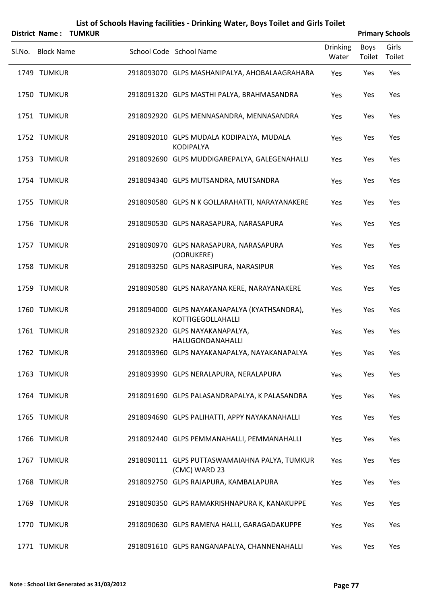|        | <b>District Name:</b> | <b>TUMKUR</b> |                                                                   |                          |                       | <b>Primary Schools</b> |
|--------|-----------------------|---------------|-------------------------------------------------------------------|--------------------------|-----------------------|------------------------|
| Sl.No. | <b>Block Name</b>     |               | School Code School Name                                           | <b>Drinking</b><br>Water | <b>Boys</b><br>Toilet | Girls<br>Toilet        |
|        | 1749 TUMKUR           |               | 2918093070 GLPS MASHANIPALYA, AHOBALAAGRAHARA                     | Yes                      | Yes                   | Yes                    |
|        | 1750 TUMKUR           |               | 2918091320 GLPS MASTHI PALYA, BRAHMASANDRA                        | Yes                      | Yes                   | Yes                    |
|        | 1751 TUMKUR           |               | 2918092920 GLPS MENNASANDRA, MENNASANDRA                          | Yes                      | Yes                   | Yes                    |
|        | 1752 TUMKUR           |               | 2918092010 GLPS MUDALA KODIPALYA, MUDALA<br><b>KODIPALYA</b>      | Yes                      | Yes                   | Yes                    |
|        | 1753 TUMKUR           |               | 2918092690 GLPS MUDDIGAREPALYA, GALEGENAHALLI                     | Yes                      | Yes                   | Yes                    |
|        | 1754 TUMKUR           |               | 2918094340 GLPS MUTSANDRA, MUTSANDRA                              | Yes                      | Yes                   | Yes                    |
|        | 1755 TUMKUR           |               | 2918090580 GLPS N K GOLLARAHATTI, NARAYANAKERE                    | Yes                      | Yes                   | Yes                    |
|        | 1756 TUMKUR           |               | 2918090530 GLPS NARASAPURA, NARASAPURA                            | Yes                      | Yes                   | Yes                    |
|        | 1757 TUMKUR           |               | 2918090970 GLPS NARASAPURA, NARASAPURA<br>(OORUKERE)              | Yes                      | Yes                   | Yes                    |
|        | 1758 TUMKUR           |               | 2918093250 GLPS NARASIPURA, NARASIPUR                             | Yes                      | Yes                   | Yes                    |
|        | 1759 TUMKUR           |               | 2918090580 GLPS NARAYANA KERE, NARAYANAKERE                       | Yes                      | Yes                   | Yes                    |
|        | 1760 TUMKUR           |               | 2918094000 GLPS NAYAKANAPALYA (KYATHSANDRA),<br>KOTTIGEGOLLAHALLI | Yes                      | Yes                   | Yes                    |
|        | 1761 TUMKUR           |               | 2918092320 GLPS NAYAKANAPALYA,<br>HALUGONDANAHALLI                | Yes                      | Yes                   | Yes                    |
|        | 1762 TUMKUR           |               | 2918093960 GLPS NAYAKANAPALYA, NAYAKANAPALYA                      | Yes                      | Yes                   | Yes                    |
|        | 1763 TUMKUR           |               | 2918093990 GLPS NERALAPURA, NERALAPURA                            | Yes                      | Yes                   | Yes                    |
|        | 1764 TUMKUR           |               | 2918091690 GLPS PALASANDRAPALYA, K PALASANDRA                     | Yes                      | Yes                   | Yes                    |
|        | 1765 TUMKUR           |               | 2918094690 GLPS PALIHATTI, APPY NAYAKANAHALLI                     | Yes                      | Yes                   | Yes                    |
|        | 1766 TUMKUR           |               | 2918092440 GLPS PEMMANAHALLI, PEMMANAHALLI                        | Yes                      | Yes                   | Yes                    |
|        | 1767 TUMKUR           |               | 2918090111 GLPS PUTTASWAMAIAHNA PALYA, TUMKUR<br>(CMC) WARD 23    | Yes                      | Yes                   | Yes                    |
|        | 1768 TUMKUR           |               | 2918092750 GLPS RAJAPURA, KAMBALAPURA                             | Yes                      | Yes                   | Yes                    |
|        | 1769 TUMKUR           |               | 2918090350 GLPS RAMAKRISHNAPURA K, KANAKUPPE                      | Yes                      | Yes                   | Yes                    |
|        | 1770 TUMKUR           |               | 2918090630 GLPS RAMENA HALLI, GARAGADAKUPPE                       | Yes                      | Yes                   | Yes                    |
|        | 1771 TUMKUR           |               | 2918091610 GLPS RANGANAPALYA, CHANNENAHALLI                       | Yes                      | Yes                   | Yes                    |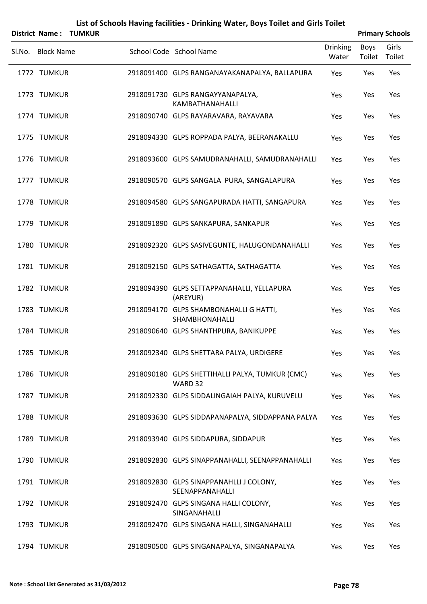|                   | <b>District Name: TUMKUR</b> |                                                            |                          |                | <b>Primary Schools</b> |
|-------------------|------------------------------|------------------------------------------------------------|--------------------------|----------------|------------------------|
| Sl.No. Block Name |                              | School Code School Name                                    | <b>Drinking</b><br>Water | Boys<br>Toilet | Girls<br>Toilet        |
| 1772 TUMKUR       |                              | 2918091400 GLPS RANGANAYAKANAPALYA, BALLAPURA              | Yes                      | Yes            | Yes                    |
| 1773 TUMKUR       |                              | 2918091730 GLPS RANGAYYANAPALYA,<br>KAMBATHANAHALLI        | Yes                      | Yes            | Yes                    |
| 1774 TUMKUR       |                              | 2918090740 GLPS RAYARAVARA, RAYAVARA                       | Yes                      | Yes            | Yes                    |
| 1775 TUMKUR       |                              | 2918094330 GLPS ROPPADA PALYA, BEERANAKALLU                | Yes                      | Yes            | Yes                    |
| 1776 TUMKUR       |                              | 2918093600 GLPS SAMUDRANAHALLI, SAMUDRANAHALLI             | Yes                      | Yes            | Yes                    |
| 1777 TUMKUR       |                              | 2918090570 GLPS SANGALA PURA, SANGALAPURA                  | Yes                      | Yes            | Yes                    |
| 1778 TUMKUR       |                              | 2918094580 GLPS SANGAPURADA HATTI, SANGAPURA               | Yes                      | Yes            | Yes                    |
| 1779 TUMKUR       |                              | 2918091890 GLPS SANKAPURA, SANKAPUR                        | Yes                      | Yes            | Yes                    |
| 1780 TUMKUR       |                              | 2918092320 GLPS SASIVEGUNTE, HALUGONDANAHALLI              | Yes                      | Yes            | Yes                    |
| 1781 TUMKUR       |                              | 2918092150 GLPS SATHAGATTA, SATHAGATTA                     | Yes                      | Yes            | Yes                    |
| 1782 TUMKUR       |                              | 2918094390 GLPS SETTAPPANAHALLI, YELLAPURA<br>(AREYUR)     | Yes                      | Yes            | Yes                    |
| 1783 TUMKUR       |                              | 2918094170 GLPS SHAMBONAHALLI G HATTI,<br>SHAMBHONAHALLI   | Yes                      | Yes            | Yes                    |
| 1784 TUMKUR       |                              | 2918090640 GLPS SHANTHPURA, BANIKUPPE                      | Yes                      | Yes            | Yes                    |
| 1785 TUMKUR       |                              | 2918092340 GLPS SHETTARA PALYA, URDIGERE                   | Yes                      | Yes            | Yes                    |
| 1786 TUMKUR       |                              | 2918090180 GLPS SHETTIHALLI PALYA, TUMKUR (CMC)<br>WARD 32 | Yes                      | Yes            | Yes                    |
| 1787 TUMKUR       |                              | 2918092330 GLPS SIDDALINGAIAH PALYA, KURUVELU              | Yes                      | Yes            | Yes                    |
| 1788 TUMKUR       |                              | 2918093630 GLPS SIDDAPANAPALYA, SIDDAPPANA PALYA           | Yes                      | Yes            | Yes                    |
| 1789 TUMKUR       |                              | 2918093940 GLPS SIDDAPURA, SIDDAPUR                        | Yes                      | Yes            | Yes                    |
| 1790 TUMKUR       |                              | 2918092830 GLPS SINAPPANAHALLI, SEENAPPANAHALLI            | Yes                      | Yes            | Yes                    |
| 1791 TUMKUR       |                              | 2918092830 GLPS SINAPPANAHLLI J COLONY,<br>SEENAPPANAHALLI | Yes                      | Yes            | Yes                    |
| 1792 TUMKUR       |                              | 2918092470 GLPS SINGANA HALLI COLONY,<br>SINGANAHALLI      | Yes                      | Yes            | Yes                    |
| 1793 TUMKUR       |                              | 2918092470 GLPS SINGANA HALLI, SINGANAHALLI                | Yes                      | Yes            | Yes                    |
| 1794 TUMKUR       |                              | 2918090500 GLPS SINGANAPALYA, SINGANAPALYA                 | Yes                      | Yes            | Yes                    |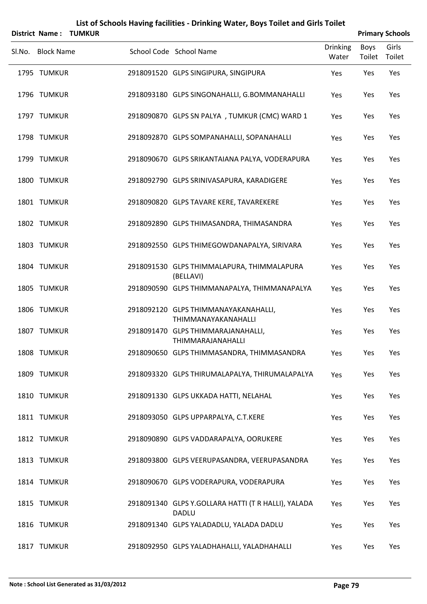|        | District Name:    | <b>TUMKUR</b> |                                                             |                          |                | <b>Primary Schools</b> |
|--------|-------------------|---------------|-------------------------------------------------------------|--------------------------|----------------|------------------------|
| Sl.No. | <b>Block Name</b> |               | School Code School Name                                     | <b>Drinking</b><br>Water | Boys<br>Toilet | Girls<br>Toilet        |
|        | 1795 TUMKUR       |               | 2918091520 GLPS SINGIPURA, SINGIPURA                        | Yes                      | Yes            | Yes                    |
|        | 1796 TUMKUR       |               | 2918093180 GLPS SINGONAHALLI, G.BOMMANAHALLI                | Yes                      | Yes            | Yes                    |
|        | 1797 TUMKUR       |               | 2918090870 GLPS SN PALYA, TUMKUR (CMC) WARD 1               | Yes                      | Yes            | Yes                    |
|        | 1798 TUMKUR       |               | 2918092870 GLPS SOMPANAHALLI, SOPANAHALLI                   | Yes                      | Yes            | Yes                    |
|        | 1799 TUMKUR       |               | 2918090670 GLPS SRIKANTAIANA PALYA, VODERAPURA              | Yes                      | Yes            | Yes                    |
|        | 1800 TUMKUR       |               | 2918092790 GLPS SRINIVASAPURA, KARADIGERE                   | Yes                      | Yes            | Yes                    |
|        | 1801 TUMKUR       |               | 2918090820 GLPS TAVARE KERE, TAVAREKERE                     | Yes                      | Yes            | Yes                    |
|        | 1802 TUMKUR       |               | 2918092890 GLPS THIMASANDRA, THIMASANDRA                    | Yes                      | Yes            | Yes                    |
|        | 1803 TUMKUR       |               | 2918092550 GLPS THIMEGOWDANAPALYA, SIRIVARA                 | Yes                      | Yes            | Yes                    |
|        | 1804 TUMKUR       |               | 2918091530 GLPS THIMMALAPURA, THIMMALAPURA<br>(BELLAVI)     | Yes                      | Yes            | Yes                    |
|        | 1805 TUMKUR       |               | 2918090590 GLPS THIMMANAPALYA, THIMMANAPALYA                | Yes                      | Yes            | Yes                    |
|        | 1806 TUMKUR       |               | 2918092120 GLPS THIMMANAYAKANAHALLI,<br>THIMMANAYAKANAHALLI | Yes                      | Yes            | Yes                    |
|        | 1807 TUMKUR       |               | 2918091470 GLPS THIMMARAJANAHALLI,<br>THIMMARAJANAHALLI     | Yes                      | Yes            | Yes                    |
|        | 1808 TUMKUR       |               | 2918090650 GLPS THIMMASANDRA, THIMMASANDRA                  | Yes                      | Yes            | Yes                    |
|        | 1809 TUMKUR       |               | 2918093320 GLPS THIRUMALAPALYA, THIRUMALAPALYA              | Yes                      | Yes            | Yes                    |
|        | 1810 TUMKUR       |               | 2918091330 GLPS UKKADA HATTI, NELAHAL                       | Yes                      | Yes            | Yes                    |
|        | 1811 TUMKUR       |               | 2918093050 GLPS UPPARPALYA, C.T.KERE                        | Yes                      | Yes            | Yes                    |
|        | 1812 TUMKUR       |               | 2918090890 GLPS VADDARAPALYA, OORUKERE                      | Yes                      | Yes            | Yes                    |
|        | 1813 TUMKUR       |               | 2918093800 GLPS VEERUPASANDRA, VEERUPASANDRA                | Yes                      | Yes            | Yes                    |
|        | 1814 TUMKUR       |               | 2918090670 GLPS VODERAPURA, VODERAPURA                      | Yes                      | Yes            | Yes                    |
|        | 1815 TUMKUR       |               | 2918091340 GLPS Y.GOLLARA HATTI (T R HALLI), YALADA         | Yes                      | Yes            | Yes                    |
|        | 1816 TUMKUR       |               | <b>DADLU</b><br>2918091340 GLPS YALADADLU, YALADA DADLU     | Yes                      | Yes            | Yes                    |
|        | 1817 TUMKUR       |               | 2918092950 GLPS YALADHAHALLI, YALADHAHALLI                  | Yes                      | Yes            | Yes                    |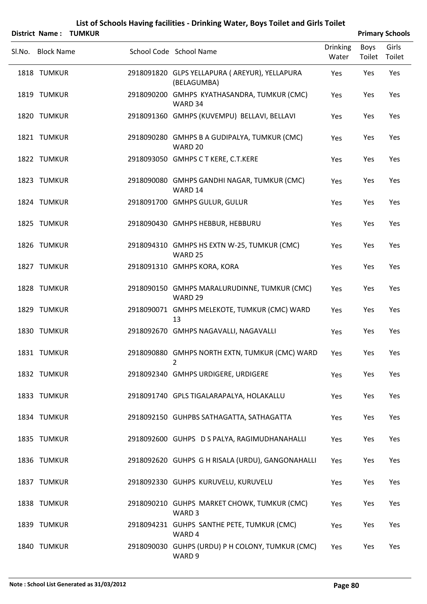|                   | District Name: TUMKUR |                                                                  |                          |                | <b>Primary Schools</b> |
|-------------------|-----------------------|------------------------------------------------------------------|--------------------------|----------------|------------------------|
| Sl.No. Block Name |                       | School Code School Name                                          | <b>Drinking</b><br>Water | Boys<br>Toilet | Girls<br>Toilet        |
| 1818 TUMKUR       |                       | 2918091820 GLPS YELLAPURA ( AREYUR), YELLAPURA<br>(BELAGUMBA)    | Yes                      | Yes            | Yes                    |
| 1819 TUMKUR       |                       | 2918090200 GMHPS KYATHASANDRA, TUMKUR (CMC)<br>WARD 34           | Yes                      | Yes            | Yes                    |
| 1820 TUMKUR       |                       | 2918091360 GMHPS (KUVEMPU) BELLAVI, BELLAVI                      | Yes                      | Yes            | Yes                    |
| 1821 TUMKUR       |                       | 2918090280 GMHPS B A GUDIPALYA, TUMKUR (CMC)<br>WARD 20          | Yes                      | Yes            | Yes                    |
| 1822 TUMKUR       |                       | 2918093050 GMHPS C T KERE, C.T.KERE                              | Yes                      | Yes            | Yes                    |
| 1823 TUMKUR       |                       | 2918090080 GMHPS GANDHI NAGAR, TUMKUR (CMC)<br>WARD 14           | Yes                      | Yes            | Yes                    |
| 1824 TUMKUR       |                       | 2918091700 GMHPS GULUR, GULUR                                    | Yes                      | Yes            | Yes                    |
| 1825 TUMKUR       |                       | 2918090430 GMHPS HEBBUR, HEBBURU                                 | Yes                      | Yes            | Yes                    |
| 1826 TUMKUR       |                       | 2918094310 GMHPS HS EXTN W-25, TUMKUR (CMC)<br>WARD 25           | Yes                      | Yes            | Yes                    |
| 1827 TUMKUR       |                       | 2918091310 GMHPS KORA, KORA                                      | Yes                      | Yes            | Yes                    |
| 1828 TUMKUR       |                       | 2918090150 GMHPS MARALURUDINNE, TUMKUR (CMC)<br>WARD 29          | Yes                      | Yes            | Yes                    |
| 1829 TUMKUR       |                       | 2918090071 GMHPS MELEKOTE, TUMKUR (CMC) WARD<br>13               | Yes                      | Yes            | Yes                    |
| 1830 TUMKUR       |                       | 2918092670 GMHPS NAGAVALLI, NAGAVALLI                            | Yes                      | Yes            | Yes                    |
| 1831 TUMKUR       |                       | 2918090880 GMHPS NORTH EXTN, TUMKUR (CMC) WARD Yes<br>2          |                          | Yes            | Yes                    |
| 1832 TUMKUR       |                       | 2918092340 GMHPS URDIGERE, URDIGERE                              | Yes                      | Yes            | Yes                    |
| 1833 TUMKUR       |                       | 2918091740 GPLS TIGALARAPALYA, HOLAKALLU                         | Yes                      | Yes            | Yes                    |
| 1834 TUMKUR       |                       | 2918092150 GUHPBS SATHAGATTA, SATHAGATTA                         | Yes                      | Yes            | Yes                    |
| 1835 TUMKUR       |                       | 2918092600 GUHPS D S PALYA, RAGIMUDHANAHALLI                     | Yes                      | Yes            | Yes                    |
| 1836 TUMKUR       |                       | 2918092620 GUHPS G H RISALA (URDU), GANGONAHALLI                 | Yes                      | Yes            | Yes                    |
| 1837 TUMKUR       |                       | 2918092330 GUHPS KURUVELU, KURUVELU                              | Yes                      | Yes            | Yes                    |
| 1838 TUMKUR       |                       | 2918090210 GUHPS MARKET CHOWK, TUMKUR (CMC)<br>WARD <sub>3</sub> | Yes                      | Yes            | Yes                    |
| 1839 TUMKUR       |                       | 2918094231 GUHPS SANTHE PETE, TUMKUR (CMC)<br>WARD 4             | Yes                      | Yes            | Yes                    |
| 1840 TUMKUR       |                       | 2918090030 GUHPS (URDU) P H COLONY, TUMKUR (CMC)<br>WARD 9       | Yes                      | Yes            | Yes                    |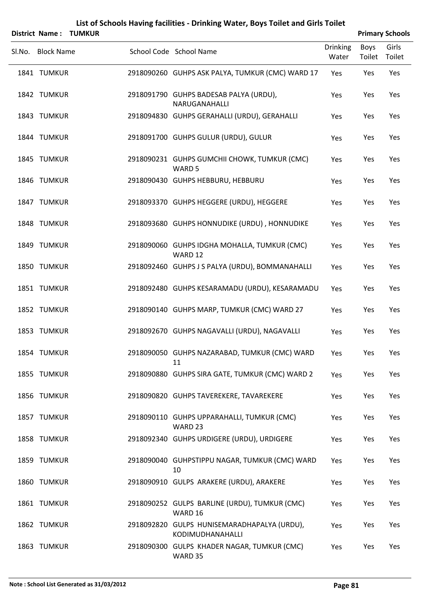|                   | District Name: TUMKUR |                                                                   |                          |                | <b>Primary Schools</b> |
|-------------------|-----------------------|-------------------------------------------------------------------|--------------------------|----------------|------------------------|
| Sl.No. Block Name |                       | School Code School Name                                           | <b>Drinking</b><br>Water | Boys<br>Toilet | Girls<br>Toilet        |
| 1841 TUMKUR       |                       | 2918090260 GUHPS ASK PALYA, TUMKUR (CMC) WARD 17                  | Yes                      | Yes            | Yes                    |
| 1842 TUMKUR       |                       | 2918091790 GUHPS BADESAB PALYA (URDU),<br>NARUGANAHALLI           | Yes                      | Yes            | Yes                    |
| 1843 TUMKUR       |                       | 2918094830 GUHPS GERAHALLI (URDU), GERAHALLI                      | Yes                      | Yes            | Yes                    |
| 1844 TUMKUR       |                       | 2918091700 GUHPS GULUR (URDU), GULUR                              | Yes                      | Yes            | Yes                    |
| 1845 TUMKUR       |                       | 2918090231 GUHPS GUMCHII CHOWK, TUMKUR (CMC)<br>WARD <sub>5</sub> | Yes                      | Yes            | Yes                    |
| 1846 TUMKUR       |                       | 2918090430 GUHPS HEBBURU, HEBBURU                                 | Yes                      | Yes            | Yes                    |
| 1847 TUMKUR       |                       | 2918093370 GUHPS HEGGERE (URDU), HEGGERE                          | Yes                      | Yes            | Yes                    |
| 1848 TUMKUR       |                       | 2918093680 GUHPS HONNUDIKE (URDU), HONNUDIKE                      | Yes                      | Yes            | Yes                    |
| 1849 TUMKUR       |                       | 2918090060 GUHPS IDGHA MOHALLA, TUMKUR (CMC)<br>WARD 12           | Yes                      | Yes            | Yes                    |
| 1850 TUMKUR       |                       | 2918092460 GUHPS J S PALYA (URDU), BOMMANAHALLI                   | Yes                      | Yes            | Yes                    |
| 1851 TUMKUR       |                       | 2918092480 GUHPS KESARAMADU (URDU), KESARAMADU                    | Yes                      | Yes            | Yes                    |
| 1852 TUMKUR       |                       | 2918090140 GUHPS MARP, TUMKUR (CMC) WARD 27                       | Yes                      | Yes            | Yes                    |
| 1853 TUMKUR       |                       | 2918092670 GUHPS NAGAVALLI (URDU), NAGAVALLI                      | Yes                      | Yes            | Yes                    |
| 1854 TUMKUR       |                       | 2918090050 GUHPS NAZARABAD, TUMKUR (CMC) WARD<br>11               | Yes                      | Yes            | Yes                    |
| 1855 TUMKUR       |                       | 2918090880 GUHPS SIRA GATE, TUMKUR (CMC) WARD 2                   | Yes                      | Yes            | Yes                    |
| 1856 TUMKUR       |                       | 2918090820 GUHPS TAVEREKERE, TAVAREKERE                           | Yes                      | Yes            | Yes                    |
| 1857 TUMKUR       |                       | 2918090110 GUHPS UPPARAHALLI, TUMKUR (CMC)<br>WARD 23             | Yes                      | Yes            | Yes                    |
| 1858 TUMKUR       |                       | 2918092340 GUHPS URDIGERE (URDU), URDIGERE                        | Yes                      | Yes            | Yes                    |
| 1859 TUMKUR       |                       | 2918090040 GUHPSTIPPU NAGAR, TUMKUR (CMC) WARD<br>10              | Yes                      | Yes            | Yes                    |
| 1860 TUMKUR       |                       | 2918090910 GULPS ARAKERE (URDU), ARAKERE                          | Yes                      | Yes            | Yes                    |
| 1861 TUMKUR       |                       | 2918090252 GULPS BARLINE (URDU), TUMKUR (CMC)<br>WARD 16          | Yes                      | Yes            | Yes                    |
| 1862 TUMKUR       |                       | 2918092820 GULPS HUNISEMARADHAPALYA (URDU),<br>KODIMUDHANAHALLI   | Yes                      | Yes            | Yes                    |
| 1863 TUMKUR       |                       | 2918090300 GULPS KHADER NAGAR, TUMKUR (CMC)<br>WARD 35            | Yes                      | Yes            | Yes                    |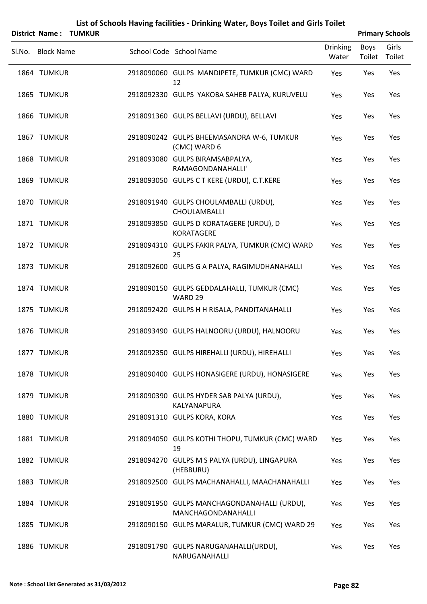|        | <b>District Name:</b> | <b>TUMKUR</b> |                                                                   |                          |                | <b>Primary Schools</b> |
|--------|-----------------------|---------------|-------------------------------------------------------------------|--------------------------|----------------|------------------------|
| SI.No. | <b>Block Name</b>     |               | School Code School Name                                           | <b>Drinking</b><br>Water | Boys<br>Toilet | Girls<br>Toilet        |
|        | 1864 TUMKUR           |               | 2918090060 GULPS MANDIPETE, TUMKUR (CMC) WARD<br>12               | Yes                      | Yes            | Yes                    |
|        | 1865 TUMKUR           |               | 2918092330 GULPS YAKOBA SAHEB PALYA, KURUVELU                     | Yes                      | Yes            | Yes                    |
|        | 1866 TUMKUR           |               | 2918091360 GULPS BELLAVI (URDU), BELLAVI                          | Yes                      | Yes            | Yes                    |
|        | 1867 TUMKUR           |               | 2918090242 GULPS BHEEMASANDRA W-6, TUMKUR<br>(CMC) WARD 6         | Yes                      | Yes            | Yes                    |
|        | 1868 TUMKUR           |               | 2918093080 GULPS BIRAMSABPALYA,<br>RAMAGONDANAHALLI'              | Yes                      | Yes            | Yes                    |
|        | 1869 TUMKUR           |               | 2918093050 GULPS C T KERE (URDU), C.T.KERE                        | Yes                      | Yes            | Yes                    |
|        | 1870 TUMKUR           |               | 2918091940 GULPS CHOULAMBALLI (URDU),<br>CHOULAMBALLI             | Yes                      | Yes            | Yes                    |
|        | 1871 TUMKUR           |               | 2918093850 GULPS D KORATAGERE (URDU), D<br>KORATAGERE             | Yes                      | Yes            | Yes                    |
|        | 1872 TUMKUR           |               | 2918094310 GULPS FAKIR PALYA, TUMKUR (CMC) WARD<br>25             | Yes                      | Yes            | Yes                    |
|        | 1873 TUMKUR           |               | 2918092600 GULPS G A PALYA, RAGIMUDHANAHALLI                      | Yes                      | Yes            | Yes                    |
|        | 1874 TUMKUR           |               | 2918090150 GULPS GEDDALAHALLI, TUMKUR (CMC)<br>WARD 29            | Yes                      | Yes            | Yes                    |
|        | 1875 TUMKUR           |               | 2918092420 GULPS H H RISALA, PANDITANAHALLI                       | Yes                      | Yes            | Yes                    |
|        | 1876 TUMKUR           |               | 2918093490 GULPS HALNOORU (URDU), HALNOORU                        | Yes                      | Yes            | Yes                    |
|        | 1877 TUMKUR           |               | 2918092350 GULPS HIREHALLI (URDU), HIREHALLI                      | Yes                      | Yes            | Yes                    |
|        | 1878 TUMKUR           |               | 2918090400 GULPS HONASIGERE (URDU), HONASIGERE                    | Yes                      | Yes            | Yes                    |
|        | 1879 TUMKUR           |               | 2918090390 GULPS HYDER SAB PALYA (URDU),<br>KALYANAPURA           | Yes                      | Yes            | Yes                    |
|        | 1880 TUMKUR           |               | 2918091310 GULPS KORA, KORA                                       | Yes                      | Yes            | Yes                    |
|        | 1881 TUMKUR           |               | 2918094050 GULPS KOTHI THOPU, TUMKUR (CMC) WARD<br>19             | Yes                      | Yes            | Yes                    |
|        | 1882 TUMKUR           |               | 2918094270 GULPS M S PALYA (URDU), LINGAPURA<br>(HEBBURU)         | Yes                      | Yes            | Yes                    |
|        | 1883 TUMKUR           |               | 2918092500 GULPS MACHANAHALLI, MAACHANAHALLI                      | Yes                      | Yes            | Yes                    |
|        | 1884 TUMKUR           |               | 2918091950 GULPS MANCHAGONDANAHALLI (URDU),<br>MANCHAGONDANAHALLI | Yes                      | Yes            | Yes                    |
|        | 1885 TUMKUR           |               | 2918090150 GULPS MARALUR, TUMKUR (CMC) WARD 29                    | Yes                      | Yes            | Yes                    |
|        | 1886 TUMKUR           |               | 2918091790 GULPS NARUGANAHALLI(URDU),<br>NARUGANAHALLI            | Yes                      | Yes            | Yes                    |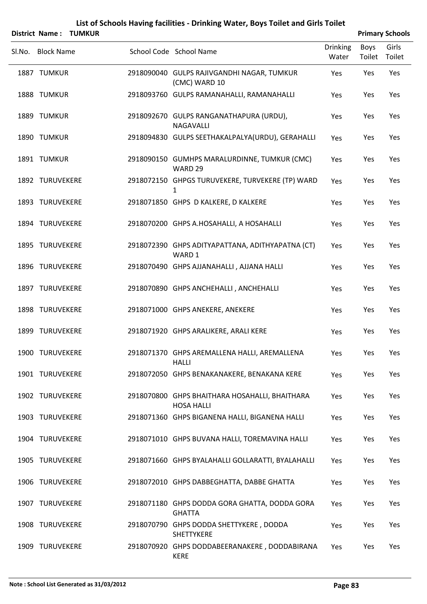|                   | District Name: TUMKUR |                                                                     |                          |                | <b>Primary Schools</b> |
|-------------------|-----------------------|---------------------------------------------------------------------|--------------------------|----------------|------------------------|
| Sl.No. Block Name |                       | School Code School Name                                             | <b>Drinking</b><br>Water | Boys<br>Toilet | Girls<br>Toilet        |
| 1887 TUMKUR       |                       | 2918090040 GULPS RAJIVGANDHI NAGAR, TUMKUR<br>(CMC) WARD 10         | Yes                      | Yes            | Yes                    |
| 1888 TUMKUR       |                       | 2918093760 GULPS RAMANAHALLI, RAMANAHALLI                           | Yes                      | Yes            | Yes                    |
| 1889 TUMKUR       |                       | 2918092670 GULPS RANGANATHAPURA (URDU),<br>NAGAVALLI                | Yes                      | Yes            | Yes                    |
| 1890 TUMKUR       |                       | 2918094830 GULPS SEETHAKALPALYA(URDU), GERAHALLI                    | Yes                      | Yes            | Yes                    |
| 1891 TUMKUR       |                       | 2918090150 GUMHPS MARALURDINNE, TUMKUR (CMC)<br>WARD 29             | Yes                      | Yes            | Yes                    |
| 1892 TURUVEKERE   |                       | 2918072150 GHPGS TURUVEKERE, TURVEKERE (TP) WARD<br>1               | Yes                      | Yes            | Yes                    |
| 1893 TURUVEKERE   |                       | 2918071850 GHPS D KALKERE, D KALKERE                                | Yes                      | Yes            | Yes                    |
| 1894 TURUVEKERE   |                       | 2918070200 GHPS A.HOSAHALLI, A HOSAHALLI                            | Yes                      | Yes            | Yes                    |
| 1895 TURUVEKERE   |                       | 2918072390 GHPS ADITYAPATTANA, ADITHYAPATNA (CT)<br>WARD 1          | Yes                      | Yes            | Yes                    |
| 1896 TURUVEKERE   |                       | 2918070490 GHPS AJJANAHALLI, AJJANA HALLI                           | Yes                      | Yes            | Yes                    |
| 1897 TURUVEKERE   |                       | 2918070890 GHPS ANCHEHALLI, ANCHEHALLI                              | Yes                      | Yes            | Yes                    |
| 1898 TURUVEKERE   |                       | 2918071000 GHPS ANEKERE, ANEKERE                                    | Yes                      | Yes            | Yes                    |
| 1899 TURUVEKERE   |                       | 2918071920 GHPS ARALIKERE, ARALI KERE                               | Yes                      | Yes            | Yes                    |
| 1900 TURUVEKERE   |                       | 2918071370 GHPS AREMALLENA HALLI, AREMALLENA<br><b>HALLI</b>        | Yes                      | Yes            | Yes                    |
| 1901 TURUVEKERE   |                       | 2918072050 GHPS BENAKANAKERE, BENAKANA KERE                         | Yes                      | Yes            | Yes                    |
| 1902 TURUVEKERE   |                       | 2918070800 GHPS BHAITHARA HOSAHALLI, BHAITHARA<br><b>HOSA HALLI</b> | Yes                      | Yes            | Yes                    |
| 1903 TURUVEKERE   |                       | 2918071360 GHPS BIGANENA HALLI, BIGANENA HALLI                      | Yes                      | Yes            | Yes                    |
| 1904 TURUVEKERE   |                       | 2918071010 GHPS BUVANA HALLI, TOREMAVINA HALLI                      | Yes                      | Yes            | Yes                    |
| 1905 TURUVEKERE   |                       | 2918071660 GHPS BYALAHALLI GOLLARATTI, BYALAHALLI                   | Yes                      | Yes            | Yes                    |
| 1906 TURUVEKERE   |                       | 2918072010 GHPS DABBEGHATTA, DABBE GHATTA                           | Yes                      | Yes            | Yes                    |
| 1907 TURUVEKERE   |                       | 2918071180 GHPS DODDA GORA GHATTA, DODDA GORA<br><b>GHATTA</b>      | Yes                      | Yes            | Yes                    |
| 1908 TURUVEKERE   |                       | 2918070790 GHPS DODDA SHETTYKERE, DODDA<br><b>SHETTYKERE</b>        | Yes                      | Yes            | Yes                    |
| 1909 TURUVEKERE   |                       | 2918070920 GHPS DODDABEERANAKERE, DODDABIRANA                       | Yes                      | Yes            | Yes                    |

KERE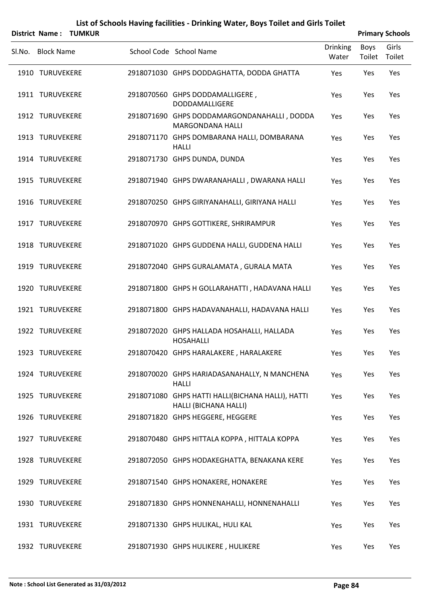|        | District Name:    | <b>TUMKUR</b> |                                                                            |                          |                       | <b>Primary Schools</b> |
|--------|-------------------|---------------|----------------------------------------------------------------------------|--------------------------|-----------------------|------------------------|
| Sl.No. | <b>Block Name</b> |               | School Code School Name                                                    | <b>Drinking</b><br>Water | <b>Boys</b><br>Toilet | Girls<br>Toilet        |
|        | 1910 TURUVEKERE   |               | 2918071030 GHPS DODDAGHATTA, DODDA GHATTA                                  | Yes                      | Yes                   | Yes                    |
|        | 1911 TURUVEKERE   |               | 2918070560 GHPS DODDAMALLIGERE,<br>DODDAMALLIGERE                          | Yes                      | Yes                   | Yes                    |
|        | 1912 TURUVEKERE   |               | 2918071690 GHPS DODDAMARGONDANAHALLI, DODDA<br>MARGONDANA HALLI            | Yes                      | Yes                   | Yes                    |
|        | 1913 TURUVEKERE   |               | 2918071170 GHPS DOMBARANA HALLI, DOMBARANA<br><b>HALLI</b>                 | Yes                      | Yes                   | Yes                    |
|        | 1914 TURUVEKERE   |               | 2918071730 GHPS DUNDA, DUNDA                                               | Yes                      | Yes                   | Yes                    |
|        | 1915 TURUVEKERE   |               | 2918071940 GHPS DWARANAHALLI, DWARANA HALLI                                | Yes                      | Yes                   | Yes                    |
|        | 1916 TURUVEKERE   |               | 2918070250 GHPS GIRIYANAHALLI, GIRIYANA HALLI                              | Yes                      | Yes                   | Yes                    |
|        | 1917 TURUVEKERE   |               | 2918070970 GHPS GOTTIKERE, SHRIRAMPUR                                      | Yes                      | Yes                   | Yes                    |
|        | 1918 TURUVEKERE   |               | 2918071020 GHPS GUDDENA HALLI, GUDDENA HALLI                               | Yes                      | Yes                   | Yes                    |
|        | 1919 TURUVEKERE   |               | 2918072040 GHPS GURALAMATA, GURALA MATA                                    | Yes                      | Yes                   | Yes                    |
|        | 1920 TURUVEKERE   |               | 2918071800 GHPS H GOLLARAHATTI, HADAVANA HALLI                             | Yes                      | Yes                   | Yes                    |
|        | 1921 TURUVEKERE   |               | 2918071800 GHPS HADAVANAHALLI, HADAVANA HALLI                              | Yes                      | Yes                   | Yes                    |
|        | 1922 TURUVEKERE   |               | 2918072020 GHPS HALLADA HOSAHALLI, HALLADA<br><b>HOSAHALLI</b>             | Yes                      | Yes                   | Yes                    |
|        | 1923 TURUVEKERE   |               | 2918070420 GHPS HARALAKERE, HARALAKERE                                     | Yes                      | Yes                   | Yes                    |
|        | 1924 TURUVEKERE   |               | 2918070020 GHPS HARIADASANAHALLY, N MANCHENA<br><b>HALLI</b>               | Yes                      | Yes                   | Yes                    |
|        | 1925 TURUVEKERE   |               | 2918071080 GHPS HATTI HALLI(BICHANA HALLI), HATTI<br>HALLI (BICHANA HALLI) | Yes                      | Yes                   | Yes                    |
|        | 1926 TURUVEKERE   |               | 2918071820 GHPS HEGGERE, HEGGERE                                           | Yes                      | Yes                   | Yes                    |
|        | 1927 TURUVEKERE   |               | 2918070480 GHPS HITTALA KOPPA, HITTALA KOPPA                               | Yes                      | Yes                   | Yes                    |
|        | 1928 TURUVEKERE   |               | 2918072050 GHPS HODAKEGHATTA, BENAKANA KERE                                | Yes                      | Yes                   | Yes                    |
|        | 1929 TURUVEKERE   |               | 2918071540 GHPS HONAKERE, HONAKERE                                         | Yes                      | Yes                   | Yes                    |
|        | 1930 TURUVEKERE   |               | 2918071830 GHPS HONNENAHALLI, HONNENAHALLI                                 | Yes                      | Yes                   | Yes                    |
|        | 1931 TURUVEKERE   |               | 2918071330 GHPS HULIKAL, HULI KAL                                          | Yes                      | Yes                   | Yes                    |
|        | 1932 TURUVEKERE   |               | 2918071930 GHPS HULIKERE, HULIKERE                                         | Yes                      | Yes                   | Yes                    |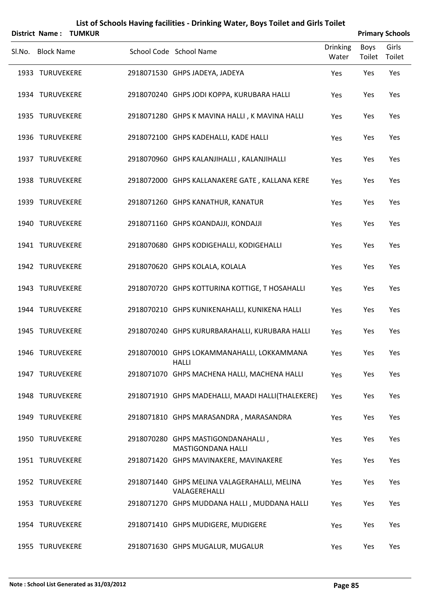|        |                   | <b>District Name: TUMKUR</b> |                                                                 |                   |                | <b>Primary Schools</b> |
|--------|-------------------|------------------------------|-----------------------------------------------------------------|-------------------|----------------|------------------------|
| Sl.No. | <b>Block Name</b> |                              | School Code School Name                                         | Drinking<br>Water | Boys<br>Toilet | Girls<br>Toilet        |
|        | 1933 TURUVEKERE   |                              | 2918071530 GHPS JADEYA, JADEYA                                  | Yes               | Yes            | Yes                    |
|        | 1934 TURUVEKERE   |                              | 2918070240 GHPS JODI KOPPA, KURUBARA HALLI                      | Yes               | Yes            | Yes                    |
|        | 1935 TURUVEKERE   |                              | 2918071280 GHPS K MAVINA HALLI, K MAVINA HALLI                  | Yes               | Yes            | Yes                    |
|        | 1936 TURUVEKERE   |                              | 2918072100 GHPS KADEHALLI, KADE HALLI                           | Yes               | Yes            | Yes                    |
|        | 1937 TURUVEKERE   |                              | 2918070960 GHPS KALANJIHALLI, KALANJIHALLI                      | Yes               | Yes            | Yes                    |
|        | 1938 TURUVEKERE   |                              | 2918072000 GHPS KALLANAKERE GATE, KALLANA KERE                  | Yes               | Yes            | Yes                    |
|        | 1939 TURUVEKERE   |                              | 2918071260 GHPS KANATHUR, KANATUR                               | Yes               | Yes            | Yes                    |
|        | 1940 TURUVEKERE   |                              | 2918071160 GHPS KOANDAJJI, KONDAJJI                             | Yes               | Yes            | Yes                    |
|        | 1941 TURUVEKERE   |                              | 2918070680 GHPS KODIGEHALLI, KODIGEHALLI                        | Yes               | Yes            | Yes                    |
|        | 1942 TURUVEKERE   |                              | 2918070620 GHPS KOLALA, KOLALA                                  | Yes               | Yes            | Yes                    |
|        | 1943 TURUVEKERE   |                              | 2918070720 GHPS KOTTURINA KOTTIGE, T HOSAHALLI                  | Yes               | Yes            | Yes                    |
|        | 1944 TURUVEKERE   |                              | 2918070210 GHPS KUNIKENAHALLI, KUNIKENA HALLI                   | Yes               | Yes            | Yes                    |
|        | 1945 TURUVEKERE   |                              | 2918070240 GHPS KURURBARAHALLI, KURUBARA HALLI                  | Yes               | Yes            | Yes                    |
|        | 1946 TURUVEKERE   |                              | 2918070010 GHPS LOKAMMANAHALLI, LOKKAMMANA<br><b>HALLI</b>      | Yes               | Yes            | Yes                    |
|        | 1947 TURUVEKERE   |                              | 2918071070 GHPS MACHENA HALLI, MACHENA HALLI                    | Yes               | Yes            | Yes                    |
|        | 1948 TURUVEKERE   |                              | 2918071910 GHPS MADEHALLI, MAADI HALLI(THALEKERE)               | Yes               | Yes            | Yes                    |
|        | 1949 TURUVEKERE   |                              | 2918071810 GHPS MARASANDRA, MARASANDRA                          | Yes               | Yes            | Yes                    |
|        | 1950 TURUVEKERE   |                              | 2918070280 GHPS MASTIGONDANAHALLI,<br><b>MASTIGONDANA HALLI</b> | Yes               | Yes            | Yes                    |
|        | 1951 TURUVEKERE   |                              | 2918071420 GHPS MAVINAKERE, MAVINAKERE                          | Yes               | Yes            | Yes                    |
|        | 1952 TURUVEKERE   |                              | 2918071440 GHPS MELINA VALAGERAHALLI, MELINA<br>VALAGEREHALLI   | Yes               | Yes            | Yes                    |
|        | 1953 TURUVEKERE   |                              | 2918071270 GHPS MUDDANA HALLI, MUDDANA HALLI                    | Yes               | Yes            | Yes                    |
|        | 1954 TURUVEKERE   |                              | 2918071410 GHPS MUDIGERE, MUDIGERE                              | Yes               | Yes            | Yes                    |
|        | 1955 TURUVEKERE   |                              | 2918071630 GHPS MUGALUR, MUGALUR                                | Yes               | Yes            | Yes                    |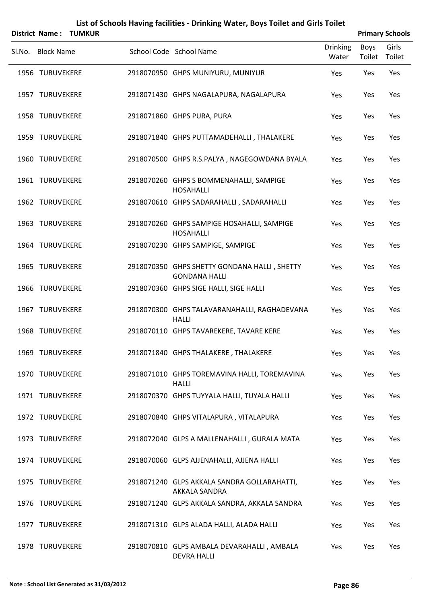|        |                   | District Name: TUMKUR |                                                                      |                          |                       | <b>Primary Schools</b> |
|--------|-------------------|-----------------------|----------------------------------------------------------------------|--------------------------|-----------------------|------------------------|
| Sl.No. | <b>Block Name</b> |                       | School Code School Name                                              | <b>Drinking</b><br>Water | Boys<br>Toilet Toilet | Girls                  |
|        | 1956 TURUVEKERE   |                       | 2918070950 GHPS MUNIYURU, MUNIYUR                                    | Yes                      | Yes                   | Yes                    |
|        | 1957 TURUVEKERE   |                       | 2918071430 GHPS NAGALAPURA, NAGALAPURA                               | Yes                      | Yes                   | Yes                    |
|        | 1958 TURUVEKERE   |                       | 2918071860 GHPS PURA, PURA                                           | Yes                      | Yes                   | Yes                    |
|        | 1959 TURUVEKERE   |                       | 2918071840 GHPS PUTTAMADEHALLI, THALAKERE                            | Yes                      | Yes                   | Yes                    |
|        | 1960 TURUVEKERE   |                       | 2918070500 GHPS R.S.PALYA, NAGEGOWDANA BYALA                         | Yes                      | Yes                   | Yes                    |
|        | 1961 TURUVEKERE   |                       | 2918070260 GHPS S BOMMENAHALLI, SAMPIGE<br><b>HOSAHALLI</b>          | Yes                      | Yes                   | Yes                    |
|        | 1962 TURUVEKERE   |                       | 2918070610 GHPS SADARAHALLI, SADARAHALLI                             | Yes                      | Yes                   | Yes                    |
|        | 1963 TURUVEKERE   |                       | 2918070260 GHPS SAMPIGE HOSAHALLI, SAMPIGE<br><b>HOSAHALLI</b>       | Yes                      | Yes                   | Yes                    |
|        | 1964 TURUVEKERE   |                       | 2918070230 GHPS SAMPIGE, SAMPIGE                                     | Yes                      | Yes                   | Yes                    |
|        | 1965 TURUVEKERE   |                       | 2918070350 GHPS SHETTY GONDANA HALLI, SHETTY<br><b>GONDANA HALLI</b> | Yes                      | Yes                   | Yes                    |
|        | 1966 TURUVEKERE   |                       | 2918070360 GHPS SIGE HALLI, SIGE HALLI                               | Yes                      | Yes                   | Yes                    |
|        | 1967 TURUVEKERE   |                       | 2918070300 GHPS TALAVARANAHALLI, RAGHADEVANA<br><b>HALLI</b>         | Yes                      | Yes                   | Yes                    |
|        | 1968 TURUVEKERE   |                       | 2918070110 GHPS TAVAREKERE, TAVARE KERE                              | Yes                      | Yes                   | Yes                    |
|        | 1969 TURUVEKERE   |                       | 2918071840 GHPS THALAKERE, THALAKERE                                 | Yes                      | Yes                   | Yes                    |
|        | 1970 TURUVEKERE   |                       | 2918071010 GHPS TOREMAVINA HALLI, TOREMAVINA<br><b>HALLI</b>         | Yes                      | Yes                   | Yes                    |
|        | 1971 TURUVEKERE   |                       | 2918070370 GHPS TUYYALA HALLI, TUYALA HALLI                          | Yes                      | Yes                   | Yes                    |
|        | 1972 TURUVEKERE   |                       | 2918070840 GHPS VITALAPURA, VITALAPURA                               | Yes                      | Yes                   | Yes                    |
|        | 1973 TURUVEKERE   |                       | 2918072040 GLPS A MALLENAHALLI, GURALA MATA                          | Yes                      | Yes                   | Yes                    |
|        | 1974 TURUVEKERE   |                       | 2918070060 GLPS AJJENAHALLI, AJJENA HALLI                            | Yes                      | Yes                   | Yes                    |
|        | 1975 TURUVEKERE   |                       | 2918071240 GLPS AKKALA SANDRA GOLLARAHATTI,<br>AKKALA SANDRA         | Yes                      | Yes                   | Yes                    |
|        | 1976 TURUVEKERE   |                       | 2918071240 GLPS AKKALA SANDRA, AKKALA SANDRA                         | Yes                      | Yes                   | Yes                    |
|        | 1977 TURUVEKERE   |                       | 2918071310 GLPS ALADA HALLI, ALADA HALLI                             | Yes                      | Yes                   | Yes                    |
|        | 1978 TURUVEKERE   |                       | 2918070810 GLPS AMBALA DEVARAHALLI, AMBALA<br><b>DEVRA HALLI</b>     | Yes                      | Yes                   | Yes                    |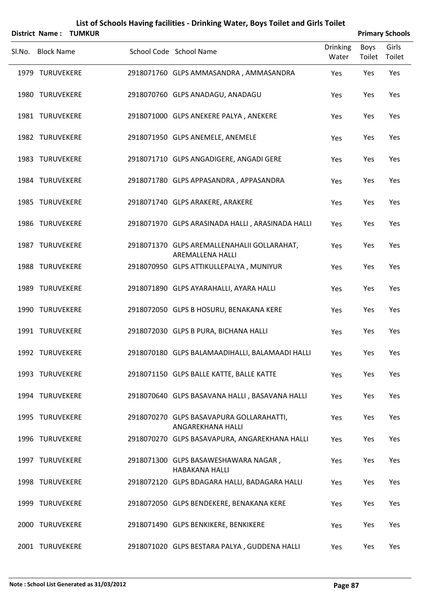|                   | <b>District Name: TUMKUR</b> |                                                                 |                          |                       | <b>Primary Schools</b> |
|-------------------|------------------------------|-----------------------------------------------------------------|--------------------------|-----------------------|------------------------|
| Sl.No. Block Name |                              | School Code School Name                                         | <b>Drinking</b><br>Water | <b>Boys</b><br>Toilet | Girls<br>Toilet        |
| 1979 TURUVEKERE   |                              | 2918071760 GLPS AMMASANDRA, AMMASANDRA                          | Yes                      | Yes                   | Yes                    |
| 1980 TURUVEKERE   |                              | 2918070760 GLPS ANADAGU, ANADAGU                                | Yes                      | Yes                   | Yes                    |
| 1981 TURUVEKERE   |                              | 2918071000 GLPS ANEKERE PALYA, ANEKERE                          | Yes                      | Yes                   | Yes                    |
| 1982 TURUVEKERE   |                              | 2918071950 GLPS ANEMELE, ANEMELE                                | Yes                      | Yes                   | Yes                    |
| 1983 TURUVEKERE   |                              | 2918071710 GLPS ANGADIGERE, ANGADI GERE                         | Yes                      | Yes                   | Yes                    |
| 1984 TURUVEKERE   |                              | 2918071780 GLPS APPASANDRA, APPASANDRA                          | Yes                      | Yes                   | Yes                    |
| 1985 TURUVEKERE   |                              | 2918071740 GLPS ARAKERE, ARAKERE                                | Yes                      | Yes                   | Yes                    |
| 1986 TURUVEKERE   |                              | 2918071970 GLPS ARASINADA HALLI, ARASINADA HALLI                | Yes                      | Yes                   | Yes                    |
| 1987 TURUVEKERE   |                              | 2918071370 GLPS AREMALLENAHALII GOLLARAHAT,<br>AREMALLENA HALLI | Yes                      | Yes                   | Yes                    |
| 1988 TURUVEKERE   |                              | 2918070950 GLPS ATTIKULLEPALYA, MUNIYUR                         | Yes                      | Yes                   | Yes                    |
| 1989 TURUVEKERE   |                              | 2918071890 GLPS AYARAHALLI, AYARA HALLI                         | Yes                      | Yes                   | Yes                    |
| 1990 TURUVEKERE   |                              | 2918072050 GLPS B HOSURU, BENAKANA KERE                         | Yes                      | Yes                   | Yes                    |
| 1991 TURUVEKERE   |                              | 2918072030 GLPS B PURA, BICHANA HALLI                           | Yes                      | Yes                   | Yes                    |
| 1992 TURUVEKERE   |                              | 2918070180 GLPS BALAMAADIHALLI, BALAMAADI HALLI                 | Yes                      | Yes                   | Yes                    |
| 1993 TURUVEKERE   |                              | 2918071150 GLPS BALLE KATTE, BALLE KATTE                        | Yes                      | Yes                   | Yes                    |
| 1994 TURUVEKERE   |                              | 2918070640 GLPS BASAVANA HALLI, BASAVANA HALLI                  | Yes                      | Yes                   | Yes                    |
| 1995 TURUVEKERE   |                              | 2918070270 GLPS BASAVAPURA GOLLARAHATTI,<br>ANGAREKHANA HALLI   | Yes                      | Yes                   | Yes                    |
| 1996 TURUVEKERE   |                              | 2918070270 GLPS BASAVAPURA, ANGAREKHANA HALLI                   | Yes                      | Yes                   | Yes                    |
| 1997 TURUVEKERE   |                              | 2918071300 GLPS BASAWESHAWARA NAGAR,<br><b>HABAKANA HALLI</b>   | Yes                      | Yes                   | Yes                    |
| 1998 TURUVEKERE   |                              | 2918072120 GLPS BDAGARA HALLI, BADAGARA HALLI                   | Yes                      | Yes                   | Yes                    |
| 1999 TURUVEKERE   |                              | 2918072050 GLPS BENDEKERE, BENAKANA KERE                        | Yes                      | Yes                   | Yes                    |
| 2000 TURUVEKERE   |                              | 2918071490 GLPS BENKIKERE, BENKIKERE                            | Yes                      | Yes                   | Yes                    |
| 2001 TURUVEKERE   |                              | 2918071020 GLPS BESTARA PALYA, GUDDENA HALLI                    | Yes                      | Yes                   | Yes                    |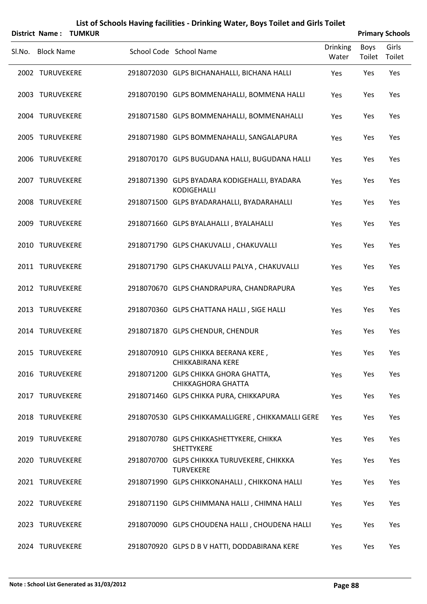|        |                   | District Name: TUMKUR |                                                                    |                          |                | <b>Primary Schools</b> |
|--------|-------------------|-----------------------|--------------------------------------------------------------------|--------------------------|----------------|------------------------|
| Sl.No. | <b>Block Name</b> |                       | School Code School Name                                            | <b>Drinking</b><br>Water | Boys<br>Toilet | Girls<br>Toilet        |
|        | 2002 TURUVEKERE   |                       | 2918072030 GLPS BICHANAHALLI, BICHANA HALLI                        | Yes                      | Yes            | Yes                    |
|        | 2003 TURUVEKERE   |                       | 2918070190 GLPS BOMMENAHALLI, BOMMENA HALLI                        | Yes                      | Yes            | Yes                    |
|        | 2004 TURUVEKERE   |                       | 2918071580 GLPS BOMMENAHALLI, BOMMENAHALLI                         | Yes                      | Yes            | Yes                    |
|        | 2005 TURUVEKERE   |                       | 2918071980 GLPS BOMMENAHALLI, SANGALAPURA                          | Yes                      | Yes            | Yes                    |
|        | 2006 TURUVEKERE   |                       | 2918070170 GLPS BUGUDANA HALLI, BUGUDANA HALLI                     | Yes                      | Yes            | Yes                    |
|        | 2007 TURUVEKERE   |                       | 2918071390 GLPS BYADARA KODIGEHALLI, BYADARA<br><b>KODIGEHALLI</b> | Yes                      | Yes            | Yes                    |
|        | 2008 TURUVEKERE   |                       | 2918071500 GLPS BYADARAHALLI, BYADARAHALLI                         | Yes                      | Yes            | Yes                    |
|        | 2009 TURUVEKERE   |                       | 2918071660 GLPS BYALAHALLI, BYALAHALLI                             | Yes                      | Yes            | Yes                    |
|        | 2010 TURUVEKERE   |                       | 2918071790 GLPS CHAKUVALLI, CHAKUVALLI                             | Yes                      | Yes            | Yes                    |
|        | 2011 TURUVEKERE   |                       | 2918071790 GLPS CHAKUVALLI PALYA, CHAKUVALLI                       | Yes                      | Yes            | Yes                    |
|        | 2012 TURUVEKERE   |                       | 2918070670 GLPS CHANDRAPURA, CHANDRAPURA                           | Yes                      | Yes            | Yes                    |
|        | 2013 TURUVEKERE   |                       | 2918070360 GLPS CHATTANA HALLI, SIGE HALLI                         | Yes                      | Yes            | Yes                    |
|        | 2014 TURUVEKERE   |                       | 2918071870 GLPS CHENDUR, CHENDUR                                   | Yes                      | Yes            | Yes                    |
|        | 2015 TURUVEKERE   |                       | 2918070910 GLPS CHIKKA BEERANA KERE,<br><b>CHIKKABIRANA KERE</b>   | Yes                      | Yes            | Yes                    |
|        | 2016 TURUVEKERE   |                       | 2918071200 GLPS CHIKKA GHORA GHATTA,<br><b>CHIKKAGHORA GHATTA</b>  | Yes                      | Yes            | Yes                    |
|        | 2017 TURUVEKERE   |                       | 2918071460 GLPS CHIKKA PURA, CHIKKAPURA                            | Yes                      | Yes            | Yes                    |
|        | 2018 TURUVEKERE   |                       | 2918070530 GLPS CHIKKAMALLIGERE, CHIKKAMALLI GERE                  | Yes                      | Yes            | Yes                    |
|        | 2019 TURUVEKERE   |                       | 2918070780 GLPS CHIKKASHETTYKERE, CHIKKA<br>SHETTYKERE             | Yes                      | Yes            | Yes                    |
|        | 2020 TURUVEKERE   |                       | 2918070700 GLPS CHIKKKA TURUVEKERE, CHIKKKA<br><b>TURVEKERE</b>    | Yes                      | Yes            | Yes                    |
|        | 2021 TURUVEKERE   |                       | 2918071990 GLPS CHIKKONAHALLI, CHIKKONA HALLI                      | Yes                      | Yes            | Yes                    |
|        | 2022 TURUVEKERE   |                       | 2918071190 GLPS CHIMMANA HALLI, CHIMNA HALLI                       | Yes                      | Yes            | Yes                    |
|        | 2023 TURUVEKERE   |                       | 2918070090 GLPS CHOUDENA HALLI, CHOUDENA HALLI                     | Yes                      | Yes            | Yes                    |

2024 TURUVEKERE 2918070920 GLPS D B V HATTI, DODDABIRANA KERE Yes Yes Yes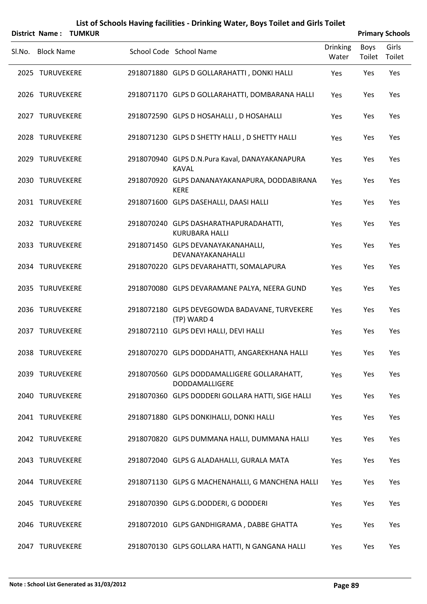|                   | District Name: TUMKUR |                                                                 |                          |                | <b>Primary Schools</b> |
|-------------------|-----------------------|-----------------------------------------------------------------|--------------------------|----------------|------------------------|
| SI.No. Block Name |                       | School Code School Name                                         | <b>Drinking</b><br>Water | Boys<br>Toilet | Girls<br>Toilet        |
| 2025 TURUVEKERE   |                       | 2918071880 GLPS D GOLLARAHATTI, DONKI HALLI                     | Yes                      | Yes            | Yes                    |
| 2026 TURUVEKERE   |                       | 2918071170 GLPS D GOLLARAHATTI, DOMBARANA HALLI                 | Yes                      | Yes            | Yes                    |
| 2027 TURUVEKERE   |                       | 2918072590 GLPS D HOSAHALLI, D HOSAHALLI                        | Yes                      | Yes            | Yes                    |
| 2028 TURUVEKERE   |                       | 2918071230 GLPS D SHETTY HALLI, D SHETTY HALLI                  | Yes                      | Yes            | Yes                    |
| 2029 TURUVEKERE   |                       | 2918070940 GLPS D.N.Pura Kaval, DANAYAKANAPURA<br><b>KAVAL</b>  | Yes                      | Yes            | Yes                    |
| 2030 TURUVEKERE   |                       | 2918070920 GLPS DANANAYAKANAPURA, DODDABIRANA<br><b>KERE</b>    | Yes                      | Yes            | Yes                    |
| 2031 TURUVEKERE   |                       | 2918071600 GLPS DASEHALLI, DAASI HALLI                          | Yes                      | Yes            | Yes                    |
| 2032 TURUVEKERE   |                       | 2918070240 GLPS DASHARATHAPURADAHATTI,<br><b>KURUBARA HALLI</b> | Yes                      | Yes            | Yes                    |
| 2033 TURUVEKERE   |                       | 2918071450 GLPS DEVANAYAKANAHALLI,<br>DEVANAYAKANAHALLI         | Yes                      | Yes            | Yes                    |
| 2034 TURUVEKERE   |                       | 2918070220 GLPS DEVARAHATTI, SOMALAPURA                         | Yes                      | Yes            | Yes                    |
| 2035 TURUVEKERE   |                       | 2918070080 GLPS DEVARAMANE PALYA, NEERA GUND                    | Yes                      | Yes            | Yes                    |
| 2036 TURUVEKERE   |                       | 2918072180 GLPS DEVEGOWDA BADAVANE, TURVEKERE<br>(TP) WARD 4    | Yes                      | Yes            | Yes                    |
| 2037 TURUVEKERE   |                       | 2918072110 GLPS DEVI HALLI, DEVI HALLI                          | Yes                      | Yes            | Yes                    |
| 2038 TURUVEKERE   |                       | 2918070270 GLPS DODDAHATTI, ANGAREKHANA HALLI                   | Yes                      | Yes            | Yes                    |
| 2039 TURUVEKERE   |                       | 2918070560 GLPS DODDAMALLIGERE GOLLARAHATT,<br>DODDAMALLIGERE   | Yes                      | Yes            | Yes                    |
| 2040 TURUVEKERE   |                       | 2918070360 GLPS DODDERI GOLLARA HATTI, SIGE HALLI               | Yes                      | Yes            | Yes                    |
| 2041 TURUVEKERE   |                       | 2918071880 GLPS DONKIHALLI, DONKI HALLI                         | Yes                      | Yes            | Yes                    |
| 2042 TURUVEKERE   |                       | 2918070820 GLPS DUMMANA HALLI, DUMMANA HALLI                    | Yes                      | Yes            | Yes                    |
| 2043 TURUVEKERE   |                       | 2918072040 GLPS G ALADAHALLI, GURALA MATA                       | Yes                      | Yes            | Yes                    |
| 2044 TURUVEKERE   |                       | 2918071130 GLPS G MACHENAHALLI, G MANCHENA HALLI                | Yes                      | Yes            | Yes                    |
| 2045 TURUVEKERE   |                       | 2918070390 GLPS G.DODDERI, G DODDERI                            | Yes                      | Yes            | Yes                    |
| 2046 TURUVEKERE   |                       | 2918072010 GLPS GANDHIGRAMA, DABBE GHATTA                       | Yes                      | Yes            | Yes                    |
| 2047 TURUVEKERE   |                       | 2918070130 GLPS GOLLARA HATTI, N GANGANA HALLI                  | Yes                      | Yes            | Yes                    |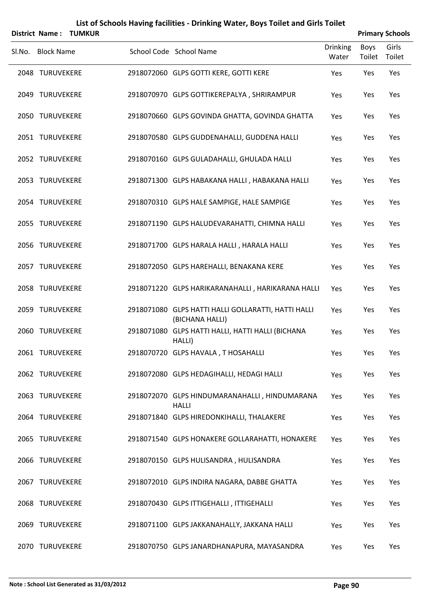|        | <b>District Name:</b> | <b>TUMKUR</b> | List of Schools Having facilities - Drinking Water, Boys Toilet and Girls Toilet |                          |                       | <b>Primary Schools</b> |
|--------|-----------------------|---------------|----------------------------------------------------------------------------------|--------------------------|-----------------------|------------------------|
| Sl.No. | <b>Block Name</b>     |               | School Code School Name                                                          | <b>Drinking</b><br>Water | <b>Boys</b><br>Toilet | Girls<br>Toilet        |
|        | 2048 TURUVEKERE       |               | 2918072060 GLPS GOTTI KERE, GOTTI KERE                                           | Yes                      | Yes                   | Yes                    |
|        | 2049 TURUVEKERE       |               | 2918070970 GLPS GOTTIKEREPALYA, SHRIRAMPUR                                       | Yes                      | Yes                   | Yes                    |
|        | 2050 TURUVEKERE       |               | 2918070660 GLPS GOVINDA GHATTA, GOVINDA GHATTA                                   | Yes                      | Yes                   | Yes                    |
|        | 2051 TURUVEKERE       |               | 2918070580 GLPS GUDDENAHALLI, GUDDENA HALLI                                      | Yes                      | Yes                   | Yes                    |
|        | 2052 TURUVEKERE       |               | 2918070160 GLPS GULADAHALLI, GHULADA HALLI                                       | Yes                      | Yes                   | Yes                    |
|        | 2053 TURUVEKERE       |               | 2918071300 GLPS HABAKANA HALLI, HABAKANA HALLI                                   | Yes                      | Yes                   | Yes                    |
|        | 2054 TURUVEKERE       |               | 2918070310 GLPS HALE SAMPIGE, HALE SAMPIGE                                       | Yes                      | Yes                   | Yes                    |
|        | 2055 TURUVEKERE       |               | 2918071190 GLPS HALUDEVARAHATTI, CHIMNA HALLI                                    | Yes                      | Yes                   | Yes                    |
|        | 2056 TURUVEKERE       |               | 2918071700 GLPS HARALA HALLI, HARALA HALLI                                       | Yes                      | Yes                   | Yes                    |
|        | 2057 TURUVEKERE       |               | 2918072050 GLPS HAREHALLI, BENAKANA KERE                                         | Yes                      | Yes                   | Yes                    |
|        | 2058 TURUVEKERE       |               | 2918071220 GLPS HARIKARANAHALLI, HARIKARANA HALLI                                | Yes                      | Yes                   | Yes                    |
|        | 2059 TURUVEKERE       |               | 2918071080 GLPS HATTI HALLI GOLLARATTI, HATTI HALLI<br>(BICHANA HALLI)           | Yes                      | Yes                   | Yes                    |
|        | 2060 TURUVEKERE       |               | 2918071080 GLPS HATTI HALLI, HATTI HALLI (BICHANA<br>HALLI)                      | Yes                      | Yes                   | Yes                    |
|        | 2061 TURUVEKERE       |               | 2918070720 GLPS HAVALA, T HOSAHALLI                                              | Yes                      | Yes                   | Yes                    |
|        | 2062 TURUVEKERE       |               | 2918072080 GLPS HEDAGIHALLI, HEDAGI HALLI                                        | Yes                      | Yes                   | Yes                    |
|        | 2063 TURUVEKERE       |               | 2918072070 GLPS HINDUMARANAHALLI, HINDUMARANA<br><b>HALLI</b>                    | Yes                      | Yes                   | Yes                    |
|        | 2064 TURUVEKERE       |               | 2918071840 GLPS HIREDONKIHALLI, THALAKERE                                        | Yes                      | Yes                   | Yes                    |
|        | 2065 TURUVEKERE       |               | 2918071540 GLPS HONAKERE GOLLARAHATTI, HONAKERE                                  | Yes                      | Yes                   | Yes                    |
|        | 2066 TURUVEKERE       |               | 2918070150 GLPS HULISANDRA, HULISANDRA                                           | Yes                      | Yes                   | Yes                    |
|        | 2067 TURUVEKERE       |               | 2918072010 GLPS INDIRA NAGARA, DABBE GHATTA                                      | Yes                      | Yes                   | Yes                    |
|        | 2068 TURUVEKERE       |               | 2918070430 GLPS ITTIGEHALLI, ITTIGEHALLI                                         | Yes                      | Yes                   | Yes                    |
|        | 2069 TURUVEKERE       |               | 2918071100 GLPS JAKKANAHALLY, JAKKANA HALLI                                      | Yes                      | Yes                   | Yes                    |
|        | 2070 TURUVEKERE       |               | 2918070750 GLPS JANARDHANAPURA, MAYASANDRA                                       | Yes                      | Yes                   | Yes                    |

# **Note : School List Generated as 31/03/2012 Page 90**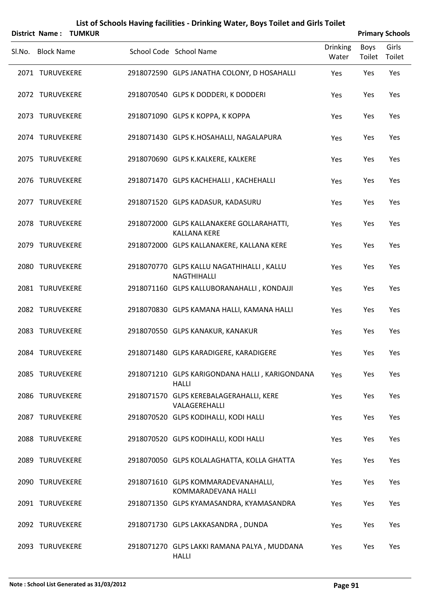| District Name:    | <b>TUMKUR</b> | List of Schools Having facilities - Drinking Water, Boys Toilet and Girls Toilet |                          |                | <b>Primary Schools</b> |
|-------------------|---------------|----------------------------------------------------------------------------------|--------------------------|----------------|------------------------|
| Sl.No. Block Name |               | School Code School Name                                                          | <b>Drinking</b><br>Water | Boys<br>Toilet | Girls<br>Toilet        |
| 2071 TURUVEKERE   |               | 2918072590 GLPS JANATHA COLONY, D HOSAHALLI                                      | Yes                      | Yes            | Yes                    |
| 2072 TURUVEKERE   |               | 2918070540 GLPS K DODDERI, K DODDERI                                             | Yes                      | Yes            | Yes                    |
| 2073 TURUVEKERE   |               | 2918071090 GLPS K KOPPA, K KOPPA                                                 | Yes                      | Yes            | Yes                    |
| 2074 TURUVEKERE   |               | 2918071430 GLPS K.HOSAHALLI, NAGALAPURA                                          | Yes                      | Yes            | Yes                    |
| 2075 TURUVEKERE   |               | 2918070690 GLPS K.KALKERE, KALKERE                                               | Yes                      | Yes            | Yes                    |
| 2076 TURUVEKERE   |               | 2918071470 GLPS KACHEHALLI, KACHEHALLI                                           | Yes                      | Yes            | Yes                    |
| 2077 TURUVEKERE   |               | 2918071520 GLPS KADASUR, KADASURU                                                | Yes                      | Yes            | Yes                    |
| 2078 TURUVEKERE   |               | 2918072000 GLPS KALLANAKERE GOLLARAHATTI,<br><b>KALLANA KERE</b>                 | Yes                      | Yes            | Yes                    |
| 2079 TURUVEKERE   |               | 2918072000 GLPS KALLANAKERE, KALLANA KERE                                        | Yes                      | Yes            | Yes                    |
| 2080 TURUVEKERE   |               | 2918070770 GLPS KALLU NAGATHIHALLI, KALLU<br>NAGTHIHALLI                         | Yes                      | Yes            | Yes                    |
| 2081 TURUVEKERE   |               | 2918071160 GLPS KALLUBORANAHALLI, KONDAJJI                                       | Yes                      | Yes            | Yes                    |
| 2082 TURUVEKERE   |               | 2918070830 GLPS KAMANA HALLI, KAMANA HALLI                                       | Yes                      | Yes            | Yes                    |
| 2083 TURUVEKERE   |               | 2918070550 GLPS KANAKUR, KANAKUR                                                 | Yes                      | Yes            | Yes                    |
| 2084 TURUVEKERE   |               | 2918071480 GLPS KARADIGERE, KARADIGERE                                           | Yes                      | Yes            | Yes                    |
| 2085 TURUVEKERE   |               | 2918071210 GLPS KARIGONDANA HALLI, KARIGONDANA<br><b>HALLI</b>                   | Yes                      | Yes            | Yes                    |
| 2086 TURUVEKERE   |               | 2918071570 GLPS KEREBALAGERAHALLI, KERE<br>VALAGEREHALLI                         | Yes                      | Yes            | Yes                    |
| 2087 TURUVEKERE   |               | 2918070520 GLPS KODIHALLI, KODI HALLI                                            | Yes                      | Yes            | Yes                    |
| 2088 TURUVEKERE   |               | 2918070520 GLPS KODIHALLI, KODI HALLI                                            | Yes                      | Yes            | Yes                    |
| 2089 TURUVEKERE   |               | 2918070050 GLPS KOLALAGHATTA, KOLLA GHATTA                                       | Yes                      | Yes            | Yes                    |
| 2090 TURUVEKERE   |               | 2918071610 GLPS KOMMARADEVANAHALLI,<br>KOMMARADEVANA HALLI                       | Yes                      | Yes            | Yes                    |
| 2091 TURUVEKERE   |               | 2918071350 GLPS KYAMASANDRA, KYAMASANDRA                                         | Yes                      | Yes            | Yes                    |
| 2092 TURUVEKERE   |               | 2918071730 GLPS LAKKASANDRA, DUNDA                                               | Yes                      | Yes            | Yes                    |
| 2093 TURUVEKERE   |               | 2918071270 GLPS LAKKI RAMANA PALYA, MUDDANA<br><b>HALLI</b>                      | Yes                      | Yes            | Yes                    |

#### **Note : School List Generated as 31/03/2012 Page 91**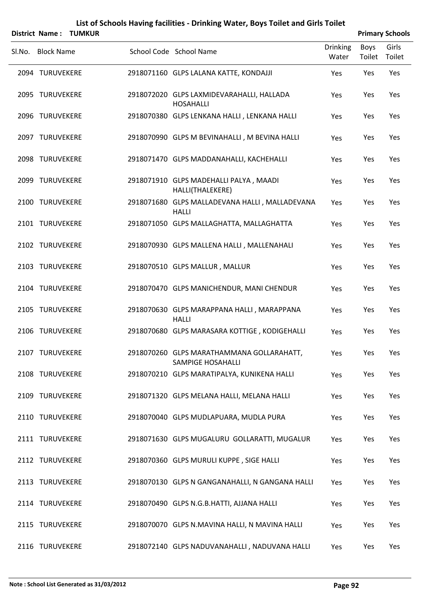|        | <b>District Name:</b> | TUMKUR |                                                                |                          |                | <b>Primary Schools</b> |
|--------|-----------------------|--------|----------------------------------------------------------------|--------------------------|----------------|------------------------|
| SI.No. | <b>Block Name</b>     |        | School Code School Name                                        | <b>Drinking</b><br>Water | Boys<br>Toilet | Girls<br>Toilet        |
|        | 2094 TURUVEKERE       |        | 2918071160 GLPS LALANA KATTE, KONDAJJI                         | Yes                      | Yes            | Yes                    |
|        | 2095 TURUVEKERE       |        | 2918072020 GLPS LAXMIDEVARAHALLI, HALLADA<br><b>HOSAHALLI</b>  | Yes                      | Yes            | Yes                    |
|        | 2096 TURUVEKERE       |        | 2918070380 GLPS LENKANA HALLI, LENKANA HALLI                   | Yes                      | Yes            | Yes                    |
|        | 2097 TURUVEKERE       |        | 2918070990 GLPS M BEVINAHALLI, M BEVINA HALLI                  | Yes                      | Yes            | Yes                    |
|        | 2098 TURUVEKERE       |        | 2918071470 GLPS MADDANAHALLI, KACHEHALLI                       | Yes                      | Yes            | Yes                    |
|        | 2099 TURUVEKERE       |        | 2918071910 GLPS MADEHALLI PALYA, MAADI<br>HALLI(THALEKERE)     | Yes                      | Yes            | Yes                    |
|        | 2100 TURUVEKERE       |        | 2918071680 GLPS MALLADEVANA HALLI, MALLADEVANA<br><b>HALLI</b> | Yes                      | Yes            | Yes                    |
|        | 2101 TURUVEKERE       |        | 2918071050 GLPS MALLAGHATTA, MALLAGHATTA                       | Yes                      | Yes            | Yes                    |
|        | 2102 TURUVEKERE       |        | 2918070930 GLPS MALLENA HALLI, MALLENAHALI                     | Yes                      | Yes            | Yes                    |
|        | 2103 TURUVEKERE       |        | 2918070510 GLPS MALLUR, MALLUR                                 | Yes                      | Yes            | Yes                    |
|        | 2104 TURUVEKERE       |        | 2918070470 GLPS MANICHENDUR, MANI CHENDUR                      | Yes                      | Yes            | Yes                    |
|        | 2105 TURUVEKERE       |        | 2918070630 GLPS MARAPPANA HALLI, MARAPPANA<br><b>HALLI</b>     | Yes                      | Yes            | Yes                    |
|        | 2106 TURUVEKERE       |        | 2918070680 GLPS MARASARA KOTTIGE, KODIGEHALLI                  | Yes                      | Yes            | Yes                    |
|        | 2107 TURUVEKERE       |        | 2918070260 GLPS MARATHAMMANA GOLLARAHATT,<br>SAMPIGE HOSAHALLI | Yes                      | Yes            | Yes                    |
|        | 2108 TURUVEKERE       |        | 2918070210 GLPS MARATIPALYA, KUNIKENA HALLI                    | Yes                      | Yes            | Yes                    |
|        | 2109 TURUVEKERE       |        | 2918071320 GLPS MELANA HALLI, MELANA HALLI                     | Yes                      | Yes            | Yes                    |
|        | 2110 TURUVEKERE       |        | 2918070040 GLPS MUDLAPUARA, MUDLA PURA                         | Yes                      | Yes            | Yes                    |
|        | 2111 TURUVEKERE       |        | 2918071630 GLPS MUGALURU GOLLARATTI, MUGALUR                   | Yes                      | Yes            | Yes                    |
|        | 2112 TURUVEKERE       |        | 2918070360 GLPS MURULI KUPPE, SIGE HALLI                       | Yes                      | Yes            | Yes                    |
|        | 2113 TURUVEKERE       |        | 2918070130 GLPS N GANGANAHALLI, N GANGANA HALLI                | Yes                      | Yes            | Yes                    |
|        | 2114 TURUVEKERE       |        | 2918070490 GLPS N.G.B.HATTI, AJJANA HALLI                      | Yes                      | Yes            | Yes                    |
|        | 2115 TURUVEKERE       |        | 2918070070 GLPS N.MAVINA HALLI, N MAVINA HALLI                 | Yes                      | Yes            | Yes                    |
|        | 2116 TURUVEKERE       |        | 2918072140 GLPS NADUVANAHALLI, NADUVANA HALLI                  | Yes                      | Yes            | Yes                    |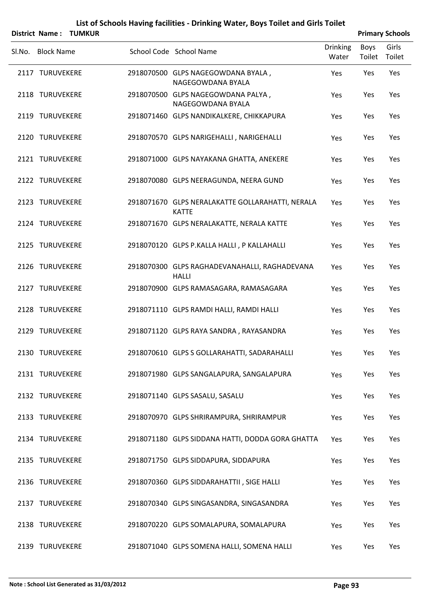|                   | District Name: TUMKUR |                                                                  |                          |                | <b>Primary Schools</b> |
|-------------------|-----------------------|------------------------------------------------------------------|--------------------------|----------------|------------------------|
| Sl.No. Block Name |                       | School Code School Name                                          | <b>Drinking</b><br>Water | Boys<br>Toilet | Girls<br>Toilet        |
| 2117 TURUVEKERE   |                       | 2918070500 GLPS NAGEGOWDANA BYALA,<br>NAGEGOWDANA BYALA          | Yes                      | Yes            | Yes                    |
| 2118 TURUVEKERE   |                       | 2918070500 GLPS NAGEGOWDANA PALYA,<br>NAGEGOWDANA BYALA          | Yes                      | Yes            | Yes                    |
| 2119 TURUVEKERE   |                       | 2918071460 GLPS NANDIKALKERE, CHIKKAPURA                         | Yes                      | Yes            | Yes                    |
| 2120 TURUVEKERE   |                       | 2918070570 GLPS NARIGEHALLI, NARIGEHALLI                         | Yes                      | Yes            | Yes                    |
| 2121 TURUVEKERE   |                       | 2918071000 GLPS NAYAKANA GHATTA, ANEKERE                         | Yes                      | Yes            | Yes                    |
| 2122 TURUVEKERE   |                       | 2918070080 GLPS NEERAGUNDA, NEERA GUND                           | Yes                      | Yes            | Yes                    |
| 2123 TURUVEKERE   |                       | 2918071670 GLPS NERALAKATTE GOLLARAHATTI, NERALA<br><b>KATTE</b> | Yes                      | Yes            | Yes                    |
| 2124 TURUVEKERE   |                       | 2918071670 GLPS NERALAKATTE, NERALA KATTE                        | Yes                      | Yes            | Yes                    |
| 2125 TURUVEKERE   |                       | 2918070120 GLPS P.KALLA HALLI, P KALLAHALLI                      | Yes                      | Yes            | Yes                    |
| 2126 TURUVEKERE   |                       | 2918070300 GLPS RAGHADEVANAHALLI, RAGHADEVANA<br><b>HALLI</b>    | Yes                      | Yes            | Yes                    |
| 2127 TURUVEKERE   |                       | 2918070900 GLPS RAMASAGARA, RAMASAGARA                           | Yes                      | Yes            | Yes                    |
| 2128 TURUVEKERE   |                       | 2918071110 GLPS RAMDI HALLI, RAMDI HALLI                         | Yes                      | Yes            | Yes                    |
| 2129 TURUVEKERE   |                       | 2918071120 GLPS RAYA SANDRA, RAYASANDRA                          | Yes                      | Yes            | Yes                    |
| 2130 TURUVEKERE   |                       | 2918070610 GLPS S GOLLARAHATTI, SADARAHALLI                      | Yes                      | Yes            | Yes                    |
| 2131 TURUVEKERE   |                       | 2918071980 GLPS SANGALAPURA, SANGALAPURA                         | Yes                      | Yes            | Yes                    |
| 2132 TURUVEKERE   |                       | 2918071140 GLPS SASALU, SASALU                                   | Yes                      | Yes            | Yes                    |
| 2133 TURUVEKERE   |                       | 2918070970 GLPS SHRIRAMPURA, SHRIRAMPUR                          | Yes                      | Yes            | Yes                    |
| 2134 TURUVEKERE   |                       | 2918071180 GLPS SIDDANA HATTI, DODDA GORA GHATTA                 | Yes                      | Yes            | Yes                    |
| 2135 TURUVEKERE   |                       | 2918071750 GLPS SIDDAPURA, SIDDAPURA                             | Yes                      | Yes            | Yes                    |
| 2136 TURUVEKERE   |                       | 2918070360 GLPS SIDDARAHATTII, SIGE HALLI                        | Yes                      | Yes            | Yes                    |
| 2137 TURUVEKERE   |                       | 2918070340 GLPS SINGASANDRA, SINGASANDRA                         | Yes                      | Yes            | Yes                    |
| 2138 TURUVEKERE   |                       | 2918070220 GLPS SOMALAPURA, SOMALAPURA                           | Yes                      | Yes            | Yes                    |
| 2139 TURUVEKERE   |                       | 2918071040 GLPS SOMENA HALLI, SOMENA HALLI                       | Yes                      | Yes            | Yes                    |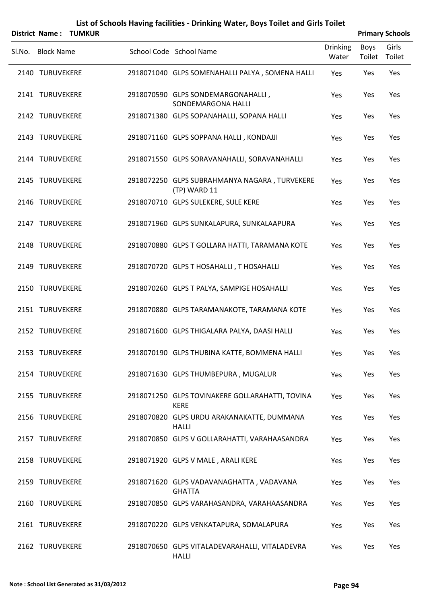|        |                   | District Name: TUMKUR |                                                                |                          |                | <b>Primary Schools</b> |
|--------|-------------------|-----------------------|----------------------------------------------------------------|--------------------------|----------------|------------------------|
| Sl.No. | <b>Block Name</b> |                       | School Code School Name                                        | <b>Drinking</b><br>Water | Boys<br>Toilet | Girls<br>Toilet        |
|        | 2140 TURUVEKERE   |                       | 2918071040 GLPS SOMENAHALLI PALYA, SOMENA HALLI                | Yes                      | Yes            | Yes                    |
|        | 2141 TURUVEKERE   |                       | 2918070590 GLPS SONDEMARGONAHALLI,<br>SONDEMARGONA HALLI       | Yes                      | Yes            | Yes                    |
|        | 2142 TURUVEKERE   |                       | 2918071380 GLPS SOPANAHALLI, SOPANA HALLI                      | Yes                      | Yes            | Yes                    |
|        | 2143 TURUVEKERE   |                       | 2918071160 GLPS SOPPANA HALLI, KONDAJJI                        | Yes                      | Yes            | Yes                    |
|        | 2144 TURUVEKERE   |                       | 2918071550 GLPS SORAVANAHALLI, SORAVANAHALLI                   | Yes                      | Yes            | Yes                    |
|        | 2145 TURUVEKERE   |                       | 2918072250 GLPS SUBRAHMANYA NAGARA, TURVEKERE<br>(TP) WARD 11  | Yes                      | Yes            | Yes                    |
|        | 2146 TURUVEKERE   |                       | 2918070710 GLPS SULEKERE, SULE KERE                            | Yes                      | Yes            | Yes                    |
|        | 2147 TURUVEKERE   |                       | 2918071960 GLPS SUNKALAPURA, SUNKALAAPURA                      | Yes                      | Yes            | Yes                    |
|        | 2148 TURUVEKERE   |                       | 2918070880 GLPS T GOLLARA HATTI, TARAMANA KOTE                 | Yes                      | Yes            | Yes                    |
|        | 2149 TURUVEKERE   |                       | 2918070720 GLPS T HOSAHALLI, T HOSAHALLI                       | Yes                      | Yes            | Yes                    |
|        | 2150 TURUVEKERE   |                       | 2918070260 GLPS T PALYA, SAMPIGE HOSAHALLI                     | Yes                      | Yes            | Yes                    |
|        | 2151 TURUVEKERE   |                       | 2918070880 GLPS TARAMANAKOTE, TARAMANA KOTE                    | Yes                      | Yes            | Yes                    |
|        | 2152 TURUVEKERE   |                       | 2918071600 GLPS THIGALARA PALYA, DAASI HALLI                   | Yes                      | Yes            | Yes                    |
|        | 2153 TURUVEKERE   |                       | 2918070190 GLPS THUBINA KATTE, BOMMENA HALLI                   | Yes                      | Yes            | Yes                    |
|        | 2154 TURUVEKERE   |                       | 2918071630 GLPS THUMBEPURA, MUGALUR                            | Yes                      | Yes            | Yes                    |
|        | 2155 TURUVEKERE   |                       | 2918071250 GLPS TOVINAKERE GOLLARAHATTI, TOVINA<br><b>KERE</b> | Yes                      | Yes            | Yes                    |
|        | 2156 TURUVEKERE   |                       | 2918070820 GLPS URDU ARAKANAKATTE, DUMMANA<br>HALLI            | Yes                      | Yes            | Yes                    |
|        | 2157 TURUVEKERE   |                       | 2918070850 GLPS V GOLLARAHATTI, VARAHAASANDRA                  | Yes                      | Yes            | Yes                    |
|        | 2158 TURUVEKERE   |                       | 2918071920 GLPS V MALE, ARALI KERE                             | Yes                      | Yes            | Yes                    |
|        | 2159 TURUVEKERE   |                       | 2918071620 GLPS VADAVANAGHATTA, VADAVANA<br><b>GHATTA</b>      | Yes                      | Yes            | Yes                    |
|        | 2160 TURUVEKERE   |                       | 2918070850 GLPS VARAHASANDRA, VARAHAASANDRA                    | Yes                      | Yes            | Yes                    |
|        |                   |                       |                                                                |                          |                |                        |

2161 TURUVEKERE 2918070220 GLPS VENKATAPURA, SOMALAPURA Yes Yes Yes

TURUVEKERE 2918070650 GLPS VITALADEVARAHALLI, VITALADEVRA 2162 Yes Yes Yes

HALLI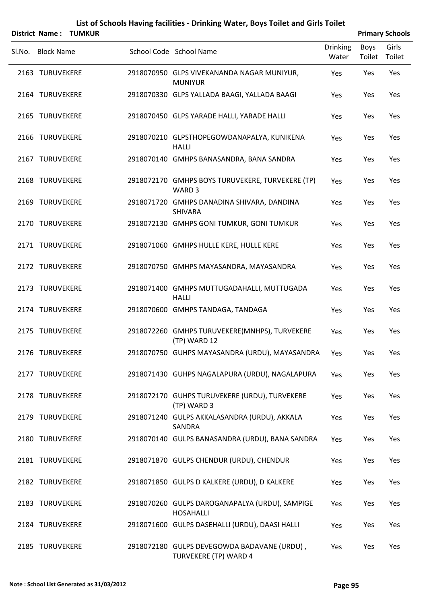| <b>District Name:</b> | <b>TUMKUR</b> |                                                                             |                          |                | <b>Primary Schools</b> |
|-----------------------|---------------|-----------------------------------------------------------------------------|--------------------------|----------------|------------------------|
| SI.No. Block Name     |               | School Code School Name                                                     | <b>Drinking</b><br>Water | Boys<br>Toilet | Girls<br>Toilet        |
| 2163 TURUVEKERE       |               | 2918070950 GLPS VIVEKANANDA NAGAR MUNIYUR,<br><b>MUNIYUR</b>                | Yes                      | Yes            | Yes                    |
| 2164 TURUVEKERE       |               | 2918070330 GLPS YALLADA BAAGI, YALLADA BAAGI                                | Yes                      | Yes            | Yes                    |
| 2165 TURUVEKERE       |               | 2918070450 GLPS YARADE HALLI, YARADE HALLI                                  | Yes                      | Yes            | Yes                    |
| 2166 TURUVEKERE       |               | 2918070210 GLPSTHOPEGOWDANAPALYA, KUNIKENA<br><b>HALLI</b>                  | Yes                      | Yes            | Yes                    |
| 2167 TURUVEKERE       |               | 2918070140 GMHPS BANASANDRA, BANA SANDRA                                    | Yes                      | Yes            | Yes                    |
| 2168 TURUVEKERE       |               | 2918072170 GMHPS BOYS TURUVEKERE, TURVEKERE (TP)<br>WARD <sub>3</sub>       | Yes                      | Yes            | Yes                    |
| 2169 TURUVEKERE       |               | 2918071720 GMHPS DANADINA SHIVARA, DANDINA<br><b>SHIVARA</b>                | Yes                      | Yes            | Yes                    |
| 2170 TURUVEKERE       |               | 2918072130 GMHPS GONI TUMKUR, GONI TUMKUR                                   | Yes                      | Yes            | Yes                    |
| 2171 TURUVEKERE       |               | 2918071060 GMHPS HULLE KERE, HULLE KERE                                     | Yes                      | Yes            | Yes                    |
| 2172 TURUVEKERE       |               | 2918070750 GMHPS MAYASANDRA, MAYASANDRA                                     | Yes                      | Yes            | Yes                    |
| 2173 TURUVEKERE       |               | 2918071400 GMHPS MUTTUGADAHALLI, MUTTUGADA<br><b>HALLI</b>                  | Yes                      | Yes            | Yes                    |
| 2174 TURUVEKERE       |               | 2918070600 GMHPS TANDAGA, TANDAGA                                           | Yes                      | Yes            | Yes                    |
| 2175 TURUVEKERE       |               | 2918072260 GMHPS TURUVEKERE(MNHPS), TURVEKERE<br>(TP) WARD 12               | Yes                      | Yes            | Yes                    |
| 2176 TURUVEKERE       |               | 2918070750 GUHPS MAYASANDRA (URDU), MAYASANDRA Yes                          |                          | Yes            | Yes                    |
| 2177 TURUVEKERE       |               | 2918071430 GUHPS NAGALAPURA (URDU), NAGALAPURA                              | Yes                      | Yes            | Yes                    |
| 2178 TURUVEKERE       |               | 2918072170 GUHPS TURUVEKERE (URDU), TURVEKERE<br>(TP) WARD 3                | Yes                      | Yes            | Yes                    |
| 2179 TURUVEKERE       |               | 2918071240 GULPS AKKALASANDRA (URDU), AKKALA<br>SANDRA                      | Yes                      | Yes            | Yes                    |
| 2180 TURUVEKERE       |               | 2918070140 GULPS BANASANDRA (URDU), BANA SANDRA                             | Yes                      | Yes            | Yes                    |
| 2181 TURUVEKERE       |               | 2918071870 GULPS CHENDUR (URDU), CHENDUR                                    | Yes                      | Yes            | Yes                    |
| 2182 TURUVEKERE       |               | 2918071850 GULPS D KALKERE (URDU), D KALKERE                                | Yes                      | Yes            | Yes                    |
| 2183 TURUVEKERE       |               | 2918070260 GULPS DAROGANAPALYA (URDU), SAMPIGE<br><b>HOSAHALLI</b>          | Yes                      | Yes            | Yes                    |
| 2184 TURUVEKERE       |               | 2918071600 GULPS DASEHALLI (URDU), DAASI HALLI                              | Yes                      | Yes            | Yes                    |
| 2185 TURUVEKERE       |               | 2918072180 GULPS DEVEGOWDA BADAVANE (URDU),<br><b>TURVEKERE (TP) WARD 4</b> | Yes                      | Yes            | Yes                    |